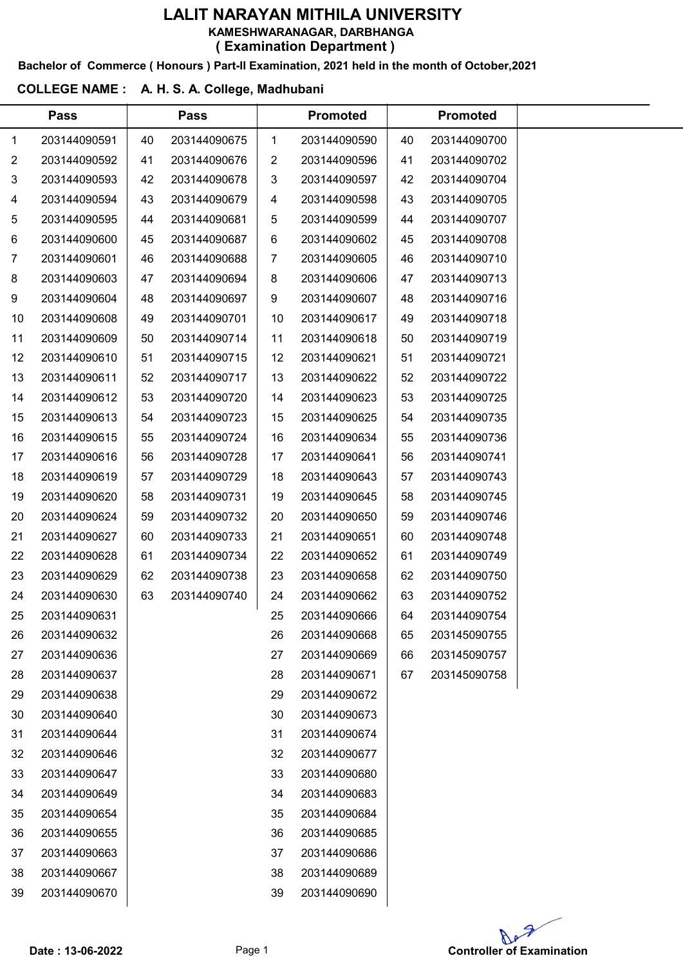Bachelor of Commerce ( Honours ) Part-II Examination, 2021 held in the month of October,2021

### COLLEGE NAME : A. H. S. A. College, Madhubani

 $\overline{a}$ 

|                | <b>Pass</b>  |    | <b>Pass</b>  |              | <b>Promoted</b> |    | <b>Promoted</b> |  |
|----------------|--------------|----|--------------|--------------|-----------------|----|-----------------|--|
| $\mathbf 1$    | 203144090591 | 40 | 203144090675 | $\mathbf{1}$ | 203144090590    | 40 | 203144090700    |  |
| $\overline{2}$ | 203144090592 | 41 | 203144090676 | 2            | 203144090596    | 41 | 203144090702    |  |
| 3              | 203144090593 | 42 | 203144090678 | 3            | 203144090597    | 42 | 203144090704    |  |
| 4              | 203144090594 | 43 | 203144090679 | 4            | 203144090598    | 43 | 203144090705    |  |
| 5              | 203144090595 | 44 | 203144090681 | 5            | 203144090599    | 44 | 203144090707    |  |
| 6              | 203144090600 | 45 | 203144090687 | 6            | 203144090602    | 45 | 203144090708    |  |
| 7              | 203144090601 | 46 | 203144090688 | 7            | 203144090605    | 46 | 203144090710    |  |
| 8              | 203144090603 | 47 | 203144090694 | 8            | 203144090606    | 47 | 203144090713    |  |
| 9              | 203144090604 | 48 | 203144090697 | 9            | 203144090607    | 48 | 203144090716    |  |
| 10             | 203144090608 | 49 | 203144090701 | 10           | 203144090617    | 49 | 203144090718    |  |
| 11             | 203144090609 | 50 | 203144090714 | 11           | 203144090618    | 50 | 203144090719    |  |
| 12             | 203144090610 | 51 | 203144090715 | 12           | 203144090621    | 51 | 203144090721    |  |
| 13             | 203144090611 | 52 | 203144090717 | 13           | 203144090622    | 52 | 203144090722    |  |
| 14             | 203144090612 | 53 | 203144090720 | 14           | 203144090623    | 53 | 203144090725    |  |
| 15             | 203144090613 | 54 | 203144090723 | 15           | 203144090625    | 54 | 203144090735    |  |
| 16             | 203144090615 | 55 | 203144090724 | 16           | 203144090634    | 55 | 203144090736    |  |
| 17             | 203144090616 | 56 | 203144090728 | 17           | 203144090641    | 56 | 203144090741    |  |
| 18             | 203144090619 | 57 | 203144090729 | 18           | 203144090643    | 57 | 203144090743    |  |
| 19             | 203144090620 | 58 | 203144090731 | 19           | 203144090645    | 58 | 203144090745    |  |
| 20             | 203144090624 | 59 | 203144090732 | 20           | 203144090650    | 59 | 203144090746    |  |
| 21             | 203144090627 | 60 | 203144090733 | 21           | 203144090651    | 60 | 203144090748    |  |
| 22             | 203144090628 | 61 | 203144090734 | 22           | 203144090652    | 61 | 203144090749    |  |
| 23             | 203144090629 | 62 | 203144090738 | 23           | 203144090658    | 62 | 203144090750    |  |
| 24             | 203144090630 | 63 | 203144090740 | 24           | 203144090662    | 63 | 203144090752    |  |
| 25             | 203144090631 |    |              | 25           | 203144090666    | 64 | 203144090754    |  |
| 26             | 203144090632 |    |              | 26           | 203144090668    | 65 | 203145090755    |  |
| 27             | 203144090636 |    |              | 27           | 203144090669    | 66 | 203145090757    |  |
| 28             | 203144090637 |    |              | 28           | 203144090671    | 67 | 203145090758    |  |
| 29             | 203144090638 |    |              | 29           | 203144090672    |    |                 |  |
| 30             | 203144090640 |    |              | 30           | 203144090673    |    |                 |  |
| 31             | 203144090644 |    |              | 31           | 203144090674    |    |                 |  |
| 32             | 203144090646 |    |              | 32           | 203144090677    |    |                 |  |
| 33             | 203144090647 |    |              | 33           | 203144090680    |    |                 |  |
| 34             | 203144090649 |    |              | 34           | 203144090683    |    |                 |  |
| 35             | 203144090654 |    |              | 35           | 203144090684    |    |                 |  |
| 36             | 203144090655 |    |              | 36           | 203144090685    |    |                 |  |
| 37             | 203144090663 |    |              | 37           | 203144090686    |    |                 |  |
| 38             | 203144090667 |    |              | 38           | 203144090689    |    |                 |  |
| 39             | 203144090670 |    |              | 39           | 203144090690    |    |                 |  |

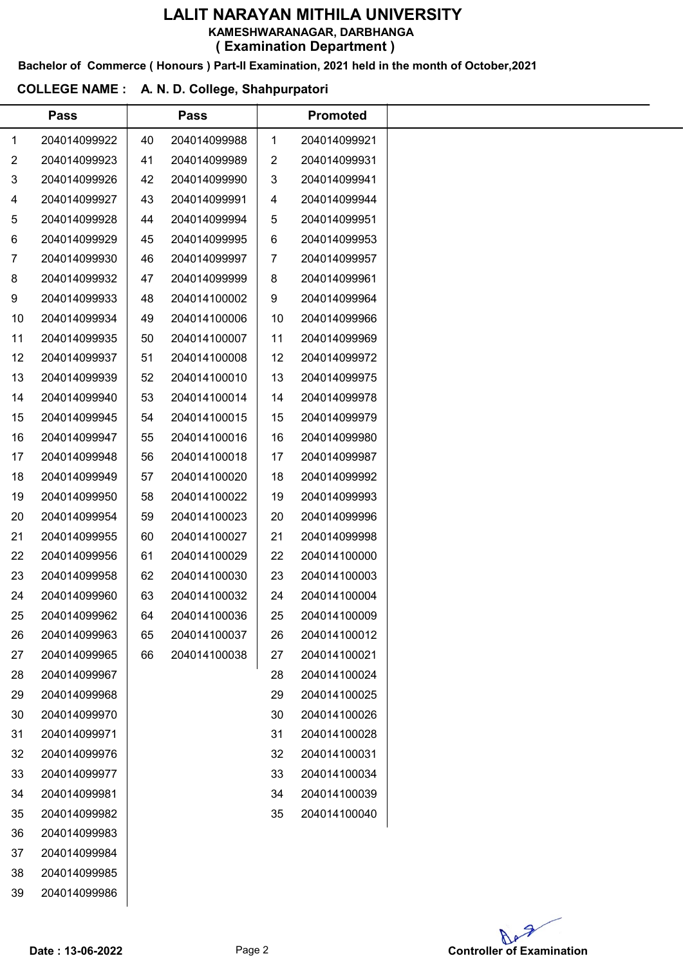KAMESHWARANAGAR, DARBHANGA

( Examination Department )

# Bachelor of Commerce ( Honours ) Part-II Examination, 2021 held in the month of October,2021

### COLLEGE NAME : A. N. D. College, Shahpurpatori

|                | <b>Pass</b>  |    | <b>Pass</b>  |    | <b>Promoted</b> |
|----------------|--------------|----|--------------|----|-----------------|
| 1              | 204014099922 | 40 | 204014099988 | 1  | 204014099921    |
| $\overline{2}$ | 204014099923 | 41 | 204014099989 | 2  | 204014099931    |
| 3              | 204014099926 | 42 | 204014099990 | 3  | 204014099941    |
| 4              | 204014099927 | 43 | 204014099991 | 4  | 204014099944    |
| 5              | 204014099928 | 44 | 204014099994 | 5  | 204014099951    |
| 6              | 204014099929 | 45 | 204014099995 | 6  | 204014099953    |
| $\overline{7}$ | 204014099930 | 46 | 204014099997 | 7  | 204014099957    |
| 8              | 204014099932 | 47 | 204014099999 | 8  | 204014099961    |
| 9              | 204014099933 | 48 | 204014100002 | 9  | 204014099964    |
| 10             | 204014099934 | 49 | 204014100006 | 10 | 204014099966    |
| 11             | 204014099935 | 50 | 204014100007 | 11 | 204014099969    |
| 12             | 204014099937 | 51 | 204014100008 | 12 | 204014099972    |
| 13             | 204014099939 | 52 | 204014100010 | 13 | 204014099975    |
| 14             | 204014099940 | 53 | 204014100014 | 14 | 204014099978    |
| 15             | 204014099945 | 54 | 204014100015 | 15 | 204014099979    |
| 16             | 204014099947 | 55 | 204014100016 | 16 | 204014099980    |
| 17             | 204014099948 | 56 | 204014100018 | 17 | 204014099987    |
| 18             | 204014099949 | 57 | 204014100020 | 18 | 204014099992    |
| 19             | 204014099950 | 58 | 204014100022 | 19 | 204014099993    |
| 20             | 204014099954 | 59 | 204014100023 | 20 | 204014099996    |
| 21             | 204014099955 | 60 | 204014100027 | 21 | 204014099998    |
| 22             | 204014099956 | 61 | 204014100029 | 22 | 204014100000    |
| 23             | 204014099958 | 62 | 204014100030 | 23 | 204014100003    |
| 24             | 204014099960 | 63 | 204014100032 | 24 | 204014100004    |
| 25             | 204014099962 | 64 | 204014100036 | 25 | 204014100009    |
| 26             | 204014099963 | 65 | 204014100037 | 26 | 204014100012    |
| 27             | 204014099965 | 66 | 204014100038 | 27 | 204014100021    |
| 28             | 204014099967 |    |              | 28 | 204014100024    |
| 29             | 204014099968 |    |              | 29 | 204014100025    |
| 30             | 204014099970 |    |              | 30 | 204014100026    |
| 31             | 204014099971 |    |              | 31 | 204014100028    |
| 32             | 204014099976 |    |              | 32 | 204014100031    |
| 33             | 204014099977 |    |              | 33 | 204014100034    |
| 34             | 204014099981 |    |              | 34 | 204014100039    |
| 35             | 204014099982 |    |              | 35 | 204014100040    |
| 36             | 204014099983 |    |              |    |                 |
| 37             | 204014099984 |    |              |    |                 |
| 38             | 204014099985 |    |              |    |                 |
| 39             | 204014099986 |    |              |    |                 |
|                |              |    |              |    |                 |

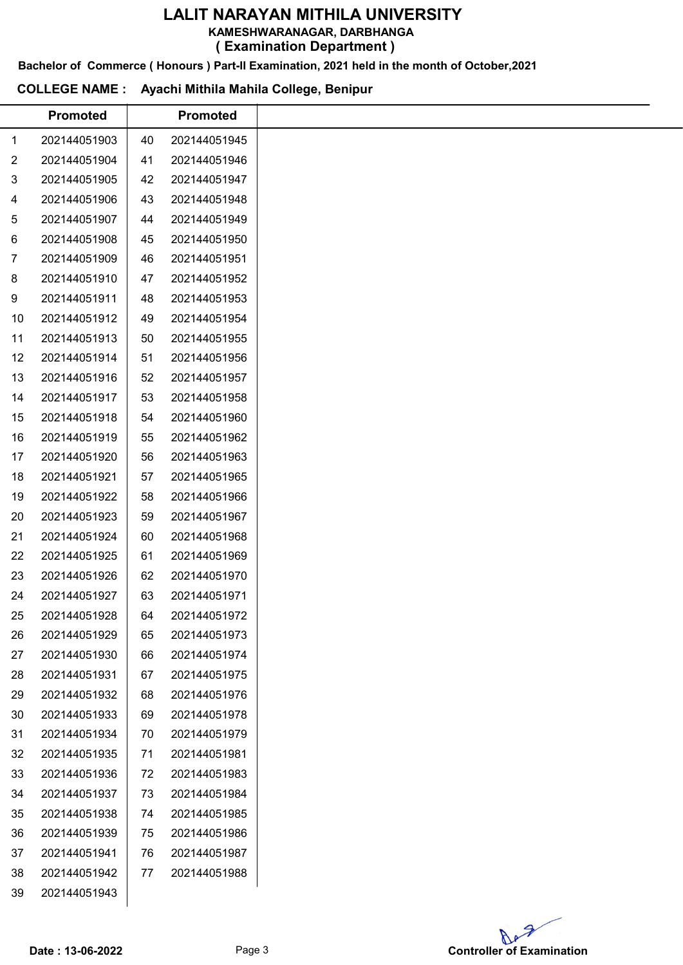KAMESHWARANAGAR, DARBHANGA

( Examination Department )

Bachelor of Commerce ( Honours ) Part-II Examination, 2021 held in the month of October,2021

### COLLEGE NAME : Ayachi Mithila Mahila College, Benipur

|                | <b>Promoted</b> |    | <b>Promoted</b> |
|----------------|-----------------|----|-----------------|
| 1              | 202144051903    | 40 | 202144051945    |
| $\overline{2}$ | 202144051904    | 41 | 202144051946    |
| 3              | 202144051905    | 42 | 202144051947    |
| 4              | 202144051906    | 43 | 202144051948    |
| 5              | 202144051907    | 44 | 202144051949    |
| 6              | 202144051908    | 45 | 202144051950    |
| $\overline{7}$ | 202144051909    | 46 | 202144051951    |
| 8              | 202144051910    | 47 | 202144051952    |
| 9              | 202144051911    | 48 | 202144051953    |
| 10             | 202144051912    | 49 | 202144051954    |
| 11             | 202144051913    | 50 | 202144051955    |
| 12             | 202144051914    | 51 | 202144051956    |
| 13             | 202144051916    | 52 | 202144051957    |
| 14             | 202144051917    | 53 | 202144051958    |
| 15             | 202144051918    | 54 | 202144051960    |
| 16             | 202144051919    | 55 | 202144051962    |
| 17             | 202144051920    | 56 | 202144051963    |
| 18             | 202144051921    | 57 | 202144051965    |
| 19             | 202144051922    | 58 | 202144051966    |
| 20             | 202144051923    | 59 | 202144051967    |
| 21             | 202144051924    | 60 | 202144051968    |
| 22             | 202144051925    | 61 | 202144051969    |
| 23             | 202144051926    | 62 | 202144051970    |
| 24             | 202144051927    | 63 | 202144051971    |
| 25             | 202144051928    | 64 | 202144051972    |
| 26             | 202144051929    | 65 | 202144051973    |
| 27             | 202144051930    | 66 | 202144051974    |
| 28             | 202144051931    | 67 | 202144051975    |
| 29             | 202144051932    | 68 | 202144051976    |
| 30             | 202144051933    | 69 | 202144051978    |
| 31             | 202144051934    | 70 | 202144051979    |
| 32             | 202144051935    | 71 | 202144051981    |
| 33             | 202144051936    | 72 | 202144051983    |
| 34             | 202144051937    | 73 | 202144051984    |
| 35             | 202144051938    | 74 | 202144051985    |
| 36             | 202144051939    | 75 | 202144051986    |
| 37             | 202144051941    | 76 | 202144051987    |
| 38             | 202144051942    | 77 | 202144051988    |
| 39             | 202144051943    |    |                 |

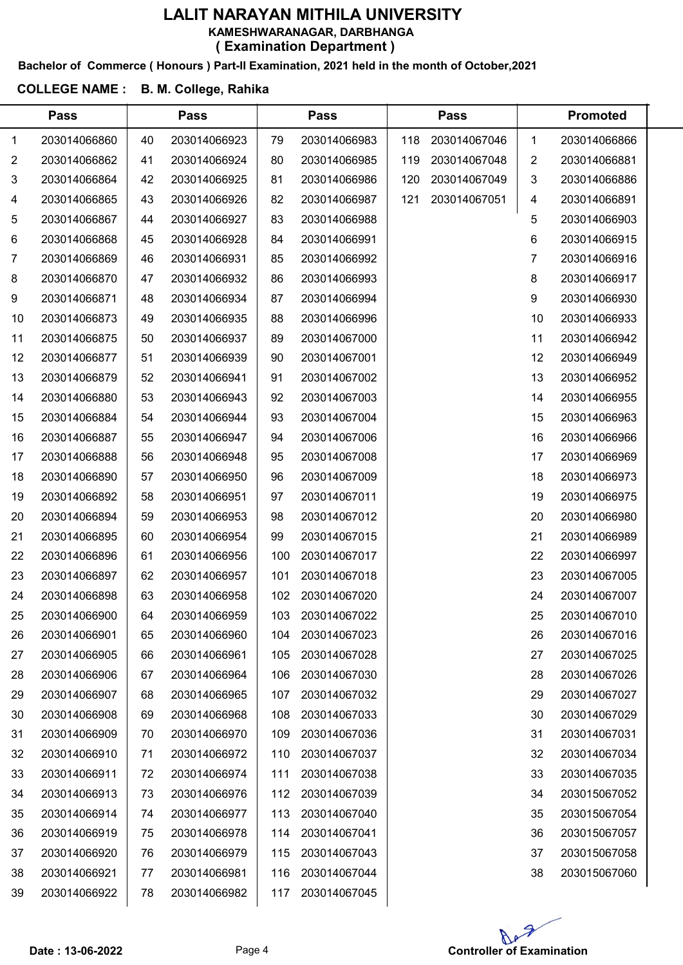### Bachelor of Commerce ( Honours ) Part-II Examination, 2021 held in the month of October,2021

### COLLEGE NAME : B. M. College, Rahika

|                | <b>Pass</b>  |    | <b>Pass</b>  |     | <b>Pass</b>  |     | <b>Pass</b>  |    | <b>Promoted</b> |  |
|----------------|--------------|----|--------------|-----|--------------|-----|--------------|----|-----------------|--|
| 1              | 203014066860 | 40 | 203014066923 | 79  | 203014066983 | 118 | 203014067046 | 1  | 203014066866    |  |
| $\overline{2}$ | 203014066862 | 41 | 203014066924 | 80  | 203014066985 | 119 | 203014067048 | 2  | 203014066881    |  |
| 3              | 203014066864 | 42 | 203014066925 | 81  | 203014066986 | 120 | 203014067049 | 3  | 203014066886    |  |
| 4              | 203014066865 | 43 | 203014066926 | 82  | 203014066987 | 121 | 203014067051 | 4  | 203014066891    |  |
| 5              | 203014066867 | 44 | 203014066927 | 83  | 203014066988 |     |              | 5  | 203014066903    |  |
| 6              | 203014066868 | 45 | 203014066928 | 84  | 203014066991 |     |              | 6  | 203014066915    |  |
| 7              | 203014066869 | 46 | 203014066931 | 85  | 203014066992 |     |              | 7  | 203014066916    |  |
| 8              | 203014066870 | 47 | 203014066932 | 86  | 203014066993 |     |              | 8  | 203014066917    |  |
| 9              | 203014066871 | 48 | 203014066934 | 87  | 203014066994 |     |              | 9  | 203014066930    |  |
| 10             | 203014066873 | 49 | 203014066935 | 88  | 203014066996 |     |              | 10 | 203014066933    |  |
| 11             | 203014066875 | 50 | 203014066937 | 89  | 203014067000 |     |              | 11 | 203014066942    |  |
| 12             | 203014066877 | 51 | 203014066939 | 90  | 203014067001 |     |              | 12 | 203014066949    |  |
| 13             | 203014066879 | 52 | 203014066941 | 91  | 203014067002 |     |              | 13 | 203014066952    |  |
| 14             | 203014066880 | 53 | 203014066943 | 92  | 203014067003 |     |              | 14 | 203014066955    |  |
| 15             | 203014066884 | 54 | 203014066944 | 93  | 203014067004 |     |              | 15 | 203014066963    |  |
| 16             | 203014066887 | 55 | 203014066947 | 94  | 203014067006 |     |              | 16 | 203014066966    |  |
| 17             | 203014066888 | 56 | 203014066948 | 95  | 203014067008 |     |              | 17 | 203014066969    |  |
| 18             | 203014066890 | 57 | 203014066950 | 96  | 203014067009 |     |              | 18 | 203014066973    |  |
| 19             | 203014066892 | 58 | 203014066951 | 97  | 203014067011 |     |              | 19 | 203014066975    |  |
| 20             | 203014066894 | 59 | 203014066953 | 98  | 203014067012 |     |              | 20 | 203014066980    |  |
| 21             | 203014066895 | 60 | 203014066954 | 99  | 203014067015 |     |              | 21 | 203014066989    |  |
| 22             | 203014066896 | 61 | 203014066956 | 100 | 203014067017 |     |              | 22 | 203014066997    |  |
| 23             | 203014066897 | 62 | 203014066957 | 101 | 203014067018 |     |              | 23 | 203014067005    |  |
| 24             | 203014066898 | 63 | 203014066958 | 102 | 203014067020 |     |              | 24 | 203014067007    |  |
| 25             | 203014066900 | 64 | 203014066959 | 103 | 203014067022 |     |              | 25 | 203014067010    |  |
| 26             | 203014066901 | 65 | 203014066960 | 104 | 203014067023 |     |              | 26 | 203014067016    |  |
| 27             | 203014066905 | 66 | 203014066961 | 105 | 203014067028 |     |              | 27 | 203014067025    |  |
| 28             | 203014066906 | 67 | 203014066964 | 106 | 203014067030 |     |              | 28 | 203014067026    |  |
| 29             | 203014066907 | 68 | 203014066965 | 107 | 203014067032 |     |              | 29 | 203014067027    |  |
| 30             | 203014066908 | 69 | 203014066968 | 108 | 203014067033 |     |              | 30 | 203014067029    |  |
| 31             | 203014066909 | 70 | 203014066970 | 109 | 203014067036 |     |              | 31 | 203014067031    |  |
| 32             | 203014066910 | 71 | 203014066972 | 110 | 203014067037 |     |              | 32 | 203014067034    |  |
| 33             | 203014066911 | 72 | 203014066974 | 111 | 203014067038 |     |              | 33 | 203014067035    |  |
| 34             | 203014066913 | 73 | 203014066976 | 112 | 203014067039 |     |              | 34 | 203015067052    |  |
| 35             | 203014066914 | 74 | 203014066977 | 113 | 203014067040 |     |              | 35 | 203015067054    |  |
| 36             | 203014066919 | 75 | 203014066978 | 114 | 203014067041 |     |              | 36 | 203015067057    |  |
| 37             | 203014066920 | 76 | 203014066979 | 115 | 203014067043 |     |              | 37 | 203015067058    |  |
| 38             | 203014066921 | 77 | 203014066981 | 116 | 203014067044 |     |              | 38 | 203015067060    |  |
| 39             | 203014066922 | 78 | 203014066982 | 117 | 203014067045 |     |              |    |                 |  |

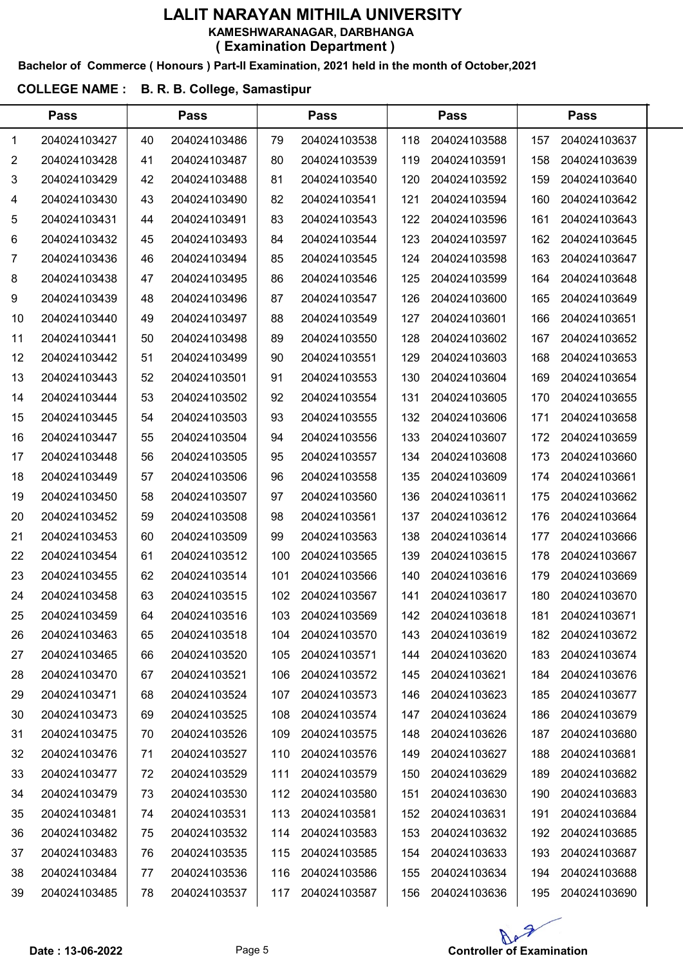#### Bachelor of Commerce ( Honours ) Part-II Examination, 2021 held in the month of October,2021

### COLLEGE NAME : B. R. B. College, Samastipur

|    | <b>Pass</b>  |    | <b>Pass</b>  |     | <b>Pass</b>  |     | <b>Pass</b>  |     | <b>Pass</b>  |  |
|----|--------------|----|--------------|-----|--------------|-----|--------------|-----|--------------|--|
| 1  | 204024103427 | 40 | 204024103486 | 79  | 204024103538 | 118 | 204024103588 | 157 | 204024103637 |  |
| 2  | 204024103428 | 41 | 204024103487 | 80  | 204024103539 | 119 | 204024103591 | 158 | 204024103639 |  |
| 3  | 204024103429 | 42 | 204024103488 | 81  | 204024103540 | 120 | 204024103592 | 159 | 204024103640 |  |
| 4  | 204024103430 | 43 | 204024103490 | 82  | 204024103541 | 121 | 204024103594 | 160 | 204024103642 |  |
| 5  | 204024103431 | 44 | 204024103491 | 83  | 204024103543 | 122 | 204024103596 | 161 | 204024103643 |  |
| 6  | 204024103432 | 45 | 204024103493 | 84  | 204024103544 | 123 | 204024103597 | 162 | 204024103645 |  |
| 7  | 204024103436 | 46 | 204024103494 | 85  | 204024103545 | 124 | 204024103598 | 163 | 204024103647 |  |
| 8  | 204024103438 | 47 | 204024103495 | 86  | 204024103546 | 125 | 204024103599 | 164 | 204024103648 |  |
| 9  | 204024103439 | 48 | 204024103496 | 87  | 204024103547 | 126 | 204024103600 | 165 | 204024103649 |  |
| 10 | 204024103440 | 49 | 204024103497 | 88  | 204024103549 | 127 | 204024103601 | 166 | 204024103651 |  |
| 11 | 204024103441 | 50 | 204024103498 | 89  | 204024103550 | 128 | 204024103602 | 167 | 204024103652 |  |
| 12 | 204024103442 | 51 | 204024103499 | 90  | 204024103551 | 129 | 204024103603 | 168 | 204024103653 |  |
| 13 | 204024103443 | 52 | 204024103501 | 91  | 204024103553 | 130 | 204024103604 | 169 | 204024103654 |  |
| 14 | 204024103444 | 53 | 204024103502 | 92  | 204024103554 | 131 | 204024103605 | 170 | 204024103655 |  |
| 15 | 204024103445 | 54 | 204024103503 | 93  | 204024103555 | 132 | 204024103606 | 171 | 204024103658 |  |
| 16 | 204024103447 | 55 | 204024103504 | 94  | 204024103556 | 133 | 204024103607 | 172 | 204024103659 |  |
| 17 | 204024103448 | 56 | 204024103505 | 95  | 204024103557 | 134 | 204024103608 | 173 | 204024103660 |  |
| 18 | 204024103449 | 57 | 204024103506 | 96  | 204024103558 | 135 | 204024103609 | 174 | 204024103661 |  |
| 19 | 204024103450 | 58 | 204024103507 | 97  | 204024103560 | 136 | 204024103611 | 175 | 204024103662 |  |
| 20 | 204024103452 | 59 | 204024103508 | 98  | 204024103561 | 137 | 204024103612 | 176 | 204024103664 |  |
| 21 | 204024103453 | 60 | 204024103509 | 99  | 204024103563 | 138 | 204024103614 | 177 | 204024103666 |  |
| 22 | 204024103454 | 61 | 204024103512 | 100 | 204024103565 | 139 | 204024103615 | 178 | 204024103667 |  |
| 23 | 204024103455 | 62 | 204024103514 | 101 | 204024103566 | 140 | 204024103616 | 179 | 204024103669 |  |
| 24 | 204024103458 | 63 | 204024103515 | 102 | 204024103567 | 141 | 204024103617 | 180 | 204024103670 |  |
| 25 | 204024103459 | 64 | 204024103516 | 103 | 204024103569 | 142 | 204024103618 | 181 | 204024103671 |  |
| 26 | 204024103463 | 65 | 204024103518 | 104 | 204024103570 | 143 | 204024103619 | 182 | 204024103672 |  |
| 27 | 204024103465 | 66 | 204024103520 | 105 | 204024103571 | 144 | 204024103620 | 183 | 204024103674 |  |
| 28 | 204024103470 | 67 | 204024103521 | 106 | 204024103572 | 145 | 204024103621 | 184 | 204024103676 |  |
| 29 | 204024103471 | 68 | 204024103524 | 107 | 204024103573 | 146 | 204024103623 | 185 | 204024103677 |  |
| 30 | 204024103473 | 69 | 204024103525 | 108 | 204024103574 | 147 | 204024103624 | 186 | 204024103679 |  |
| 31 | 204024103475 | 70 | 204024103526 | 109 | 204024103575 | 148 | 204024103626 | 187 | 204024103680 |  |
| 32 | 204024103476 | 71 | 204024103527 | 110 | 204024103576 | 149 | 204024103627 | 188 | 204024103681 |  |
| 33 | 204024103477 | 72 | 204024103529 | 111 | 204024103579 | 150 | 204024103629 | 189 | 204024103682 |  |
| 34 | 204024103479 | 73 | 204024103530 | 112 | 204024103580 | 151 | 204024103630 | 190 | 204024103683 |  |
| 35 | 204024103481 | 74 | 204024103531 | 113 | 204024103581 | 152 | 204024103631 | 191 | 204024103684 |  |
| 36 | 204024103482 | 75 | 204024103532 | 114 | 204024103583 | 153 | 204024103632 | 192 | 204024103685 |  |
| 37 | 204024103483 | 76 | 204024103535 | 115 | 204024103585 | 154 | 204024103633 | 193 | 204024103687 |  |
| 38 | 204024103484 | 77 | 204024103536 | 116 | 204024103586 | 155 | 204024103634 | 194 | 204024103688 |  |
| 39 | 204024103485 | 78 | 204024103537 | 117 | 204024103587 | 156 | 204024103636 | 195 | 204024103690 |  |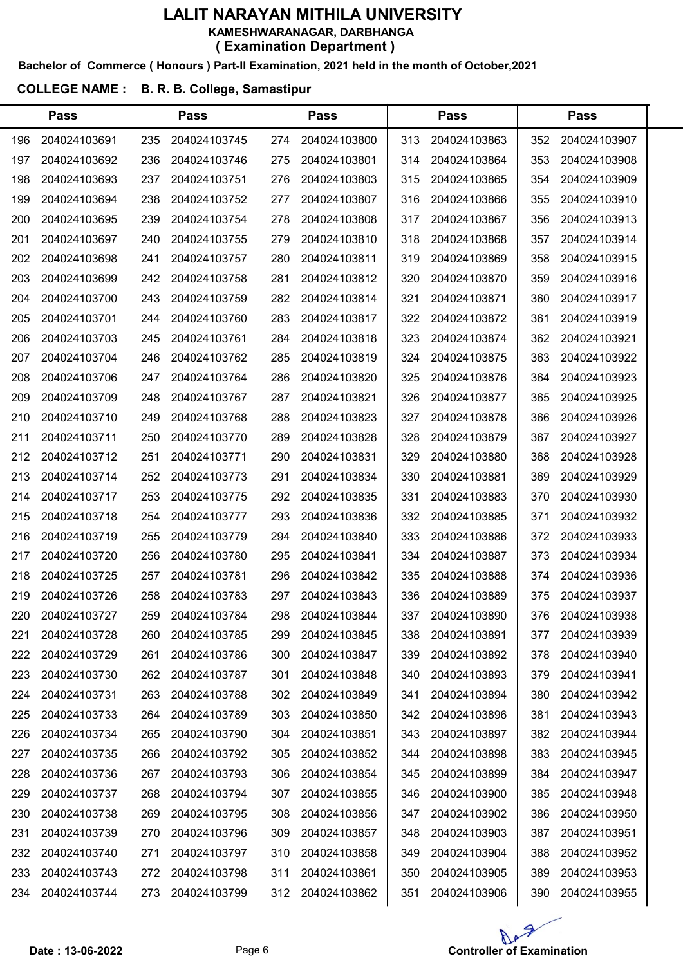#### Bachelor of Commerce ( Honours ) Part-II Examination, 2021 held in the month of October,2021

### COLLEGE NAME : B. R. B. College, Samastipur

|     | <b>Pass</b>  |     | <b>Pass</b>  |     | <b>Pass</b>  |     | <b>Pass</b>  |     | <b>Pass</b>  |  |
|-----|--------------|-----|--------------|-----|--------------|-----|--------------|-----|--------------|--|
| 196 | 204024103691 | 235 | 204024103745 | 274 | 204024103800 | 313 | 204024103863 | 352 | 204024103907 |  |
| 197 | 204024103692 | 236 | 204024103746 | 275 | 204024103801 | 314 | 204024103864 | 353 | 204024103908 |  |
| 198 | 204024103693 | 237 | 204024103751 | 276 | 204024103803 | 315 | 204024103865 | 354 | 204024103909 |  |
| 199 | 204024103694 | 238 | 204024103752 | 277 | 204024103807 | 316 | 204024103866 | 355 | 204024103910 |  |
| 200 | 204024103695 | 239 | 204024103754 | 278 | 204024103808 | 317 | 204024103867 | 356 | 204024103913 |  |
| 201 | 204024103697 | 240 | 204024103755 | 279 | 204024103810 | 318 | 204024103868 | 357 | 204024103914 |  |
| 202 | 204024103698 | 241 | 204024103757 | 280 | 204024103811 | 319 | 204024103869 | 358 | 204024103915 |  |
| 203 | 204024103699 | 242 | 204024103758 | 281 | 204024103812 | 320 | 204024103870 | 359 | 204024103916 |  |
| 204 | 204024103700 | 243 | 204024103759 | 282 | 204024103814 | 321 | 204024103871 | 360 | 204024103917 |  |
| 205 | 204024103701 | 244 | 204024103760 | 283 | 204024103817 | 322 | 204024103872 | 361 | 204024103919 |  |
| 206 | 204024103703 | 245 | 204024103761 | 284 | 204024103818 | 323 | 204024103874 | 362 | 204024103921 |  |
| 207 | 204024103704 | 246 | 204024103762 | 285 | 204024103819 | 324 | 204024103875 | 363 | 204024103922 |  |
| 208 | 204024103706 | 247 | 204024103764 | 286 | 204024103820 | 325 | 204024103876 | 364 | 204024103923 |  |
| 209 | 204024103709 | 248 | 204024103767 | 287 | 204024103821 | 326 | 204024103877 | 365 | 204024103925 |  |
| 210 | 204024103710 | 249 | 204024103768 | 288 | 204024103823 | 327 | 204024103878 | 366 | 204024103926 |  |
| 211 | 204024103711 | 250 | 204024103770 | 289 | 204024103828 | 328 | 204024103879 | 367 | 204024103927 |  |
| 212 | 204024103712 | 251 | 204024103771 | 290 | 204024103831 | 329 | 204024103880 | 368 | 204024103928 |  |
| 213 | 204024103714 | 252 | 204024103773 | 291 | 204024103834 | 330 | 204024103881 | 369 | 204024103929 |  |
| 214 | 204024103717 | 253 | 204024103775 | 292 | 204024103835 | 331 | 204024103883 | 370 | 204024103930 |  |
| 215 | 204024103718 | 254 | 204024103777 | 293 | 204024103836 | 332 | 204024103885 | 371 | 204024103932 |  |
| 216 | 204024103719 | 255 | 204024103779 | 294 | 204024103840 | 333 | 204024103886 | 372 | 204024103933 |  |
| 217 | 204024103720 | 256 | 204024103780 | 295 | 204024103841 | 334 | 204024103887 | 373 | 204024103934 |  |
| 218 | 204024103725 | 257 | 204024103781 | 296 | 204024103842 | 335 | 204024103888 | 374 | 204024103936 |  |
| 219 | 204024103726 | 258 | 204024103783 | 297 | 204024103843 | 336 | 204024103889 | 375 | 204024103937 |  |
| 220 | 204024103727 | 259 | 204024103784 | 298 | 204024103844 | 337 | 204024103890 | 376 | 204024103938 |  |
| 221 | 204024103728 | 260 | 204024103785 | 299 | 204024103845 | 338 | 204024103891 | 377 | 204024103939 |  |
| 222 | 204024103729 | 261 | 204024103786 | 300 | 204024103847 | 339 | 204024103892 | 378 | 204024103940 |  |
| 223 | 204024103730 | 262 | 204024103787 | 301 | 204024103848 | 340 | 204024103893 | 379 | 204024103941 |  |
| 224 | 204024103731 | 263 | 204024103788 | 302 | 204024103849 | 341 | 204024103894 | 380 | 204024103942 |  |
| 225 | 204024103733 | 264 | 204024103789 | 303 | 204024103850 | 342 | 204024103896 | 381 | 204024103943 |  |
| 226 | 204024103734 | 265 | 204024103790 | 304 | 204024103851 | 343 | 204024103897 | 382 | 204024103944 |  |
| 227 | 204024103735 | 266 | 204024103792 | 305 | 204024103852 | 344 | 204024103898 | 383 | 204024103945 |  |
| 228 | 204024103736 | 267 | 204024103793 | 306 | 204024103854 | 345 | 204024103899 | 384 | 204024103947 |  |
| 229 | 204024103737 | 268 | 204024103794 | 307 | 204024103855 | 346 | 204024103900 | 385 | 204024103948 |  |
| 230 | 204024103738 | 269 | 204024103795 | 308 | 204024103856 | 347 | 204024103902 | 386 | 204024103950 |  |
| 231 | 204024103739 | 270 | 204024103796 | 309 | 204024103857 | 348 | 204024103903 | 387 | 204024103951 |  |
| 232 | 204024103740 | 271 | 204024103797 | 310 | 204024103858 | 349 | 204024103904 | 388 | 204024103952 |  |
| 233 | 204024103743 | 272 | 204024103798 | 311 | 204024103861 | 350 | 204024103905 | 389 | 204024103953 |  |
| 234 | 204024103744 | 273 | 204024103799 | 312 | 204024103862 | 351 | 204024103906 | 390 | 204024103955 |  |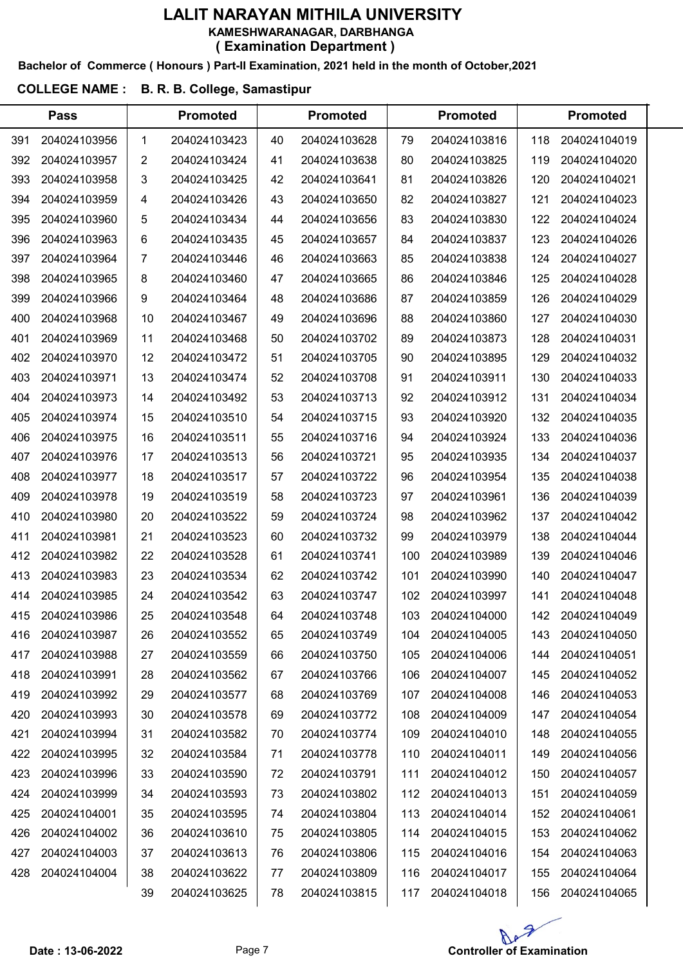#### Bachelor of Commerce ( Honours ) Part-II Examination, 2021 held in the month of October,2021

### COLLEGE NAME : B. R. B. College, Samastipur

|     | <b>Pass</b>  |    | <b>Promoted</b> |    | <b>Promoted</b> |     | <b>Promoted</b> |     | <b>Promoted</b> |  |
|-----|--------------|----|-----------------|----|-----------------|-----|-----------------|-----|-----------------|--|
| 391 | 204024103956 | 1  | 204024103423    | 40 | 204024103628    | 79  | 204024103816    | 118 | 204024104019    |  |
| 392 | 204024103957 | 2  | 204024103424    | 41 | 204024103638    | 80  | 204024103825    | 119 | 204024104020    |  |
| 393 | 204024103958 | 3  | 204024103425    | 42 | 204024103641    | 81  | 204024103826    | 120 | 204024104021    |  |
| 394 | 204024103959 | 4  | 204024103426    | 43 | 204024103650    | 82  | 204024103827    | 121 | 204024104023    |  |
| 395 | 204024103960 | 5  | 204024103434    | 44 | 204024103656    | 83  | 204024103830    | 122 | 204024104024    |  |
| 396 | 204024103963 | 6  | 204024103435    | 45 | 204024103657    | 84  | 204024103837    | 123 | 204024104026    |  |
| 397 | 204024103964 | 7  | 204024103446    | 46 | 204024103663    | 85  | 204024103838    | 124 | 204024104027    |  |
| 398 | 204024103965 | 8  | 204024103460    | 47 | 204024103665    | 86  | 204024103846    | 125 | 204024104028    |  |
| 399 | 204024103966 | 9  | 204024103464    | 48 | 204024103686    | 87  | 204024103859    | 126 | 204024104029    |  |
| 400 | 204024103968 | 10 | 204024103467    | 49 | 204024103696    | 88  | 204024103860    | 127 | 204024104030    |  |
| 401 | 204024103969 | 11 | 204024103468    | 50 | 204024103702    | 89  | 204024103873    | 128 | 204024104031    |  |
| 402 | 204024103970 | 12 | 204024103472    | 51 | 204024103705    | 90  | 204024103895    | 129 | 204024104032    |  |
| 403 | 204024103971 | 13 | 204024103474    | 52 | 204024103708    | 91  | 204024103911    | 130 | 204024104033    |  |
| 404 | 204024103973 | 14 | 204024103492    | 53 | 204024103713    | 92  | 204024103912    | 131 | 204024104034    |  |
| 405 | 204024103974 | 15 | 204024103510    | 54 | 204024103715    | 93  | 204024103920    | 132 | 204024104035    |  |
| 406 | 204024103975 | 16 | 204024103511    | 55 | 204024103716    | 94  | 204024103924    | 133 | 204024104036    |  |
| 407 | 204024103976 | 17 | 204024103513    | 56 | 204024103721    | 95  | 204024103935    | 134 | 204024104037    |  |
| 408 | 204024103977 | 18 | 204024103517    | 57 | 204024103722    | 96  | 204024103954    | 135 | 204024104038    |  |
| 409 | 204024103978 | 19 | 204024103519    | 58 | 204024103723    | 97  | 204024103961    | 136 | 204024104039    |  |
| 410 | 204024103980 | 20 | 204024103522    | 59 | 204024103724    | 98  | 204024103962    | 137 | 204024104042    |  |
| 411 | 204024103981 | 21 | 204024103523    | 60 | 204024103732    | 99  | 204024103979    | 138 | 204024104044    |  |
| 412 | 204024103982 | 22 | 204024103528    | 61 | 204024103741    | 100 | 204024103989    | 139 | 204024104046    |  |
| 413 | 204024103983 | 23 | 204024103534    | 62 | 204024103742    | 101 | 204024103990    | 140 | 204024104047    |  |
| 414 | 204024103985 | 24 | 204024103542    | 63 | 204024103747    | 102 | 204024103997    | 141 | 204024104048    |  |
| 415 | 204024103986 | 25 | 204024103548    | 64 | 204024103748    | 103 | 204024104000    | 142 | 204024104049    |  |
| 416 | 204024103987 | 26 | 204024103552    | 65 | 204024103749    | 104 | 204024104005    | 143 | 204024104050    |  |
| 417 | 204024103988 | 27 | 204024103559    | 66 | 204024103750    | 105 | 204024104006    | 144 | 204024104051    |  |
| 418 | 204024103991 | 28 | 204024103562    | 67 | 204024103766    | 106 | 204024104007    | 145 | 204024104052    |  |
| 419 | 204024103992 | 29 | 204024103577    | 68 | 204024103769    | 107 | 204024104008    | 146 | 204024104053    |  |
| 420 | 204024103993 | 30 | 204024103578    | 69 | 204024103772    | 108 | 204024104009    | 147 | 204024104054    |  |
| 421 | 204024103994 | 31 | 204024103582    | 70 | 204024103774    | 109 | 204024104010    | 148 | 204024104055    |  |
| 422 | 204024103995 | 32 | 204024103584    | 71 | 204024103778    | 110 | 204024104011    | 149 | 204024104056    |  |
| 423 | 204024103996 | 33 | 204024103590    | 72 | 204024103791    | 111 | 204024104012    | 150 | 204024104057    |  |
| 424 | 204024103999 | 34 | 204024103593    | 73 | 204024103802    | 112 | 204024104013    | 151 | 204024104059    |  |
| 425 | 204024104001 | 35 | 204024103595    | 74 | 204024103804    | 113 | 204024104014    | 152 | 204024104061    |  |
| 426 | 204024104002 | 36 | 204024103610    | 75 | 204024103805    | 114 | 204024104015    | 153 | 204024104062    |  |
| 427 | 204024104003 | 37 | 204024103613    | 76 | 204024103806    | 115 | 204024104016    | 154 | 204024104063    |  |
| 428 | 204024104004 | 38 | 204024103622    | 77 | 204024103809    | 116 | 204024104017    | 155 | 204024104064    |  |
|     |              | 39 | 204024103625    | 78 | 204024103815    | 117 | 204024104018    | 156 | 204024104065    |  |

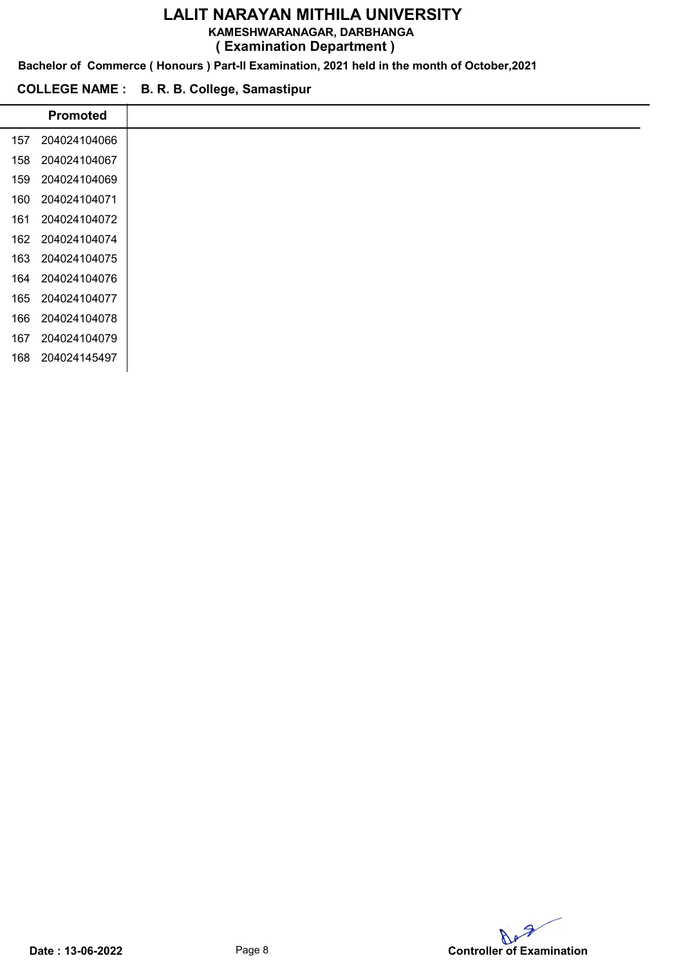KAMESHWARANAGAR, DARBHANGA

( Examination Department )

Bachelor of Commerce ( Honours ) Part-II Examination, 2021 held in the month of October,2021

#### COLLEGE NAME : B. R. B. College, Samastipur

i,

|     | <b>Promoted</b> |
|-----|-----------------|
| 157 | 204024104066    |
| 158 | 204024104067    |
| 159 | 204024104069    |
| 160 | 204024104071    |
| 161 | 204024104072    |
| 162 | 204024104074    |
| 163 | 204024104075    |
| 164 | 204024104076    |
| 165 | 204024104077    |
| 166 | 204024104078    |
| 167 | 204024104079    |
| 168 | 204024145497    |

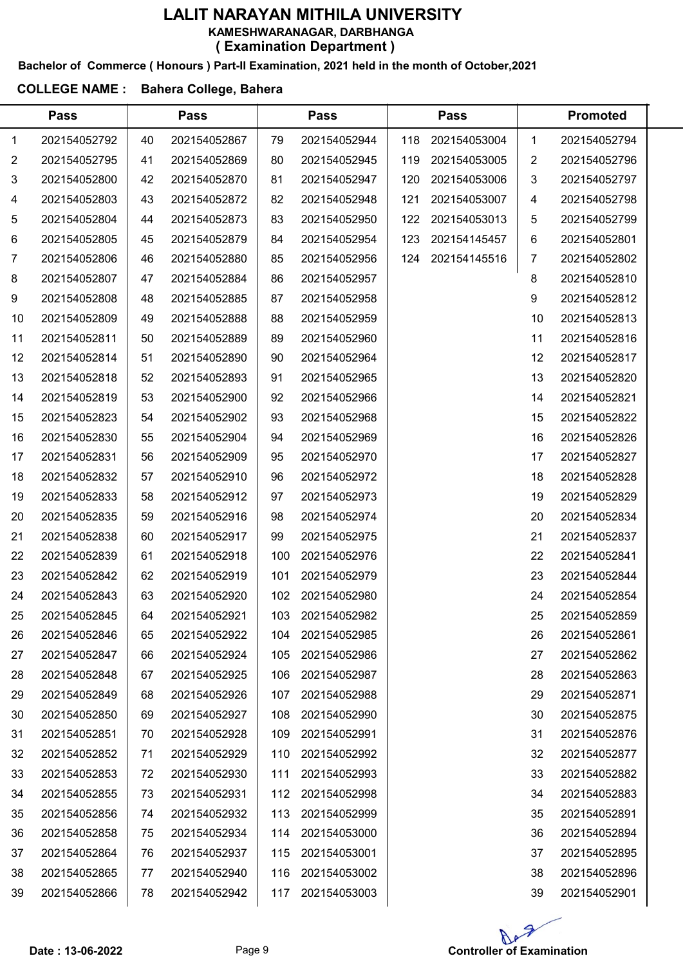#### Bachelor of Commerce ( Honours ) Part-II Examination, 2021 held in the month of October,2021

### COLLEGE NAME : Bahera College, Bahera

|    | <b>Pass</b>  |    | <b>Pass</b>  |     | <b>Pass</b>  |     | <b>Pass</b>  |    | <b>Promoted</b> |  |
|----|--------------|----|--------------|-----|--------------|-----|--------------|----|-----------------|--|
| 1  | 202154052792 | 40 | 202154052867 | 79  | 202154052944 | 118 | 202154053004 | 1  | 202154052794    |  |
| 2  | 202154052795 | 41 | 202154052869 | 80  | 202154052945 | 119 | 202154053005 | 2  | 202154052796    |  |
| 3  | 202154052800 | 42 | 202154052870 | 81  | 202154052947 | 120 | 202154053006 | 3  | 202154052797    |  |
| 4  | 202154052803 | 43 | 202154052872 | 82  | 202154052948 | 121 | 202154053007 | 4  | 202154052798    |  |
| 5  | 202154052804 | 44 | 202154052873 | 83  | 202154052950 | 122 | 202154053013 | 5  | 202154052799    |  |
| 6  | 202154052805 | 45 | 202154052879 | 84  | 202154052954 | 123 | 202154145457 | 6  | 202154052801    |  |
| 7  | 202154052806 | 46 | 202154052880 | 85  | 202154052956 | 124 | 202154145516 | 7  | 202154052802    |  |
| 8  | 202154052807 | 47 | 202154052884 | 86  | 202154052957 |     |              | 8  | 202154052810    |  |
| 9  | 202154052808 | 48 | 202154052885 | 87  | 202154052958 |     |              | 9  | 202154052812    |  |
| 10 | 202154052809 | 49 | 202154052888 | 88  | 202154052959 |     |              | 10 | 202154052813    |  |
| 11 | 202154052811 | 50 | 202154052889 | 89  | 202154052960 |     |              | 11 | 202154052816    |  |
| 12 | 202154052814 | 51 | 202154052890 | 90  | 202154052964 |     |              | 12 | 202154052817    |  |
| 13 | 202154052818 | 52 | 202154052893 | 91  | 202154052965 |     |              | 13 | 202154052820    |  |
| 14 | 202154052819 | 53 | 202154052900 | 92  | 202154052966 |     |              | 14 | 202154052821    |  |
| 15 | 202154052823 | 54 | 202154052902 | 93  | 202154052968 |     |              | 15 | 202154052822    |  |
| 16 | 202154052830 | 55 | 202154052904 | 94  | 202154052969 |     |              | 16 | 202154052826    |  |
| 17 | 202154052831 | 56 | 202154052909 | 95  | 202154052970 |     |              | 17 | 202154052827    |  |
| 18 | 202154052832 | 57 | 202154052910 | 96  | 202154052972 |     |              | 18 | 202154052828    |  |
| 19 | 202154052833 | 58 | 202154052912 | 97  | 202154052973 |     |              | 19 | 202154052829    |  |
| 20 | 202154052835 | 59 | 202154052916 | 98  | 202154052974 |     |              | 20 | 202154052834    |  |
| 21 | 202154052838 | 60 | 202154052917 | 99  | 202154052975 |     |              | 21 | 202154052837    |  |
| 22 | 202154052839 | 61 | 202154052918 | 100 | 202154052976 |     |              | 22 | 202154052841    |  |
| 23 | 202154052842 | 62 | 202154052919 | 101 | 202154052979 |     |              | 23 | 202154052844    |  |
| 24 | 202154052843 | 63 | 202154052920 | 102 | 202154052980 |     |              | 24 | 202154052854    |  |
| 25 | 202154052845 | 64 | 202154052921 | 103 | 202154052982 |     |              | 25 | 202154052859    |  |
| 26 | 202154052846 | 65 | 202154052922 | 104 | 202154052985 |     |              | 26 | 202154052861    |  |
| 27 | 202154052847 | 66 | 202154052924 | 105 | 202154052986 |     |              | 27 | 202154052862    |  |
| 28 | 202154052848 | 67 | 202154052925 | 106 | 202154052987 |     |              | 28 | 202154052863    |  |
| 29 | 202154052849 | 68 | 202154052926 | 107 | 202154052988 |     |              | 29 | 202154052871    |  |
| 30 | 202154052850 | 69 | 202154052927 | 108 | 202154052990 |     |              | 30 | 202154052875    |  |
| 31 | 202154052851 | 70 | 202154052928 | 109 | 202154052991 |     |              | 31 | 202154052876    |  |
| 32 | 202154052852 | 71 | 202154052929 | 110 | 202154052992 |     |              | 32 | 202154052877    |  |
| 33 | 202154052853 | 72 | 202154052930 | 111 | 202154052993 |     |              | 33 | 202154052882    |  |
| 34 | 202154052855 | 73 | 202154052931 | 112 | 202154052998 |     |              | 34 | 202154052883    |  |
| 35 | 202154052856 | 74 | 202154052932 | 113 | 202154052999 |     |              | 35 | 202154052891    |  |
| 36 | 202154052858 | 75 | 202154052934 | 114 | 202154053000 |     |              | 36 | 202154052894    |  |
| 37 | 202154052864 | 76 | 202154052937 | 115 | 202154053001 |     |              | 37 | 202154052895    |  |
| 38 | 202154052865 | 77 | 202154052940 | 116 | 202154053002 |     |              | 38 | 202154052896    |  |
| 39 | 202154052866 | 78 | 202154052942 | 117 | 202154053003 |     |              | 39 | 202154052901    |  |

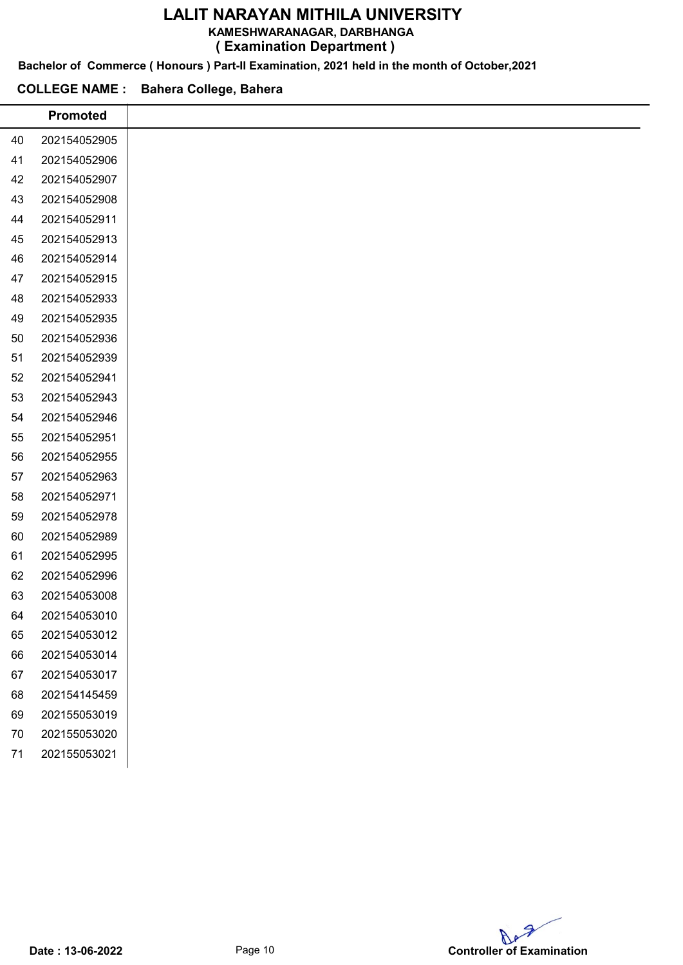#### KAMESHWARANAGAR, DARBHANGA

( Examination Department )

Bachelor of Commerce ( Honours ) Part-II Examination, 2021 held in the month of October,2021

#### COLLEGE NAME : Bahera College, Bahera

|        | <b>Promoted</b> |
|--------|-----------------|
| 40     | 202154052905    |
| 41     | 202154052906    |
| 42     | 202154052907    |
| 43     | 202154052908    |
| 44     | 202154052911    |
| 45     | 202154052913    |
| 46     | 202154052914    |
| 47     | 202154052915    |
| 48     | 202154052933    |
| 49     | 202154052935    |
| 50     | 202154052936    |
| 51     | 202154052939    |
| 52     | 202154052941    |
| 53     | 202154052943    |
| 54     | 202154052946    |
| 55     | 202154052951    |
| 56     | 202154052955    |
| 57     | 202154052963    |
| 58     | 202154052971    |
| 59     | 202154052978    |
| 60     | 202154052989    |
| 61     | 202154052995    |
| 62     | 202154052996    |
| 63     | 202154053008    |
| 64     | 202154053010    |
| 65     | 202154053012    |
| 66     | 202154053014    |
| 67     | 202154053017    |
| 68     | 202154145459    |
| 69     | 202155053019    |
| $70\,$ | 202155053020    |
| 71     | 202155053021    |
|        |                 |

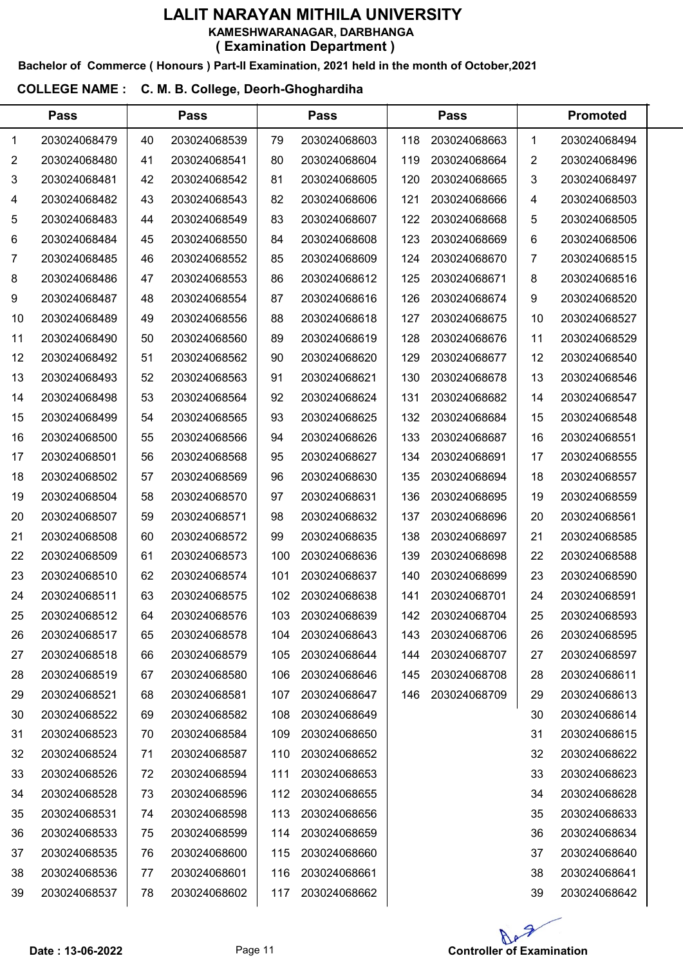# LALIT NARAYAN MITHILA UNIVERSITY KAMESHWARANAGAR, DARBHANGA

( Examination Department )

Bachelor of Commerce ( Honours ) Part-II Examination, 2021 held in the month of October,2021

#### COLLEGE NAME : C. M. B. College, Deorh-Ghoghardiha

 $\overline{a}$ 

|    | <b>Pass</b>  |    | <b>Pass</b>  |     | <b>Pass</b>  |     | <b>Pass</b>  |    | <b>Promoted</b> |  |
|----|--------------|----|--------------|-----|--------------|-----|--------------|----|-----------------|--|
| 1  | 203024068479 | 40 | 203024068539 | 79  | 203024068603 | 118 | 203024068663 | 1  | 203024068494    |  |
| 2  | 203024068480 | 41 | 203024068541 | 80  | 203024068604 | 119 | 203024068664 | 2  | 203024068496    |  |
| 3  | 203024068481 | 42 | 203024068542 | 81  | 203024068605 | 120 | 203024068665 | 3  | 203024068497    |  |
| 4  | 203024068482 | 43 | 203024068543 | 82  | 203024068606 | 121 | 203024068666 | 4  | 203024068503    |  |
| 5  | 203024068483 | 44 | 203024068549 | 83  | 203024068607 | 122 | 203024068668 | 5  | 203024068505    |  |
| 6  | 203024068484 | 45 | 203024068550 | 84  | 203024068608 | 123 | 203024068669 | 6  | 203024068506    |  |
| 7  | 203024068485 | 46 | 203024068552 | 85  | 203024068609 | 124 | 203024068670 | 7  | 203024068515    |  |
| 8  | 203024068486 | 47 | 203024068553 | 86  | 203024068612 | 125 | 203024068671 | 8  | 203024068516    |  |
| 9  | 203024068487 | 48 | 203024068554 | 87  | 203024068616 | 126 | 203024068674 | 9  | 203024068520    |  |
| 10 | 203024068489 | 49 | 203024068556 | 88  | 203024068618 | 127 | 203024068675 | 10 | 203024068527    |  |
| 11 | 203024068490 | 50 | 203024068560 | 89  | 203024068619 | 128 | 203024068676 | 11 | 203024068529    |  |
| 12 | 203024068492 | 51 | 203024068562 | 90  | 203024068620 | 129 | 203024068677 | 12 | 203024068540    |  |
| 13 | 203024068493 | 52 | 203024068563 | 91  | 203024068621 | 130 | 203024068678 | 13 | 203024068546    |  |
| 14 | 203024068498 | 53 | 203024068564 | 92  | 203024068624 | 131 | 203024068682 | 14 | 203024068547    |  |
| 15 | 203024068499 | 54 | 203024068565 | 93  | 203024068625 | 132 | 203024068684 | 15 | 203024068548    |  |
| 16 | 203024068500 | 55 | 203024068566 | 94  | 203024068626 | 133 | 203024068687 | 16 | 203024068551    |  |
| 17 | 203024068501 | 56 | 203024068568 | 95  | 203024068627 | 134 | 203024068691 | 17 | 203024068555    |  |
| 18 | 203024068502 | 57 | 203024068569 | 96  | 203024068630 | 135 | 203024068694 | 18 | 203024068557    |  |
| 19 | 203024068504 | 58 | 203024068570 | 97  | 203024068631 | 136 | 203024068695 | 19 | 203024068559    |  |
| 20 | 203024068507 | 59 | 203024068571 | 98  | 203024068632 | 137 | 203024068696 | 20 | 203024068561    |  |
| 21 | 203024068508 | 60 | 203024068572 | 99  | 203024068635 | 138 | 203024068697 | 21 | 203024068585    |  |
| 22 | 203024068509 | 61 | 203024068573 | 100 | 203024068636 | 139 | 203024068698 | 22 | 203024068588    |  |
| 23 | 203024068510 | 62 | 203024068574 | 101 | 203024068637 | 140 | 203024068699 | 23 | 203024068590    |  |
| 24 | 203024068511 | 63 | 203024068575 | 102 | 203024068638 | 141 | 203024068701 | 24 | 203024068591    |  |
| 25 | 203024068512 | 64 | 203024068576 | 103 | 203024068639 | 142 | 203024068704 | 25 | 203024068593    |  |
| 26 | 203024068517 | 65 | 203024068578 | 104 | 203024068643 | 143 | 203024068706 | 26 | 203024068595    |  |
| 27 | 203024068518 | 66 | 203024068579 | 105 | 203024068644 | 144 | 203024068707 | 27 | 203024068597    |  |
| 28 | 203024068519 | 67 | 203024068580 | 106 | 203024068646 | 145 | 203024068708 | 28 | 203024068611    |  |
| 29 | 203024068521 | 68 | 203024068581 | 107 | 203024068647 | 146 | 203024068709 | 29 | 203024068613    |  |
| 30 | 203024068522 | 69 | 203024068582 | 108 | 203024068649 |     |              | 30 | 203024068614    |  |
| 31 | 203024068523 | 70 | 203024068584 | 109 | 203024068650 |     |              | 31 | 203024068615    |  |
| 32 | 203024068524 | 71 | 203024068587 | 110 | 203024068652 |     |              | 32 | 203024068622    |  |
| 33 | 203024068526 | 72 | 203024068594 | 111 | 203024068653 |     |              | 33 | 203024068623    |  |
| 34 | 203024068528 | 73 | 203024068596 | 112 | 203024068655 |     |              | 34 | 203024068628    |  |
| 35 | 203024068531 | 74 | 203024068598 | 113 | 203024068656 |     |              | 35 | 203024068633    |  |
| 36 | 203024068533 | 75 | 203024068599 | 114 | 203024068659 |     |              | 36 | 203024068634    |  |
| 37 | 203024068535 | 76 | 203024068600 | 115 | 203024068660 |     |              | 37 | 203024068640    |  |
| 38 | 203024068536 | 77 | 203024068601 | 116 | 203024068661 |     |              | 38 | 203024068641    |  |
| 39 | 203024068537 | 78 | 203024068602 | 117 | 203024068662 |     |              | 39 | 203024068642    |  |
|    |              |    |              |     |              |     |              |    |                 |  |

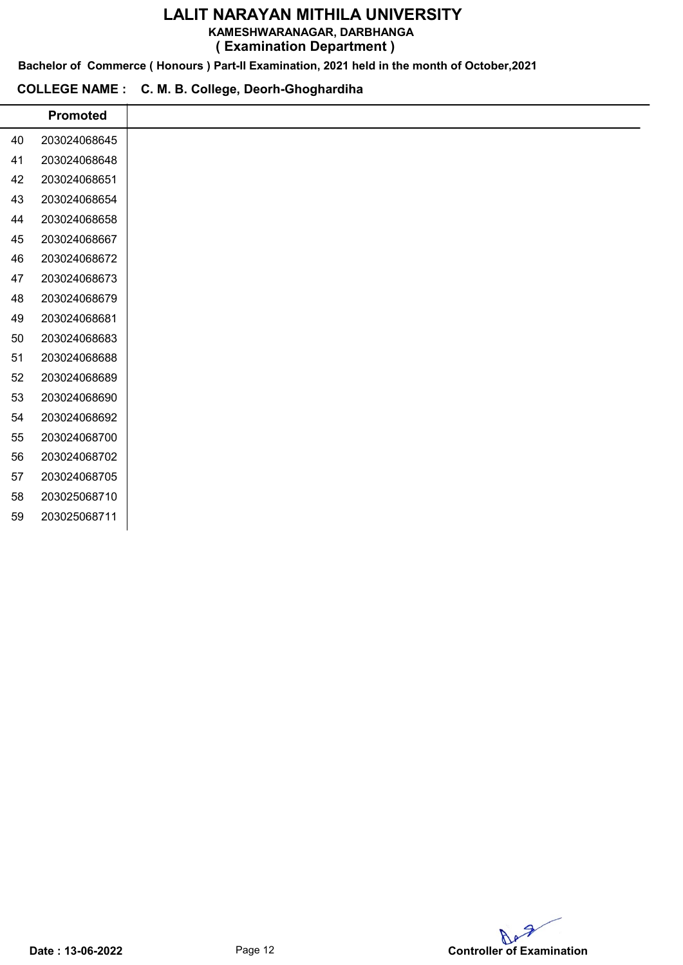KAMESHWARANAGAR, DARBHANGA

( Examination Department )

Bachelor of Commerce ( Honours ) Part-II Examination, 2021 held in the month of October,2021

#### COLLEGE NAME : C. M. B. College, Deorh-Ghoghardiha

|    | <b>Promoted</b> |
|----|-----------------|
| 40 | 203024068645    |
| 41 | 203024068648    |
| 42 | 203024068651    |
| 43 | 203024068654    |
| 44 | 203024068658    |
| 45 | 203024068667    |
| 46 | 203024068672    |
| 47 | 203024068673    |
| 48 | 203024068679    |
| 49 | 203024068681    |
| 50 | 203024068683    |
| 51 | 203024068688    |
| 52 | 203024068689    |
| 53 | 203024068690    |
| 54 | 203024068692    |
| 55 | 203024068700    |
| 56 | 203024068702    |
| 57 | 203024068705    |
| 58 | 203025068710    |
| 59 | 203025068711    |
|    |                 |

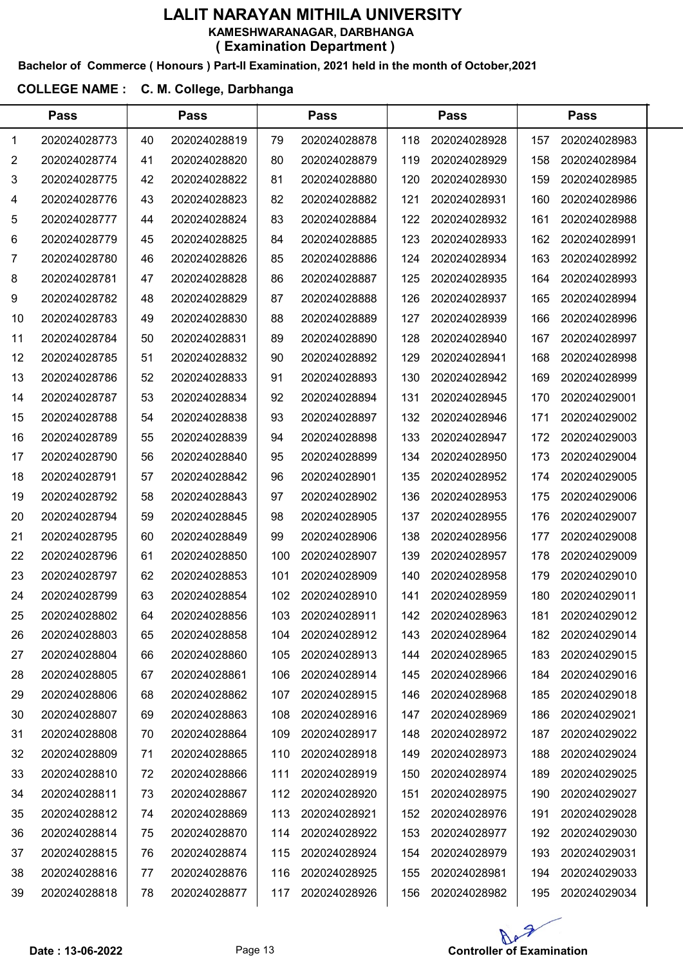#### Bachelor of Commerce ( Honours ) Part-II Examination, 2021 held in the month of October,2021

### COLLEGE NAME : C. M. College, Darbhanga

|    | <b>Pass</b>  |    | <b>Pass</b>  |     | <b>Pass</b>  |     | Pass         |     | <b>Pass</b>  |  |
|----|--------------|----|--------------|-----|--------------|-----|--------------|-----|--------------|--|
| 1  | 202024028773 | 40 | 202024028819 | 79  | 202024028878 | 118 | 202024028928 | 157 | 202024028983 |  |
| 2  | 202024028774 | 41 | 202024028820 | 80  | 202024028879 | 119 | 202024028929 | 158 | 202024028984 |  |
| 3  | 202024028775 | 42 | 202024028822 | 81  | 202024028880 | 120 | 202024028930 | 159 | 202024028985 |  |
| 4  | 202024028776 | 43 | 202024028823 | 82  | 202024028882 | 121 | 202024028931 | 160 | 202024028986 |  |
| 5  | 202024028777 | 44 | 202024028824 | 83  | 202024028884 | 122 | 202024028932 | 161 | 202024028988 |  |
| 6  | 202024028779 | 45 | 202024028825 | 84  | 202024028885 | 123 | 202024028933 | 162 | 202024028991 |  |
| 7  | 202024028780 | 46 | 202024028826 | 85  | 202024028886 | 124 | 202024028934 | 163 | 202024028992 |  |
| 8  | 202024028781 | 47 | 202024028828 | 86  | 202024028887 | 125 | 202024028935 | 164 | 202024028993 |  |
| 9  | 202024028782 | 48 | 202024028829 | 87  | 202024028888 | 126 | 202024028937 | 165 | 202024028994 |  |
| 10 | 202024028783 | 49 | 202024028830 | 88  | 202024028889 | 127 | 202024028939 | 166 | 202024028996 |  |
| 11 | 202024028784 | 50 | 202024028831 | 89  | 202024028890 | 128 | 202024028940 | 167 | 202024028997 |  |
| 12 | 202024028785 | 51 | 202024028832 | 90  | 202024028892 | 129 | 202024028941 | 168 | 202024028998 |  |
| 13 | 202024028786 | 52 | 202024028833 | 91  | 202024028893 | 130 | 202024028942 | 169 | 202024028999 |  |
| 14 | 202024028787 | 53 | 202024028834 | 92  | 202024028894 | 131 | 202024028945 | 170 | 202024029001 |  |
| 15 | 202024028788 | 54 | 202024028838 | 93  | 202024028897 | 132 | 202024028946 | 171 | 202024029002 |  |
| 16 | 202024028789 | 55 | 202024028839 | 94  | 202024028898 | 133 | 202024028947 | 172 | 202024029003 |  |
| 17 | 202024028790 | 56 | 202024028840 | 95  | 202024028899 | 134 | 202024028950 | 173 | 202024029004 |  |
| 18 | 202024028791 | 57 | 202024028842 | 96  | 202024028901 | 135 | 202024028952 | 174 | 202024029005 |  |
| 19 | 202024028792 | 58 | 202024028843 | 97  | 202024028902 | 136 | 202024028953 | 175 | 202024029006 |  |
| 20 | 202024028794 | 59 | 202024028845 | 98  | 202024028905 | 137 | 202024028955 | 176 | 202024029007 |  |
| 21 | 202024028795 | 60 | 202024028849 | 99  | 202024028906 | 138 | 202024028956 | 177 | 202024029008 |  |
| 22 | 202024028796 | 61 | 202024028850 | 100 | 202024028907 | 139 | 202024028957 | 178 | 202024029009 |  |
| 23 | 202024028797 | 62 | 202024028853 | 101 | 202024028909 | 140 | 202024028958 | 179 | 202024029010 |  |
| 24 | 202024028799 | 63 | 202024028854 | 102 | 202024028910 | 141 | 202024028959 | 180 | 202024029011 |  |
| 25 | 202024028802 | 64 | 202024028856 | 103 | 202024028911 | 142 | 202024028963 | 181 | 202024029012 |  |
| 26 | 202024028803 | 65 | 202024028858 | 104 | 202024028912 | 143 | 202024028964 | 182 | 202024029014 |  |
| 27 | 202024028804 | 66 | 202024028860 | 105 | 202024028913 | 144 | 202024028965 | 183 | 202024029015 |  |
| 28 | 202024028805 | 67 | 202024028861 | 106 | 202024028914 | 145 | 202024028966 | 184 | 202024029016 |  |
| 29 | 202024028806 | 68 | 202024028862 | 107 | 202024028915 | 146 | 202024028968 | 185 | 202024029018 |  |
| 30 | 202024028807 | 69 | 202024028863 | 108 | 202024028916 | 147 | 202024028969 | 186 | 202024029021 |  |
| 31 | 202024028808 | 70 | 202024028864 | 109 | 202024028917 | 148 | 202024028972 | 187 | 202024029022 |  |
| 32 | 202024028809 | 71 | 202024028865 | 110 | 202024028918 | 149 | 202024028973 | 188 | 202024029024 |  |
| 33 | 202024028810 | 72 | 202024028866 | 111 | 202024028919 | 150 | 202024028974 | 189 | 202024029025 |  |
| 34 | 202024028811 | 73 | 202024028867 | 112 | 202024028920 | 151 | 202024028975 | 190 | 202024029027 |  |
| 35 | 202024028812 | 74 | 202024028869 | 113 | 202024028921 | 152 | 202024028976 | 191 | 202024029028 |  |
| 36 | 202024028814 | 75 | 202024028870 | 114 | 202024028922 | 153 | 202024028977 | 192 | 202024029030 |  |
| 37 | 202024028815 | 76 | 202024028874 | 115 | 202024028924 | 154 | 202024028979 | 193 | 202024029031 |  |
| 38 | 202024028816 | 77 | 202024028876 | 116 | 202024028925 | 155 | 202024028981 | 194 | 202024029033 |  |
| 39 | 202024028818 | 78 | 202024028877 | 117 | 202024028926 | 156 | 202024028982 | 195 | 202024029034 |  |

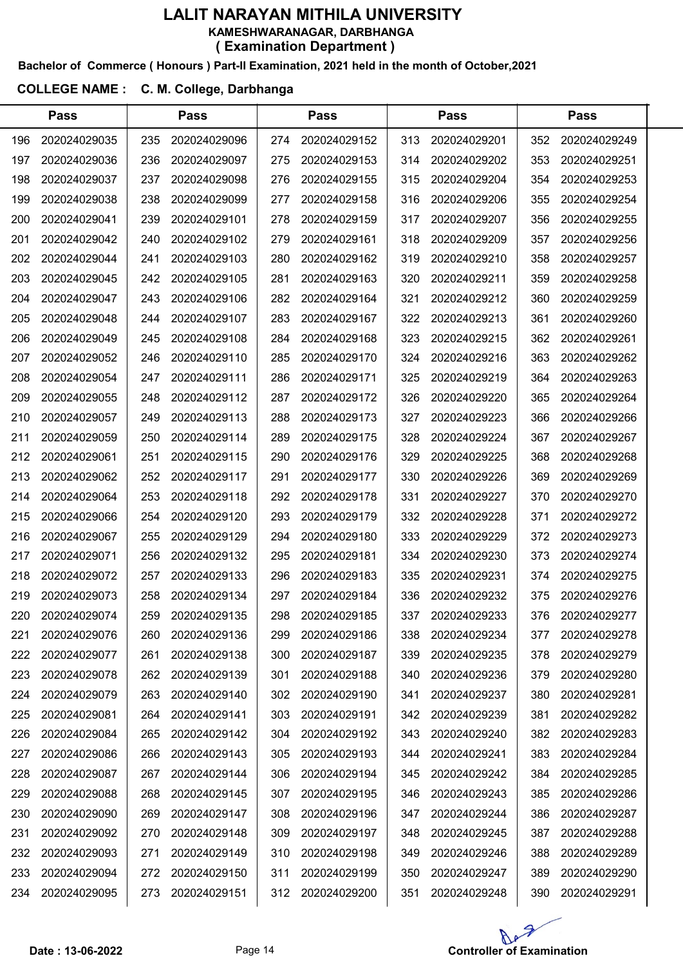#### Bachelor of Commerce ( Honours ) Part-II Examination, 2021 held in the month of October,2021

### COLLEGE NAME : C. M. College, Darbhanga

|     | <b>Pass</b>  |     | <b>Pass</b>  |     | <b>Pass</b>  |     | <b>Pass</b>  |     | <b>Pass</b>  |  |
|-----|--------------|-----|--------------|-----|--------------|-----|--------------|-----|--------------|--|
| 196 | 202024029035 | 235 | 202024029096 | 274 | 202024029152 | 313 | 202024029201 | 352 | 202024029249 |  |
| 197 | 202024029036 | 236 | 202024029097 | 275 | 202024029153 | 314 | 202024029202 | 353 | 202024029251 |  |
| 198 | 202024029037 | 237 | 202024029098 | 276 | 202024029155 | 315 | 202024029204 | 354 | 202024029253 |  |
| 199 | 202024029038 | 238 | 202024029099 | 277 | 202024029158 | 316 | 202024029206 | 355 | 202024029254 |  |
| 200 | 202024029041 | 239 | 202024029101 | 278 | 202024029159 | 317 | 202024029207 | 356 | 202024029255 |  |
| 201 | 202024029042 | 240 | 202024029102 | 279 | 202024029161 | 318 | 202024029209 | 357 | 202024029256 |  |
| 202 | 202024029044 | 241 | 202024029103 | 280 | 202024029162 | 319 | 202024029210 | 358 | 202024029257 |  |
| 203 | 202024029045 | 242 | 202024029105 | 281 | 202024029163 | 320 | 202024029211 | 359 | 202024029258 |  |
| 204 | 202024029047 | 243 | 202024029106 | 282 | 202024029164 | 321 | 202024029212 | 360 | 202024029259 |  |
| 205 | 202024029048 | 244 | 202024029107 | 283 | 202024029167 | 322 | 202024029213 | 361 | 202024029260 |  |
| 206 | 202024029049 | 245 | 202024029108 | 284 | 202024029168 | 323 | 202024029215 | 362 | 202024029261 |  |
| 207 | 202024029052 | 246 | 202024029110 | 285 | 202024029170 | 324 | 202024029216 | 363 | 202024029262 |  |
| 208 | 202024029054 | 247 | 202024029111 | 286 | 202024029171 | 325 | 202024029219 | 364 | 202024029263 |  |
| 209 | 202024029055 | 248 | 202024029112 | 287 | 202024029172 | 326 | 202024029220 | 365 | 202024029264 |  |
| 210 | 202024029057 | 249 | 202024029113 | 288 | 202024029173 | 327 | 202024029223 | 366 | 202024029266 |  |
| 211 | 202024029059 | 250 | 202024029114 | 289 | 202024029175 | 328 | 202024029224 | 367 | 202024029267 |  |
| 212 | 202024029061 | 251 | 202024029115 | 290 | 202024029176 | 329 | 202024029225 | 368 | 202024029268 |  |
| 213 | 202024029062 | 252 | 202024029117 | 291 | 202024029177 | 330 | 202024029226 | 369 | 202024029269 |  |
| 214 | 202024029064 | 253 | 202024029118 | 292 | 202024029178 | 331 | 202024029227 | 370 | 202024029270 |  |
| 215 | 202024029066 | 254 | 202024029120 | 293 | 202024029179 | 332 | 202024029228 | 371 | 202024029272 |  |
| 216 | 202024029067 | 255 | 202024029129 | 294 | 202024029180 | 333 | 202024029229 | 372 | 202024029273 |  |
| 217 | 202024029071 | 256 | 202024029132 | 295 | 202024029181 | 334 | 202024029230 | 373 | 202024029274 |  |
| 218 | 202024029072 | 257 | 202024029133 | 296 | 202024029183 | 335 | 202024029231 | 374 | 202024029275 |  |
| 219 | 202024029073 | 258 | 202024029134 | 297 | 202024029184 | 336 | 202024029232 | 375 | 202024029276 |  |
| 220 | 202024029074 | 259 | 202024029135 | 298 | 202024029185 | 337 | 202024029233 | 376 | 202024029277 |  |
| 221 | 202024029076 | 260 | 202024029136 | 299 | 202024029186 | 338 | 202024029234 | 377 | 202024029278 |  |
| 222 | 202024029077 | 261 | 202024029138 | 300 | 202024029187 | 339 | 202024029235 | 378 | 202024029279 |  |
| 223 | 202024029078 | 262 | 202024029139 | 301 | 202024029188 | 340 | 202024029236 | 379 | 202024029280 |  |
| 224 | 202024029079 | 263 | 202024029140 | 302 | 202024029190 | 341 | 202024029237 | 380 | 202024029281 |  |
| 225 | 202024029081 | 264 | 202024029141 | 303 | 202024029191 | 342 | 202024029239 | 381 | 202024029282 |  |
| 226 | 202024029084 | 265 | 202024029142 | 304 | 202024029192 | 343 | 202024029240 | 382 | 202024029283 |  |
| 227 | 202024029086 | 266 | 202024029143 | 305 | 202024029193 | 344 | 202024029241 | 383 | 202024029284 |  |
| 228 | 202024029087 | 267 | 202024029144 | 306 | 202024029194 | 345 | 202024029242 | 384 | 202024029285 |  |
| 229 | 202024029088 | 268 | 202024029145 | 307 | 202024029195 | 346 | 202024029243 | 385 | 202024029286 |  |
| 230 | 202024029090 | 269 | 202024029147 | 308 | 202024029196 | 347 | 202024029244 | 386 | 202024029287 |  |
| 231 | 202024029092 | 270 | 202024029148 | 309 | 202024029197 | 348 | 202024029245 | 387 | 202024029288 |  |
| 232 | 202024029093 | 271 | 202024029149 | 310 | 202024029198 | 349 | 202024029246 | 388 | 202024029289 |  |
| 233 | 202024029094 | 272 | 202024029150 | 311 | 202024029199 | 350 | 202024029247 | 389 | 202024029290 |  |
| 234 | 202024029095 | 273 | 202024029151 | 312 | 202024029200 | 351 | 202024029248 | 390 | 202024029291 |  |

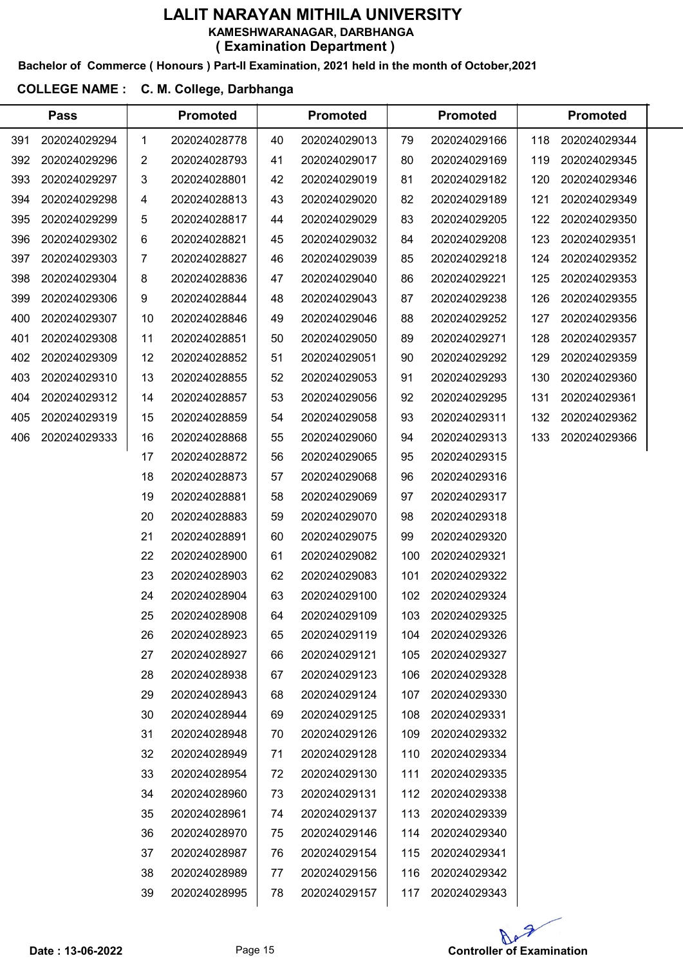#### Bachelor of Commerce ( Honours ) Part-II Examination, 2021 held in the month of October,2021

#### COLLEGE NAME : C. M. College, Darbhanga

|     | <b>Pass</b>  |    | <b>Promoted</b> |    | <b>Promoted</b> |     | <b>Promoted</b> |     | <b>Promoted</b> |  |
|-----|--------------|----|-----------------|----|-----------------|-----|-----------------|-----|-----------------|--|
| 391 | 202024029294 | 1  | 202024028778    | 40 | 202024029013    | 79  | 202024029166    | 118 | 202024029344    |  |
| 392 | 202024029296 | 2  | 202024028793    | 41 | 202024029017    | 80  | 202024029169    | 119 | 202024029345    |  |
| 393 | 202024029297 | 3  | 202024028801    | 42 | 202024029019    | 81  | 202024029182    | 120 | 202024029346    |  |
| 394 | 202024029298 | 4  | 202024028813    | 43 | 202024029020    | 82  | 202024029189    | 121 | 202024029349    |  |
| 395 | 202024029299 | 5  | 202024028817    | 44 | 202024029029    | 83  | 202024029205    | 122 | 202024029350    |  |
| 396 | 202024029302 | 6  | 202024028821    | 45 | 202024029032    | 84  | 202024029208    | 123 | 202024029351    |  |
| 397 | 202024029303 | 7  | 202024028827    | 46 | 202024029039    | 85  | 202024029218    | 124 | 202024029352    |  |
| 398 | 202024029304 | 8  | 202024028836    | 47 | 202024029040    | 86  | 202024029221    | 125 | 202024029353    |  |
| 399 | 202024029306 | 9  | 202024028844    | 48 | 202024029043    | 87  | 202024029238    | 126 | 202024029355    |  |
| 400 | 202024029307 | 10 | 202024028846    | 49 | 202024029046    | 88  | 202024029252    | 127 | 202024029356    |  |
| 401 | 202024029308 | 11 | 202024028851    | 50 | 202024029050    | 89  | 202024029271    | 128 | 202024029357    |  |
| 402 | 202024029309 | 12 | 202024028852    | 51 | 202024029051    | 90  | 202024029292    | 129 | 202024029359    |  |
| 403 | 202024029310 | 13 | 202024028855    | 52 | 202024029053    | 91  | 202024029293    | 130 | 202024029360    |  |
| 404 | 202024029312 | 14 | 202024028857    | 53 | 202024029056    | 92  | 202024029295    | 131 | 202024029361    |  |
| 405 | 202024029319 | 15 | 202024028859    | 54 | 202024029058    | 93  | 202024029311    | 132 | 202024029362    |  |
| 406 | 202024029333 | 16 | 202024028868    | 55 | 202024029060    | 94  | 202024029313    | 133 | 202024029366    |  |
|     |              | 17 | 202024028872    | 56 | 202024029065    | 95  | 202024029315    |     |                 |  |
|     |              | 18 | 202024028873    | 57 | 202024029068    | 96  | 202024029316    |     |                 |  |
|     |              | 19 | 202024028881    | 58 | 202024029069    | 97  | 202024029317    |     |                 |  |
|     |              | 20 | 202024028883    | 59 | 202024029070    | 98  | 202024029318    |     |                 |  |
|     |              | 21 | 202024028891    | 60 | 202024029075    | 99  | 202024029320    |     |                 |  |
|     |              | 22 | 202024028900    | 61 | 202024029082    | 100 | 202024029321    |     |                 |  |
|     |              | 23 | 202024028903    | 62 | 202024029083    | 101 | 202024029322    |     |                 |  |
|     |              | 24 | 202024028904    | 63 | 202024029100    | 102 | 202024029324    |     |                 |  |
|     |              | 25 | 202024028908    | 64 | 202024029109    | 103 | 202024029325    |     |                 |  |
|     |              | 26 | 202024028923    | 65 | 202024029119    | 104 | 202024029326    |     |                 |  |
|     |              | 27 | 202024028927    | 66 | 202024029121    | 105 | 202024029327    |     |                 |  |
|     |              | 28 | 202024028938    | 67 | 202024029123    | 106 | 202024029328    |     |                 |  |
|     |              | 29 | 202024028943    | 68 | 202024029124    | 107 | 202024029330    |     |                 |  |
|     |              | 30 | 202024028944    | 69 | 202024029125    | 108 | 202024029331    |     |                 |  |
|     |              | 31 | 202024028948    | 70 | 202024029126    | 109 | 202024029332    |     |                 |  |
|     |              | 32 | 202024028949    | 71 | 202024029128    | 110 | 202024029334    |     |                 |  |
|     |              | 33 | 202024028954    | 72 | 202024029130    | 111 | 202024029335    |     |                 |  |
|     |              | 34 | 202024028960    | 73 | 202024029131    | 112 | 202024029338    |     |                 |  |
|     |              | 35 | 202024028961    | 74 | 202024029137    | 113 | 202024029339    |     |                 |  |
|     |              | 36 | 202024028970    | 75 | 202024029146    | 114 | 202024029340    |     |                 |  |
|     |              | 37 | 202024028987    | 76 | 202024029154    | 115 | 202024029341    |     |                 |  |
|     |              | 38 | 202024028989    | 77 | 202024029156    | 116 | 202024029342    |     |                 |  |
|     |              | 39 | 202024028995    | 78 | 202024029157    | 117 | 202024029343    |     |                 |  |
|     |              |    |                 |    |                 |     |                 |     |                 |  |

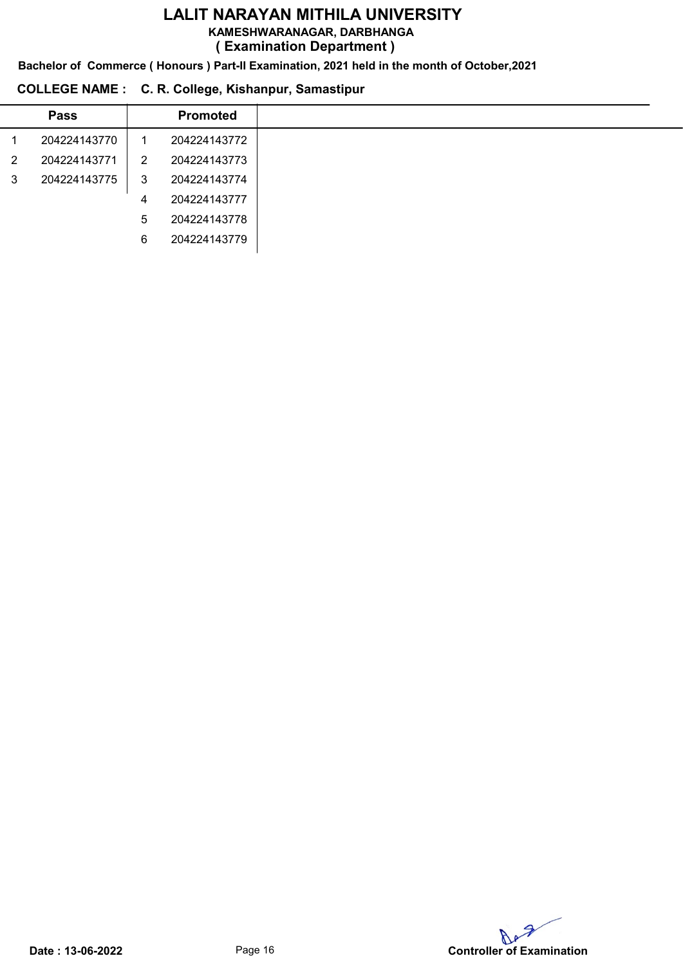KAMESHWARANAGAR, DARBHANGA

( Examination Department )

Bachelor of Commerce ( Honours ) Part-II Examination, 2021 held in the month of October,2021

### COLLEGE NAME : C. R. College, Kishanpur, Samastipur

| <b>Pass</b>  |                | <b>Promoted</b> |
|--------------|----------------|-----------------|
| 204224143770 |                | 204224143772    |
| 204224143771 | $\overline{2}$ | 204224143773    |
| 204224143775 | 3              | 204224143774    |
|              | 4              | 204224143777    |
|              | 5              | 204224143778    |
|              | 6              | 204224143779    |
|              |                |                 |

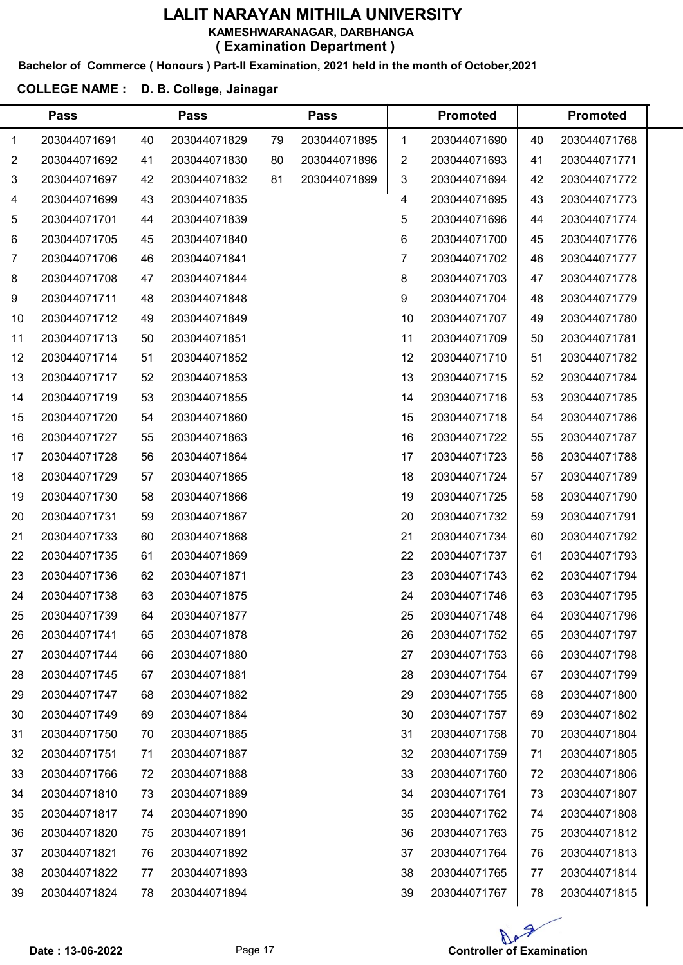#### Bachelor of Commerce ( Honours ) Part-II Examination, 2021 held in the month of October,2021

#### COLLEGE NAME : D. B. College, Jainagar

|                | <b>Pass</b>  |    | <b>Pass</b>  |    | <b>Pass</b>  |              | <b>Promoted</b> |    | <b>Promoted</b> |  |
|----------------|--------------|----|--------------|----|--------------|--------------|-----------------|----|-----------------|--|
| 1              | 203044071691 | 40 | 203044071829 | 79 | 203044071895 | 1            | 203044071690    | 40 | 203044071768    |  |
| $\overline{2}$ | 203044071692 | 41 | 203044071830 | 80 | 203044071896 | 2            | 203044071693    | 41 | 203044071771    |  |
| 3              | 203044071697 | 42 | 203044071832 | 81 | 203044071899 | $\mathbf{3}$ | 203044071694    | 42 | 203044071772    |  |
| 4              | 203044071699 | 43 | 203044071835 |    |              | 4            | 203044071695    | 43 | 203044071773    |  |
| 5              | 203044071701 | 44 | 203044071839 |    |              | 5            | 203044071696    | 44 | 203044071774    |  |
| 6              | 203044071705 | 45 | 203044071840 |    |              | 6            | 203044071700    | 45 | 203044071776    |  |
| 7              | 203044071706 | 46 | 203044071841 |    |              | 7            | 203044071702    | 46 | 203044071777    |  |
| 8              | 203044071708 | 47 | 203044071844 |    |              | 8            | 203044071703    | 47 | 203044071778    |  |
| 9              | 203044071711 | 48 | 203044071848 |    |              | 9            | 203044071704    | 48 | 203044071779    |  |
| 10             | 203044071712 | 49 | 203044071849 |    |              | 10           | 203044071707    | 49 | 203044071780    |  |
| 11             | 203044071713 | 50 | 203044071851 |    |              | 11           | 203044071709    | 50 | 203044071781    |  |
| 12             | 203044071714 | 51 | 203044071852 |    |              | 12           | 203044071710    | 51 | 203044071782    |  |
| 13             | 203044071717 | 52 | 203044071853 |    |              | 13           | 203044071715    | 52 | 203044071784    |  |
| 14             | 203044071719 | 53 | 203044071855 |    |              | 14           | 203044071716    | 53 | 203044071785    |  |
| 15             | 203044071720 | 54 | 203044071860 |    |              | 15           | 203044071718    | 54 | 203044071786    |  |
| 16             | 203044071727 | 55 | 203044071863 |    |              | 16           | 203044071722    | 55 | 203044071787    |  |
| 17             | 203044071728 | 56 | 203044071864 |    |              | 17           | 203044071723    | 56 | 203044071788    |  |
| 18             | 203044071729 | 57 | 203044071865 |    |              | 18           | 203044071724    | 57 | 203044071789    |  |
| 19             | 203044071730 | 58 | 203044071866 |    |              | 19           | 203044071725    | 58 | 203044071790    |  |
| 20             | 203044071731 | 59 | 203044071867 |    |              | 20           | 203044071732    | 59 | 203044071791    |  |
| 21             | 203044071733 | 60 | 203044071868 |    |              | 21           | 203044071734    | 60 | 203044071792    |  |
| 22             | 203044071735 | 61 | 203044071869 |    |              | 22           | 203044071737    | 61 | 203044071793    |  |
| 23             | 203044071736 | 62 | 203044071871 |    |              | 23           | 203044071743    | 62 | 203044071794    |  |
| 24             | 203044071738 | 63 | 203044071875 |    |              | 24           | 203044071746    | 63 | 203044071795    |  |
| 25             | 203044071739 | 64 | 203044071877 |    |              | 25           | 203044071748    | 64 | 203044071796    |  |
| 26             | 203044071741 | 65 | 203044071878 |    |              | 26           | 203044071752    | 65 | 203044071797    |  |
| 27             | 203044071744 | 66 | 203044071880 |    |              | 27           | 203044071753    | 66 | 203044071798    |  |
| 28             | 203044071745 | 67 | 203044071881 |    |              | 28           | 203044071754    | 67 | 203044071799    |  |
| 29             | 203044071747 | 68 | 203044071882 |    |              | 29           | 203044071755    | 68 | 203044071800    |  |
| 30             | 203044071749 | 69 | 203044071884 |    |              | 30           | 203044071757    | 69 | 203044071802    |  |
| 31             | 203044071750 | 70 | 203044071885 |    |              | 31           | 203044071758    | 70 | 203044071804    |  |
| 32             | 203044071751 | 71 | 203044071887 |    |              | 32           | 203044071759    | 71 | 203044071805    |  |
| 33             | 203044071766 | 72 | 203044071888 |    |              | 33           | 203044071760    | 72 | 203044071806    |  |
| 34             | 203044071810 | 73 | 203044071889 |    |              | 34           | 203044071761    | 73 | 203044071807    |  |
| 35             | 203044071817 | 74 | 203044071890 |    |              | 35           | 203044071762    | 74 | 203044071808    |  |
| 36             | 203044071820 | 75 | 203044071891 |    |              | 36           | 203044071763    | 75 | 203044071812    |  |
| 37             | 203044071821 | 76 | 203044071892 |    |              | 37           | 203044071764    | 76 | 203044071813    |  |
| 38             | 203044071822 | 77 | 203044071893 |    |              | 38           | 203044071765    | 77 | 203044071814    |  |
| 39             | 203044071824 | 78 | 203044071894 |    |              | 39           | 203044071767    | 78 | 203044071815    |  |

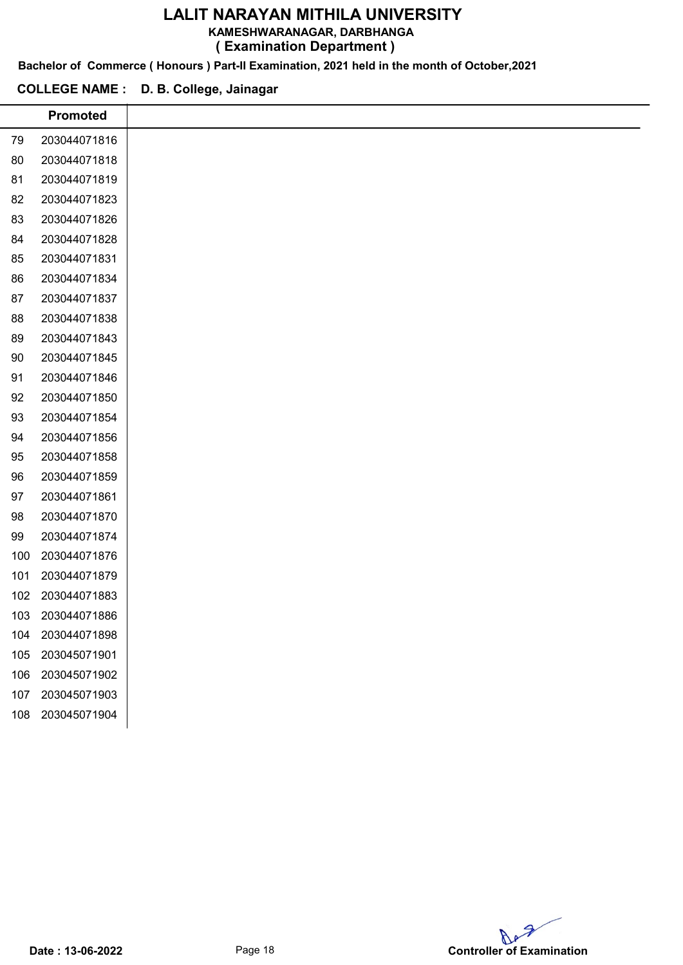#### KAMESHWARANAGAR, DARBHANGA

( Examination Department )

Bachelor of Commerce ( Honours ) Part-II Examination, 2021 held in the month of October,2021

#### COLLEGE NAME : D. B. College, Jainagar

i

|     | <b>Promoted</b> |
|-----|-----------------|
| 79  | 203044071816    |
| 80  | 203044071818    |
| 81  | 203044071819    |
| 82  | 203044071823    |
| 83  | 203044071826    |
| 84  | 203044071828    |
| 85  | 203044071831    |
| 86  | 203044071834    |
| 87  | 203044071837    |
| 88  | 203044071838    |
| 89  | 203044071843    |
| 90  | 203044071845    |
| 91  | 203044071846    |
| 92  | 203044071850    |
| 93  | 203044071854    |
| 94  | 203044071856    |
| 95  | 203044071858    |
| 96  | 203044071859    |
| 97  | 203044071861    |
| 98  | 203044071870    |
| 99  | 203044071874    |
| 100 | 203044071876    |
| 101 | 203044071879    |
| 102 | 203044071883    |
| 103 | 203044071886    |
| 104 | 203044071898    |
| 105 | 203045071901    |
| 106 | 203045071902    |
| 107 | 203045071903    |
| 108 | 203045071904    |
|     |                 |
|     |                 |

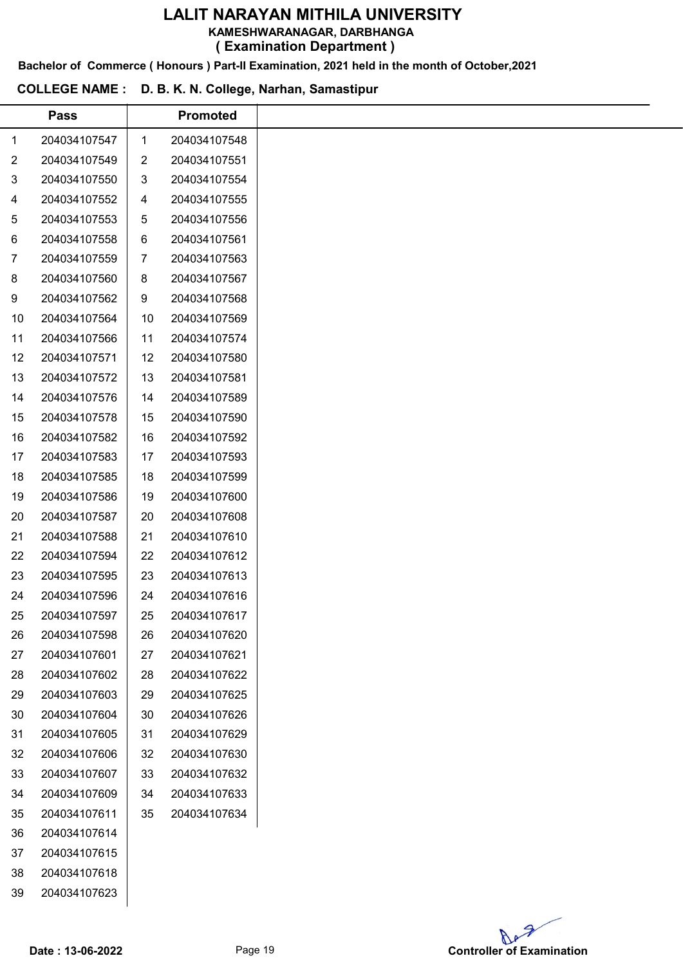KAMESHWARANAGAR, DARBHANGA

( Examination Department )

Bachelor of Commerce ( Honours ) Part-II Examination, 2021 held in the month of October,2021

#### COLLEGE NAME : D. B. K. N. College, Narhan, Samastipur

|                | <b>Pass</b>  |                | <b>Promoted</b> |
|----------------|--------------|----------------|-----------------|
| 1              | 204034107547 | 1              | 204034107548    |
| $\overline{2}$ | 204034107549 | $\overline{2}$ | 204034107551    |
| 3              | 204034107550 | 3              | 204034107554    |
| 4              | 204034107552 | 4              | 204034107555    |
| 5              | 204034107553 | 5              | 204034107556    |
| 6              | 204034107558 | 6              | 204034107561    |
| 7              | 204034107559 | 7              | 204034107563    |
| 8              | 204034107560 | 8              | 204034107567    |
| 9              | 204034107562 | 9              | 204034107568    |
| 10             | 204034107564 | 10             | 204034107569    |
| 11             | 204034107566 | 11             | 204034107574    |
| 12             | 204034107571 | 12             | 204034107580    |
| 13             | 204034107572 | 13             | 204034107581    |
| 14             | 204034107576 | 14             | 204034107589    |
| 15             | 204034107578 | 15             | 204034107590    |
| 16             | 204034107582 | 16             | 204034107592    |
| 17             | 204034107583 | 17             | 204034107593    |
| 18             | 204034107585 | 18             | 204034107599    |
| 19             | 204034107586 | 19             | 204034107600    |
| 20             | 204034107587 | 20             | 204034107608    |
| 21             | 204034107588 | 21             | 204034107610    |
| 22             | 204034107594 | 22             | 204034107612    |
| 23             | 204034107595 | 23             | 204034107613    |
| 24             | 204034107596 | 24             | 204034107616    |
| 25             | 204034107597 | 25             | 204034107617    |
| 26             | 204034107598 | 26             | 204034107620    |
| 27             | 204034107601 | 27             | 204034107621    |
| 28             | 204034107602 | 28             | 204034107622    |
| 29             | 204034107603 | 29             | 204034107625    |
| 30             | 204034107604 | 30             | 204034107626    |
| 31             | 204034107605 | 31             | 204034107629    |
| 32             | 204034107606 | 32             | 204034107630    |
| 33             | 204034107607 | 33             | 204034107632    |
| 34             | 204034107609 | 34             | 204034107633    |
| 35             | 204034107611 | 35             | 204034107634    |
| 36             | 204034107614 |                |                 |
| 37             | 204034107615 |                |                 |
| 38             | 204034107618 |                |                 |
| 39             | 204034107623 |                |                 |
|                |              |                |                 |

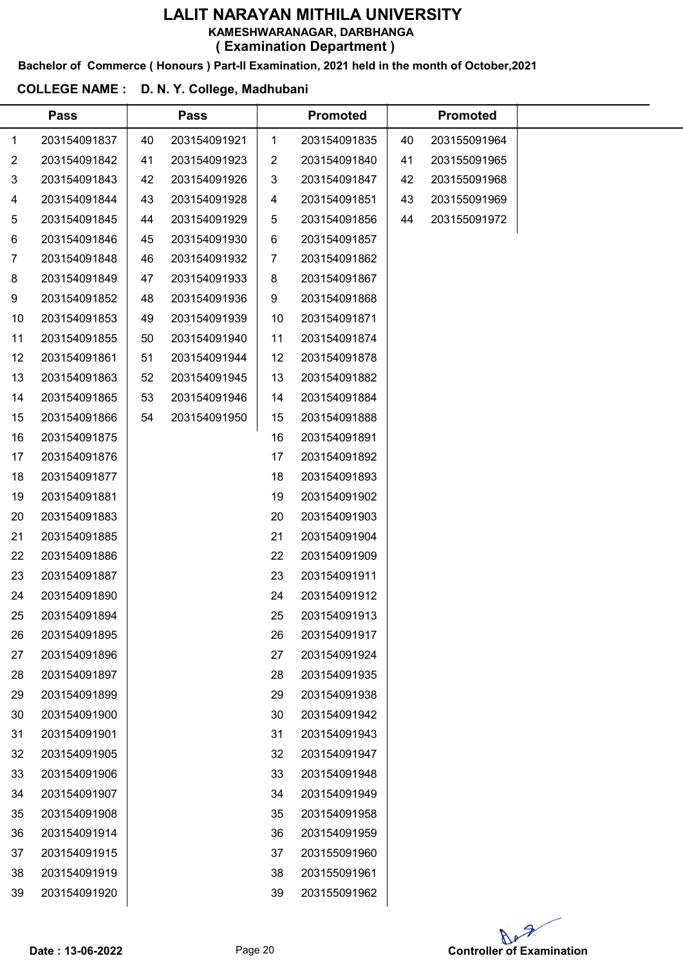Bachelor of Commerce ( Honours ) Part-II Examination, 2021 held in the month of October,2021

#### COLLEGE NAME : D. N. Y. College, Madhubani

|    | <b>Pass</b>  |    | <b>Pass</b>  |    | <b>Promoted</b> |    | <b>Promoted</b> |  |
|----|--------------|----|--------------|----|-----------------|----|-----------------|--|
| 1  | 203154091837 | 40 | 203154091921 | 1  | 203154091835    | 40 | 203155091964    |  |
| 2  | 203154091842 | 41 | 203154091923 | 2  | 203154091840    | 41 | 203155091965    |  |
| 3  | 203154091843 | 42 | 203154091926 | 3  | 203154091847    | 42 | 203155091968    |  |
| 4  | 203154091844 | 43 | 203154091928 | 4  | 203154091851    | 43 | 203155091969    |  |
| 5  | 203154091845 | 44 | 203154091929 | 5  | 203154091856    | 44 | 203155091972    |  |
| 6  | 203154091846 | 45 | 203154091930 | 6  | 203154091857    |    |                 |  |
| 7  | 203154091848 | 46 | 203154091932 | 7  | 203154091862    |    |                 |  |
| 8  | 203154091849 | 47 | 203154091933 | 8  | 203154091867    |    |                 |  |
| 9  | 203154091852 | 48 | 203154091936 | 9  | 203154091868    |    |                 |  |
| 10 | 203154091853 | 49 | 203154091939 | 10 | 203154091871    |    |                 |  |
| 11 | 203154091855 | 50 | 203154091940 | 11 | 203154091874    |    |                 |  |
| 12 | 203154091861 | 51 | 203154091944 | 12 | 203154091878    |    |                 |  |
| 13 | 203154091863 | 52 | 203154091945 | 13 | 203154091882    |    |                 |  |
| 14 | 203154091865 | 53 | 203154091946 | 14 | 203154091884    |    |                 |  |
| 15 | 203154091866 | 54 | 203154091950 | 15 | 203154091888    |    |                 |  |
| 16 | 203154091875 |    |              | 16 | 203154091891    |    |                 |  |
| 17 | 203154091876 |    |              | 17 | 203154091892    |    |                 |  |
| 18 | 203154091877 |    |              | 18 | 203154091893    |    |                 |  |
| 19 | 203154091881 |    |              | 19 | 203154091902    |    |                 |  |
| 20 | 203154091883 |    |              | 20 | 203154091903    |    |                 |  |
| 21 | 203154091885 |    |              | 21 | 203154091904    |    |                 |  |
| 22 | 203154091886 |    |              | 22 | 203154091909    |    |                 |  |
| 23 | 203154091887 |    |              | 23 | 203154091911    |    |                 |  |
| 24 | 203154091890 |    |              | 24 | 203154091912    |    |                 |  |
| 25 | 203154091894 |    |              | 25 | 203154091913    |    |                 |  |
| 26 | 203154091895 |    |              | 26 | 203154091917    |    |                 |  |
| 27 | 203154091896 |    |              | 27 | 203154091924    |    |                 |  |
| 28 | 203154091897 |    |              | 28 | 203154091935    |    |                 |  |
| 29 | 203154091899 |    |              | 29 | 203154091938    |    |                 |  |
| 30 | 203154091900 |    |              | 30 | 203154091942    |    |                 |  |
| 31 | 203154091901 |    |              | 31 | 203154091943    |    |                 |  |
| 32 | 203154091905 |    |              | 32 | 203154091947    |    |                 |  |
| 33 | 203154091906 |    |              | 33 | 203154091948    |    |                 |  |
| 34 | 203154091907 |    |              | 34 | 203154091949    |    |                 |  |
| 35 | 203154091908 |    |              | 35 | 203154091958    |    |                 |  |
| 36 | 203154091914 |    |              | 36 | 203154091959    |    |                 |  |
| 37 | 203154091915 |    |              | 37 | 203155091960    |    |                 |  |
| 38 | 203154091919 |    |              | 38 | 203155091961    |    |                 |  |
| 39 | 203154091920 |    |              | 39 | 203155091962    |    |                 |  |
|    |              |    |              |    |                 |    |                 |  |

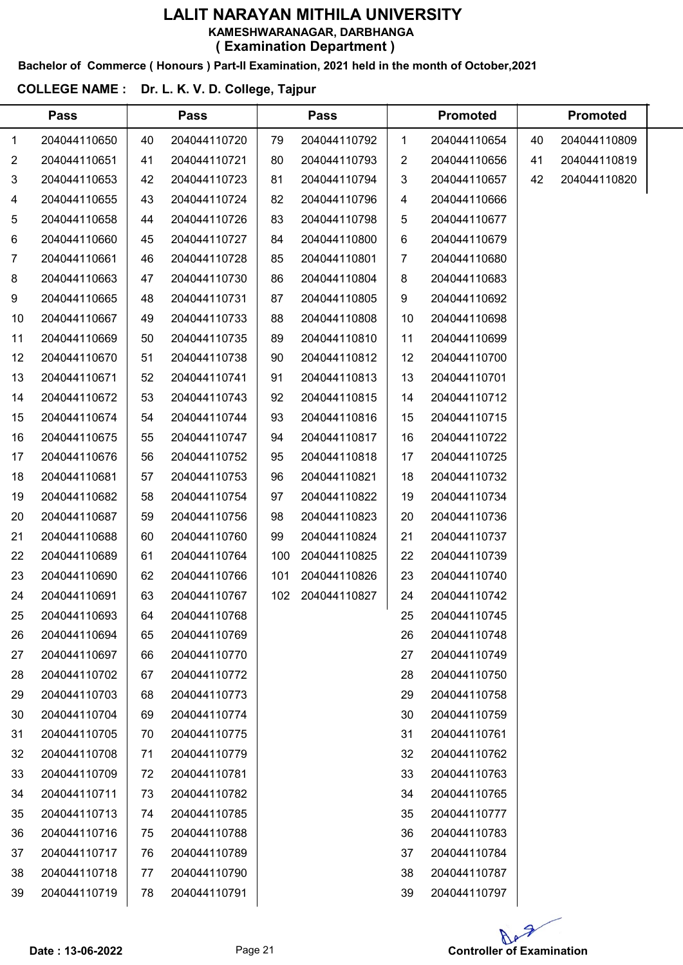#### Bachelor of Commerce ( Honours ) Part-II Examination, 2021 held in the month of October,2021

### COLLEGE NAME : Dr. L. K. V. D. College, Tajpur

 $\overline{a}$ 

|                | <b>Pass</b>  |    | <b>Pass</b>  |     | <b>Pass</b>  |                | <b>Promoted</b> |    | <b>Promoted</b> |  |
|----------------|--------------|----|--------------|-----|--------------|----------------|-----------------|----|-----------------|--|
| $\mathbf 1$    | 204044110650 | 40 | 204044110720 | 79  | 204044110792 | 1              | 204044110654    | 40 | 204044110809    |  |
| $\overline{2}$ | 204044110651 | 41 | 204044110721 | 80  | 204044110793 | 2              | 204044110656    | 41 | 204044110819    |  |
| 3              | 204044110653 | 42 | 204044110723 | 81  | 204044110794 | 3              | 204044110657    | 42 | 204044110820    |  |
| 4              | 204044110655 | 43 | 204044110724 | 82  | 204044110796 | 4              | 204044110666    |    |                 |  |
| 5              | 204044110658 | 44 | 204044110726 | 83  | 204044110798 | 5              | 204044110677    |    |                 |  |
| 6              | 204044110660 | 45 | 204044110727 | 84  | 204044110800 | 6              | 204044110679    |    |                 |  |
| $\overline{7}$ | 204044110661 | 46 | 204044110728 | 85  | 204044110801 | $\overline{7}$ | 204044110680    |    |                 |  |
| 8              | 204044110663 | 47 | 204044110730 | 86  | 204044110804 | 8              | 204044110683    |    |                 |  |
| 9              | 204044110665 | 48 | 204044110731 | 87  | 204044110805 | 9              | 204044110692    |    |                 |  |
| 10             | 204044110667 | 49 | 204044110733 | 88  | 204044110808 | 10             | 204044110698    |    |                 |  |
| 11             | 204044110669 | 50 | 204044110735 | 89  | 204044110810 | 11             | 204044110699    |    |                 |  |
| 12             | 204044110670 | 51 | 204044110738 | 90  | 204044110812 | 12             | 204044110700    |    |                 |  |
| 13             | 204044110671 | 52 | 204044110741 | 91  | 204044110813 | 13             | 204044110701    |    |                 |  |
| 14             | 204044110672 | 53 | 204044110743 | 92  | 204044110815 | 14             | 204044110712    |    |                 |  |
| 15             | 204044110674 | 54 | 204044110744 | 93  | 204044110816 | 15             | 204044110715    |    |                 |  |
| 16             | 204044110675 | 55 | 204044110747 | 94  | 204044110817 | 16             | 204044110722    |    |                 |  |
| 17             | 204044110676 | 56 | 204044110752 | 95  | 204044110818 | 17             | 204044110725    |    |                 |  |
| 18             | 204044110681 | 57 | 204044110753 | 96  | 204044110821 | 18             | 204044110732    |    |                 |  |
| 19             | 204044110682 | 58 | 204044110754 | 97  | 204044110822 | 19             | 204044110734    |    |                 |  |
| 20             | 204044110687 | 59 | 204044110756 | 98  | 204044110823 | 20             | 204044110736    |    |                 |  |
| 21             | 204044110688 | 60 | 204044110760 | 99  | 204044110824 | 21             | 204044110737    |    |                 |  |
| 22             | 204044110689 | 61 | 204044110764 | 100 | 204044110825 | 22             | 204044110739    |    |                 |  |
| 23             | 204044110690 | 62 | 204044110766 | 101 | 204044110826 | 23             | 204044110740    |    |                 |  |
| 24             | 204044110691 | 63 | 204044110767 | 102 | 204044110827 | 24             | 204044110742    |    |                 |  |
| 25             | 204044110693 | 64 | 204044110768 |     |              | 25             | 204044110745    |    |                 |  |
| 26             | 204044110694 | 65 | 204044110769 |     |              | 26             | 204044110748    |    |                 |  |
| 27             | 204044110697 | 66 | 204044110770 |     |              | 27             | 204044110749    |    |                 |  |
| 28             | 204044110702 | 67 | 204044110772 |     |              | 28             | 204044110750    |    |                 |  |
| 29             | 204044110703 | 68 | 204044110773 |     |              | 29             | 204044110758    |    |                 |  |
| 30             | 204044110704 | 69 | 204044110774 |     |              | 30             | 204044110759    |    |                 |  |
| 31             | 204044110705 | 70 | 204044110775 |     |              | 31             | 204044110761    |    |                 |  |
| 32             | 204044110708 | 71 | 204044110779 |     |              | 32             | 204044110762    |    |                 |  |
| 33             | 204044110709 | 72 | 204044110781 |     |              | 33             | 204044110763    |    |                 |  |
| 34             | 204044110711 | 73 | 204044110782 |     |              | 34             | 204044110765    |    |                 |  |
| 35             | 204044110713 | 74 | 204044110785 |     |              | 35             | 204044110777    |    |                 |  |
| 36             | 204044110716 | 75 | 204044110788 |     |              | 36             | 204044110783    |    |                 |  |
| 37             | 204044110717 | 76 | 204044110789 |     |              | 37             | 204044110784    |    |                 |  |
| 38             | 204044110718 | 77 | 204044110790 |     |              | 38             | 204044110787    |    |                 |  |
| 39             | 204044110719 | 78 | 204044110791 |     |              | 39             | 204044110797    |    |                 |  |
|                |              |    |              |     |              |                |                 |    |                 |  |

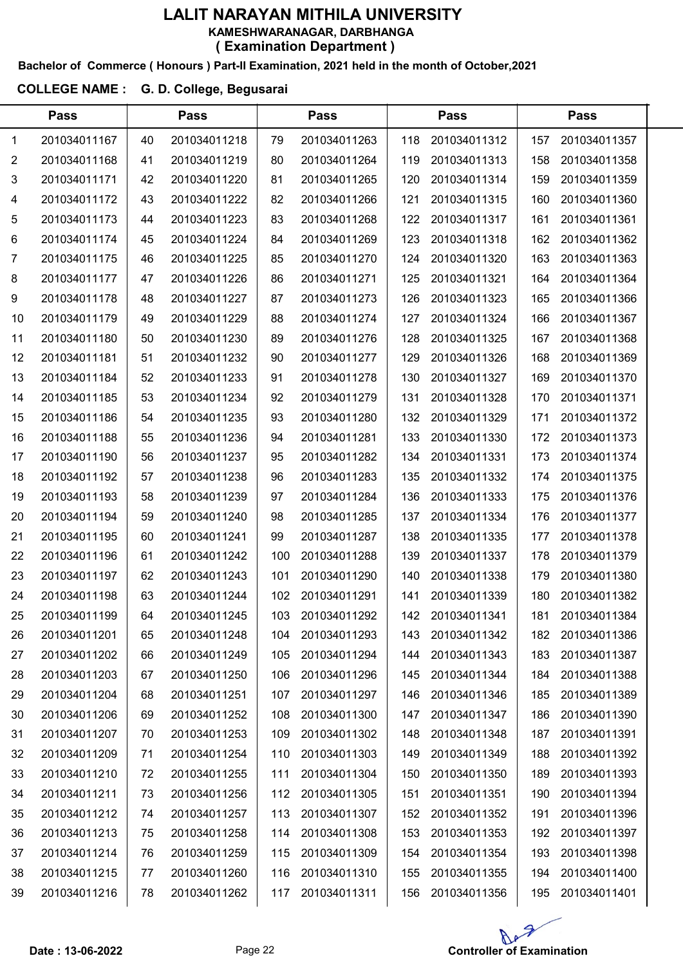#### Bachelor of Commerce ( Honours ) Part-II Examination, 2021 held in the month of October,2021

### COLLEGE NAME : G. D. College, Begusarai

|                | <b>Pass</b>  |    | <b>Pass</b>  |     | <b>Pass</b>  |     | <b>Pass</b>  |     | <b>Pass</b>  |  |
|----------------|--------------|----|--------------|-----|--------------|-----|--------------|-----|--------------|--|
| 1              | 201034011167 | 40 | 201034011218 | 79  | 201034011263 | 118 | 201034011312 | 157 | 201034011357 |  |
| $\overline{2}$ | 201034011168 | 41 | 201034011219 | 80  | 201034011264 | 119 | 201034011313 | 158 | 201034011358 |  |
| 3              | 201034011171 | 42 | 201034011220 | 81  | 201034011265 | 120 | 201034011314 | 159 | 201034011359 |  |
| 4              | 201034011172 | 43 | 201034011222 | 82  | 201034011266 | 121 | 201034011315 | 160 | 201034011360 |  |
| 5              | 201034011173 | 44 | 201034011223 | 83  | 201034011268 | 122 | 201034011317 | 161 | 201034011361 |  |
| 6              | 201034011174 | 45 | 201034011224 | 84  | 201034011269 | 123 | 201034011318 | 162 | 201034011362 |  |
| 7              | 201034011175 | 46 | 201034011225 | 85  | 201034011270 | 124 | 201034011320 | 163 | 201034011363 |  |
| 8              | 201034011177 | 47 | 201034011226 | 86  | 201034011271 | 125 | 201034011321 | 164 | 201034011364 |  |
| 9              | 201034011178 | 48 | 201034011227 | 87  | 201034011273 | 126 | 201034011323 | 165 | 201034011366 |  |
| 10             | 201034011179 | 49 | 201034011229 | 88  | 201034011274 | 127 | 201034011324 | 166 | 201034011367 |  |
| 11             | 201034011180 | 50 | 201034011230 | 89  | 201034011276 | 128 | 201034011325 | 167 | 201034011368 |  |
| 12             | 201034011181 | 51 | 201034011232 | 90  | 201034011277 | 129 | 201034011326 | 168 | 201034011369 |  |
| 13             | 201034011184 | 52 | 201034011233 | 91  | 201034011278 | 130 | 201034011327 | 169 | 201034011370 |  |
| 14             | 201034011185 | 53 | 201034011234 | 92  | 201034011279 | 131 | 201034011328 | 170 | 201034011371 |  |
| 15             | 201034011186 | 54 | 201034011235 | 93  | 201034011280 | 132 | 201034011329 | 171 | 201034011372 |  |
| 16             | 201034011188 | 55 | 201034011236 | 94  | 201034011281 | 133 | 201034011330 | 172 | 201034011373 |  |
| 17             | 201034011190 | 56 | 201034011237 | 95  | 201034011282 | 134 | 201034011331 | 173 | 201034011374 |  |
| 18             | 201034011192 | 57 | 201034011238 | 96  | 201034011283 | 135 | 201034011332 | 174 | 201034011375 |  |
| 19             | 201034011193 | 58 | 201034011239 | 97  | 201034011284 | 136 | 201034011333 | 175 | 201034011376 |  |
| 20             | 201034011194 | 59 | 201034011240 | 98  | 201034011285 | 137 | 201034011334 | 176 | 201034011377 |  |
| 21             | 201034011195 | 60 | 201034011241 | 99  | 201034011287 | 138 | 201034011335 | 177 | 201034011378 |  |
| 22             | 201034011196 | 61 | 201034011242 | 100 | 201034011288 | 139 | 201034011337 | 178 | 201034011379 |  |
| 23             | 201034011197 | 62 | 201034011243 | 101 | 201034011290 | 140 | 201034011338 | 179 | 201034011380 |  |
| 24             | 201034011198 | 63 | 201034011244 | 102 | 201034011291 | 141 | 201034011339 | 180 | 201034011382 |  |
| 25             | 201034011199 | 64 | 201034011245 | 103 | 201034011292 | 142 | 201034011341 | 181 | 201034011384 |  |
| 26             | 201034011201 | 65 | 201034011248 | 104 | 201034011293 | 143 | 201034011342 | 182 | 201034011386 |  |
| 27             | 201034011202 | 66 | 201034011249 | 105 | 201034011294 | 144 | 201034011343 | 183 | 201034011387 |  |
| 28             | 201034011203 | 67 | 201034011250 | 106 | 201034011296 | 145 | 201034011344 | 184 | 201034011388 |  |
| 29             | 201034011204 | 68 | 201034011251 | 107 | 201034011297 | 146 | 201034011346 | 185 | 201034011389 |  |
| 30             | 201034011206 | 69 | 201034011252 | 108 | 201034011300 | 147 | 201034011347 | 186 | 201034011390 |  |
| 31             | 201034011207 | 70 | 201034011253 | 109 | 201034011302 | 148 | 201034011348 | 187 | 201034011391 |  |
| 32             | 201034011209 | 71 | 201034011254 | 110 | 201034011303 | 149 | 201034011349 | 188 | 201034011392 |  |
| 33             | 201034011210 | 72 | 201034011255 | 111 | 201034011304 | 150 | 201034011350 | 189 | 201034011393 |  |
| 34             | 201034011211 | 73 | 201034011256 | 112 | 201034011305 | 151 | 201034011351 | 190 | 201034011394 |  |
| 35             | 201034011212 | 74 | 201034011257 | 113 | 201034011307 | 152 | 201034011352 | 191 | 201034011396 |  |
| 36             | 201034011213 | 75 | 201034011258 | 114 | 201034011308 | 153 | 201034011353 | 192 | 201034011397 |  |
| 37             | 201034011214 | 76 | 201034011259 | 115 | 201034011309 | 154 | 201034011354 | 193 | 201034011398 |  |
| 38             | 201034011215 | 77 | 201034011260 | 116 | 201034011310 | 155 | 201034011355 | 194 | 201034011400 |  |
| 39             | 201034011216 | 78 | 201034011262 | 117 | 201034011311 | 156 | 201034011356 | 195 | 201034011401 |  |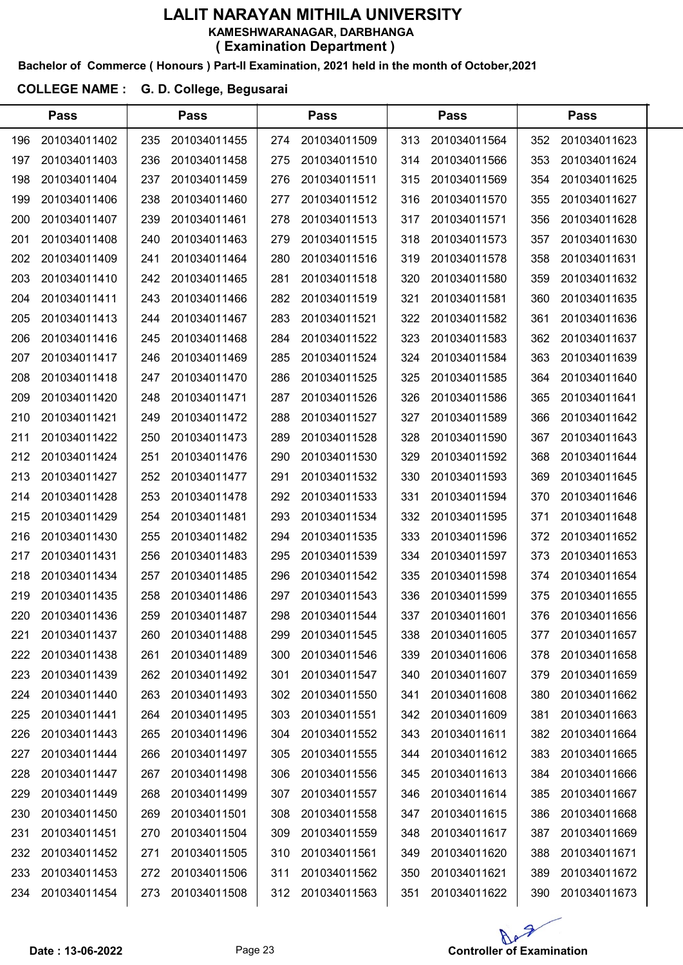#### Bachelor of Commerce ( Honours ) Part-II Examination, 2021 held in the month of October,2021

### COLLEGE NAME : G. D. College, Begusarai

|     | <b>Pass</b>  |     | <b>Pass</b>  |     | <b>Pass</b>  |     | <b>Pass</b>  |     | <b>Pass</b>  |  |
|-----|--------------|-----|--------------|-----|--------------|-----|--------------|-----|--------------|--|
| 196 | 201034011402 | 235 | 201034011455 | 274 | 201034011509 | 313 | 201034011564 | 352 | 201034011623 |  |
| 197 | 201034011403 | 236 | 201034011458 | 275 | 201034011510 | 314 | 201034011566 | 353 | 201034011624 |  |
| 198 | 201034011404 | 237 | 201034011459 | 276 | 201034011511 | 315 | 201034011569 | 354 | 201034011625 |  |
| 199 | 201034011406 | 238 | 201034011460 | 277 | 201034011512 | 316 | 201034011570 | 355 | 201034011627 |  |
| 200 | 201034011407 | 239 | 201034011461 | 278 | 201034011513 | 317 | 201034011571 | 356 | 201034011628 |  |
| 201 | 201034011408 | 240 | 201034011463 | 279 | 201034011515 | 318 | 201034011573 | 357 | 201034011630 |  |
| 202 | 201034011409 | 241 | 201034011464 | 280 | 201034011516 | 319 | 201034011578 | 358 | 201034011631 |  |
| 203 | 201034011410 | 242 | 201034011465 | 281 | 201034011518 | 320 | 201034011580 | 359 | 201034011632 |  |
| 204 | 201034011411 | 243 | 201034011466 | 282 | 201034011519 | 321 | 201034011581 | 360 | 201034011635 |  |
| 205 | 201034011413 | 244 | 201034011467 | 283 | 201034011521 | 322 | 201034011582 | 361 | 201034011636 |  |
| 206 | 201034011416 | 245 | 201034011468 | 284 | 201034011522 | 323 | 201034011583 | 362 | 201034011637 |  |
| 207 | 201034011417 | 246 | 201034011469 | 285 | 201034011524 | 324 | 201034011584 | 363 | 201034011639 |  |
| 208 | 201034011418 | 247 | 201034011470 | 286 | 201034011525 | 325 | 201034011585 | 364 | 201034011640 |  |
| 209 | 201034011420 | 248 | 201034011471 | 287 | 201034011526 | 326 | 201034011586 | 365 | 201034011641 |  |
| 210 | 201034011421 | 249 | 201034011472 | 288 | 201034011527 | 327 | 201034011589 | 366 | 201034011642 |  |
| 211 | 201034011422 | 250 | 201034011473 | 289 | 201034011528 | 328 | 201034011590 | 367 | 201034011643 |  |
| 212 | 201034011424 | 251 | 201034011476 | 290 | 201034011530 | 329 | 201034011592 | 368 | 201034011644 |  |
| 213 | 201034011427 | 252 | 201034011477 | 291 | 201034011532 | 330 | 201034011593 | 369 | 201034011645 |  |
| 214 | 201034011428 | 253 | 201034011478 | 292 | 201034011533 | 331 | 201034011594 | 370 | 201034011646 |  |
| 215 | 201034011429 | 254 | 201034011481 | 293 | 201034011534 | 332 | 201034011595 | 371 | 201034011648 |  |
| 216 | 201034011430 | 255 | 201034011482 | 294 | 201034011535 | 333 | 201034011596 | 372 | 201034011652 |  |
| 217 | 201034011431 | 256 | 201034011483 | 295 | 201034011539 | 334 | 201034011597 | 373 | 201034011653 |  |
| 218 | 201034011434 | 257 | 201034011485 | 296 | 201034011542 | 335 | 201034011598 | 374 | 201034011654 |  |
| 219 | 201034011435 | 258 | 201034011486 | 297 | 201034011543 | 336 | 201034011599 | 375 | 201034011655 |  |
| 220 | 201034011436 | 259 | 201034011487 | 298 | 201034011544 | 337 | 201034011601 | 376 | 201034011656 |  |
| 221 | 201034011437 | 260 | 201034011488 | 299 | 201034011545 | 338 | 201034011605 | 377 | 201034011657 |  |
| 222 | 201034011438 | 261 | 201034011489 | 300 | 201034011546 | 339 | 201034011606 | 378 | 201034011658 |  |
| 223 | 201034011439 | 262 | 201034011492 | 301 | 201034011547 | 340 | 201034011607 | 379 | 201034011659 |  |
| 224 | 201034011440 | 263 | 201034011493 | 302 | 201034011550 | 341 | 201034011608 | 380 | 201034011662 |  |
| 225 | 201034011441 | 264 | 201034011495 | 303 | 201034011551 | 342 | 201034011609 | 381 | 201034011663 |  |
| 226 | 201034011443 | 265 | 201034011496 | 304 | 201034011552 | 343 | 201034011611 | 382 | 201034011664 |  |
| 227 | 201034011444 | 266 | 201034011497 | 305 | 201034011555 | 344 | 201034011612 | 383 | 201034011665 |  |
| 228 | 201034011447 | 267 | 201034011498 | 306 | 201034011556 | 345 | 201034011613 | 384 | 201034011666 |  |
| 229 | 201034011449 | 268 | 201034011499 | 307 | 201034011557 | 346 | 201034011614 | 385 | 201034011667 |  |
| 230 | 201034011450 | 269 | 201034011501 | 308 | 201034011558 | 347 | 201034011615 | 386 | 201034011668 |  |
| 231 | 201034011451 | 270 | 201034011504 | 309 | 201034011559 | 348 | 201034011617 | 387 | 201034011669 |  |
| 232 | 201034011452 | 271 | 201034011505 | 310 | 201034011561 | 349 | 201034011620 | 388 | 201034011671 |  |
| 233 | 201034011453 | 272 | 201034011506 | 311 | 201034011562 | 350 | 201034011621 | 389 | 201034011672 |  |
| 234 | 201034011454 | 273 | 201034011508 | 312 | 201034011563 | 351 | 201034011622 | 390 | 201034011673 |  |

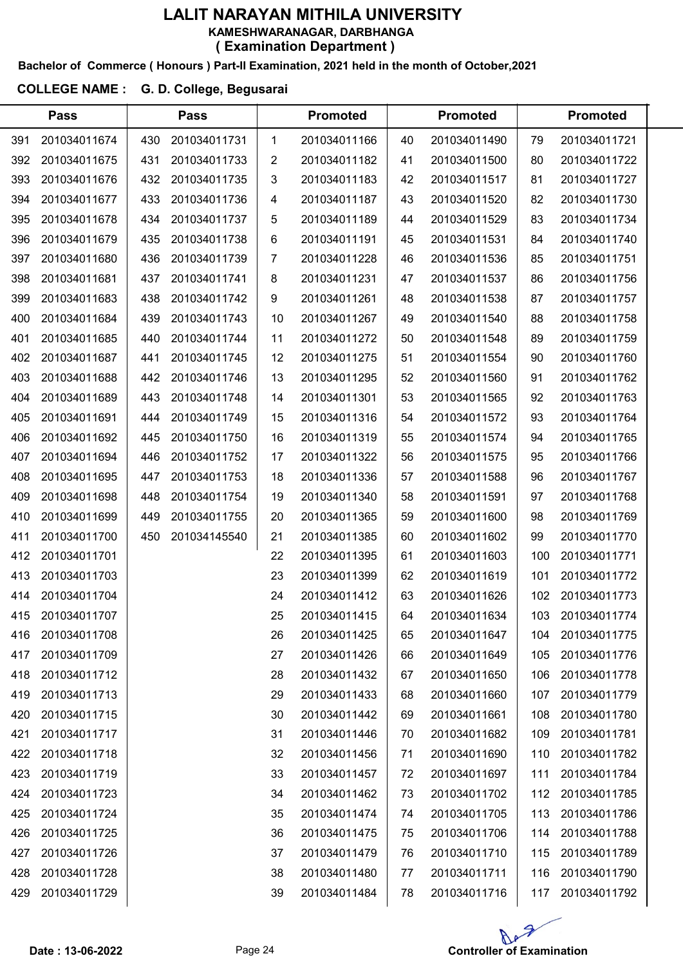#### Bachelor of Commerce ( Honours ) Part-II Examination, 2021 held in the month of October,2021

### COLLEGE NAME : G. D. College, Begusarai

|     | <b>Pass</b>  |     | <b>Pass</b>  |    | <b>Promoted</b> |    | <b>Promoted</b> |     | <b>Promoted</b> |  |
|-----|--------------|-----|--------------|----|-----------------|----|-----------------|-----|-----------------|--|
| 391 | 201034011674 | 430 | 201034011731 | 1  | 201034011166    | 40 | 201034011490    | 79  | 201034011721    |  |
| 392 | 201034011675 | 431 | 201034011733 | 2  | 201034011182    | 41 | 201034011500    | 80  | 201034011722    |  |
| 393 | 201034011676 | 432 | 201034011735 | 3  | 201034011183    | 42 | 201034011517    | 81  | 201034011727    |  |
| 394 | 201034011677 | 433 | 201034011736 | 4  | 201034011187    | 43 | 201034011520    | 82  | 201034011730    |  |
| 395 | 201034011678 | 434 | 201034011737 | 5  | 201034011189    | 44 | 201034011529    | 83  | 201034011734    |  |
| 396 | 201034011679 | 435 | 201034011738 | 6  | 201034011191    | 45 | 201034011531    | 84  | 201034011740    |  |
| 397 | 201034011680 | 436 | 201034011739 | 7  | 201034011228    | 46 | 201034011536    | 85  | 201034011751    |  |
| 398 | 201034011681 | 437 | 201034011741 | 8  | 201034011231    | 47 | 201034011537    | 86  | 201034011756    |  |
| 399 | 201034011683 | 438 | 201034011742 | 9  | 201034011261    | 48 | 201034011538    | 87  | 201034011757    |  |
| 400 | 201034011684 | 439 | 201034011743 | 10 | 201034011267    | 49 | 201034011540    | 88  | 201034011758    |  |
| 401 | 201034011685 | 440 | 201034011744 | 11 | 201034011272    | 50 | 201034011548    | 89  | 201034011759    |  |
| 402 | 201034011687 | 441 | 201034011745 | 12 | 201034011275    | 51 | 201034011554    | 90  | 201034011760    |  |
| 403 | 201034011688 | 442 | 201034011746 | 13 | 201034011295    | 52 | 201034011560    | 91  | 201034011762    |  |
| 404 | 201034011689 | 443 | 201034011748 | 14 | 201034011301    | 53 | 201034011565    | 92  | 201034011763    |  |
| 405 | 201034011691 | 444 | 201034011749 | 15 | 201034011316    | 54 | 201034011572    | 93  | 201034011764    |  |
| 406 | 201034011692 | 445 | 201034011750 | 16 | 201034011319    | 55 | 201034011574    | 94  | 201034011765    |  |
| 407 | 201034011694 | 446 | 201034011752 | 17 | 201034011322    | 56 | 201034011575    | 95  | 201034011766    |  |
| 408 | 201034011695 | 447 | 201034011753 | 18 | 201034011336    | 57 | 201034011588    | 96  | 201034011767    |  |
| 409 | 201034011698 | 448 | 201034011754 | 19 | 201034011340    | 58 | 201034011591    | 97  | 201034011768    |  |
| 410 | 201034011699 | 449 | 201034011755 | 20 | 201034011365    | 59 | 201034011600    | 98  | 201034011769    |  |
| 411 | 201034011700 | 450 | 201034145540 | 21 | 201034011385    | 60 | 201034011602    | 99  | 201034011770    |  |
| 412 | 201034011701 |     |              | 22 | 201034011395    | 61 | 201034011603    | 100 | 201034011771    |  |
| 413 | 201034011703 |     |              | 23 | 201034011399    | 62 | 201034011619    | 101 | 201034011772    |  |
| 414 | 201034011704 |     |              | 24 | 201034011412    | 63 | 201034011626    | 102 | 201034011773    |  |
| 415 | 201034011707 |     |              | 25 | 201034011415    | 64 | 201034011634    | 103 | 201034011774    |  |
| 416 | 201034011708 |     |              | 26 | 201034011425    | 65 | 201034011647    | 104 | 201034011775    |  |
| 417 | 201034011709 |     |              | 27 | 201034011426    | 66 | 201034011649    | 105 | 201034011776    |  |
| 418 | 201034011712 |     |              | 28 | 201034011432    | 67 | 201034011650    | 106 | 201034011778    |  |
| 419 | 201034011713 |     |              | 29 | 201034011433    | 68 | 201034011660    | 107 | 201034011779    |  |
| 420 | 201034011715 |     |              | 30 | 201034011442    | 69 | 201034011661    | 108 | 201034011780    |  |
| 421 | 201034011717 |     |              | 31 | 201034011446    | 70 | 201034011682    | 109 | 201034011781    |  |
| 422 | 201034011718 |     |              | 32 | 201034011456    | 71 | 201034011690    | 110 | 201034011782    |  |
| 423 | 201034011719 |     |              | 33 | 201034011457    | 72 | 201034011697    | 111 | 201034011784    |  |
| 424 | 201034011723 |     |              | 34 | 201034011462    | 73 | 201034011702    | 112 | 201034011785    |  |
| 425 | 201034011724 |     |              | 35 | 201034011474    | 74 | 201034011705    | 113 | 201034011786    |  |
| 426 | 201034011725 |     |              | 36 | 201034011475    | 75 | 201034011706    | 114 | 201034011788    |  |
| 427 | 201034011726 |     |              | 37 | 201034011479    | 76 | 201034011710    | 115 | 201034011789    |  |
| 428 | 201034011728 |     |              | 38 | 201034011480    | 77 | 201034011711    | 116 | 201034011790    |  |
| 429 | 201034011729 |     |              | 39 | 201034011484    | 78 | 201034011716    | 117 | 201034011792    |  |

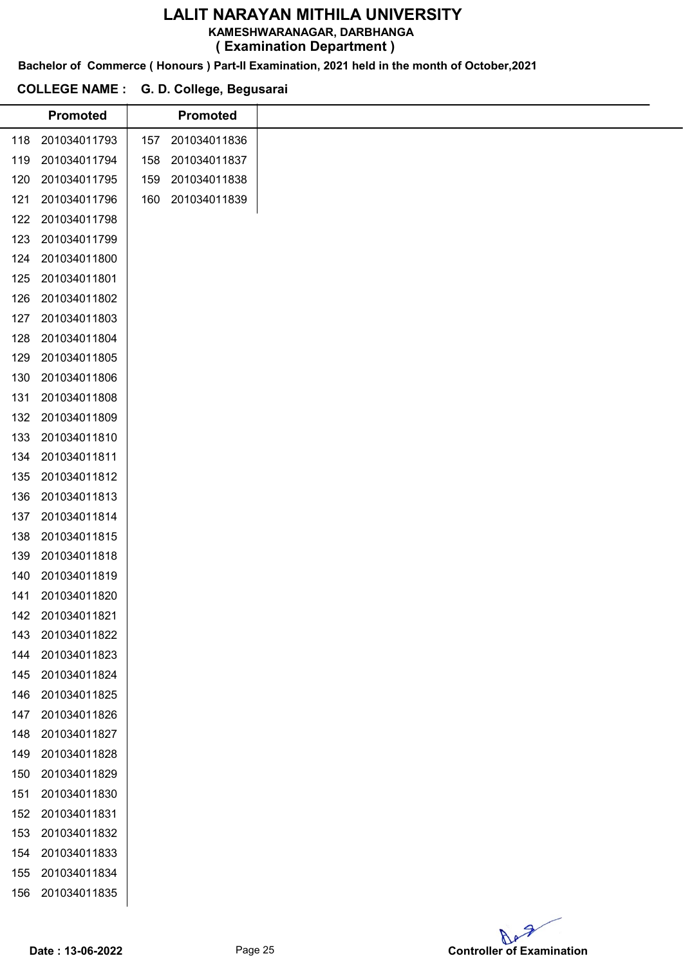KAMESHWARANAGAR, DARBHANGA

( Examination Department )

Bachelor of Commerce ( Honours ) Part-II Examination, 2021 held in the month of October,2021

#### COLLEGE NAME : G. D. College, Begusarai

|     | <b>Promoted</b> |     | <b>Promoted</b> |  |
|-----|-----------------|-----|-----------------|--|
| 118 | 201034011793    | 157 | 201034011836    |  |
| 119 | 201034011794    | 158 | 201034011837    |  |
| 120 | 201034011795    | 159 | 201034011838    |  |
| 121 | 201034011796    | 160 | 201034011839    |  |
| 122 | 201034011798    |     |                 |  |
| 123 | 201034011799    |     |                 |  |
| 124 | 201034011800    |     |                 |  |
| 125 | 201034011801    |     |                 |  |
| 126 | 201034011802    |     |                 |  |
| 127 | 201034011803    |     |                 |  |
| 128 | 201034011804    |     |                 |  |
| 129 | 201034011805    |     |                 |  |
| 130 | 201034011806    |     |                 |  |
| 131 | 201034011808    |     |                 |  |
| 132 | 201034011809    |     |                 |  |
| 133 | 201034011810    |     |                 |  |
| 134 | 201034011811    |     |                 |  |
| 135 | 201034011812    |     |                 |  |
| 136 | 201034011813    |     |                 |  |
| 137 | 201034011814    |     |                 |  |
| 138 | 201034011815    |     |                 |  |
| 139 | 201034011818    |     |                 |  |
| 140 | 201034011819    |     |                 |  |
| 141 | 201034011820    |     |                 |  |
| 142 | 201034011821    |     |                 |  |
| 143 | 201034011822    |     |                 |  |
| 144 | 201034011823    |     |                 |  |
| 145 | 201034011824    |     |                 |  |
| 146 | 201034011825    |     |                 |  |
| 147 | 201034011826    |     |                 |  |
| 148 | 201034011827    |     |                 |  |
| 149 | 201034011828    |     |                 |  |
| 150 | 201034011829    |     |                 |  |
| 151 | 201034011830    |     |                 |  |
| 152 | 201034011831    |     |                 |  |
| 153 | 201034011832    |     |                 |  |
| 154 | 201034011833    |     |                 |  |
| 155 | 201034011834    |     |                 |  |
| 156 | 201034011835    |     |                 |  |
|     |                 |     |                 |  |

Ap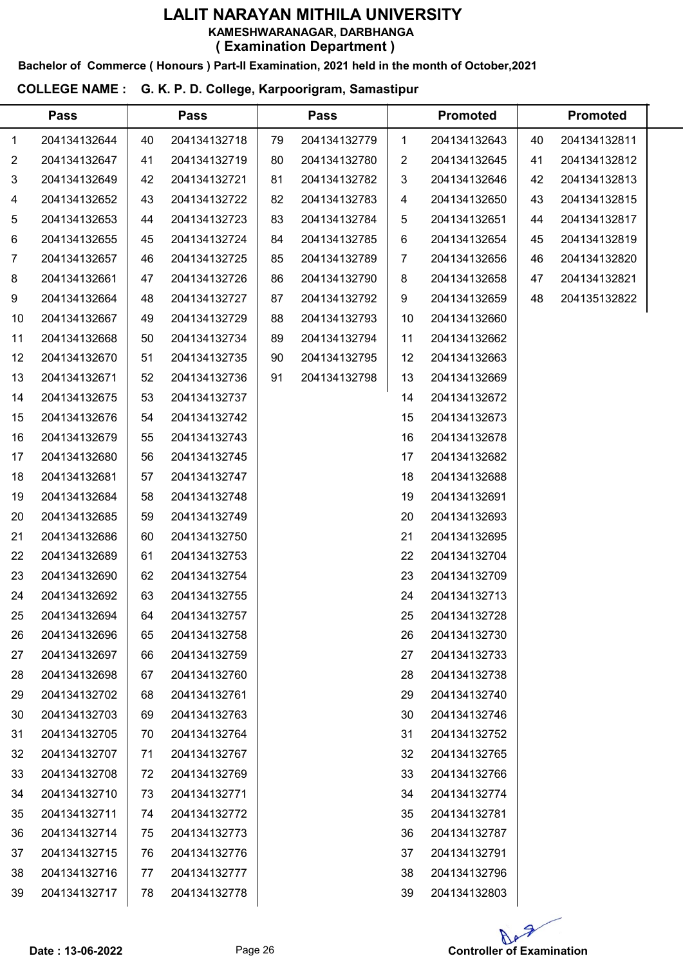# LALIT NARAYAN MITHILA UNIVERSITY KAMESHWARANAGAR, DARBHANGA

( Examination Department )

Bachelor of Commerce ( Honours ) Part-II Examination, 2021 held in the month of October,2021

#### COLLEGE NAME : G. K. P. D. College, Karpoorigram, Samastipur

|                | <b>Pass</b>  |    | <b>Pass</b>  |    | <b>Pass</b>  |             | <b>Promoted</b> |    | <b>Promoted</b> |  |
|----------------|--------------|----|--------------|----|--------------|-------------|-----------------|----|-----------------|--|
| 1              | 204134132644 | 40 | 204134132718 | 79 | 204134132779 | $\mathbf 1$ | 204134132643    | 40 | 204134132811    |  |
| $\overline{2}$ | 204134132647 | 41 | 204134132719 | 80 | 204134132780 | 2           | 204134132645    | 41 | 204134132812    |  |
| 3              | 204134132649 | 42 | 204134132721 | 81 | 204134132782 | 3           | 204134132646    | 42 | 204134132813    |  |
| 4              | 204134132652 | 43 | 204134132722 | 82 | 204134132783 | 4           | 204134132650    | 43 | 204134132815    |  |
| 5              | 204134132653 | 44 | 204134132723 | 83 | 204134132784 | 5           | 204134132651    | 44 | 204134132817    |  |
| 6              | 204134132655 | 45 | 204134132724 | 84 | 204134132785 | 6           | 204134132654    | 45 | 204134132819    |  |
| 7              | 204134132657 | 46 | 204134132725 | 85 | 204134132789 | 7           | 204134132656    | 46 | 204134132820    |  |
| 8              | 204134132661 | 47 | 204134132726 | 86 | 204134132790 | 8           | 204134132658    | 47 | 204134132821    |  |
| 9              | 204134132664 | 48 | 204134132727 | 87 | 204134132792 | 9           | 204134132659    | 48 | 204135132822    |  |
| 10             | 204134132667 | 49 | 204134132729 | 88 | 204134132793 | 10          | 204134132660    |    |                 |  |
| 11             | 204134132668 | 50 | 204134132734 | 89 | 204134132794 | 11          | 204134132662    |    |                 |  |
| 12             | 204134132670 | 51 | 204134132735 | 90 | 204134132795 | 12          | 204134132663    |    |                 |  |
| 13             | 204134132671 | 52 | 204134132736 | 91 | 204134132798 | 13          | 204134132669    |    |                 |  |
| 14             | 204134132675 | 53 | 204134132737 |    |              | 14          | 204134132672    |    |                 |  |
| 15             | 204134132676 | 54 | 204134132742 |    |              | 15          | 204134132673    |    |                 |  |
| 16             | 204134132679 | 55 | 204134132743 |    |              | 16          | 204134132678    |    |                 |  |
| 17             | 204134132680 | 56 | 204134132745 |    |              | 17          | 204134132682    |    |                 |  |
| 18             | 204134132681 | 57 | 204134132747 |    |              | 18          | 204134132688    |    |                 |  |
| 19             | 204134132684 | 58 | 204134132748 |    |              | 19          | 204134132691    |    |                 |  |
| 20             | 204134132685 | 59 | 204134132749 |    |              | 20          | 204134132693    |    |                 |  |
| 21             | 204134132686 | 60 | 204134132750 |    |              | 21          | 204134132695    |    |                 |  |
| 22             | 204134132689 | 61 | 204134132753 |    |              | 22          | 204134132704    |    |                 |  |
| 23             | 204134132690 | 62 | 204134132754 |    |              | 23          | 204134132709    |    |                 |  |
| 24             | 204134132692 | 63 | 204134132755 |    |              | 24          | 204134132713    |    |                 |  |
| 25             | 204134132694 | 64 | 204134132757 |    |              | 25          | 204134132728    |    |                 |  |
| 26             | 204134132696 | 65 | 204134132758 |    |              | 26          | 204134132730    |    |                 |  |
| 27             | 204134132697 | 66 | 204134132759 |    |              | 27          | 204134132733    |    |                 |  |
| 28             | 204134132698 | 67 | 204134132760 |    |              | 28          | 204134132738    |    |                 |  |
| 29             | 204134132702 | 68 | 204134132761 |    |              | 29          | 204134132740    |    |                 |  |
| 30             | 204134132703 | 69 | 204134132763 |    |              | 30          | 204134132746    |    |                 |  |
| 31             | 204134132705 | 70 | 204134132764 |    |              | 31          | 204134132752    |    |                 |  |
| 32             | 204134132707 | 71 | 204134132767 |    |              | 32          | 204134132765    |    |                 |  |
| 33             | 204134132708 | 72 | 204134132769 |    |              | 33          | 204134132766    |    |                 |  |
| 34             | 204134132710 | 73 | 204134132771 |    |              | 34          | 204134132774    |    |                 |  |
| 35             | 204134132711 | 74 | 204134132772 |    |              | 35          | 204134132781    |    |                 |  |
| 36             | 204134132714 | 75 | 204134132773 |    |              | 36          | 204134132787    |    |                 |  |
| 37             | 204134132715 | 76 | 204134132776 |    |              | 37          | 204134132791    |    |                 |  |
| 38             | 204134132716 | 77 | 204134132777 |    |              | 38          | 204134132796    |    |                 |  |
| 39             | 204134132717 | 78 | 204134132778 |    |              | 39          | 204134132803    |    |                 |  |

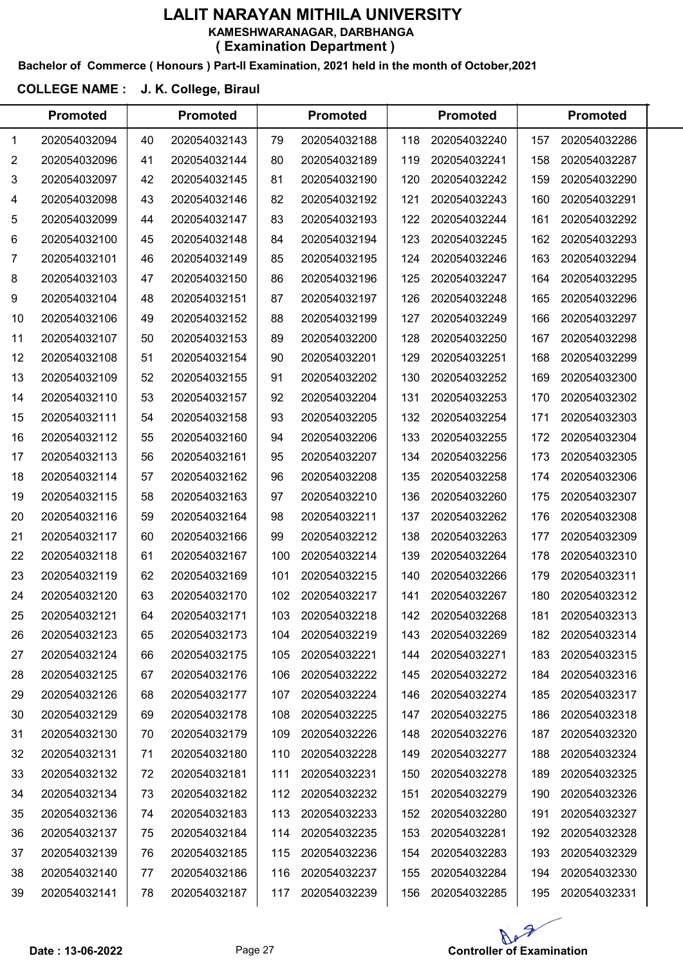#### Bachelor of Commerce ( Honours ) Part-II Examination, 2021 held in the month of October,2021

### COLLEGE NAME : J. K. College, Biraul

|    | <b>Promoted</b> |    | <b>Promoted</b> |     | <b>Promoted</b> |     | <b>Promoted</b> |     | <b>Promoted</b> |  |
|----|-----------------|----|-----------------|-----|-----------------|-----|-----------------|-----|-----------------|--|
| 1  | 202054032094    | 40 | 202054032143    | 79  | 202054032188    | 118 | 202054032240    | 157 | 202054032286    |  |
| 2  | 202054032096    | 41 | 202054032144    | 80  | 202054032189    | 119 | 202054032241    | 158 | 202054032287    |  |
| 3  | 202054032097    | 42 | 202054032145    | 81  | 202054032190    | 120 | 202054032242    | 159 | 202054032290    |  |
| 4  | 202054032098    | 43 | 202054032146    | 82  | 202054032192    | 121 | 202054032243    | 160 | 202054032291    |  |
| 5  | 202054032099    | 44 | 202054032147    | 83  | 202054032193    | 122 | 202054032244    | 161 | 202054032292    |  |
| 6  | 202054032100    | 45 | 202054032148    | 84  | 202054032194    | 123 | 202054032245    | 162 | 202054032293    |  |
| 7  | 202054032101    | 46 | 202054032149    | 85  | 202054032195    | 124 | 202054032246    | 163 | 202054032294    |  |
| 8  | 202054032103    | 47 | 202054032150    | 86  | 202054032196    | 125 | 202054032247    | 164 | 202054032295    |  |
| 9  | 202054032104    | 48 | 202054032151    | 87  | 202054032197    | 126 | 202054032248    | 165 | 202054032296    |  |
| 10 | 202054032106    | 49 | 202054032152    | 88  | 202054032199    | 127 | 202054032249    | 166 | 202054032297    |  |
| 11 | 202054032107    | 50 | 202054032153    | 89  | 202054032200    | 128 | 202054032250    | 167 | 202054032298    |  |
| 12 | 202054032108    | 51 | 202054032154    | 90  | 202054032201    | 129 | 202054032251    | 168 | 202054032299    |  |
| 13 | 202054032109    | 52 | 202054032155    | 91  | 202054032202    | 130 | 202054032252    | 169 | 202054032300    |  |
| 14 | 202054032110    | 53 | 202054032157    | 92  | 202054032204    | 131 | 202054032253    | 170 | 202054032302    |  |
| 15 | 202054032111    | 54 | 202054032158    | 93  | 202054032205    | 132 | 202054032254    | 171 | 202054032303    |  |
| 16 | 202054032112    | 55 | 202054032160    | 94  | 202054032206    | 133 | 202054032255    | 172 | 202054032304    |  |
| 17 | 202054032113    | 56 | 202054032161    | 95  | 202054032207    | 134 | 202054032256    | 173 | 202054032305    |  |
| 18 | 202054032114    | 57 | 202054032162    | 96  | 202054032208    | 135 | 202054032258    | 174 | 202054032306    |  |
| 19 | 202054032115    | 58 | 202054032163    | 97  | 202054032210    | 136 | 202054032260    | 175 | 202054032307    |  |
| 20 | 202054032116    | 59 | 202054032164    | 98  | 202054032211    | 137 | 202054032262    | 176 | 202054032308    |  |
| 21 | 202054032117    | 60 | 202054032166    | 99  | 202054032212    | 138 | 202054032263    | 177 | 202054032309    |  |
| 22 | 202054032118    | 61 | 202054032167    | 100 | 202054032214    | 139 | 202054032264    | 178 | 202054032310    |  |
| 23 | 202054032119    | 62 | 202054032169    | 101 | 202054032215    | 140 | 202054032266    | 179 | 202054032311    |  |
| 24 | 202054032120    | 63 | 202054032170    | 102 | 202054032217    | 141 | 202054032267    | 180 | 202054032312    |  |
| 25 | 202054032121    | 64 | 202054032171    | 103 | 202054032218    | 142 | 202054032268    | 181 | 202054032313    |  |
| 26 | 202054032123    | 65 | 202054032173    | 104 | 202054032219    | 143 | 202054032269    | 182 | 202054032314    |  |
| 27 | 202054032124    | 66 | 202054032175    | 105 | 202054032221    | 144 | 202054032271    | 183 | 202054032315    |  |
| 28 | 202054032125    | 67 | 202054032176    | 106 | 202054032222    | 145 | 202054032272    | 184 | 202054032316    |  |
| 29 | 202054032126    | 68 | 202054032177    | 107 | 202054032224    | 146 | 202054032274    | 185 | 202054032317    |  |
| 30 | 202054032129    | 69 | 202054032178    | 108 | 202054032225    | 147 | 202054032275    | 186 | 202054032318    |  |
| 31 | 202054032130    | 70 | 202054032179    | 109 | 202054032226    | 148 | 202054032276    | 187 | 202054032320    |  |
| 32 | 202054032131    | 71 | 202054032180    | 110 | 202054032228    | 149 | 202054032277    | 188 | 202054032324    |  |
| 33 | 202054032132    | 72 | 202054032181    | 111 | 202054032231    | 150 | 202054032278    | 189 | 202054032325    |  |
| 34 | 202054032134    | 73 | 202054032182    | 112 | 202054032232    | 151 | 202054032279    | 190 | 202054032326    |  |
| 35 | 202054032136    | 74 | 202054032183    | 113 | 202054032233    | 152 | 202054032280    | 191 | 202054032327    |  |
| 36 | 202054032137    | 75 | 202054032184    | 114 | 202054032235    | 153 | 202054032281    | 192 | 202054032328    |  |
| 37 | 202054032139    | 76 | 202054032185    | 115 | 202054032236    | 154 | 202054032283    | 193 | 202054032329    |  |
| 38 | 202054032140    | 77 | 202054032186    | 116 | 202054032237    | 155 | 202054032284    | 194 | 202054032330    |  |
| 39 | 202054032141    | 78 | 202054032187    | 117 | 202054032239    | 156 | 202054032285    | 195 | 202054032331    |  |

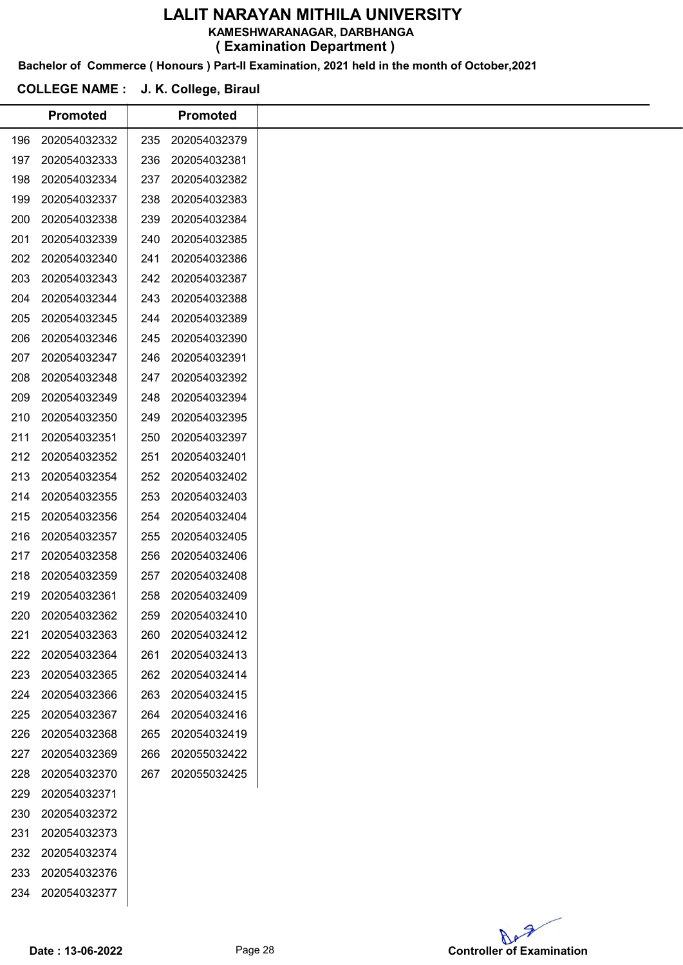KAMESHWARANAGAR, DARBHANGA

( Examination Department )

Bachelor of Commerce ( Honours ) Part-II Examination, 2021 held in the month of October,2021

### COLLEGE NAME : J. K. College, Biraul

|     | <b>Promoted</b> |     | <b>Promoted</b> |
|-----|-----------------|-----|-----------------|
| 196 | 202054032332    | 235 | 202054032379    |
| 197 | 202054032333    | 236 | 202054032381    |
| 198 | 202054032334    | 237 | 202054032382    |
| 199 | 202054032337    | 238 | 202054032383    |
| 200 | 202054032338    | 239 | 202054032384    |
| 201 | 202054032339    | 240 | 202054032385    |
| 202 | 202054032340    | 241 | 202054032386    |
| 203 | 202054032343    | 242 | 202054032387    |
| 204 | 202054032344    | 243 | 202054032388    |
| 205 | 202054032345    | 244 | 202054032389    |
| 206 | 202054032346    | 245 | 202054032390    |
| 207 | 202054032347    | 246 | 202054032391    |
| 208 | 202054032348    | 247 | 202054032392    |
| 209 | 202054032349    | 248 | 202054032394    |
| 210 | 202054032350    | 249 | 202054032395    |
| 211 | 202054032351    | 250 | 202054032397    |
| 212 | 202054032352    | 251 | 202054032401    |
| 213 | 202054032354    | 252 | 202054032402    |
| 214 | 202054032355    | 253 | 202054032403    |
| 215 | 202054032356    | 254 | 202054032404    |
| 216 | 202054032357    | 255 | 202054032405    |
| 217 | 202054032358    | 256 | 202054032406    |
| 218 | 202054032359    | 257 | 202054032408    |
| 219 | 202054032361    | 258 | 202054032409    |
| 220 | 202054032362    | 259 | 202054032410    |
| 221 | 202054032363    | 260 | 202054032412    |
| 222 | 202054032364    | 261 | 202054032413    |
| 223 | 202054032365    | 262 | 202054032414    |
| 224 | 202054032366    | 263 | 202054032415    |
| 225 | 202054032367    | 264 | 202054032416    |
| 226 | 202054032368    | 265 | 202054032419    |
| 227 | 202054032369    | 266 | 202055032422    |
| 228 | 202054032370    | 267 | 202055032425    |
| 229 | 202054032371    |     |                 |
| 230 | 202054032372    |     |                 |
| 231 | 202054032373    |     |                 |
| 232 | 202054032374    |     |                 |
| 233 | 202054032376    |     |                 |
| 234 | 202054032377    |     |                 |

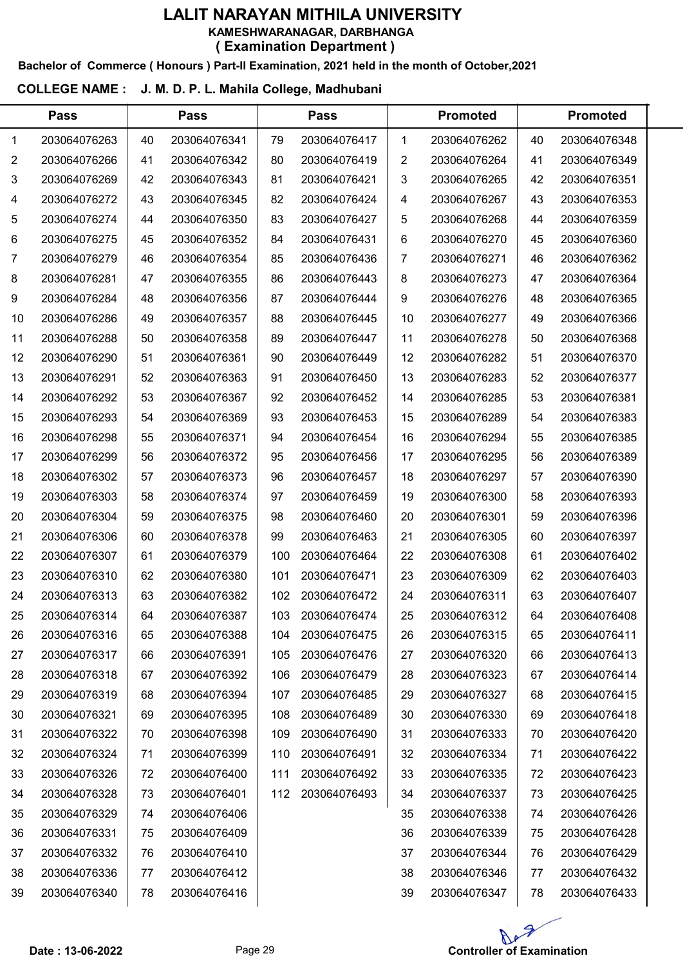### LALIT NARAYAN MITHILA UNIVERSITY KAMESHWARANAGAR, DARBHANGA

( Examination Department )

Bachelor of Commerce ( Honours ) Part-II Examination, 2021 held in the month of October,2021

### COLLEGE NAME : J. M. D. P. L. Mahila College, Madhubani

 $\overline{a}$ 

|                | <b>Pass</b>  |    | <b>Pass</b>  |     | <b>Pass</b>  |                | <b>Promoted</b> |    | <b>Promoted</b> |  |
|----------------|--------------|----|--------------|-----|--------------|----------------|-----------------|----|-----------------|--|
| 1              | 203064076263 | 40 | 203064076341 | 79  | 203064076417 | $\mathbf 1$    | 203064076262    | 40 | 203064076348    |  |
| $\overline{2}$ | 203064076266 | 41 | 203064076342 | 80  | 203064076419 | $\overline{2}$ | 203064076264    | 41 | 203064076349    |  |
| 3              | 203064076269 | 42 | 203064076343 | 81  | 203064076421 | $\mathbf{3}$   | 203064076265    | 42 | 203064076351    |  |
| 4              | 203064076272 | 43 | 203064076345 | 82  | 203064076424 | 4              | 203064076267    | 43 | 203064076353    |  |
| 5              | 203064076274 | 44 | 203064076350 | 83  | 203064076427 | 5              | 203064076268    | 44 | 203064076359    |  |
| 6              | 203064076275 | 45 | 203064076352 | 84  | 203064076431 | 6              | 203064076270    | 45 | 203064076360    |  |
| 7              | 203064076279 | 46 | 203064076354 | 85  | 203064076436 | 7              | 203064076271    | 46 | 203064076362    |  |
| 8              | 203064076281 | 47 | 203064076355 | 86  | 203064076443 | 8              | 203064076273    | 47 | 203064076364    |  |
| 9              | 203064076284 | 48 | 203064076356 | 87  | 203064076444 | 9              | 203064076276    | 48 | 203064076365    |  |
| 10             | 203064076286 | 49 | 203064076357 | 88  | 203064076445 | 10             | 203064076277    | 49 | 203064076366    |  |
| 11             | 203064076288 | 50 | 203064076358 | 89  | 203064076447 | 11             | 203064076278    | 50 | 203064076368    |  |
| 12             | 203064076290 | 51 | 203064076361 | 90  | 203064076449 | 12             | 203064076282    | 51 | 203064076370    |  |
| 13             | 203064076291 | 52 | 203064076363 | 91  | 203064076450 | 13             | 203064076283    | 52 | 203064076377    |  |
| 14             | 203064076292 | 53 | 203064076367 | 92  | 203064076452 | 14             | 203064076285    | 53 | 203064076381    |  |
| 15             | 203064076293 | 54 | 203064076369 | 93  | 203064076453 | 15             | 203064076289    | 54 | 203064076383    |  |
| 16             | 203064076298 | 55 | 203064076371 | 94  | 203064076454 | 16             | 203064076294    | 55 | 203064076385    |  |
| 17             | 203064076299 | 56 | 203064076372 | 95  | 203064076456 | 17             | 203064076295    | 56 | 203064076389    |  |
| 18             | 203064076302 | 57 | 203064076373 | 96  | 203064076457 | 18             | 203064076297    | 57 | 203064076390    |  |
| 19             | 203064076303 | 58 | 203064076374 | 97  | 203064076459 | 19             | 203064076300    | 58 | 203064076393    |  |
| 20             | 203064076304 | 59 | 203064076375 | 98  | 203064076460 | 20             | 203064076301    | 59 | 203064076396    |  |
| 21             | 203064076306 | 60 | 203064076378 | 99  | 203064076463 | 21             | 203064076305    | 60 | 203064076397    |  |
| 22             | 203064076307 | 61 | 203064076379 | 100 | 203064076464 | 22             | 203064076308    | 61 | 203064076402    |  |
| 23             | 203064076310 | 62 | 203064076380 | 101 | 203064076471 | 23             | 203064076309    | 62 | 203064076403    |  |
| 24             | 203064076313 | 63 | 203064076382 | 102 | 203064076472 | 24             | 203064076311    | 63 | 203064076407    |  |
| 25             | 203064076314 | 64 | 203064076387 | 103 | 203064076474 | 25             | 203064076312    | 64 | 203064076408    |  |
| 26             | 203064076316 | 65 | 203064076388 | 104 | 203064076475 | 26             | 203064076315    | 65 | 203064076411    |  |
| 27             | 203064076317 | 66 | 203064076391 | 105 | 203064076476 | 27             | 203064076320    | 66 | 203064076413    |  |
| 28             | 203064076318 | 67 | 203064076392 | 106 | 203064076479 | 28             | 203064076323    | 67 | 203064076414    |  |
| 29             | 203064076319 | 68 | 203064076394 | 107 | 203064076485 | 29             | 203064076327    | 68 | 203064076415    |  |
| 30             | 203064076321 | 69 | 203064076395 | 108 | 203064076489 | 30             | 203064076330    | 69 | 203064076418    |  |
| 31             | 203064076322 | 70 | 203064076398 | 109 | 203064076490 | 31             | 203064076333    | 70 | 203064076420    |  |
| 32             | 203064076324 | 71 | 203064076399 | 110 | 203064076491 | 32             | 203064076334    | 71 | 203064076422    |  |
| 33             | 203064076326 | 72 | 203064076400 | 111 | 203064076492 | 33             | 203064076335    | 72 | 203064076423    |  |
| 34             | 203064076328 | 73 | 203064076401 | 112 | 203064076493 | 34             | 203064076337    | 73 | 203064076425    |  |
| 35             | 203064076329 | 74 | 203064076406 |     |              | 35             | 203064076338    | 74 | 203064076426    |  |
| 36             | 203064076331 | 75 | 203064076409 |     |              | 36             | 203064076339    | 75 | 203064076428    |  |
| 37             | 203064076332 | 76 | 203064076410 |     |              | 37             | 203064076344    | 76 | 203064076429    |  |
| 38             | 203064076336 | 77 | 203064076412 |     |              | 38             | 203064076346    | 77 | 203064076432    |  |
| 39             | 203064076340 | 78 | 203064076416 |     |              | 39             | 203064076347    | 78 | 203064076433    |  |
|                |              |    |              |     |              |                |                 |    |                 |  |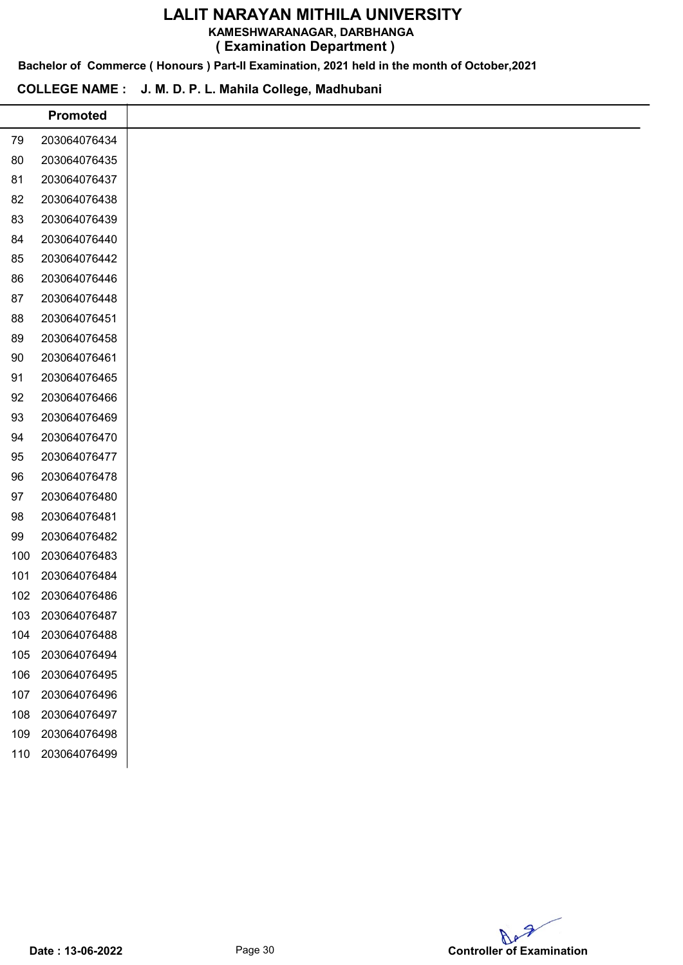KAMESHWARANAGAR, DARBHANGA

( Examination Department )

Bachelor of Commerce ( Honours ) Part-II Examination, 2021 held in the month of October,2021

#### COLLEGE NAME : J. M. D. P. L. Mahila College, Madhubani

|     | <b>Promoted</b> |
|-----|-----------------|
| 79  | 203064076434    |
| 80  | 203064076435    |
| 81  | 203064076437    |
| 82  | 203064076438    |
| 83  | 203064076439    |
| 84  | 203064076440    |
| 85  | 203064076442    |
| 86  | 203064076446    |
| 87  | 203064076448    |
| 88  | 203064076451    |
| 89  | 203064076458    |
| 90  | 203064076461    |
| 91  | 203064076465    |
| 92  | 203064076466    |
| 93  | 203064076469    |
| 94  | 203064076470    |
| 95  | 203064076477    |
| 96  | 203064076478    |
| 97  | 203064076480    |
| 98  | 203064076481    |
| 99  | 203064076482    |
| 100 | 203064076483    |
| 101 | 203064076484    |
| 102 | 203064076486    |
| 103 | 203064076487    |
| 104 | 203064076488    |
| 105 | 203064076494    |
| 106 | 203064076495    |
| 107 | 203064076496    |
| 108 | 203064076497    |
| 109 | 203064076498    |
| 110 | 203064076499    |
|     |                 |

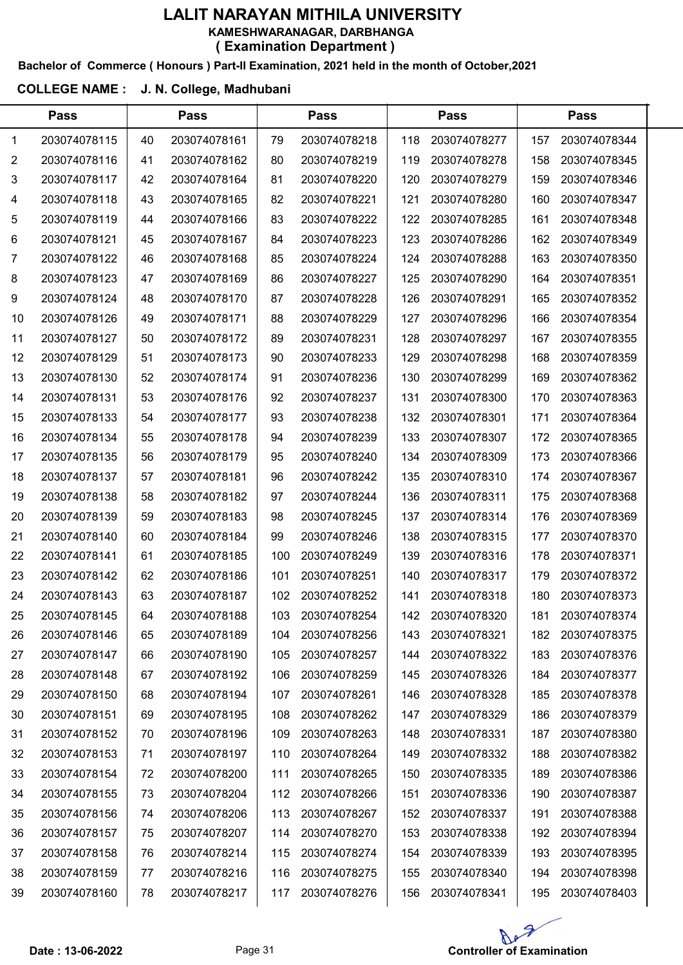#### Bachelor of Commerce ( Honours ) Part-II Examination, 2021 held in the month of October,2021

### COLLEGE NAME : J. N. College, Madhubani

|    | <b>Pass</b>  |    | <b>Pass</b>  |     | <b>Pass</b>  |     | <b>Pass</b>  |     | <b>Pass</b>  |  |
|----|--------------|----|--------------|-----|--------------|-----|--------------|-----|--------------|--|
| 1  | 203074078115 | 40 | 203074078161 | 79  | 203074078218 | 118 | 203074078277 | 157 | 203074078344 |  |
| 2  | 203074078116 | 41 | 203074078162 | 80  | 203074078219 | 119 | 203074078278 | 158 | 203074078345 |  |
| 3  | 203074078117 | 42 | 203074078164 | 81  | 203074078220 | 120 | 203074078279 | 159 | 203074078346 |  |
| 4  | 203074078118 | 43 | 203074078165 | 82  | 203074078221 | 121 | 203074078280 | 160 | 203074078347 |  |
| 5  | 203074078119 | 44 | 203074078166 | 83  | 203074078222 | 122 | 203074078285 | 161 | 203074078348 |  |
| 6  | 203074078121 | 45 | 203074078167 | 84  | 203074078223 | 123 | 203074078286 | 162 | 203074078349 |  |
| 7  | 203074078122 | 46 | 203074078168 | 85  | 203074078224 | 124 | 203074078288 | 163 | 203074078350 |  |
| 8  | 203074078123 | 47 | 203074078169 | 86  | 203074078227 | 125 | 203074078290 | 164 | 203074078351 |  |
| 9  | 203074078124 | 48 | 203074078170 | 87  | 203074078228 | 126 | 203074078291 | 165 | 203074078352 |  |
| 10 | 203074078126 | 49 | 203074078171 | 88  | 203074078229 | 127 | 203074078296 | 166 | 203074078354 |  |
| 11 | 203074078127 | 50 | 203074078172 | 89  | 203074078231 | 128 | 203074078297 | 167 | 203074078355 |  |
| 12 | 203074078129 | 51 | 203074078173 | 90  | 203074078233 | 129 | 203074078298 | 168 | 203074078359 |  |
| 13 | 203074078130 | 52 | 203074078174 | 91  | 203074078236 | 130 | 203074078299 | 169 | 203074078362 |  |
| 14 | 203074078131 | 53 | 203074078176 | 92  | 203074078237 | 131 | 203074078300 | 170 | 203074078363 |  |
| 15 | 203074078133 | 54 | 203074078177 | 93  | 203074078238 | 132 | 203074078301 | 171 | 203074078364 |  |
| 16 | 203074078134 | 55 | 203074078178 | 94  | 203074078239 | 133 | 203074078307 | 172 | 203074078365 |  |
| 17 | 203074078135 | 56 | 203074078179 | 95  | 203074078240 | 134 | 203074078309 | 173 | 203074078366 |  |
| 18 | 203074078137 | 57 | 203074078181 | 96  | 203074078242 | 135 | 203074078310 | 174 | 203074078367 |  |
| 19 | 203074078138 | 58 | 203074078182 | 97  | 203074078244 | 136 | 203074078311 | 175 | 203074078368 |  |
| 20 | 203074078139 | 59 | 203074078183 | 98  | 203074078245 | 137 | 203074078314 | 176 | 203074078369 |  |
| 21 | 203074078140 | 60 | 203074078184 | 99  | 203074078246 | 138 | 203074078315 | 177 | 203074078370 |  |
| 22 | 203074078141 | 61 | 203074078185 | 100 | 203074078249 | 139 | 203074078316 | 178 | 203074078371 |  |
| 23 | 203074078142 | 62 | 203074078186 | 101 | 203074078251 | 140 | 203074078317 | 179 | 203074078372 |  |
| 24 | 203074078143 | 63 | 203074078187 | 102 | 203074078252 | 141 | 203074078318 | 180 | 203074078373 |  |
| 25 | 203074078145 | 64 | 203074078188 | 103 | 203074078254 | 142 | 203074078320 | 181 | 203074078374 |  |
| 26 | 203074078146 | 65 | 203074078189 | 104 | 203074078256 | 143 | 203074078321 | 182 | 203074078375 |  |
| 27 | 203074078147 | 66 | 203074078190 | 105 | 203074078257 | 144 | 203074078322 | 183 | 203074078376 |  |
| 28 | 203074078148 | 67 | 203074078192 | 106 | 203074078259 | 145 | 203074078326 | 184 | 203074078377 |  |
| 29 | 203074078150 | 68 | 203074078194 | 107 | 203074078261 | 146 | 203074078328 | 185 | 203074078378 |  |
| 30 | 203074078151 | 69 | 203074078195 | 108 | 203074078262 | 147 | 203074078329 | 186 | 203074078379 |  |
| 31 | 203074078152 | 70 | 203074078196 | 109 | 203074078263 | 148 | 203074078331 | 187 | 203074078380 |  |
| 32 | 203074078153 | 71 | 203074078197 | 110 | 203074078264 | 149 | 203074078332 | 188 | 203074078382 |  |
| 33 | 203074078154 | 72 | 203074078200 | 111 | 203074078265 | 150 | 203074078335 | 189 | 203074078386 |  |
| 34 | 203074078155 | 73 | 203074078204 | 112 | 203074078266 | 151 | 203074078336 | 190 | 203074078387 |  |
| 35 | 203074078156 | 74 | 203074078206 | 113 | 203074078267 | 152 | 203074078337 | 191 | 203074078388 |  |
| 36 | 203074078157 | 75 | 203074078207 | 114 | 203074078270 | 153 | 203074078338 | 192 | 203074078394 |  |
| 37 | 203074078158 | 76 | 203074078214 | 115 | 203074078274 | 154 | 203074078339 | 193 | 203074078395 |  |
| 38 | 203074078159 | 77 | 203074078216 | 116 | 203074078275 | 155 | 203074078340 | 194 | 203074078398 |  |
| 39 | 203074078160 | 78 | 203074078217 | 117 | 203074078276 | 156 | 203074078341 | 195 | 203074078403 |  |

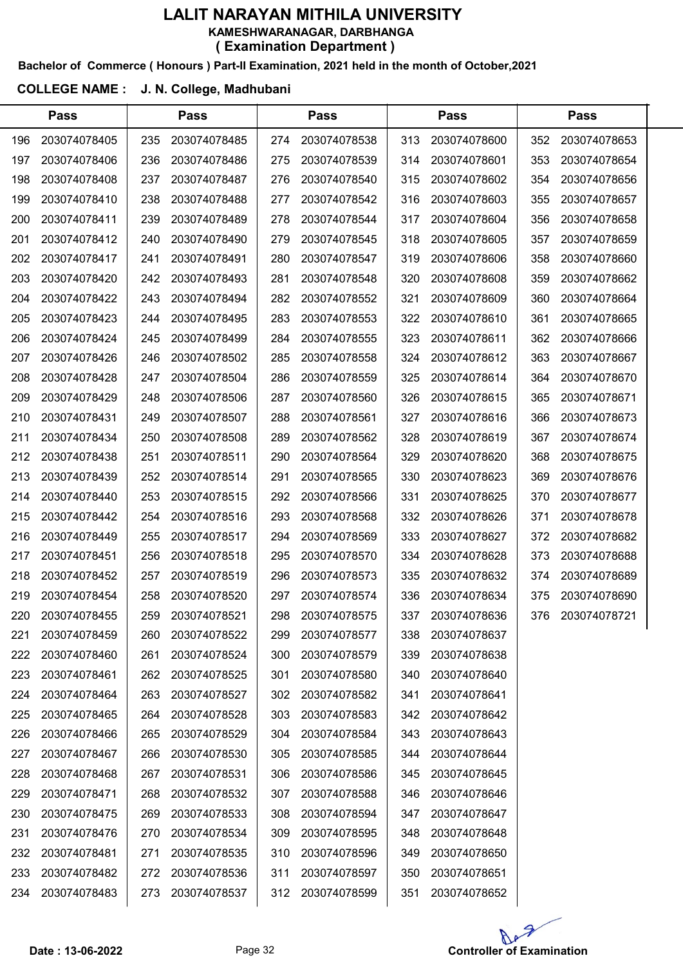### Bachelor of Commerce ( Honours ) Part-II Examination, 2021 held in the month of October,2021

#### COLLEGE NAME : J. N. College, Madhubani

|     | <b>Pass</b>  |     | <b>Pass</b>  |     | <b>Pass</b>  |     | <b>Pass</b>  |     | <b>Pass</b>  |  |
|-----|--------------|-----|--------------|-----|--------------|-----|--------------|-----|--------------|--|
| 196 | 203074078405 | 235 | 203074078485 | 274 | 203074078538 | 313 | 203074078600 | 352 | 203074078653 |  |
| 197 | 203074078406 | 236 | 203074078486 | 275 | 203074078539 | 314 | 203074078601 | 353 | 203074078654 |  |
| 198 | 203074078408 | 237 | 203074078487 | 276 | 203074078540 | 315 | 203074078602 | 354 | 203074078656 |  |
| 199 | 203074078410 | 238 | 203074078488 | 277 | 203074078542 | 316 | 203074078603 | 355 | 203074078657 |  |
| 200 | 203074078411 | 239 | 203074078489 | 278 | 203074078544 | 317 | 203074078604 | 356 | 203074078658 |  |
| 201 | 203074078412 | 240 | 203074078490 | 279 | 203074078545 | 318 | 203074078605 | 357 | 203074078659 |  |
| 202 | 203074078417 | 241 | 203074078491 | 280 | 203074078547 | 319 | 203074078606 | 358 | 203074078660 |  |
| 203 | 203074078420 | 242 | 203074078493 | 281 | 203074078548 | 320 | 203074078608 | 359 | 203074078662 |  |
| 204 | 203074078422 | 243 | 203074078494 | 282 | 203074078552 | 321 | 203074078609 | 360 | 203074078664 |  |
| 205 | 203074078423 | 244 | 203074078495 | 283 | 203074078553 | 322 | 203074078610 | 361 | 203074078665 |  |
| 206 | 203074078424 | 245 | 203074078499 | 284 | 203074078555 | 323 | 203074078611 | 362 | 203074078666 |  |
| 207 | 203074078426 | 246 | 203074078502 | 285 | 203074078558 | 324 | 203074078612 | 363 | 203074078667 |  |
| 208 | 203074078428 | 247 | 203074078504 | 286 | 203074078559 | 325 | 203074078614 | 364 | 203074078670 |  |
| 209 | 203074078429 | 248 | 203074078506 | 287 | 203074078560 | 326 | 203074078615 | 365 | 203074078671 |  |
| 210 | 203074078431 | 249 | 203074078507 | 288 | 203074078561 | 327 | 203074078616 | 366 | 203074078673 |  |
| 211 | 203074078434 | 250 | 203074078508 | 289 | 203074078562 | 328 | 203074078619 | 367 | 203074078674 |  |
| 212 | 203074078438 | 251 | 203074078511 | 290 | 203074078564 | 329 | 203074078620 | 368 | 203074078675 |  |
| 213 | 203074078439 | 252 | 203074078514 | 291 | 203074078565 | 330 | 203074078623 | 369 | 203074078676 |  |
| 214 | 203074078440 | 253 | 203074078515 | 292 | 203074078566 | 331 | 203074078625 | 370 | 203074078677 |  |
| 215 | 203074078442 | 254 | 203074078516 | 293 | 203074078568 | 332 | 203074078626 | 371 | 203074078678 |  |
| 216 | 203074078449 | 255 | 203074078517 | 294 | 203074078569 | 333 | 203074078627 | 372 | 203074078682 |  |
| 217 | 203074078451 | 256 | 203074078518 | 295 | 203074078570 | 334 | 203074078628 | 373 | 203074078688 |  |
| 218 | 203074078452 | 257 | 203074078519 | 296 | 203074078573 | 335 | 203074078632 | 374 | 203074078689 |  |
| 219 | 203074078454 | 258 | 203074078520 | 297 | 203074078574 | 336 | 203074078634 | 375 | 203074078690 |  |
| 220 | 203074078455 | 259 | 203074078521 | 298 | 203074078575 | 337 | 203074078636 | 376 | 203074078721 |  |
| 221 | 203074078459 | 260 | 203074078522 | 299 | 203074078577 | 338 | 203074078637 |     |              |  |
| 222 | 203074078460 | 261 | 203074078524 | 300 | 203074078579 | 339 | 203074078638 |     |              |  |
| 223 | 203074078461 | 262 | 203074078525 | 301 | 203074078580 | 340 | 203074078640 |     |              |  |
| 224 | 203074078464 | 263 | 203074078527 | 302 | 203074078582 | 341 | 203074078641 |     |              |  |
| 225 | 203074078465 | 264 | 203074078528 | 303 | 203074078583 | 342 | 203074078642 |     |              |  |
| 226 | 203074078466 | 265 | 203074078529 | 304 | 203074078584 | 343 | 203074078643 |     |              |  |
| 227 | 203074078467 | 266 | 203074078530 | 305 | 203074078585 | 344 | 203074078644 |     |              |  |
| 228 | 203074078468 | 267 | 203074078531 | 306 | 203074078586 | 345 | 203074078645 |     |              |  |
| 229 | 203074078471 | 268 | 203074078532 | 307 | 203074078588 | 346 | 203074078646 |     |              |  |
| 230 | 203074078475 | 269 | 203074078533 | 308 | 203074078594 | 347 | 203074078647 |     |              |  |
| 231 | 203074078476 | 270 | 203074078534 | 309 | 203074078595 | 348 | 203074078648 |     |              |  |
| 232 | 203074078481 | 271 | 203074078535 | 310 | 203074078596 | 349 | 203074078650 |     |              |  |
| 233 | 203074078482 | 272 | 203074078536 | 311 | 203074078597 | 350 | 203074078651 |     |              |  |
| 234 | 203074078483 | 273 | 203074078537 | 312 | 203074078599 | 351 | 203074078652 |     |              |  |
|     |              |     |              |     |              |     |              |     |              |  |

Ap

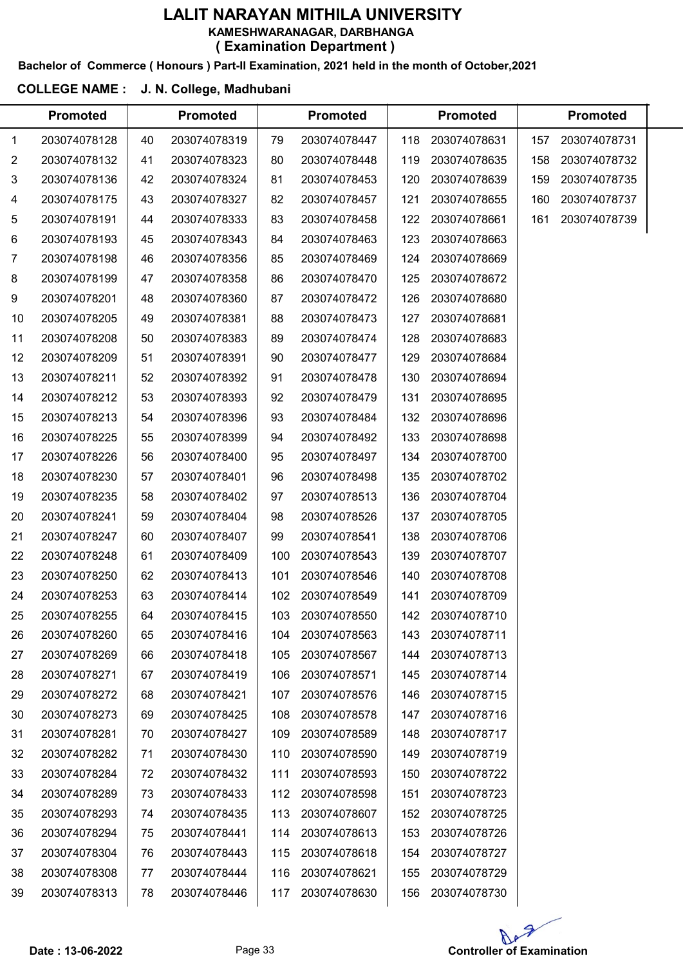### Bachelor of Commerce ( Honours ) Part-II Examination, 2021 held in the month of October,2021

#### COLLEGE NAME : J. N. College, Madhubani

|              | <b>Promoted</b> |    | <b>Promoted</b> |     | <b>Promoted</b> |     | <b>Promoted</b> |     | <b>Promoted</b> |  |
|--------------|-----------------|----|-----------------|-----|-----------------|-----|-----------------|-----|-----------------|--|
| $\mathbf{1}$ | 203074078128    | 40 | 203074078319    | 79  | 203074078447    | 118 | 203074078631    | 157 | 203074078731    |  |
| 2            | 203074078132    | 41 | 203074078323    | 80  | 203074078448    | 119 | 203074078635    | 158 | 203074078732    |  |
| 3            | 203074078136    | 42 | 203074078324    | 81  | 203074078453    | 120 | 203074078639    | 159 | 203074078735    |  |
| 4            | 203074078175    | 43 | 203074078327    | 82  | 203074078457    | 121 | 203074078655    | 160 | 203074078737    |  |
| 5            | 203074078191    | 44 | 203074078333    | 83  | 203074078458    | 122 | 203074078661    | 161 | 203074078739    |  |
| 6            | 203074078193    | 45 | 203074078343    | 84  | 203074078463    | 123 | 203074078663    |     |                 |  |
| 7            | 203074078198    | 46 | 203074078356    | 85  | 203074078469    | 124 | 203074078669    |     |                 |  |
| 8            | 203074078199    | 47 | 203074078358    | 86  | 203074078470    | 125 | 203074078672    |     |                 |  |
| 9            | 203074078201    | 48 | 203074078360    | 87  | 203074078472    | 126 | 203074078680    |     |                 |  |
| 10           | 203074078205    | 49 | 203074078381    | 88  | 203074078473    | 127 | 203074078681    |     |                 |  |
| 11           | 203074078208    | 50 | 203074078383    | 89  | 203074078474    | 128 | 203074078683    |     |                 |  |
| 12           | 203074078209    | 51 | 203074078391    | 90  | 203074078477    | 129 | 203074078684    |     |                 |  |
| 13           | 203074078211    | 52 | 203074078392    | 91  | 203074078478    | 130 | 203074078694    |     |                 |  |
| 14           | 203074078212    | 53 | 203074078393    | 92  | 203074078479    | 131 | 203074078695    |     |                 |  |
| 15           | 203074078213    | 54 | 203074078396    | 93  | 203074078484    | 132 | 203074078696    |     |                 |  |
| 16           | 203074078225    | 55 | 203074078399    | 94  | 203074078492    | 133 | 203074078698    |     |                 |  |
| 17           | 203074078226    | 56 | 203074078400    | 95  | 203074078497    | 134 | 203074078700    |     |                 |  |
| 18           | 203074078230    | 57 | 203074078401    | 96  | 203074078498    | 135 | 203074078702    |     |                 |  |
| 19           | 203074078235    | 58 | 203074078402    | 97  | 203074078513    | 136 | 203074078704    |     |                 |  |
| 20           | 203074078241    | 59 | 203074078404    | 98  | 203074078526    | 137 | 203074078705    |     |                 |  |
| 21           | 203074078247    | 60 | 203074078407    | 99  | 203074078541    | 138 | 203074078706    |     |                 |  |
| 22           | 203074078248    | 61 | 203074078409    | 100 | 203074078543    | 139 | 203074078707    |     |                 |  |
| 23           | 203074078250    | 62 | 203074078413    | 101 | 203074078546    | 140 | 203074078708    |     |                 |  |
| 24           | 203074078253    | 63 | 203074078414    | 102 | 203074078549    | 141 | 203074078709    |     |                 |  |
| 25           | 203074078255    | 64 | 203074078415    | 103 | 203074078550    | 142 | 203074078710    |     |                 |  |
| 26           | 203074078260    | 65 | 203074078416    | 104 | 203074078563    | 143 | 203074078711    |     |                 |  |
| 27           | 203074078269    | 66 | 203074078418    | 105 | 203074078567    | 144 | 203074078713    |     |                 |  |
| 28           | 203074078271    | 67 | 203074078419    | 106 | 203074078571    | 145 | 203074078714    |     |                 |  |
| 29           | 203074078272    | 68 | 203074078421    | 107 | 203074078576    | 146 | 203074078715    |     |                 |  |
| 30           | 203074078273    | 69 | 203074078425    | 108 | 203074078578    | 147 | 203074078716    |     |                 |  |
| 31           | 203074078281    | 70 | 203074078427    | 109 | 203074078589    | 148 | 203074078717    |     |                 |  |
| 32           | 203074078282    | 71 | 203074078430    | 110 | 203074078590    | 149 | 203074078719    |     |                 |  |
| 33           | 203074078284    | 72 | 203074078432    | 111 | 203074078593    | 150 | 203074078722    |     |                 |  |
| 34           | 203074078289    | 73 | 203074078433    | 112 | 203074078598    | 151 | 203074078723    |     |                 |  |
| 35           | 203074078293    | 74 | 203074078435    | 113 | 203074078607    | 152 | 203074078725    |     |                 |  |
| 36           | 203074078294    | 75 | 203074078441    | 114 | 203074078613    | 153 | 203074078726    |     |                 |  |
| 37           | 203074078304    | 76 | 203074078443    | 115 | 203074078618    | 154 | 203074078727    |     |                 |  |
| 38           | 203074078308    | 77 | 203074078444    | 116 | 203074078621    | 155 | 203074078729    |     |                 |  |
| 39           | 203074078313    | 78 | 203074078446    | 117 | 203074078630    | 156 | 203074078730    |     |                 |  |
|              |                 |    |                 |     |                 |     |                 |     |                 |  |

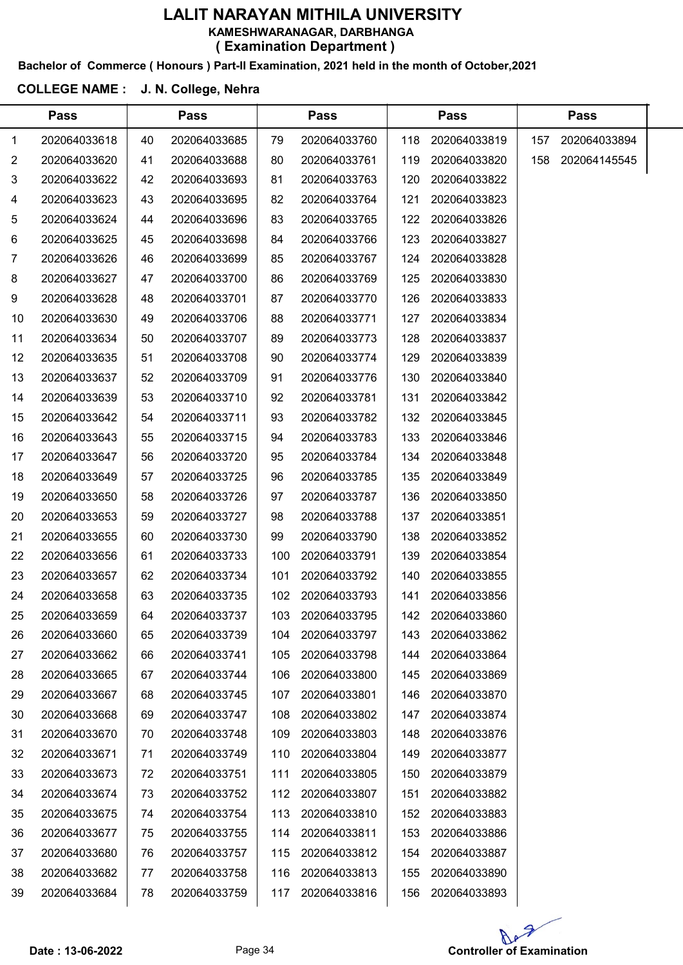### Bachelor of Commerce ( Honours ) Part-II Examination, 2021 held in the month of October,2021

#### COLLEGE NAME : J. N. College, Nehra

 $\overline{a}$ 

|    | <b>Pass</b>  |    | <b>Pass</b>  |     | <b>Pass</b>  |     | Pass         |     | <b>Pass</b>  |  |
|----|--------------|----|--------------|-----|--------------|-----|--------------|-----|--------------|--|
| 1  | 202064033618 | 40 | 202064033685 | 79  | 202064033760 | 118 | 202064033819 | 157 | 202064033894 |  |
| 2  | 202064033620 | 41 | 202064033688 | 80  | 202064033761 | 119 | 202064033820 | 158 | 202064145545 |  |
| 3  | 202064033622 | 42 | 202064033693 | 81  | 202064033763 | 120 | 202064033822 |     |              |  |
| 4  | 202064033623 | 43 | 202064033695 | 82  | 202064033764 | 121 | 202064033823 |     |              |  |
| 5  | 202064033624 | 44 | 202064033696 | 83  | 202064033765 | 122 | 202064033826 |     |              |  |
| 6  | 202064033625 | 45 | 202064033698 | 84  | 202064033766 | 123 | 202064033827 |     |              |  |
| 7  | 202064033626 | 46 | 202064033699 | 85  | 202064033767 | 124 | 202064033828 |     |              |  |
| 8  | 202064033627 | 47 | 202064033700 | 86  | 202064033769 | 125 | 202064033830 |     |              |  |
| 9  | 202064033628 | 48 | 202064033701 | 87  | 202064033770 | 126 | 202064033833 |     |              |  |
| 10 | 202064033630 | 49 | 202064033706 | 88  | 202064033771 | 127 | 202064033834 |     |              |  |
| 11 | 202064033634 | 50 | 202064033707 | 89  | 202064033773 | 128 | 202064033837 |     |              |  |
| 12 | 202064033635 | 51 | 202064033708 | 90  | 202064033774 | 129 | 202064033839 |     |              |  |
| 13 | 202064033637 | 52 | 202064033709 | 91  | 202064033776 | 130 | 202064033840 |     |              |  |
| 14 | 202064033639 | 53 | 202064033710 | 92  | 202064033781 | 131 | 202064033842 |     |              |  |
| 15 | 202064033642 | 54 | 202064033711 | 93  | 202064033782 | 132 | 202064033845 |     |              |  |
| 16 | 202064033643 | 55 | 202064033715 | 94  | 202064033783 | 133 | 202064033846 |     |              |  |
| 17 | 202064033647 | 56 | 202064033720 | 95  | 202064033784 | 134 | 202064033848 |     |              |  |
| 18 | 202064033649 | 57 | 202064033725 | 96  | 202064033785 | 135 | 202064033849 |     |              |  |
| 19 | 202064033650 | 58 | 202064033726 | 97  | 202064033787 | 136 | 202064033850 |     |              |  |
| 20 | 202064033653 | 59 | 202064033727 | 98  | 202064033788 | 137 | 202064033851 |     |              |  |
| 21 | 202064033655 | 60 | 202064033730 | 99  | 202064033790 | 138 | 202064033852 |     |              |  |
| 22 | 202064033656 | 61 | 202064033733 | 100 | 202064033791 | 139 | 202064033854 |     |              |  |
| 23 | 202064033657 | 62 | 202064033734 | 101 | 202064033792 | 140 | 202064033855 |     |              |  |
| 24 | 202064033658 | 63 | 202064033735 | 102 | 202064033793 | 141 | 202064033856 |     |              |  |
| 25 | 202064033659 | 64 | 202064033737 | 103 | 202064033795 | 142 | 202064033860 |     |              |  |
| 26 | 202064033660 | 65 | 202064033739 | 104 | 202064033797 | 143 | 202064033862 |     |              |  |
| 27 | 202064033662 | 66 | 202064033741 | 105 | 202064033798 | 144 | 202064033864 |     |              |  |
| 28 | 202064033665 | 67 | 202064033744 | 106 | 202064033800 | 145 | 202064033869 |     |              |  |
| 29 | 202064033667 | 68 | 202064033745 | 107 | 202064033801 | 146 | 202064033870 |     |              |  |
| 30 | 202064033668 | 69 | 202064033747 | 108 | 202064033802 | 147 | 202064033874 |     |              |  |
| 31 | 202064033670 | 70 | 202064033748 | 109 | 202064033803 | 148 | 202064033876 |     |              |  |
| 32 | 202064033671 | 71 | 202064033749 | 110 | 202064033804 | 149 | 202064033877 |     |              |  |
| 33 | 202064033673 | 72 | 202064033751 | 111 | 202064033805 | 150 | 202064033879 |     |              |  |
| 34 | 202064033674 | 73 | 202064033752 | 112 | 202064033807 | 151 | 202064033882 |     |              |  |
| 35 | 202064033675 | 74 | 202064033754 | 113 | 202064033810 | 152 | 202064033883 |     |              |  |
| 36 | 202064033677 | 75 | 202064033755 | 114 | 202064033811 | 153 | 202064033886 |     |              |  |
| 37 | 202064033680 | 76 | 202064033757 | 115 | 202064033812 | 154 | 202064033887 |     |              |  |
| 38 | 202064033682 | 77 | 202064033758 | 116 | 202064033813 | 155 | 202064033890 |     |              |  |
| 39 | 202064033684 | 78 | 202064033759 | 117 | 202064033816 | 156 | 202064033893 |     |              |  |
|    |              |    |              |     |              |     |              |     |              |  |

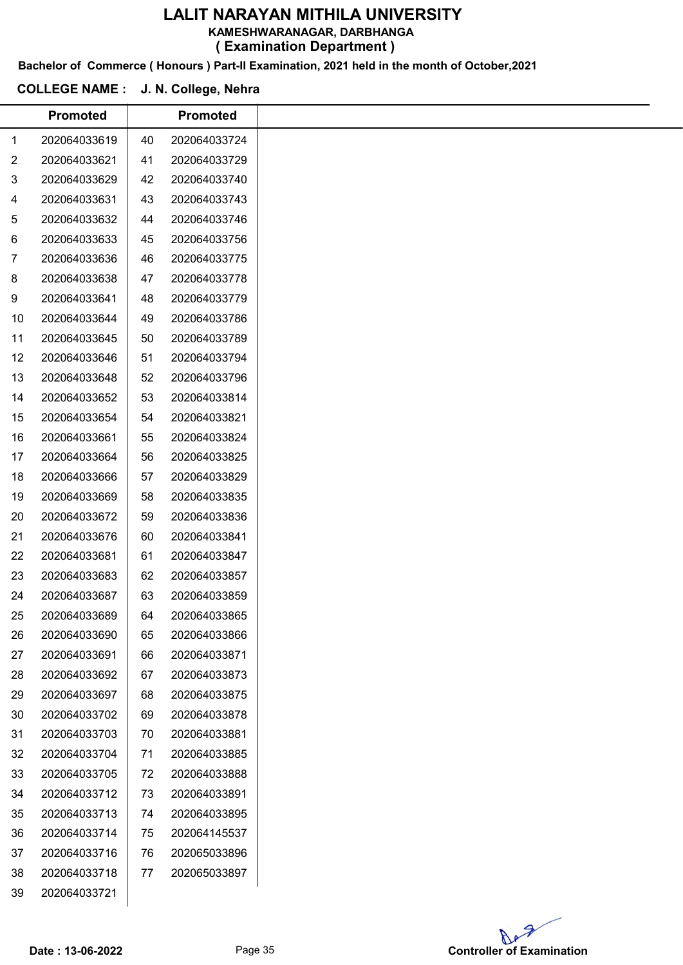KAMESHWARANAGAR, DARBHANGA

( Examination Department )

Bachelor of Commerce ( Honours ) Part-II Examination, 2021 held in the month of October,2021

### COLLEGE NAME : J. N. College, Nehra

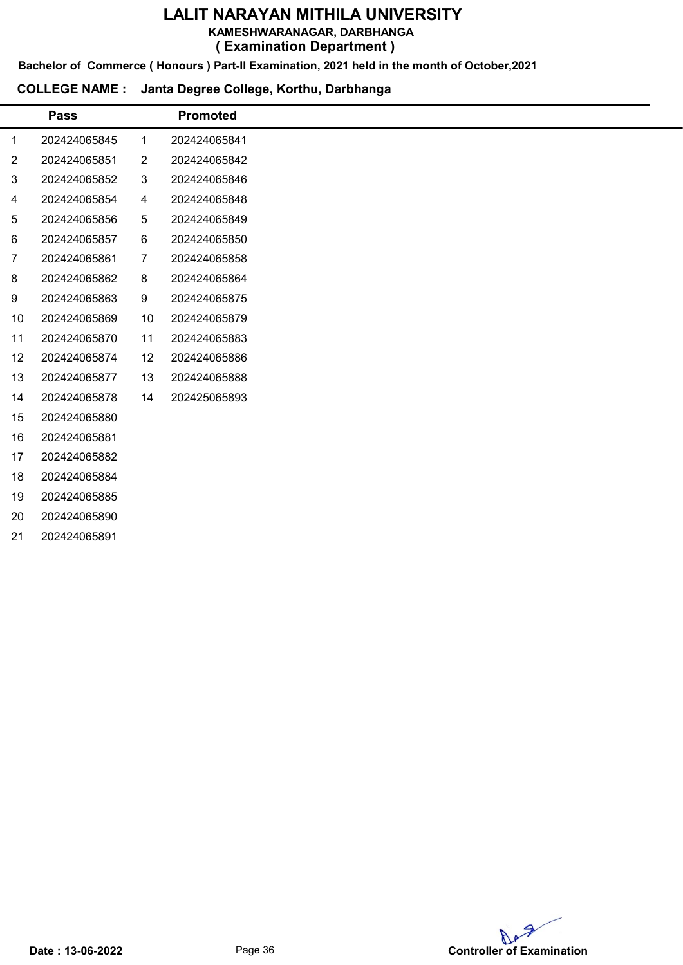KAMESHWARANAGAR, DARBHANGA

( Examination Department )

Bachelor of Commerce ( Honours ) Part-II Examination, 2021 held in the month of October,2021

### COLLEGE NAME : Janta Degree College, Korthu, Darbhanga

|    | <b>Pass</b>  |                | <b>Promoted</b> |
|----|--------------|----------------|-----------------|
| 1  | 202424065845 | $\mathbf{1}$   | 202424065841    |
| 2  | 202424065851 | 2              | 202424065842    |
| 3  | 202424065852 | 3              | 202424065846    |
| 4  | 202424065854 | 4              | 202424065848    |
| 5  | 202424065856 | 5              | 202424065849    |
| 6  | 202424065857 | 6              | 202424065850    |
| 7  | 202424065861 | $\overline{7}$ | 202424065858    |
| 8  | 202424065862 | 8              | 202424065864    |
| 9  | 202424065863 | 9              | 202424065875    |
| 10 | 202424065869 | 10             | 202424065879    |
| 11 | 202424065870 | 11             | 202424065883    |
| 12 | 202424065874 | 12             | 202424065886    |
| 13 | 202424065877 | 13             | 202424065888    |
| 14 | 202424065878 | 14             | 202425065893    |
| 15 | 202424065880 |                |                 |
| 16 | 202424065881 |                |                 |
| 17 | 202424065882 |                |                 |
| 18 | 202424065884 |                |                 |
| 19 | 202424065885 |                |                 |
| 20 | 202424065890 |                |                 |
| 21 | 202424065891 |                |                 |

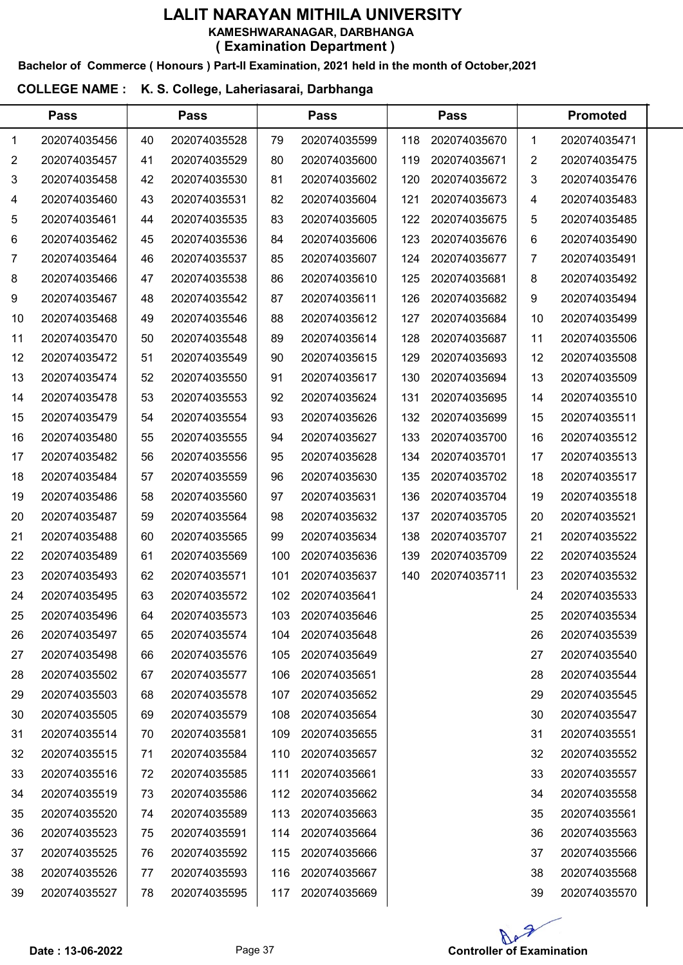#### Bachelor of Commerce ( Honours ) Part-II Examination, 2021 held in the month of October,2021

#### COLLEGE NAME : K. S. College, Laheriasarai, Darbhanga

|    | <b>Pass</b>  |    | <b>Pass</b>  |     | <b>Pass</b>  |     | <b>Pass</b>  |    | <b>Promoted</b> |  |
|----|--------------|----|--------------|-----|--------------|-----|--------------|----|-----------------|--|
| 1  | 202074035456 | 40 | 202074035528 | 79  | 202074035599 | 118 | 202074035670 | 1  | 202074035471    |  |
| 2  | 202074035457 | 41 | 202074035529 | 80  | 202074035600 | 119 | 202074035671 | 2  | 202074035475    |  |
| 3  | 202074035458 | 42 | 202074035530 | 81  | 202074035602 | 120 | 202074035672 | 3  | 202074035476    |  |
| 4  | 202074035460 | 43 | 202074035531 | 82  | 202074035604 | 121 | 202074035673 | 4  | 202074035483    |  |
| 5  | 202074035461 | 44 | 202074035535 | 83  | 202074035605 | 122 | 202074035675 | 5  | 202074035485    |  |
| 6  | 202074035462 | 45 | 202074035536 | 84  | 202074035606 | 123 | 202074035676 | 6  | 202074035490    |  |
| 7  | 202074035464 | 46 | 202074035537 | 85  | 202074035607 | 124 | 202074035677 | 7  | 202074035491    |  |
| 8  | 202074035466 | 47 | 202074035538 | 86  | 202074035610 | 125 | 202074035681 | 8  | 202074035492    |  |
| 9  | 202074035467 | 48 | 202074035542 | 87  | 202074035611 | 126 | 202074035682 | 9  | 202074035494    |  |
| 10 | 202074035468 | 49 | 202074035546 | 88  | 202074035612 | 127 | 202074035684 | 10 | 202074035499    |  |
| 11 | 202074035470 | 50 | 202074035548 | 89  | 202074035614 | 128 | 202074035687 | 11 | 202074035506    |  |
| 12 | 202074035472 | 51 | 202074035549 | 90  | 202074035615 | 129 | 202074035693 | 12 | 202074035508    |  |
| 13 | 202074035474 | 52 | 202074035550 | 91  | 202074035617 | 130 | 202074035694 | 13 | 202074035509    |  |
| 14 | 202074035478 | 53 | 202074035553 | 92  | 202074035624 | 131 | 202074035695 | 14 | 202074035510    |  |
| 15 | 202074035479 | 54 | 202074035554 | 93  | 202074035626 | 132 | 202074035699 | 15 | 202074035511    |  |
| 16 | 202074035480 | 55 | 202074035555 | 94  | 202074035627 | 133 | 202074035700 | 16 | 202074035512    |  |
| 17 | 202074035482 | 56 | 202074035556 | 95  | 202074035628 | 134 | 202074035701 | 17 | 202074035513    |  |
| 18 | 202074035484 | 57 | 202074035559 | 96  | 202074035630 | 135 | 202074035702 | 18 | 202074035517    |  |
| 19 | 202074035486 | 58 | 202074035560 | 97  | 202074035631 | 136 | 202074035704 | 19 | 202074035518    |  |
| 20 | 202074035487 | 59 | 202074035564 | 98  | 202074035632 | 137 | 202074035705 | 20 | 202074035521    |  |
| 21 | 202074035488 | 60 | 202074035565 | 99  | 202074035634 | 138 | 202074035707 | 21 | 202074035522    |  |
| 22 | 202074035489 | 61 | 202074035569 | 100 | 202074035636 | 139 | 202074035709 | 22 | 202074035524    |  |
| 23 | 202074035493 | 62 | 202074035571 | 101 | 202074035637 | 140 | 202074035711 | 23 | 202074035532    |  |
| 24 | 202074035495 | 63 | 202074035572 | 102 | 202074035641 |     |              | 24 | 202074035533    |  |
| 25 | 202074035496 | 64 | 202074035573 | 103 | 202074035646 |     |              | 25 | 202074035534    |  |
| 26 | 202074035497 | 65 | 202074035574 | 104 | 202074035648 |     |              | 26 | 202074035539    |  |
| 27 | 202074035498 | 66 | 202074035576 | 105 | 202074035649 |     |              | 27 | 202074035540    |  |
| 28 | 202074035502 | 67 | 202074035577 | 106 | 202074035651 |     |              | 28 | 202074035544    |  |
| 29 | 202074035503 | 68 | 202074035578 | 107 | 202074035652 |     |              | 29 | 202074035545    |  |
| 30 | 202074035505 | 69 | 202074035579 | 108 | 202074035654 |     |              | 30 | 202074035547    |  |
| 31 | 202074035514 | 70 | 202074035581 | 109 | 202074035655 |     |              | 31 | 202074035551    |  |
| 32 | 202074035515 | 71 | 202074035584 | 110 | 202074035657 |     |              | 32 | 202074035552    |  |
| 33 | 202074035516 | 72 | 202074035585 | 111 | 202074035661 |     |              | 33 | 202074035557    |  |
| 34 | 202074035519 | 73 | 202074035586 | 112 | 202074035662 |     |              | 34 | 202074035558    |  |
| 35 | 202074035520 | 74 | 202074035589 | 113 | 202074035663 |     |              | 35 | 202074035561    |  |
| 36 | 202074035523 | 75 | 202074035591 | 114 | 202074035664 |     |              | 36 | 202074035563    |  |
| 37 | 202074035525 | 76 | 202074035592 | 115 | 202074035666 |     |              | 37 | 202074035566    |  |
| 38 | 202074035526 | 77 | 202074035593 | 116 | 202074035667 |     |              | 38 | 202074035568    |  |
| 39 | 202074035527 | 78 | 202074035595 | 117 | 202074035669 |     |              | 39 | 202074035570    |  |

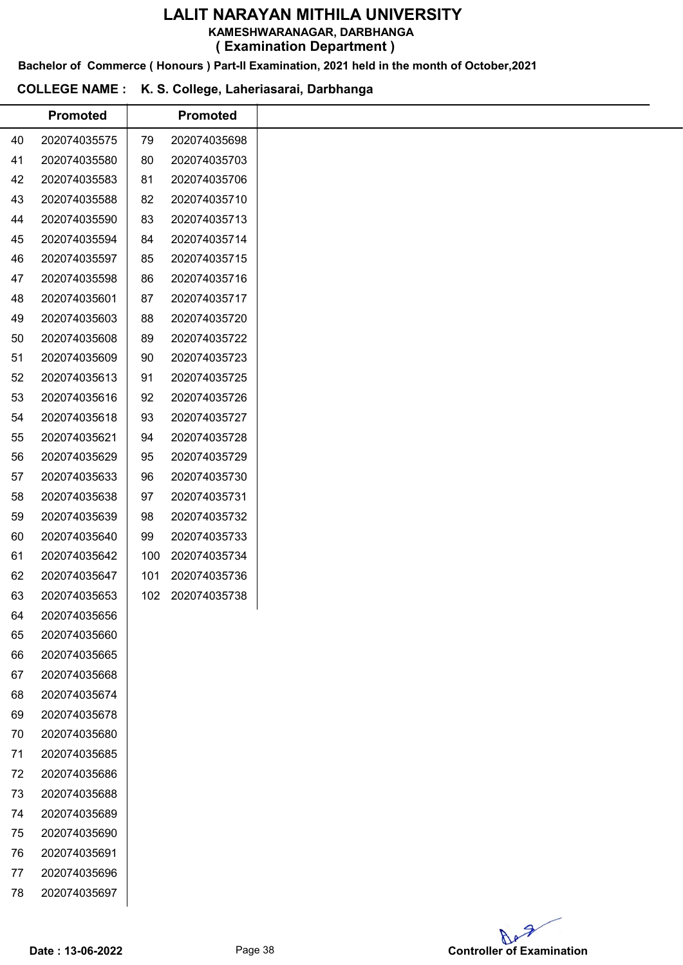KAMESHWARANAGAR, DARBHANGA

( Examination Department )

Bachelor of Commerce ( Honours ) Part-II Examination, 2021 held in the month of October,2021

# COLLEGE NAME : K. S. College, Laheriasarai, Darbhanga

|    | <b>Promoted</b> |     | <b>Promoted</b> |
|----|-----------------|-----|-----------------|
| 40 | 202074035575    | 79  | 202074035698    |
| 41 | 202074035580    | 80  | 202074035703    |
| 42 | 202074035583    | 81  | 202074035706    |
| 43 | 202074035588    | 82  | 202074035710    |
| 44 | 202074035590    | 83  | 202074035713    |
| 45 | 202074035594    | 84  | 202074035714    |
| 46 | 202074035597    | 85  | 202074035715    |
| 47 | 202074035598    | 86  | 202074035716    |
| 48 | 202074035601    | 87  | 202074035717    |
| 49 | 202074035603    | 88  | 202074035720    |
| 50 | 202074035608    | 89  | 202074035722    |
| 51 | 202074035609    | 90  | 202074035723    |
| 52 | 202074035613    | 91  | 202074035725    |
| 53 | 202074035616    | 92  | 202074035726    |
| 54 | 202074035618    | 93  | 202074035727    |
| 55 | 202074035621    | 94  | 202074035728    |
| 56 | 202074035629    | 95  | 202074035729    |
| 57 | 202074035633    | 96  | 202074035730    |
| 58 | 202074035638    | 97  | 202074035731    |
| 59 | 202074035639    | 98  | 202074035732    |
| 60 | 202074035640    | 99  | 202074035733    |
| 61 | 202074035642    | 100 | 202074035734    |
| 62 | 202074035647    | 101 | 202074035736    |
| 63 | 202074035653    | 102 | 202074035738    |
| 64 | 202074035656    |     |                 |
| 65 | 202074035660    |     |                 |
| 66 | 202074035665    |     |                 |
| 67 | 202074035668    |     |                 |
| 68 | 202074035674    |     |                 |
| 69 | 202074035678    |     |                 |
| 70 | 202074035680    |     |                 |
| 71 | 202074035685    |     |                 |
| 72 | 202074035686    |     |                 |
| 73 | 202074035688    |     |                 |
| 74 | 202074035689    |     |                 |
| 75 | 202074035690    |     |                 |
| 76 | 202074035691    |     |                 |
| 77 | 202074035696    |     |                 |
| 78 | 202074035697    |     |                 |

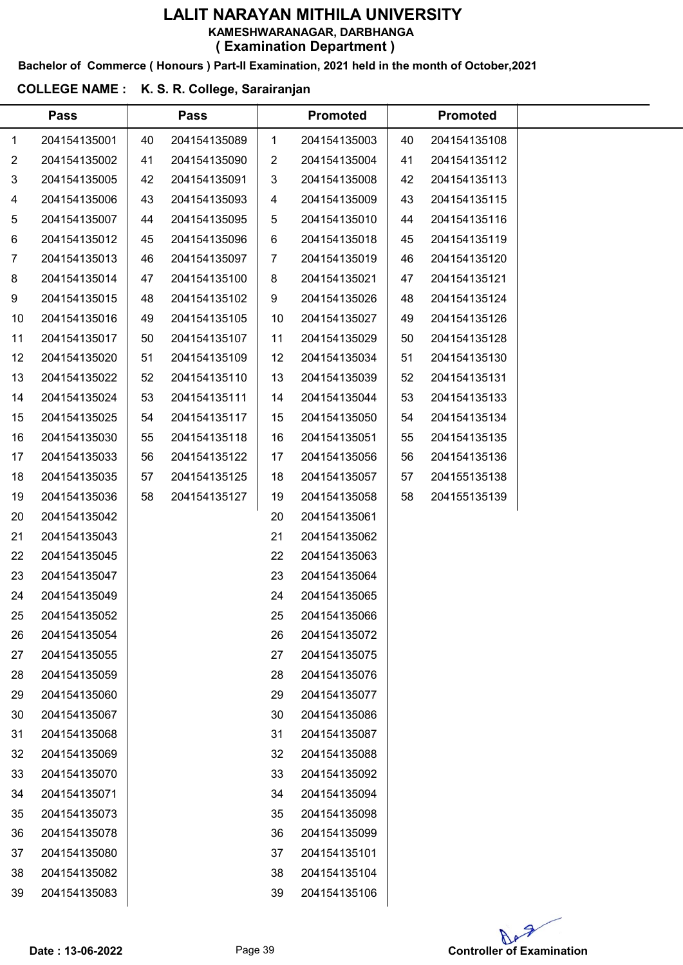Bachelor of Commerce ( Honours ) Part-II Examination, 2021 held in the month of October,2021

#### COLLEGE NAME : K. S. R. College, Sarairanjan

|                | <b>Pass</b>  |    | <b>Pass</b>  |                | <b>Promoted</b> |    | <b>Promoted</b> |  |
|----------------|--------------|----|--------------|----------------|-----------------|----|-----------------|--|
| 1              | 204154135001 | 40 | 204154135089 | $\mathbf{1}$   | 204154135003    | 40 | 204154135108    |  |
| $\overline{2}$ | 204154135002 | 41 | 204154135090 | $\overline{2}$ | 204154135004    | 41 | 204154135112    |  |
| 3              | 204154135005 | 42 | 204154135091 | 3              | 204154135008    | 42 | 204154135113    |  |
| 4              | 204154135006 | 43 | 204154135093 | 4              | 204154135009    | 43 | 204154135115    |  |
| 5              | 204154135007 | 44 | 204154135095 | 5              | 204154135010    | 44 | 204154135116    |  |
| 6              | 204154135012 | 45 | 204154135096 | 6              | 204154135018    | 45 | 204154135119    |  |
| 7              | 204154135013 | 46 | 204154135097 | $\overline{7}$ | 204154135019    | 46 | 204154135120    |  |
| 8              | 204154135014 | 47 | 204154135100 | 8              | 204154135021    | 47 | 204154135121    |  |
| 9              | 204154135015 | 48 | 204154135102 | 9              | 204154135026    | 48 | 204154135124    |  |
| 10             | 204154135016 | 49 | 204154135105 | 10             | 204154135027    | 49 | 204154135126    |  |
| 11             | 204154135017 | 50 | 204154135107 | 11             | 204154135029    | 50 | 204154135128    |  |
| 12             | 204154135020 | 51 | 204154135109 | 12             | 204154135034    | 51 | 204154135130    |  |
| 13             | 204154135022 | 52 | 204154135110 | 13             | 204154135039    | 52 | 204154135131    |  |
| 14             | 204154135024 | 53 | 204154135111 | 14             | 204154135044    | 53 | 204154135133    |  |
| 15             | 204154135025 | 54 | 204154135117 | 15             | 204154135050    | 54 | 204154135134    |  |
| 16             | 204154135030 | 55 | 204154135118 | 16             | 204154135051    | 55 | 204154135135    |  |
| 17             | 204154135033 | 56 | 204154135122 | 17             | 204154135056    | 56 | 204154135136    |  |
| 18             | 204154135035 | 57 | 204154135125 | 18             | 204154135057    | 57 | 204155135138    |  |
| 19             | 204154135036 | 58 | 204154135127 | 19             | 204154135058    | 58 | 204155135139    |  |
| 20             | 204154135042 |    |              | 20             | 204154135061    |    |                 |  |
| 21             | 204154135043 |    |              | 21             | 204154135062    |    |                 |  |
| 22             | 204154135045 |    |              | 22             | 204154135063    |    |                 |  |
| 23             | 204154135047 |    |              | 23             | 204154135064    |    |                 |  |
| 24             | 204154135049 |    |              | 24             | 204154135065    |    |                 |  |
| 25             | 204154135052 |    |              | 25             | 204154135066    |    |                 |  |
| 26             | 204154135054 |    |              | 26             | 204154135072    |    |                 |  |
| 27             | 204154135055 |    |              | 27             | 204154135075    |    |                 |  |
| 28             | 204154135059 |    |              | 28             | 204154135076    |    |                 |  |
| 29             | 204154135060 |    |              | 29             | 204154135077    |    |                 |  |
| 30             | 204154135067 |    |              | 30             | 204154135086    |    |                 |  |
| 31             | 204154135068 |    |              | 31             | 204154135087    |    |                 |  |
| 32             | 204154135069 |    |              | 32             | 204154135088    |    |                 |  |
| 33             | 204154135070 |    |              | 33             | 204154135092    |    |                 |  |
| 34             | 204154135071 |    |              | 34             | 204154135094    |    |                 |  |
| 35             | 204154135073 |    |              | 35             | 204154135098    |    |                 |  |
| 36             | 204154135078 |    |              | 36             | 204154135099    |    |                 |  |
| 37             | 204154135080 |    |              | 37             | 204154135101    |    |                 |  |
| 38             | 204154135082 |    |              | 38             | 204154135104    |    |                 |  |
| 39             | 204154135083 |    |              | 39             | 204154135106    |    |                 |  |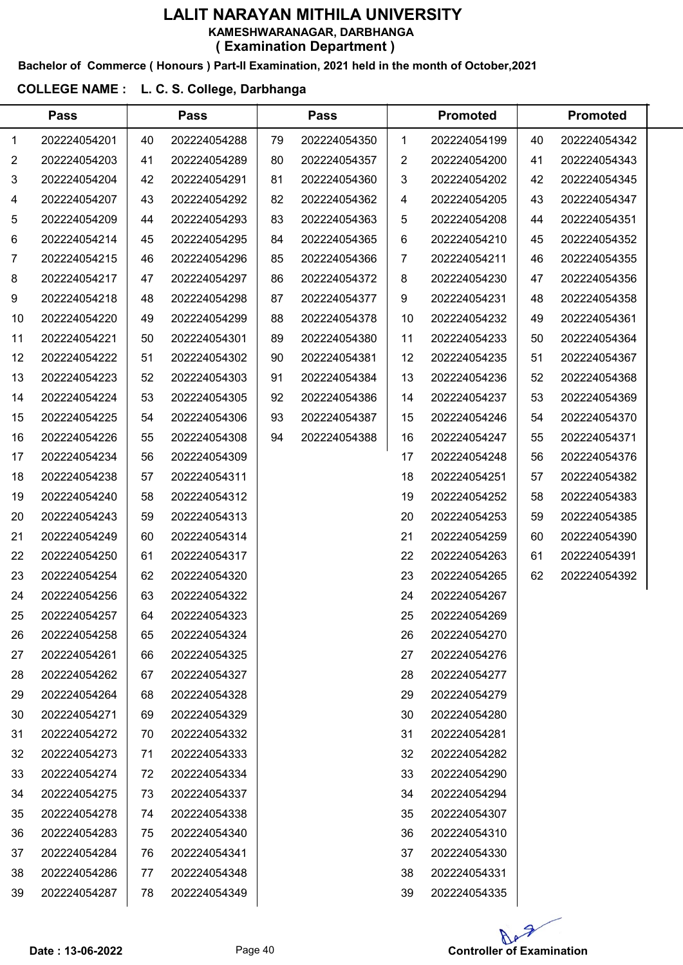#### Bachelor of Commerce ( Honours ) Part-II Examination, 2021 held in the month of October,2021

#### COLLEGE NAME : L. C. S. College, Darbhanga

|                | <b>Pass</b>  |    | <b>Pass</b>  |    | <b>Pass</b>  |    | <b>Promoted</b> |    | <b>Promoted</b> |  |
|----------------|--------------|----|--------------|----|--------------|----|-----------------|----|-----------------|--|
| 1              | 202224054201 | 40 | 202224054288 | 79 | 202224054350 | 1  | 202224054199    | 40 | 202224054342    |  |
| $\overline{2}$ | 202224054203 | 41 | 202224054289 | 80 | 202224054357 | 2  | 202224054200    | 41 | 202224054343    |  |
| 3              | 202224054204 | 42 | 202224054291 | 81 | 202224054360 | 3  | 202224054202    | 42 | 202224054345    |  |
| 4              | 202224054207 | 43 | 202224054292 | 82 | 202224054362 | 4  | 202224054205    | 43 | 202224054347    |  |
| 5              | 202224054209 | 44 | 202224054293 | 83 | 202224054363 | 5  | 202224054208    | 44 | 202224054351    |  |
| 6              | 202224054214 | 45 | 202224054295 | 84 | 202224054365 | 6  | 202224054210    | 45 | 202224054352    |  |
| 7              | 202224054215 | 46 | 202224054296 | 85 | 202224054366 | 7  | 202224054211    | 46 | 202224054355    |  |
| 8              | 202224054217 | 47 | 202224054297 | 86 | 202224054372 | 8  | 202224054230    | 47 | 202224054356    |  |
| 9              | 202224054218 | 48 | 202224054298 | 87 | 202224054377 | 9  | 202224054231    | 48 | 202224054358    |  |
| 10             | 202224054220 | 49 | 202224054299 | 88 | 202224054378 | 10 | 202224054232    | 49 | 202224054361    |  |
| 11             | 202224054221 | 50 | 202224054301 | 89 | 202224054380 | 11 | 202224054233    | 50 | 202224054364    |  |
| 12             | 202224054222 | 51 | 202224054302 | 90 | 202224054381 | 12 | 202224054235    | 51 | 202224054367    |  |
| 13             | 202224054223 | 52 | 202224054303 | 91 | 202224054384 | 13 | 202224054236    | 52 | 202224054368    |  |
| 14             | 202224054224 | 53 | 202224054305 | 92 | 202224054386 | 14 | 202224054237    | 53 | 202224054369    |  |
| 15             | 202224054225 | 54 | 202224054306 | 93 | 202224054387 | 15 | 202224054246    | 54 | 202224054370    |  |
| 16             | 202224054226 | 55 | 202224054308 | 94 | 202224054388 | 16 | 202224054247    | 55 | 202224054371    |  |
| 17             | 202224054234 | 56 | 202224054309 |    |              | 17 | 202224054248    | 56 | 202224054376    |  |
| 18             | 202224054238 | 57 | 202224054311 |    |              | 18 | 202224054251    | 57 | 202224054382    |  |
| 19             | 202224054240 | 58 | 202224054312 |    |              | 19 | 202224054252    | 58 | 202224054383    |  |
| 20             | 202224054243 | 59 | 202224054313 |    |              | 20 | 202224054253    | 59 | 202224054385    |  |
| 21             | 202224054249 | 60 | 202224054314 |    |              | 21 | 202224054259    | 60 | 202224054390    |  |
| 22             | 202224054250 | 61 | 202224054317 |    |              | 22 | 202224054263    | 61 | 202224054391    |  |
| 23             | 202224054254 | 62 | 202224054320 |    |              | 23 | 202224054265    | 62 | 202224054392    |  |
| 24             | 202224054256 | 63 | 202224054322 |    |              | 24 | 202224054267    |    |                 |  |
| 25             | 202224054257 | 64 | 202224054323 |    |              | 25 | 202224054269    |    |                 |  |
| 26             | 202224054258 | 65 | 202224054324 |    |              | 26 | 202224054270    |    |                 |  |
| 27             | 202224054261 | 66 | 202224054325 |    |              | 27 | 202224054276    |    |                 |  |
| 28             | 202224054262 | 67 | 202224054327 |    |              | 28 | 202224054277    |    |                 |  |
| 29             | 202224054264 | 68 | 202224054328 |    |              | 29 | 202224054279    |    |                 |  |
| 30             | 202224054271 | 69 | 202224054329 |    |              | 30 | 202224054280    |    |                 |  |
| 31             | 202224054272 | 70 | 202224054332 |    |              | 31 | 202224054281    |    |                 |  |
| 32             | 202224054273 | 71 | 202224054333 |    |              | 32 | 202224054282    |    |                 |  |
| 33             | 202224054274 | 72 | 202224054334 |    |              | 33 | 202224054290    |    |                 |  |
| 34             | 202224054275 | 73 | 202224054337 |    |              | 34 | 202224054294    |    |                 |  |
| 35             | 202224054278 | 74 | 202224054338 |    |              | 35 | 202224054307    |    |                 |  |
| 36             | 202224054283 | 75 | 202224054340 |    |              | 36 | 202224054310    |    |                 |  |
| 37             | 202224054284 | 76 | 202224054341 |    |              | 37 | 202224054330    |    |                 |  |
| 38             | 202224054286 | 77 | 202224054348 |    |              | 38 | 202224054331    |    |                 |  |
| 39             | 202224054287 | 78 | 202224054349 |    |              | 39 | 202224054335    |    |                 |  |
|                |              |    |              |    |              |    |                 |    |                 |  |

Ap

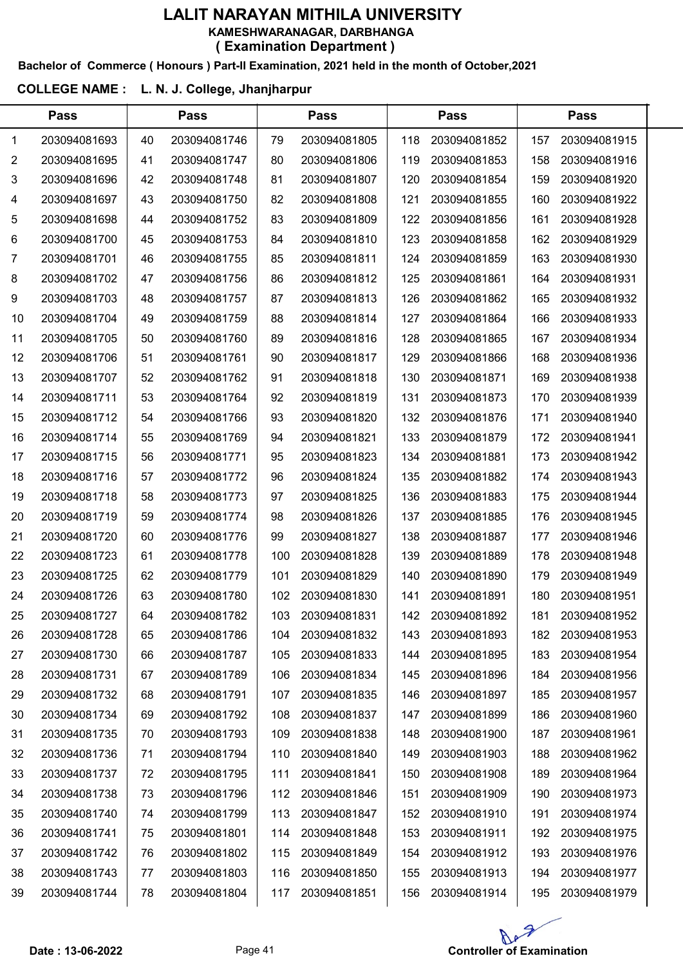#### Bachelor of Commerce ( Honours ) Part-II Examination, 2021 held in the month of October,2021

# COLLEGE NAME : L. N. J. College, Jhanjharpur

|                | <b>Pass</b>  |    | <b>Pass</b>  |     | <b>Pass</b>  |     | <b>Pass</b>  |     | <b>Pass</b>  |  |
|----------------|--------------|----|--------------|-----|--------------|-----|--------------|-----|--------------|--|
| 1              | 203094081693 | 40 | 203094081746 | 79  | 203094081805 | 118 | 203094081852 | 157 | 203094081915 |  |
| $\overline{2}$ | 203094081695 | 41 | 203094081747 | 80  | 203094081806 | 119 | 203094081853 | 158 | 203094081916 |  |
| 3              | 203094081696 | 42 | 203094081748 | 81  | 203094081807 | 120 | 203094081854 | 159 | 203094081920 |  |
| 4              | 203094081697 | 43 | 203094081750 | 82  | 203094081808 | 121 | 203094081855 | 160 | 203094081922 |  |
| 5              | 203094081698 | 44 | 203094081752 | 83  | 203094081809 | 122 | 203094081856 | 161 | 203094081928 |  |
| 6              | 203094081700 | 45 | 203094081753 | 84  | 203094081810 | 123 | 203094081858 | 162 | 203094081929 |  |
| 7              | 203094081701 | 46 | 203094081755 | 85  | 203094081811 | 124 | 203094081859 | 163 | 203094081930 |  |
| 8              | 203094081702 | 47 | 203094081756 | 86  | 203094081812 | 125 | 203094081861 | 164 | 203094081931 |  |
| 9              | 203094081703 | 48 | 203094081757 | 87  | 203094081813 | 126 | 203094081862 | 165 | 203094081932 |  |
| 10             | 203094081704 | 49 | 203094081759 | 88  | 203094081814 | 127 | 203094081864 | 166 | 203094081933 |  |
| 11             | 203094081705 | 50 | 203094081760 | 89  | 203094081816 | 128 | 203094081865 | 167 | 203094081934 |  |
| 12             | 203094081706 | 51 | 203094081761 | 90  | 203094081817 | 129 | 203094081866 | 168 | 203094081936 |  |
| 13             | 203094081707 | 52 | 203094081762 | 91  | 203094081818 | 130 | 203094081871 | 169 | 203094081938 |  |
| 14             | 203094081711 | 53 | 203094081764 | 92  | 203094081819 | 131 | 203094081873 | 170 | 203094081939 |  |
| 15             | 203094081712 | 54 | 203094081766 | 93  | 203094081820 | 132 | 203094081876 | 171 | 203094081940 |  |
| 16             | 203094081714 | 55 | 203094081769 | 94  | 203094081821 | 133 | 203094081879 | 172 | 203094081941 |  |
| 17             | 203094081715 | 56 | 203094081771 | 95  | 203094081823 | 134 | 203094081881 | 173 | 203094081942 |  |
| 18             | 203094081716 | 57 | 203094081772 | 96  | 203094081824 | 135 | 203094081882 | 174 | 203094081943 |  |
| 19             | 203094081718 | 58 | 203094081773 | 97  | 203094081825 | 136 | 203094081883 | 175 | 203094081944 |  |
| 20             | 203094081719 | 59 | 203094081774 | 98  | 203094081826 | 137 | 203094081885 | 176 | 203094081945 |  |
| 21             | 203094081720 | 60 | 203094081776 | 99  | 203094081827 | 138 | 203094081887 | 177 | 203094081946 |  |
| 22             | 203094081723 | 61 | 203094081778 | 100 | 203094081828 | 139 | 203094081889 | 178 | 203094081948 |  |
| 23             | 203094081725 | 62 | 203094081779 | 101 | 203094081829 | 140 | 203094081890 | 179 | 203094081949 |  |
| 24             | 203094081726 | 63 | 203094081780 | 102 | 203094081830 | 141 | 203094081891 | 180 | 203094081951 |  |
| 25             | 203094081727 | 64 | 203094081782 | 103 | 203094081831 | 142 | 203094081892 | 181 | 203094081952 |  |
| 26             | 203094081728 | 65 | 203094081786 | 104 | 203094081832 | 143 | 203094081893 | 182 | 203094081953 |  |
| 27             | 203094081730 | 66 | 203094081787 | 105 | 203094081833 | 144 | 203094081895 | 183 | 203094081954 |  |
| 28             | 203094081731 | 67 | 203094081789 | 106 | 203094081834 | 145 | 203094081896 | 184 | 203094081956 |  |
| 29             | 203094081732 | 68 | 203094081791 | 107 | 203094081835 | 146 | 203094081897 | 185 | 203094081957 |  |
| 30             | 203094081734 | 69 | 203094081792 | 108 | 203094081837 | 147 | 203094081899 | 186 | 203094081960 |  |
| 31             | 203094081735 | 70 | 203094081793 | 109 | 203094081838 | 148 | 203094081900 | 187 | 203094081961 |  |
| 32             | 203094081736 | 71 | 203094081794 | 110 | 203094081840 | 149 | 203094081903 | 188 | 203094081962 |  |
| 33             | 203094081737 | 72 | 203094081795 | 111 | 203094081841 | 150 | 203094081908 | 189 | 203094081964 |  |
| 34             | 203094081738 | 73 | 203094081796 | 112 | 203094081846 | 151 | 203094081909 | 190 | 203094081973 |  |
| 35             | 203094081740 | 74 | 203094081799 | 113 | 203094081847 | 152 | 203094081910 | 191 | 203094081974 |  |
| 36             | 203094081741 | 75 | 203094081801 | 114 | 203094081848 | 153 | 203094081911 | 192 | 203094081975 |  |
| 37             | 203094081742 | 76 | 203094081802 | 115 | 203094081849 | 154 | 203094081912 | 193 | 203094081976 |  |
| 38             | 203094081743 | 77 | 203094081803 | 116 | 203094081850 | 155 | 203094081913 | 194 | 203094081977 |  |
| 39             | 203094081744 | 78 | 203094081804 | 117 | 203094081851 | 156 | 203094081914 | 195 | 203094081979 |  |

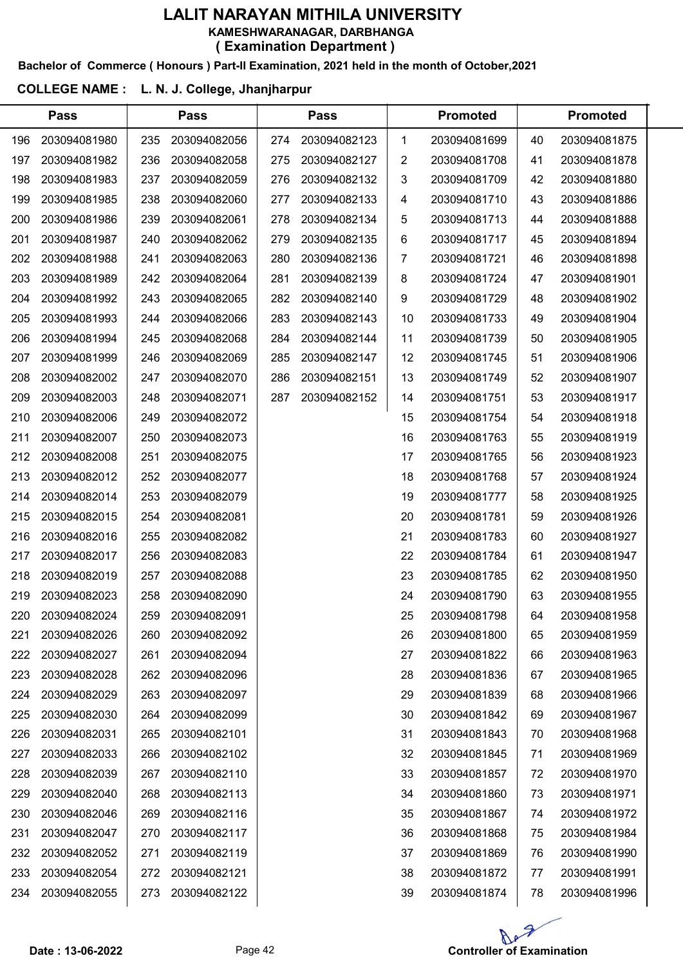#### Bachelor of Commerce ( Honours ) Part-II Examination, 2021 held in the month of October,2021

# COLLEGE NAME : L. N. J. College, Jhanjharpur

|     | <b>Pass</b>  |     | <b>Pass</b>  |     | <b>Pass</b>  |    | <b>Promoted</b> |    | <b>Promoted</b> |  |
|-----|--------------|-----|--------------|-----|--------------|----|-----------------|----|-----------------|--|
| 196 | 203094081980 | 235 | 203094082056 | 274 | 203094082123 | 1  | 203094081699    | 40 | 203094081875    |  |
| 197 | 203094081982 | 236 | 203094082058 | 275 | 203094082127 | 2  | 203094081708    | 41 | 203094081878    |  |
| 198 | 203094081983 | 237 | 203094082059 | 276 | 203094082132 | 3  | 203094081709    | 42 | 203094081880    |  |
| 199 | 203094081985 | 238 | 203094082060 | 277 | 203094082133 | 4  | 203094081710    | 43 | 203094081886    |  |
| 200 | 203094081986 | 239 | 203094082061 | 278 | 203094082134 | 5  | 203094081713    | 44 | 203094081888    |  |
| 201 | 203094081987 | 240 | 203094082062 | 279 | 203094082135 | 6  | 203094081717    | 45 | 203094081894    |  |
| 202 | 203094081988 | 241 | 203094082063 | 280 | 203094082136 | 7  | 203094081721    | 46 | 203094081898    |  |
| 203 | 203094081989 | 242 | 203094082064 | 281 | 203094082139 | 8  | 203094081724    | 47 | 203094081901    |  |
| 204 | 203094081992 | 243 | 203094082065 | 282 | 203094082140 | 9  | 203094081729    | 48 | 203094081902    |  |
| 205 | 203094081993 | 244 | 203094082066 | 283 | 203094082143 | 10 | 203094081733    | 49 | 203094081904    |  |
| 206 | 203094081994 | 245 | 203094082068 | 284 | 203094082144 | 11 | 203094081739    | 50 | 203094081905    |  |
| 207 | 203094081999 | 246 | 203094082069 | 285 | 203094082147 | 12 | 203094081745    | 51 | 203094081906    |  |
| 208 | 203094082002 | 247 | 203094082070 | 286 | 203094082151 | 13 | 203094081749    | 52 | 203094081907    |  |
| 209 | 203094082003 | 248 | 203094082071 | 287 | 203094082152 | 14 | 203094081751    | 53 | 203094081917    |  |
| 210 | 203094082006 | 249 | 203094082072 |     |              | 15 | 203094081754    | 54 | 203094081918    |  |
| 211 | 203094082007 | 250 | 203094082073 |     |              | 16 | 203094081763    | 55 | 203094081919    |  |
| 212 | 203094082008 | 251 | 203094082075 |     |              | 17 | 203094081765    | 56 | 203094081923    |  |
| 213 | 203094082012 | 252 | 203094082077 |     |              | 18 | 203094081768    | 57 | 203094081924    |  |
| 214 | 203094082014 | 253 | 203094082079 |     |              | 19 | 203094081777    | 58 | 203094081925    |  |
| 215 | 203094082015 | 254 | 203094082081 |     |              | 20 | 203094081781    | 59 | 203094081926    |  |
| 216 | 203094082016 | 255 | 203094082082 |     |              | 21 | 203094081783    | 60 | 203094081927    |  |
| 217 | 203094082017 | 256 | 203094082083 |     |              | 22 | 203094081784    | 61 | 203094081947    |  |
| 218 | 203094082019 | 257 | 203094082088 |     |              | 23 | 203094081785    | 62 | 203094081950    |  |
| 219 | 203094082023 | 258 | 203094082090 |     |              | 24 | 203094081790    | 63 | 203094081955    |  |
| 220 | 203094082024 | 259 | 203094082091 |     |              | 25 | 203094081798    | 64 | 203094081958    |  |
| 221 | 203094082026 | 260 | 203094082092 |     |              | 26 | 203094081800    | 65 | 203094081959    |  |
| 222 | 203094082027 | 261 | 203094082094 |     |              | 27 | 203094081822    | 66 | 203094081963    |  |
| 223 | 203094082028 | 262 | 203094082096 |     |              | 28 | 203094081836    | 67 | 203094081965    |  |
| 224 | 203094082029 | 263 | 203094082097 |     |              | 29 | 203094081839    | 68 | 203094081966    |  |
| 225 | 203094082030 | 264 | 203094082099 |     |              | 30 | 203094081842    | 69 | 203094081967    |  |
| 226 | 203094082031 | 265 | 203094082101 |     |              | 31 | 203094081843    | 70 | 203094081968    |  |
| 227 | 203094082033 | 266 | 203094082102 |     |              | 32 | 203094081845    | 71 | 203094081969    |  |
| 228 | 203094082039 | 267 | 203094082110 |     |              | 33 | 203094081857    | 72 | 203094081970    |  |
| 229 | 203094082040 | 268 | 203094082113 |     |              | 34 | 203094081860    | 73 | 203094081971    |  |
| 230 | 203094082046 | 269 | 203094082116 |     |              | 35 | 203094081867    | 74 | 203094081972    |  |
| 231 | 203094082047 | 270 | 203094082117 |     |              | 36 | 203094081868    | 75 | 203094081984    |  |
| 232 | 203094082052 | 271 | 203094082119 |     |              | 37 | 203094081869    | 76 | 203094081990    |  |
| 233 | 203094082054 | 272 | 203094082121 |     |              | 38 | 203094081872    | 77 | 203094081991    |  |
| 234 | 203094082055 | 273 | 203094082122 |     |              | 39 | 203094081874    | 78 | 203094081996    |  |
|     |              |     |              |     |              |    |                 |    |                 |  |

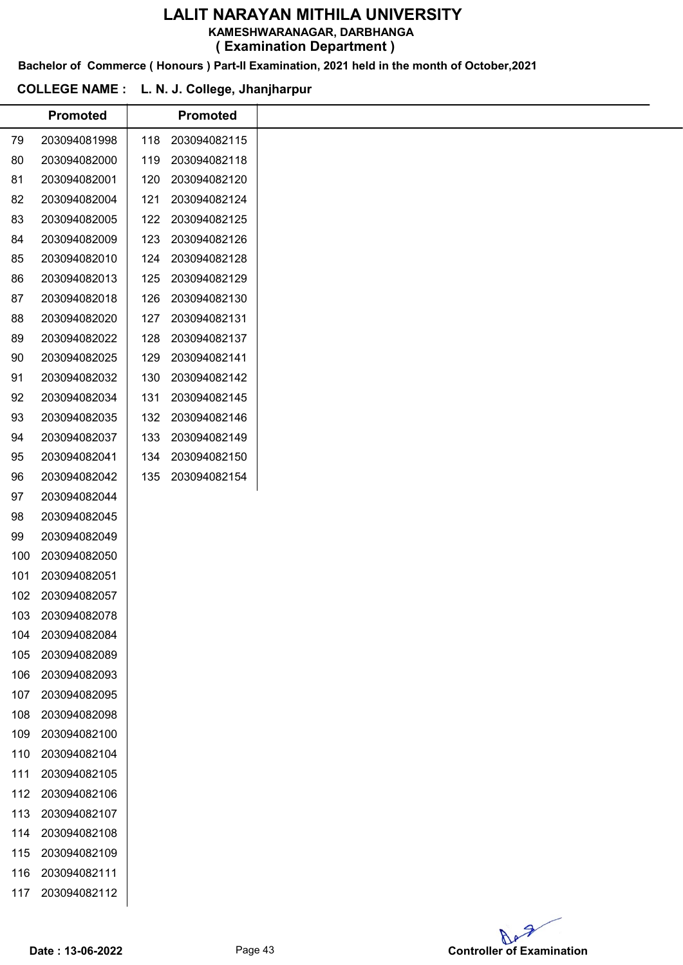KAMESHWARANAGAR, DARBHANGA

( Examination Department )

Bachelor of Commerce ( Honours ) Part-II Examination, 2021 held in the month of October,2021

## COLLEGE NAME : L. N. J. College, Jhanjharpur

|     | <b>Promoted</b> |     | <b>Promoted</b> |
|-----|-----------------|-----|-----------------|
|     |                 |     |                 |
| 79  | 203094081998    | 118 | 203094082115    |
| 80  | 203094082000    | 119 | 203094082118    |
| 81  | 203094082001    | 120 | 203094082120    |
| 82  | 203094082004    | 121 | 203094082124    |
| 83  | 203094082005    | 122 | 203094082125    |
| 84  | 203094082009    | 123 | 203094082126    |
| 85  | 203094082010    | 124 | 203094082128    |
| 86  | 203094082013    | 125 | 203094082129    |
| 87  | 203094082018    | 126 | 203094082130    |
| 88  | 203094082020    | 127 | 203094082131    |
| 89  | 203094082022    | 128 | 203094082137    |
| 90  | 203094082025    | 129 | 203094082141    |
| 91  | 203094082032    | 130 | 203094082142    |
| 92  | 203094082034    | 131 | 203094082145    |
| 93  | 203094082035    | 132 | 203094082146    |
| 94  | 203094082037    | 133 | 203094082149    |
| 95  | 203094082041    | 134 | 203094082150    |
| 96  | 203094082042    | 135 | 203094082154    |
| 97  | 203094082044    |     |                 |
| 98  | 203094082045    |     |                 |
| 99  | 203094082049    |     |                 |
| 100 | 203094082050    |     |                 |
| 101 | 203094082051    |     |                 |
| 102 | 203094082057    |     |                 |
| 103 | 203094082078    |     |                 |
| 104 | 203094082084    |     |                 |
| 105 | 203094082089    |     |                 |
| 106 | 203094082093    |     |                 |
| 107 | 203094082095    |     |                 |
| 108 | 203094082098    |     |                 |
| 109 | 203094082100    |     |                 |
| 110 | 203094082104    |     |                 |
| 111 | 203094082105    |     |                 |
| 112 | 203094082106    |     |                 |
| 113 | 203094082107    |     |                 |
| 114 | 203094082108    |     |                 |
| 115 | 203094082109    |     |                 |
| 116 | 203094082111    |     |                 |
| 117 | 203094082112    |     |                 |
|     |                 |     |                 |

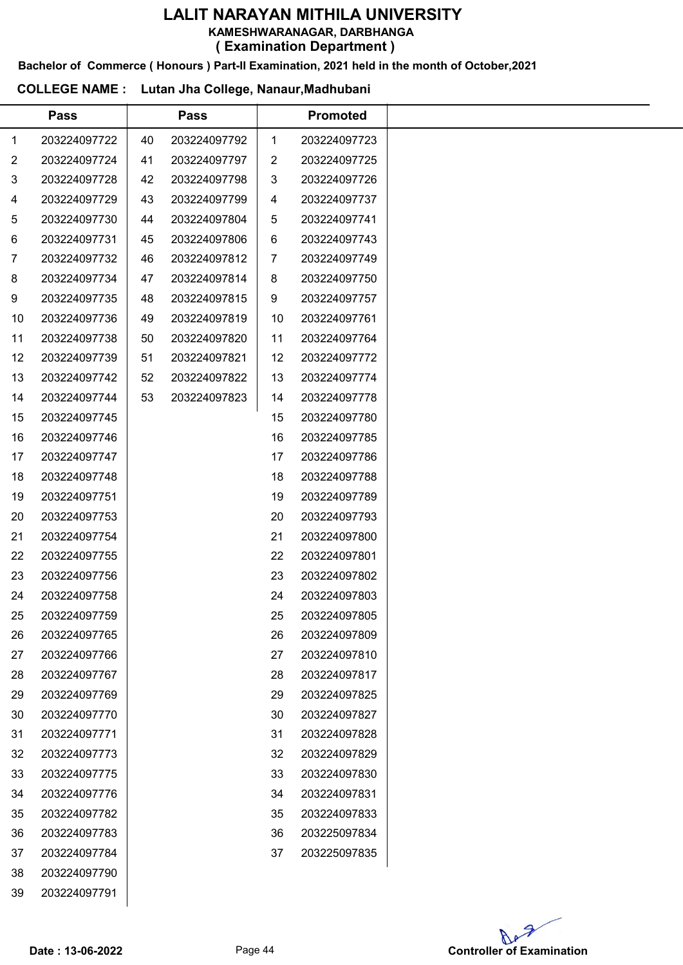KAMESHWARANAGAR, DARBHANGA

( Examination Department )

Bachelor of Commerce ( Honours ) Part-II Examination, 2021 held in the month of October,2021

#### COLLEGE NAME : Lutan Jha College, Nanaur,Madhubani

|             | <b>Pass</b>  |    | <b>Pass</b>  |    | <b>Promoted</b> |  |
|-------------|--------------|----|--------------|----|-----------------|--|
| $\mathbf 1$ | 203224097722 | 40 | 203224097792 | 1  | 203224097723    |  |
| 2           | 203224097724 | 41 | 203224097797 | 2  | 203224097725    |  |
| 3           | 203224097728 | 42 | 203224097798 | 3  | 203224097726    |  |
| 4           | 203224097729 | 43 | 203224097799 | 4  | 203224097737    |  |
| 5           | 203224097730 | 44 | 203224097804 | 5  | 203224097741    |  |
| 6           | 203224097731 | 45 | 203224097806 | 6  | 203224097743    |  |
| 7           | 203224097732 | 46 | 203224097812 | 7  | 203224097749    |  |
| 8           | 203224097734 | 47 | 203224097814 | 8  | 203224097750    |  |
| 9           | 203224097735 | 48 | 203224097815 | 9  | 203224097757    |  |
| 10          | 203224097736 | 49 | 203224097819 | 10 | 203224097761    |  |
| 11          | 203224097738 | 50 | 203224097820 | 11 | 203224097764    |  |
| 12          | 203224097739 | 51 | 203224097821 | 12 | 203224097772    |  |
| 13          | 203224097742 | 52 | 203224097822 | 13 | 203224097774    |  |
| 14          | 203224097744 | 53 | 203224097823 | 14 | 203224097778    |  |
| 15          | 203224097745 |    |              | 15 | 203224097780    |  |
| 16          | 203224097746 |    |              | 16 | 203224097785    |  |
| 17          | 203224097747 |    |              | 17 | 203224097786    |  |
| 18          | 203224097748 |    |              | 18 | 203224097788    |  |
| 19          | 203224097751 |    |              | 19 | 203224097789    |  |
| 20          | 203224097753 |    |              | 20 | 203224097793    |  |
| 21          | 203224097754 |    |              | 21 | 203224097800    |  |
| 22          | 203224097755 |    |              | 22 | 203224097801    |  |
| 23          | 203224097756 |    |              | 23 | 203224097802    |  |
| 24          | 203224097758 |    |              | 24 | 203224097803    |  |
| 25          | 203224097759 |    |              | 25 | 203224097805    |  |
| 26          | 203224097765 |    |              | 26 | 203224097809    |  |
| 27          | 203224097766 |    |              | 27 | 203224097810    |  |
| 28          | 203224097767 |    |              | 28 | 203224097817    |  |
| 29          | 203224097769 |    |              | 29 | 203224097825    |  |
| 30          | 203224097770 |    |              | 30 | 203224097827    |  |
| 31          | 203224097771 |    |              | 31 | 203224097828    |  |
| 32          | 203224097773 |    |              | 32 | 203224097829    |  |
| 33          | 203224097775 |    |              | 33 | 203224097830    |  |
| 34          | 203224097776 |    |              | 34 | 203224097831    |  |
| 35          | 203224097782 |    |              | 35 | 203224097833    |  |
| 36          | 203224097783 |    |              | 36 | 203225097834    |  |
| 37          | 203224097784 |    |              | 37 | 203225097835    |  |
| 38          | 203224097790 |    |              |    |                 |  |
| 39          | 203224097791 |    |              |    |                 |  |
|             |              |    |              |    |                 |  |

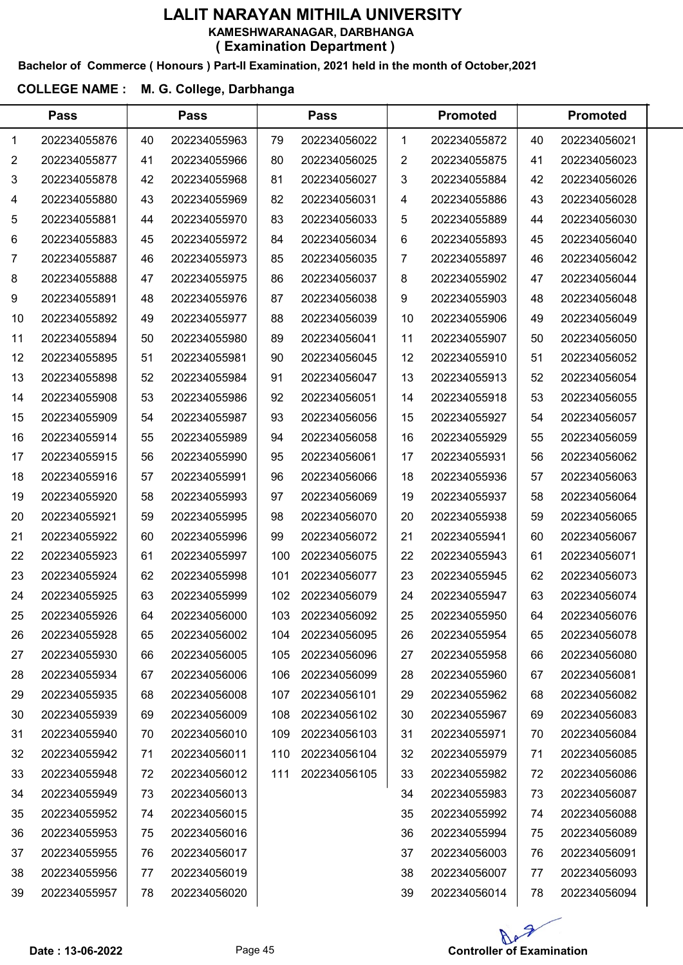#### Bachelor of Commerce ( Honours ) Part-II Examination, 2021 held in the month of October,2021

|                | <b>Pass</b>  |    | <b>Pass</b>  |     | <b>Pass</b>  |                | <b>Promoted</b> |    | <b>Promoted</b> |  |
|----------------|--------------|----|--------------|-----|--------------|----------------|-----------------|----|-----------------|--|
| 1              | 202234055876 | 40 | 202234055963 | 79  | 202234056022 | 1              | 202234055872    | 40 | 202234056021    |  |
| $\overline{2}$ | 202234055877 | 41 | 202234055966 | 80  | 202234056025 | $\overline{2}$ | 202234055875    | 41 | 202234056023    |  |
| 3              | 202234055878 | 42 | 202234055968 | 81  | 202234056027 | 3              | 202234055884    | 42 | 202234056026    |  |
| 4              | 202234055880 | 43 | 202234055969 | 82  | 202234056031 | 4              | 202234055886    | 43 | 202234056028    |  |
| 5              | 202234055881 | 44 | 202234055970 | 83  | 202234056033 | 5              | 202234055889    | 44 | 202234056030    |  |
| 6              | 202234055883 | 45 | 202234055972 | 84  | 202234056034 | 6              | 202234055893    | 45 | 202234056040    |  |
| 7              | 202234055887 | 46 | 202234055973 | 85  | 202234056035 | 7              | 202234055897    | 46 | 202234056042    |  |
| 8              | 202234055888 | 47 | 202234055975 | 86  | 202234056037 | 8              | 202234055902    | 47 | 202234056044    |  |
| 9              | 202234055891 | 48 | 202234055976 | 87  | 202234056038 | 9              | 202234055903    | 48 | 202234056048    |  |
| 10             | 202234055892 | 49 | 202234055977 | 88  | 202234056039 | 10             | 202234055906    | 49 | 202234056049    |  |
| 11             | 202234055894 | 50 | 202234055980 | 89  | 202234056041 | 11             | 202234055907    | 50 | 202234056050    |  |
| 12             | 202234055895 | 51 | 202234055981 | 90  | 202234056045 | 12             | 202234055910    | 51 | 202234056052    |  |
| 13             | 202234055898 | 52 | 202234055984 | 91  | 202234056047 | 13             | 202234055913    | 52 | 202234056054    |  |
| 14             | 202234055908 | 53 | 202234055986 | 92  | 202234056051 | 14             | 202234055918    | 53 | 202234056055    |  |
| 15             | 202234055909 | 54 | 202234055987 | 93  | 202234056056 | 15             | 202234055927    | 54 | 202234056057    |  |
| 16             | 202234055914 | 55 | 202234055989 | 94  | 202234056058 | 16             | 202234055929    | 55 | 202234056059    |  |
| 17             | 202234055915 | 56 | 202234055990 | 95  | 202234056061 | 17             | 202234055931    | 56 | 202234056062    |  |
| 18             | 202234055916 | 57 | 202234055991 | 96  | 202234056066 | 18             | 202234055936    | 57 | 202234056063    |  |
| 19             | 202234055920 | 58 | 202234055993 | 97  | 202234056069 | 19             | 202234055937    | 58 | 202234056064    |  |
| 20             | 202234055921 | 59 | 202234055995 | 98  | 202234056070 | 20             | 202234055938    | 59 | 202234056065    |  |
| 21             | 202234055922 | 60 | 202234055996 | 99  | 202234056072 | 21             | 202234055941    | 60 | 202234056067    |  |
| 22             | 202234055923 | 61 | 202234055997 | 100 | 202234056075 | 22             | 202234055943    | 61 | 202234056071    |  |
| 23             | 202234055924 | 62 | 202234055998 | 101 | 202234056077 | 23             | 202234055945    | 62 | 202234056073    |  |
| 24             | 202234055925 | 63 | 202234055999 | 102 | 202234056079 | 24             | 202234055947    | 63 | 202234056074    |  |
| 25             | 202234055926 | 64 | 202234056000 | 103 | 202234056092 | 25             | 202234055950    | 64 | 202234056076    |  |
| 26             | 202234055928 | 65 | 202234056002 | 104 | 202234056095 | 26             | 202234055954    | 65 | 202234056078    |  |
| 27             | 202234055930 | 66 | 202234056005 | 105 | 202234056096 | 27             | 202234055958    | 66 | 202234056080    |  |
| 28             | 202234055934 | 67 | 202234056006 | 106 | 202234056099 | 28             | 202234055960    | 67 | 202234056081    |  |
| 29             | 202234055935 | 68 | 202234056008 | 107 | 202234056101 | 29             | 202234055962    | 68 | 202234056082    |  |
| 30             | 202234055939 | 69 | 202234056009 | 108 | 202234056102 | 30             | 202234055967    | 69 | 202234056083    |  |
| 31             | 202234055940 | 70 | 202234056010 | 109 | 202234056103 | 31             | 202234055971    | 70 | 202234056084    |  |
| 32             | 202234055942 | 71 | 202234056011 | 110 | 202234056104 | 32             | 202234055979    | 71 | 202234056085    |  |
| 33             | 202234055948 | 72 | 202234056012 | 111 | 202234056105 | 33             | 202234055982    | 72 | 202234056086    |  |
| 34             | 202234055949 | 73 | 202234056013 |     |              | 34             | 202234055983    | 73 | 202234056087    |  |
| 35             | 202234055952 | 74 | 202234056015 |     |              | 35             | 202234055992    | 74 | 202234056088    |  |
| 36             | 202234055953 | 75 | 202234056016 |     |              | 36             | 202234055994    | 75 | 202234056089    |  |
| 37             | 202234055955 | 76 | 202234056017 |     |              | 37             | 202234056003    | 76 | 202234056091    |  |
| 38             | 202234055956 | 77 | 202234056019 |     |              | 38             | 202234056007    | 77 | 202234056093    |  |
| 39             | 202234055957 | 78 | 202234056020 |     |              | 39             | 202234056014    | 78 | 202234056094    |  |

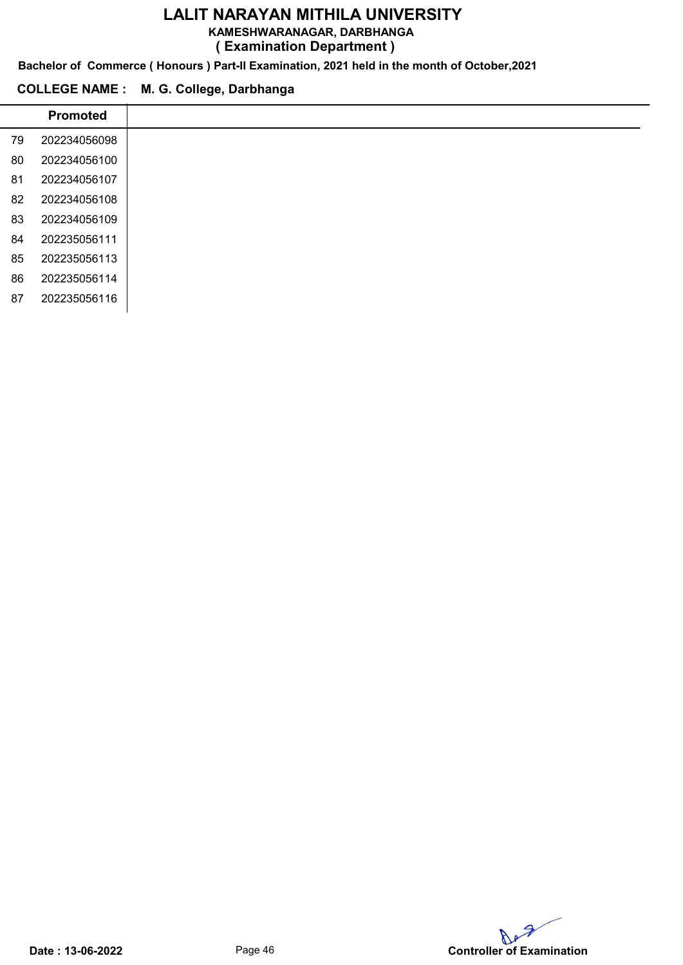KAMESHWARANAGAR, DARBHANGA

( Examination Department )

Bachelor of Commerce ( Honours ) Part-II Examination, 2021 held in the month of October,2021

# COLLEGE NAME : M. G. College, Darbhanga

 $\overline{a}$ 

| <b>Promoted</b> |
|-----------------|
| 202234056098    |
| 202234056100    |
| 202234056107    |
| 202234056108    |
| 202234056109    |
| 202235056111    |
| 202235056113    |
| 202235056114    |
| 202235056116    |
|                 |

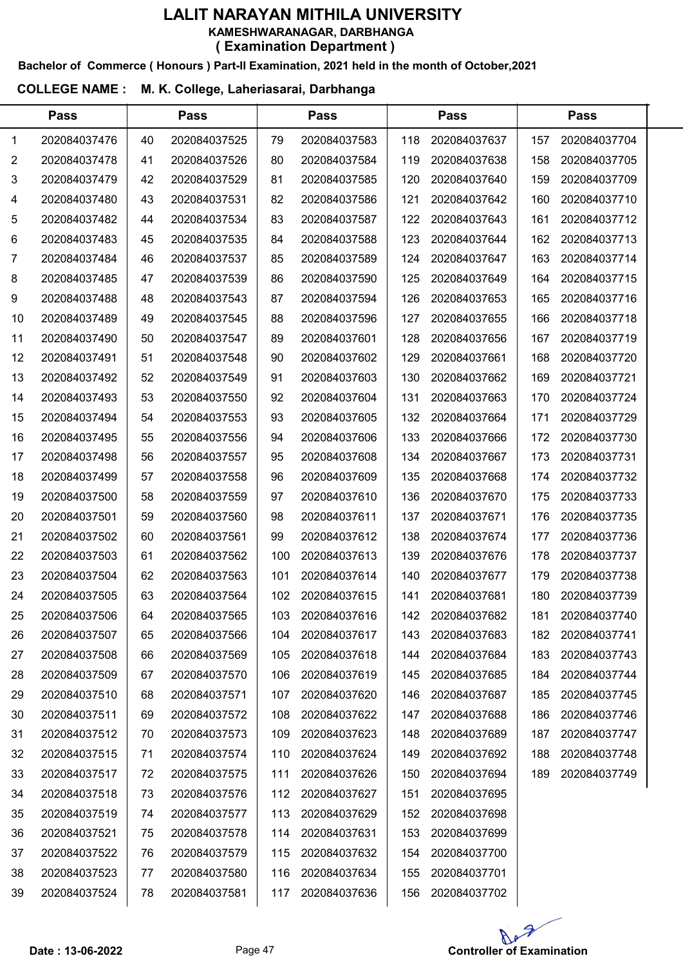# Bachelor of Commerce ( Honours ) Part-II Examination, 2021 held in the month of October,2021

## COLLEGE NAME : M. K. College, Laheriasarai, Darbhanga

 $\overline{a}$ 

|    | <b>Pass</b>  |    | <b>Pass</b>  |     | <b>Pass</b>  |      | <b>Pass</b>  |     | <b>Pass</b>  |  |
|----|--------------|----|--------------|-----|--------------|------|--------------|-----|--------------|--|
| 1. | 202084037476 | 40 | 202084037525 | 79  | 202084037583 | 118  | 202084037637 | 157 | 202084037704 |  |
| 2  | 202084037478 | 41 | 202084037526 | 80  | 202084037584 | 119  | 202084037638 | 158 | 202084037705 |  |
| 3  | 202084037479 | 42 | 202084037529 | 81  | 202084037585 | 120  | 202084037640 | 159 | 202084037709 |  |
| 4  | 202084037480 | 43 | 202084037531 | 82  | 202084037586 | 121  | 202084037642 | 160 | 202084037710 |  |
| 5  | 202084037482 | 44 | 202084037534 | 83  | 202084037587 | 122  | 202084037643 | 161 | 202084037712 |  |
| 6  | 202084037483 | 45 | 202084037535 | 84  | 202084037588 | 123  | 202084037644 | 162 | 202084037713 |  |
| 7  | 202084037484 | 46 | 202084037537 | 85  | 202084037589 | 124  | 202084037647 | 163 | 202084037714 |  |
| 8  | 202084037485 | 47 | 202084037539 | 86  | 202084037590 | 125  | 202084037649 | 164 | 202084037715 |  |
| 9  | 202084037488 | 48 | 202084037543 | 87  | 202084037594 | 126  | 202084037653 | 165 | 202084037716 |  |
| 10 | 202084037489 | 49 | 202084037545 | 88  | 202084037596 | 127  | 202084037655 | 166 | 202084037718 |  |
| 11 | 202084037490 | 50 | 202084037547 | 89  | 202084037601 | 128  | 202084037656 | 167 | 202084037719 |  |
| 12 | 202084037491 | 51 | 202084037548 | 90  | 202084037602 | 129  | 202084037661 | 168 | 202084037720 |  |
| 13 | 202084037492 | 52 | 202084037549 | 91  | 202084037603 | 130  | 202084037662 | 169 | 202084037721 |  |
| 14 | 202084037493 | 53 | 202084037550 | 92  | 202084037604 | 131  | 202084037663 | 170 | 202084037724 |  |
| 15 | 202084037494 | 54 | 202084037553 | 93  | 202084037605 | 132  | 202084037664 | 171 | 202084037729 |  |
| 16 | 202084037495 | 55 | 202084037556 | 94  | 202084037606 | 133  | 202084037666 | 172 | 202084037730 |  |
| 17 | 202084037498 | 56 | 202084037557 | 95  | 202084037608 | 134  | 202084037667 | 173 | 202084037731 |  |
| 18 | 202084037499 | 57 | 202084037558 | 96  | 202084037609 | 135  | 202084037668 | 174 | 202084037732 |  |
| 19 | 202084037500 | 58 | 202084037559 | 97  | 202084037610 | 136  | 202084037670 | 175 | 202084037733 |  |
| 20 | 202084037501 | 59 | 202084037560 | 98  | 202084037611 | 137  | 202084037671 | 176 | 202084037735 |  |
| 21 | 202084037502 | 60 | 202084037561 | 99  | 202084037612 | 138  | 202084037674 | 177 | 202084037736 |  |
| 22 | 202084037503 | 61 | 202084037562 | 100 | 202084037613 | 139  | 202084037676 | 178 | 202084037737 |  |
| 23 | 202084037504 | 62 | 202084037563 | 101 | 202084037614 | 140  | 202084037677 | 179 | 202084037738 |  |
| 24 | 202084037505 | 63 | 202084037564 | 102 | 202084037615 | 141  | 202084037681 | 180 | 202084037739 |  |
| 25 | 202084037506 | 64 | 202084037565 | 103 | 202084037616 | 142  | 202084037682 | 181 | 202084037740 |  |
| 26 | 202084037507 | 65 | 202084037566 | 104 | 202084037617 | 143. | 202084037683 | 182 | 202084037741 |  |
| 27 | 202084037508 | 66 | 202084037569 | 105 | 202084037618 | 144  | 202084037684 | 183 | 202084037743 |  |
| 28 | 202084037509 | 67 | 202084037570 | 106 | 202084037619 | 145  | 202084037685 | 184 | 202084037744 |  |
| 29 | 202084037510 | 68 | 202084037571 | 107 | 202084037620 | 146  | 202084037687 | 185 | 202084037745 |  |
| 30 | 202084037511 | 69 | 202084037572 | 108 | 202084037622 | 147  | 202084037688 | 186 | 202084037746 |  |
| 31 | 202084037512 | 70 | 202084037573 | 109 | 202084037623 | 148  | 202084037689 | 187 | 202084037747 |  |
| 32 | 202084037515 | 71 | 202084037574 | 110 | 202084037624 | 149  | 202084037692 | 188 | 202084037748 |  |
| 33 | 202084037517 | 72 | 202084037575 | 111 | 202084037626 | 150  | 202084037694 | 189 | 202084037749 |  |
| 34 | 202084037518 | 73 | 202084037576 | 112 | 202084037627 | 151  | 202084037695 |     |              |  |
| 35 | 202084037519 | 74 | 202084037577 | 113 | 202084037629 | 152  | 202084037698 |     |              |  |
| 36 | 202084037521 | 75 | 202084037578 | 114 | 202084037631 | 153  | 202084037699 |     |              |  |
| 37 | 202084037522 | 76 | 202084037579 | 115 | 202084037632 | 154  | 202084037700 |     |              |  |
| 38 | 202084037523 | 77 | 202084037580 | 116 | 202084037634 | 155  | 202084037701 |     |              |  |
| 39 | 202084037524 | 78 | 202084037581 | 117 | 202084037636 | 156  | 202084037702 |     |              |  |

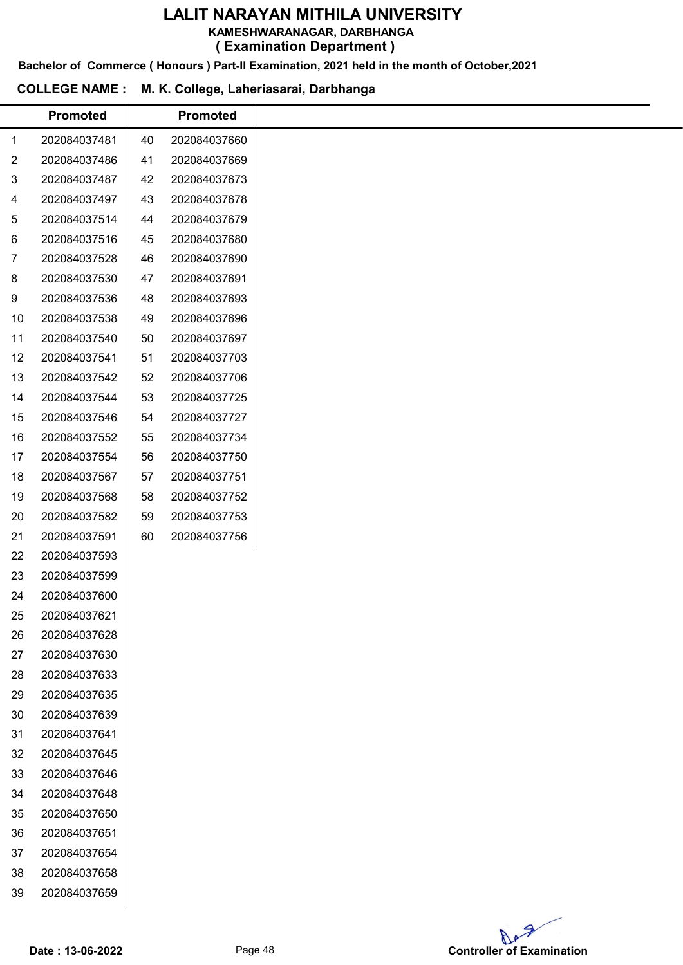KAMESHWARANAGAR, DARBHANGA

( Examination Department )

Bachelor of Commerce ( Honours ) Part-II Examination, 2021 held in the month of October,2021

# COLLEGE NAME : M. K. College, Laheriasarai, Darbhanga

|                | <b>Promoted</b> |    | <b>Promoted</b> |
|----------------|-----------------|----|-----------------|
| $\mathbf{1}$   | 202084037481    | 40 | 202084037660    |
| $\overline{c}$ | 202084037486    | 41 | 202084037669    |
| 3              | 202084037487    | 42 | 202084037673    |
| $\overline{4}$ | 202084037497    | 43 | 202084037678    |
| 5              | 202084037514    | 44 | 202084037679    |
| 6              | 202084037516    | 45 | 202084037680    |
| 7              | 202084037528    | 46 | 202084037690    |
| 8              | 202084037530    | 47 | 202084037691    |
| 9              | 202084037536    | 48 | 202084037693    |
| 10             | 202084037538    | 49 | 202084037696    |
| 11             | 202084037540    | 50 | 202084037697    |
| 12             | 202084037541    | 51 | 202084037703    |
| 13             | 202084037542    | 52 | 202084037706    |
| 14             | 202084037544    | 53 | 202084037725    |
| 15             | 202084037546    | 54 | 202084037727    |
| 16             | 202084037552    | 55 | 202084037734    |
| 17             | 202084037554    | 56 | 202084037750    |
| 18             | 202084037567    | 57 | 202084037751    |
| 19             | 202084037568    | 58 | 202084037752    |
| 20             | 202084037582    | 59 | 202084037753    |
| 21             | 202084037591    | 60 | 202084037756    |
| 22             | 202084037593    |    |                 |
| 23             | 202084037599    |    |                 |
| 24             | 202084037600    |    |                 |
| 25             | 202084037621    |    |                 |
| 26             | 202084037628    |    |                 |
| 27             | 202084037630    |    |                 |
| 28             | 202084037633    |    |                 |
| 29             | 202084037635    |    |                 |
| 30             | 202084037639    |    |                 |
| 31             | 202084037641    |    |                 |
| 32             | 202084037645    |    |                 |
| 33             | 202084037646    |    |                 |
| 34             | 202084037648    |    |                 |
| 35             | 202084037650    |    |                 |
| 36             | 202084037651    |    |                 |
| 37             | 202084037654    |    |                 |
| 38             | 202084037658    |    |                 |
| 39             | 202084037659    |    |                 |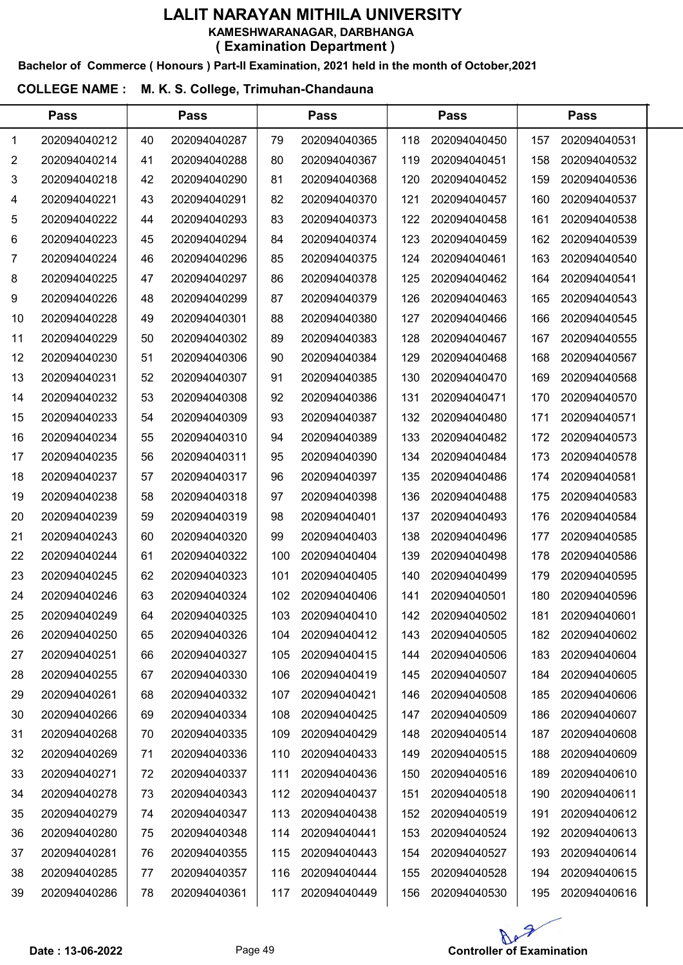Bachelor of Commerce ( Honours ) Part-II Examination, 2021 held in the month of October,2021

## COLLEGE NAME : M. K. S. College, Trimuhan-Chandauna

|                | <b>Pass</b>  |    | <b>Pass</b>  | <b>Pass</b> |              |     | <b>Pass</b>  |     |              |  |
|----------------|--------------|----|--------------|-------------|--------------|-----|--------------|-----|--------------|--|
| 1              | 202094040212 | 40 | 202094040287 | 79          | 202094040365 | 118 | 202094040450 | 157 | 202094040531 |  |
| $\overline{2}$ | 202094040214 | 41 | 202094040288 | 80          | 202094040367 | 119 | 202094040451 | 158 | 202094040532 |  |
| 3              | 202094040218 | 42 | 202094040290 | 81          | 202094040368 | 120 | 202094040452 | 159 | 202094040536 |  |
| 4              | 202094040221 | 43 | 202094040291 | 82          | 202094040370 | 121 | 202094040457 | 160 | 202094040537 |  |
| 5              | 202094040222 | 44 | 202094040293 | 83          | 202094040373 | 122 | 202094040458 | 161 | 202094040538 |  |
| 6              | 202094040223 | 45 | 202094040294 | 84          | 202094040374 | 123 | 202094040459 | 162 | 202094040539 |  |
| 7              | 202094040224 | 46 | 202094040296 | 85          | 202094040375 | 124 | 202094040461 | 163 | 202094040540 |  |
| 8              | 202094040225 | 47 | 202094040297 | 86          | 202094040378 | 125 | 202094040462 | 164 | 202094040541 |  |
| 9              | 202094040226 | 48 | 202094040299 | 87          | 202094040379 | 126 | 202094040463 | 165 | 202094040543 |  |
| 10             | 202094040228 | 49 | 202094040301 | 88          | 202094040380 | 127 | 202094040466 | 166 | 202094040545 |  |
| 11             | 202094040229 | 50 | 202094040302 | 89          | 202094040383 | 128 | 202094040467 | 167 | 202094040555 |  |
| 12             | 202094040230 | 51 | 202094040306 | 90          | 202094040384 | 129 | 202094040468 | 168 | 202094040567 |  |
| 13             | 202094040231 | 52 | 202094040307 | 91          | 202094040385 | 130 | 202094040470 | 169 | 202094040568 |  |
| 14             | 202094040232 | 53 | 202094040308 | 92          | 202094040386 | 131 | 202094040471 | 170 | 202094040570 |  |
| 15             | 202094040233 | 54 | 202094040309 | 93          | 202094040387 | 132 | 202094040480 | 171 | 202094040571 |  |
| 16             | 202094040234 | 55 | 202094040310 | 94          | 202094040389 | 133 | 202094040482 | 172 | 202094040573 |  |
| 17             | 202094040235 | 56 | 202094040311 | 95          | 202094040390 | 134 | 202094040484 | 173 | 202094040578 |  |
| 18             | 202094040237 | 57 | 202094040317 | 96          | 202094040397 | 135 | 202094040486 | 174 | 202094040581 |  |
| 19             | 202094040238 | 58 | 202094040318 | 97          | 202094040398 | 136 | 202094040488 | 175 | 202094040583 |  |
| 20             | 202094040239 | 59 | 202094040319 | 98          | 202094040401 | 137 | 202094040493 | 176 | 202094040584 |  |
| 21             | 202094040243 | 60 | 202094040320 | 99          | 202094040403 | 138 | 202094040496 | 177 | 202094040585 |  |
| 22             | 202094040244 | 61 | 202094040322 | 100         | 202094040404 | 139 | 202094040498 | 178 | 202094040586 |  |
| 23             | 202094040245 | 62 | 202094040323 | 101         | 202094040405 | 140 | 202094040499 | 179 | 202094040595 |  |
| 24             | 202094040246 | 63 | 202094040324 | 102         | 202094040406 | 141 | 202094040501 | 180 | 202094040596 |  |
| 25             | 202094040249 | 64 | 202094040325 | 103         | 202094040410 | 142 | 202094040502 | 181 | 202094040601 |  |
| 26             | 202094040250 | 65 | 202094040326 | 104         | 202094040412 | 143 | 202094040505 | 182 | 202094040602 |  |
| 27             | 202094040251 | 66 | 202094040327 | 105         | 202094040415 | 144 | 202094040506 | 183 | 202094040604 |  |
| 28             | 202094040255 | 67 | 202094040330 | 106         | 202094040419 | 145 | 202094040507 | 184 | 202094040605 |  |
| 29             | 202094040261 | 68 | 202094040332 | 107         | 202094040421 | 146 | 202094040508 | 185 | 202094040606 |  |
| 30             | 202094040266 | 69 | 202094040334 | 108         | 202094040425 | 147 | 202094040509 | 186 | 202094040607 |  |
| 31             | 202094040268 | 70 | 202094040335 | 109         | 202094040429 | 148 | 202094040514 | 187 | 202094040608 |  |
| 32             | 202094040269 | 71 | 202094040336 | 110         | 202094040433 | 149 | 202094040515 | 188 | 202094040609 |  |
| 33             | 202094040271 | 72 | 202094040337 | 111         | 202094040436 | 150 | 202094040516 | 189 | 202094040610 |  |
| 34             | 202094040278 | 73 | 202094040343 | 112         | 202094040437 | 151 | 202094040518 | 190 | 202094040611 |  |
| 35             | 202094040279 | 74 | 202094040347 | 113         | 202094040438 | 152 | 202094040519 | 191 | 202094040612 |  |
| 36             | 202094040280 | 75 | 202094040348 | 114         | 202094040441 | 153 | 202094040524 | 192 | 202094040613 |  |
| 37             | 202094040281 | 76 | 202094040355 | 115         | 202094040443 | 154 | 202094040527 | 193 | 202094040614 |  |
| 38             | 202094040285 | 77 | 202094040357 | 116         | 202094040444 | 155 | 202094040528 | 194 | 202094040615 |  |
| 39             | 202094040286 | 78 | 202094040361 | 117         | 202094040449 | 156 | 202094040530 | 195 | 202094040616 |  |

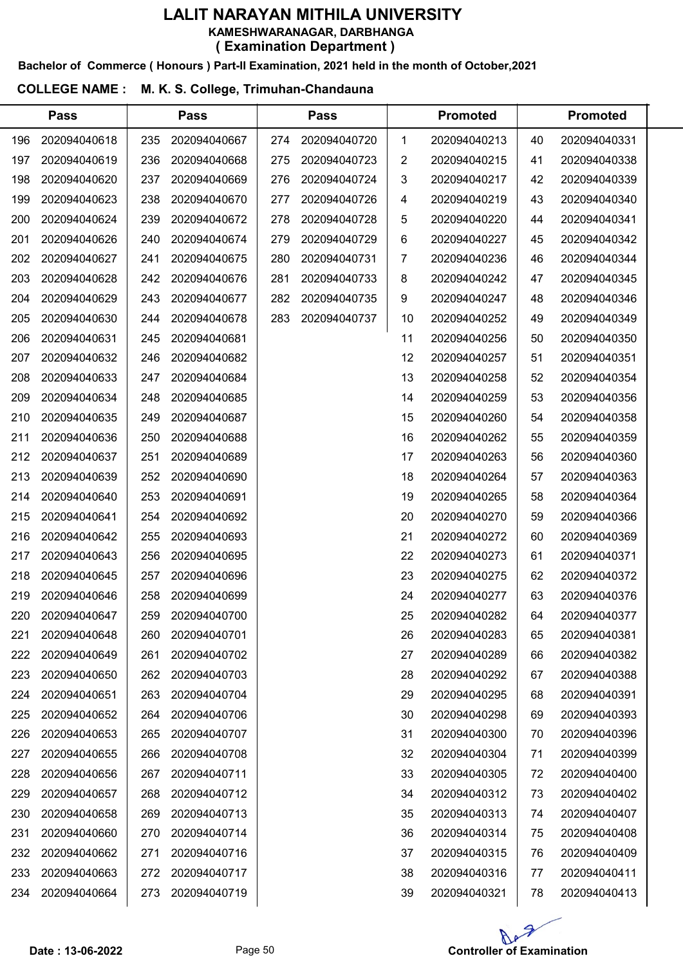#### Bachelor of Commerce ( Honours ) Part-II Examination, 2021 held in the month of October,2021

#### COLLEGE NAME : M. K. S. College, Trimuhan-Chandauna

|     | <b>Pass</b>  |     | <b>Pass</b>  |     | <b>Pass</b>  |     | <b>Promoted</b> |    | <b>Promoted</b> |  |
|-----|--------------|-----|--------------|-----|--------------|-----|-----------------|----|-----------------|--|
| 196 | 202094040618 | 235 | 202094040667 | 274 | 202094040720 | 1   | 202094040213    | 40 | 202094040331    |  |
| 197 | 202094040619 | 236 | 202094040668 | 275 | 202094040723 | 2   | 202094040215    | 41 | 202094040338    |  |
| 198 | 202094040620 | 237 | 202094040669 | 276 | 202094040724 | 3   | 202094040217    | 42 | 202094040339    |  |
| 199 | 202094040623 | 238 | 202094040670 | 277 | 202094040726 | 4   | 202094040219    | 43 | 202094040340    |  |
| 200 | 202094040624 | 239 | 202094040672 | 278 | 202094040728 | 5   | 202094040220    | 44 | 202094040341    |  |
| 201 | 202094040626 | 240 | 202094040674 | 279 | 202094040729 | 6   | 202094040227    | 45 | 202094040342    |  |
| 202 | 202094040627 | 241 | 202094040675 | 280 | 202094040731 | 7   | 202094040236    | 46 | 202094040344    |  |
| 203 | 202094040628 | 242 | 202094040676 | 281 | 202094040733 | 8   | 202094040242    | 47 | 202094040345    |  |
| 204 | 202094040629 | 243 | 202094040677 | 282 | 202094040735 | 9   | 202094040247    | 48 | 202094040346    |  |
| 205 | 202094040630 | 244 | 202094040678 | 283 | 202094040737 | 10  | 202094040252    | 49 | 202094040349    |  |
| 206 | 202094040631 | 245 | 202094040681 |     |              | 11  | 202094040256    | 50 | 202094040350    |  |
| 207 | 202094040632 | 246 | 202094040682 |     |              | 12  | 202094040257    | 51 | 202094040351    |  |
| 208 | 202094040633 | 247 | 202094040684 |     |              | 13  | 202094040258    | 52 | 202094040354    |  |
| 209 | 202094040634 | 248 | 202094040685 |     |              | 14  | 202094040259    | 53 | 202094040356    |  |
| 210 | 202094040635 | 249 | 202094040687 |     |              | 15  | 202094040260    | 54 | 202094040358    |  |
| 211 | 202094040636 | 250 | 202094040688 |     |              | 16  | 202094040262    | 55 | 202094040359    |  |
| 212 | 202094040637 | 251 | 202094040689 |     |              | 17  | 202094040263    | 56 | 202094040360    |  |
| 213 | 202094040639 | 252 | 202094040690 |     |              | 18  | 202094040264    | 57 | 202094040363    |  |
| 214 | 202094040640 | 253 | 202094040691 |     |              | 19  | 202094040265    | 58 | 202094040364    |  |
| 215 | 202094040641 | 254 | 202094040692 |     |              | 20  | 202094040270    | 59 | 202094040366    |  |
| 216 | 202094040642 | 255 | 202094040693 |     |              | 21  | 202094040272    | 60 | 202094040369    |  |
| 217 | 202094040643 | 256 | 202094040695 |     |              | 22  | 202094040273    | 61 | 202094040371    |  |
| 218 | 202094040645 | 257 | 202094040696 |     |              | 23  | 202094040275    | 62 | 202094040372    |  |
| 219 | 202094040646 | 258 | 202094040699 |     |              | 24  | 202094040277    | 63 | 202094040376    |  |
| 220 | 202094040647 | 259 | 202094040700 |     |              | 25. | 202094040282    | 64 | 202094040377    |  |
| 221 | 202094040648 | 260 | 202094040701 |     |              | 26  | 202094040283    | 65 | 202094040381    |  |
| 222 | 202094040649 | 261 | 202094040702 |     |              | 27  | 202094040289    | 66 | 202094040382    |  |
| 223 | 202094040650 | 262 | 202094040703 |     |              | 28  | 202094040292    | 67 | 202094040388    |  |
| 224 | 202094040651 | 263 | 202094040704 |     |              | 29  | 202094040295    | 68 | 202094040391    |  |
| 225 | 202094040652 | 264 | 202094040706 |     |              | 30  | 202094040298    | 69 | 202094040393    |  |
| 226 | 202094040653 | 265 | 202094040707 |     |              | 31  | 202094040300    | 70 | 202094040396    |  |
| 227 | 202094040655 | 266 | 202094040708 |     |              | 32  | 202094040304    | 71 | 202094040399    |  |
| 228 | 202094040656 | 267 | 202094040711 |     |              | 33  | 202094040305    | 72 | 202094040400    |  |
| 229 | 202094040657 | 268 | 202094040712 |     |              | 34  | 202094040312    | 73 | 202094040402    |  |
| 230 | 202094040658 | 269 | 202094040713 |     |              | 35  | 202094040313    | 74 | 202094040407    |  |
| 231 | 202094040660 | 270 | 202094040714 |     |              | 36  | 202094040314    | 75 | 202094040408    |  |
| 232 | 202094040662 | 271 | 202094040716 |     |              | 37  | 202094040315    | 76 | 202094040409    |  |
| 233 | 202094040663 | 272 | 202094040717 |     |              | 38  | 202094040316    | 77 | 202094040411    |  |
| 234 | 202094040664 | 273 | 202094040719 |     |              | 39  | 202094040321    | 78 | 202094040413    |  |
|     |              |     |              |     |              |     |                 |    |                 |  |

Ap Date : 13-06-2022 Page 50 Page 50 Controller of Examination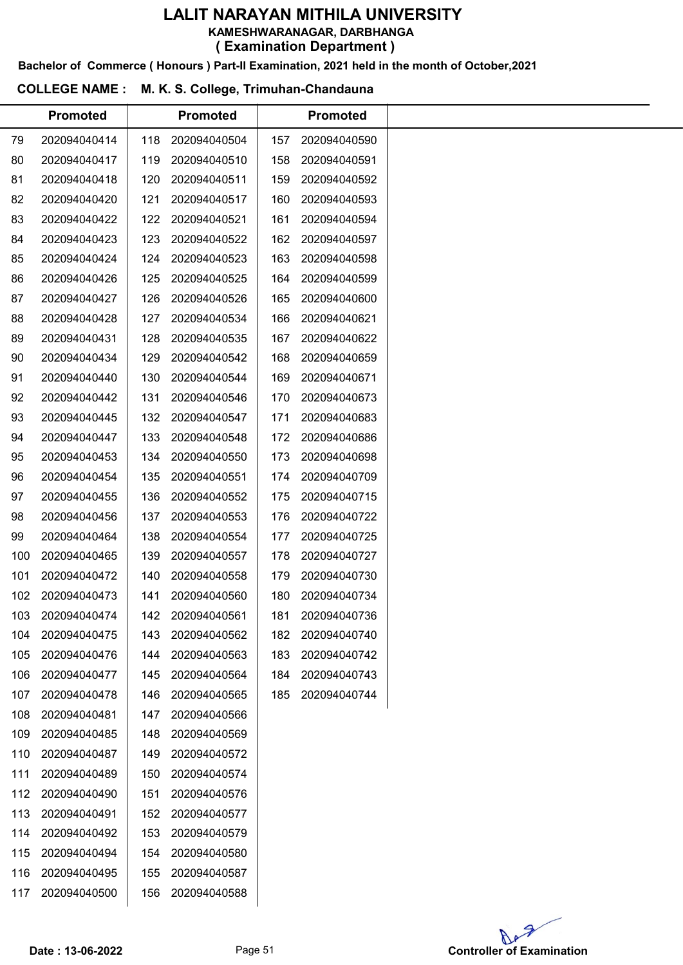KAMESHWARANAGAR, DARBHANGA

( Examination Department )

Bachelor of Commerce ( Honours ) Part-II Examination, 2021 held in the month of October,2021

# COLLEGE NAME : M. K. S. College, Trimuhan-Chandauna

| 202094040414<br>202094040417<br>202094040418<br>202094040420<br>202094040422<br>202094040423<br>202094040424<br>202094040426<br>202094040427<br>202094040428<br>202094040431<br>202094040434<br>202094040440<br>202094040442<br>202094040445<br>202094040447<br>202094040453 | 118<br>119<br>120<br>121<br>122<br>123<br>124<br>125<br>126<br>127<br>128<br>129<br>130<br>131<br>132<br>133<br>134 | 202094040504<br>202094040510<br>202094040511<br>202094040517<br>202094040521<br>202094040522<br>202094040523<br>202094040525<br>202094040526<br>202094040534<br>202094040535<br>202094040542<br>202094040544<br>202094040546<br>202094040547<br>202094040548 | 157<br>158<br>159<br>160<br>161<br>162<br>163<br>164<br>165<br>166<br>167<br>168<br>169<br>170<br>171 | 202094040590<br>202094040591<br>202094040592<br>202094040593<br>202094040594<br>202094040597<br>202094040598<br>202094040599<br>202094040600<br>202094040621<br>202094040622<br>202094040659<br>202094040671<br>202094040673<br>202094040683 |
|------------------------------------------------------------------------------------------------------------------------------------------------------------------------------------------------------------------------------------------------------------------------------|---------------------------------------------------------------------------------------------------------------------|--------------------------------------------------------------------------------------------------------------------------------------------------------------------------------------------------------------------------------------------------------------|-------------------------------------------------------------------------------------------------------|----------------------------------------------------------------------------------------------------------------------------------------------------------------------------------------------------------------------------------------------|
|                                                                                                                                                                                                                                                                              |                                                                                                                     |                                                                                                                                                                                                                                                              |                                                                                                       |                                                                                                                                                                                                                                              |
|                                                                                                                                                                                                                                                                              |                                                                                                                     |                                                                                                                                                                                                                                                              |                                                                                                       |                                                                                                                                                                                                                                              |
|                                                                                                                                                                                                                                                                              |                                                                                                                     |                                                                                                                                                                                                                                                              |                                                                                                       |                                                                                                                                                                                                                                              |
|                                                                                                                                                                                                                                                                              |                                                                                                                     |                                                                                                                                                                                                                                                              |                                                                                                       |                                                                                                                                                                                                                                              |
|                                                                                                                                                                                                                                                                              |                                                                                                                     |                                                                                                                                                                                                                                                              |                                                                                                       |                                                                                                                                                                                                                                              |
|                                                                                                                                                                                                                                                                              |                                                                                                                     |                                                                                                                                                                                                                                                              |                                                                                                       |                                                                                                                                                                                                                                              |
|                                                                                                                                                                                                                                                                              |                                                                                                                     |                                                                                                                                                                                                                                                              |                                                                                                       |                                                                                                                                                                                                                                              |
|                                                                                                                                                                                                                                                                              |                                                                                                                     |                                                                                                                                                                                                                                                              |                                                                                                       |                                                                                                                                                                                                                                              |
|                                                                                                                                                                                                                                                                              |                                                                                                                     |                                                                                                                                                                                                                                                              |                                                                                                       |                                                                                                                                                                                                                                              |
|                                                                                                                                                                                                                                                                              |                                                                                                                     |                                                                                                                                                                                                                                                              |                                                                                                       |                                                                                                                                                                                                                                              |
|                                                                                                                                                                                                                                                                              |                                                                                                                     |                                                                                                                                                                                                                                                              |                                                                                                       |                                                                                                                                                                                                                                              |
|                                                                                                                                                                                                                                                                              |                                                                                                                     |                                                                                                                                                                                                                                                              |                                                                                                       |                                                                                                                                                                                                                                              |
|                                                                                                                                                                                                                                                                              |                                                                                                                     |                                                                                                                                                                                                                                                              |                                                                                                       |                                                                                                                                                                                                                                              |
|                                                                                                                                                                                                                                                                              |                                                                                                                     |                                                                                                                                                                                                                                                              |                                                                                                       |                                                                                                                                                                                                                                              |
|                                                                                                                                                                                                                                                                              |                                                                                                                     |                                                                                                                                                                                                                                                              |                                                                                                       |                                                                                                                                                                                                                                              |
|                                                                                                                                                                                                                                                                              |                                                                                                                     |                                                                                                                                                                                                                                                              | 172                                                                                                   | 202094040686                                                                                                                                                                                                                                 |
|                                                                                                                                                                                                                                                                              |                                                                                                                     | 202094040550                                                                                                                                                                                                                                                 | 173                                                                                                   | 202094040698                                                                                                                                                                                                                                 |
| 202094040454                                                                                                                                                                                                                                                                 | 135                                                                                                                 | 202094040551                                                                                                                                                                                                                                                 | 174                                                                                                   | 202094040709                                                                                                                                                                                                                                 |
| 202094040455                                                                                                                                                                                                                                                                 | 136                                                                                                                 | 202094040552                                                                                                                                                                                                                                                 | 175                                                                                                   | 202094040715                                                                                                                                                                                                                                 |
| 202094040456                                                                                                                                                                                                                                                                 | 137                                                                                                                 | 202094040553                                                                                                                                                                                                                                                 | 176                                                                                                   | 202094040722                                                                                                                                                                                                                                 |
| 202094040464                                                                                                                                                                                                                                                                 | 138                                                                                                                 | 202094040554                                                                                                                                                                                                                                                 | 177                                                                                                   | 202094040725                                                                                                                                                                                                                                 |
| 202094040465                                                                                                                                                                                                                                                                 | 139                                                                                                                 | 202094040557                                                                                                                                                                                                                                                 | 178                                                                                                   | 202094040727                                                                                                                                                                                                                                 |
| 202094040472                                                                                                                                                                                                                                                                 | 140                                                                                                                 | 202094040558                                                                                                                                                                                                                                                 | 179                                                                                                   | 202094040730                                                                                                                                                                                                                                 |
| 202094040473                                                                                                                                                                                                                                                                 | 141                                                                                                                 | 202094040560                                                                                                                                                                                                                                                 | 180                                                                                                   | 202094040734                                                                                                                                                                                                                                 |
|                                                                                                                                                                                                                                                                              |                                                                                                                     |                                                                                                                                                                                                                                                              | 181                                                                                                   | 202094040736                                                                                                                                                                                                                                 |
| 202094040475                                                                                                                                                                                                                                                                 | 143                                                                                                                 | 202094040562                                                                                                                                                                                                                                                 | 182                                                                                                   | 202094040740                                                                                                                                                                                                                                 |
| 202094040476                                                                                                                                                                                                                                                                 | 144                                                                                                                 | 202094040563                                                                                                                                                                                                                                                 | 183                                                                                                   | 202094040742                                                                                                                                                                                                                                 |
| 202094040477                                                                                                                                                                                                                                                                 | 145                                                                                                                 | 202094040564                                                                                                                                                                                                                                                 | 184                                                                                                   | 202094040743                                                                                                                                                                                                                                 |
| 202094040478                                                                                                                                                                                                                                                                 | 146                                                                                                                 | 202094040565                                                                                                                                                                                                                                                 | 185                                                                                                   | 202094040744                                                                                                                                                                                                                                 |
| 202094040481                                                                                                                                                                                                                                                                 | 147                                                                                                                 | 202094040566                                                                                                                                                                                                                                                 |                                                                                                       |                                                                                                                                                                                                                                              |
| 202094040485                                                                                                                                                                                                                                                                 | 148                                                                                                                 | 202094040569                                                                                                                                                                                                                                                 |                                                                                                       |                                                                                                                                                                                                                                              |
| 202094040487                                                                                                                                                                                                                                                                 | 149                                                                                                                 | 202094040572                                                                                                                                                                                                                                                 |                                                                                                       |                                                                                                                                                                                                                                              |
| 202094040489                                                                                                                                                                                                                                                                 | 150                                                                                                                 | 202094040574                                                                                                                                                                                                                                                 |                                                                                                       |                                                                                                                                                                                                                                              |
| 202094040490                                                                                                                                                                                                                                                                 | 151                                                                                                                 | 202094040576                                                                                                                                                                                                                                                 |                                                                                                       |                                                                                                                                                                                                                                              |
| 202094040491                                                                                                                                                                                                                                                                 | 152                                                                                                                 | 202094040577                                                                                                                                                                                                                                                 |                                                                                                       |                                                                                                                                                                                                                                              |
| 202094040492                                                                                                                                                                                                                                                                 | 153                                                                                                                 | 202094040579                                                                                                                                                                                                                                                 |                                                                                                       |                                                                                                                                                                                                                                              |
| 202094040494                                                                                                                                                                                                                                                                 | 154                                                                                                                 | 202094040580                                                                                                                                                                                                                                                 |                                                                                                       |                                                                                                                                                                                                                                              |
| 202094040495                                                                                                                                                                                                                                                                 | 155                                                                                                                 | 202094040587                                                                                                                                                                                                                                                 |                                                                                                       |                                                                                                                                                                                                                                              |
| 202094040500                                                                                                                                                                                                                                                                 | 156                                                                                                                 | 202094040588                                                                                                                                                                                                                                                 |                                                                                                       |                                                                                                                                                                                                                                              |
| 102<br>117                                                                                                                                                                                                                                                                   | 103 202094040474                                                                                                    |                                                                                                                                                                                                                                                              | 142 202094040561                                                                                      |                                                                                                                                                                                                                                              |

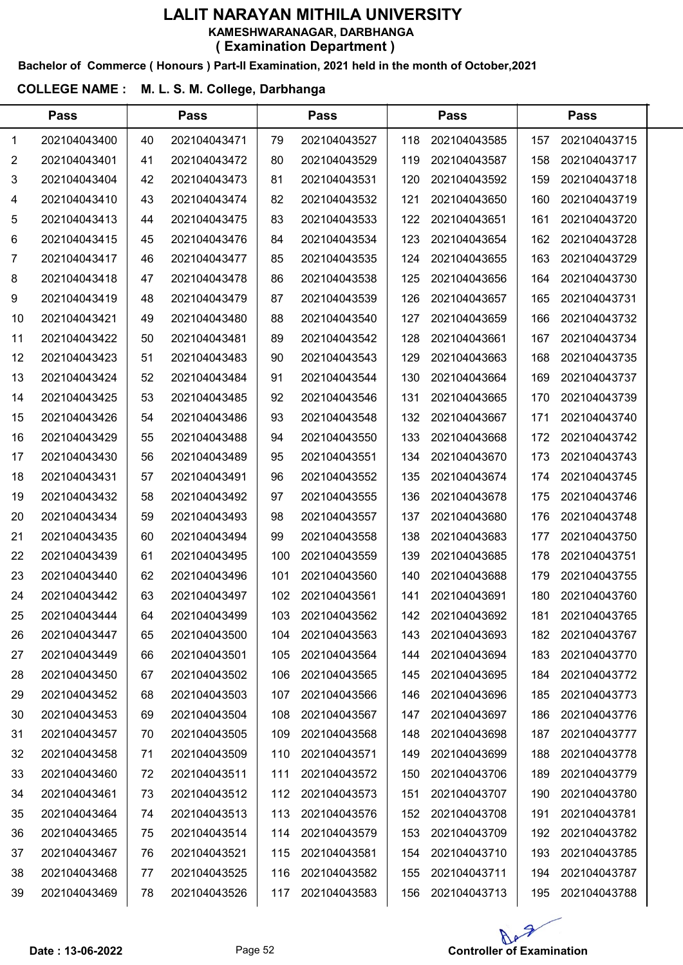#### Bachelor of Commerce ( Honours ) Part-II Examination, 2021 held in the month of October,2021

| <b>Pass</b>    |              | <b>Pass</b> |              |     | <b>Pass</b>  |     | <b>Pass</b>  |     |              |  |
|----------------|--------------|-------------|--------------|-----|--------------|-----|--------------|-----|--------------|--|
| 1              | 202104043400 | 40          | 202104043471 | 79  | 202104043527 | 118 | 202104043585 | 157 | 202104043715 |  |
| $\overline{2}$ | 202104043401 | 41          | 202104043472 | 80  | 202104043529 | 119 | 202104043587 | 158 | 202104043717 |  |
| 3              | 202104043404 | 42          | 202104043473 | 81  | 202104043531 | 120 | 202104043592 | 159 | 202104043718 |  |
| 4              | 202104043410 | 43          | 202104043474 | 82  | 202104043532 | 121 | 202104043650 | 160 | 202104043719 |  |
| 5              | 202104043413 | 44          | 202104043475 | 83  | 202104043533 | 122 | 202104043651 | 161 | 202104043720 |  |
| 6              | 202104043415 | 45          | 202104043476 | 84  | 202104043534 | 123 | 202104043654 | 162 | 202104043728 |  |
| 7              | 202104043417 | 46          | 202104043477 | 85  | 202104043535 | 124 | 202104043655 | 163 | 202104043729 |  |
| 8              | 202104043418 | 47          | 202104043478 | 86  | 202104043538 | 125 | 202104043656 | 164 | 202104043730 |  |
| 9              | 202104043419 | 48          | 202104043479 | 87  | 202104043539 | 126 | 202104043657 | 165 | 202104043731 |  |
| 10             | 202104043421 | 49          | 202104043480 | 88  | 202104043540 | 127 | 202104043659 | 166 | 202104043732 |  |
| 11             | 202104043422 | 50          | 202104043481 | 89  | 202104043542 | 128 | 202104043661 | 167 | 202104043734 |  |
| 12             | 202104043423 | 51          | 202104043483 | 90  | 202104043543 | 129 | 202104043663 | 168 | 202104043735 |  |
| 13             | 202104043424 | 52          | 202104043484 | 91  | 202104043544 | 130 | 202104043664 | 169 | 202104043737 |  |
| 14             | 202104043425 | 53          | 202104043485 | 92  | 202104043546 | 131 | 202104043665 | 170 | 202104043739 |  |
| 15             | 202104043426 | 54          | 202104043486 | 93  | 202104043548 | 132 | 202104043667 | 171 | 202104043740 |  |
| 16             | 202104043429 | 55          | 202104043488 | 94  | 202104043550 | 133 | 202104043668 | 172 | 202104043742 |  |
| 17             | 202104043430 | 56          | 202104043489 | 95  | 202104043551 | 134 | 202104043670 | 173 | 202104043743 |  |
| 18             | 202104043431 | 57          | 202104043491 | 96  | 202104043552 | 135 | 202104043674 | 174 | 202104043745 |  |
| 19             | 202104043432 | 58          | 202104043492 | 97  | 202104043555 | 136 | 202104043678 | 175 | 202104043746 |  |
| 20             | 202104043434 | 59          | 202104043493 | 98  | 202104043557 | 137 | 202104043680 | 176 | 202104043748 |  |
| 21             | 202104043435 | 60          | 202104043494 | 99  | 202104043558 | 138 | 202104043683 | 177 | 202104043750 |  |
| 22             | 202104043439 | 61          | 202104043495 | 100 | 202104043559 | 139 | 202104043685 | 178 | 202104043751 |  |
| 23             | 202104043440 | 62          | 202104043496 | 101 | 202104043560 | 140 | 202104043688 | 179 | 202104043755 |  |
| 24             | 202104043442 | 63          | 202104043497 | 102 | 202104043561 | 141 | 202104043691 | 180 | 202104043760 |  |
| 25             | 202104043444 | 64          | 202104043499 | 103 | 202104043562 | 142 | 202104043692 | 181 | 202104043765 |  |
| 26             | 202104043447 | 65          | 202104043500 | 104 | 202104043563 | 143 | 202104043693 | 182 | 202104043767 |  |
| 27             | 202104043449 | 66          | 202104043501 | 105 | 202104043564 | 144 | 202104043694 | 183 | 202104043770 |  |
| 28             | 202104043450 | 67          | 202104043502 | 106 | 202104043565 | 145 | 202104043695 | 184 | 202104043772 |  |
| 29             | 202104043452 | 68          | 202104043503 | 107 | 202104043566 | 146 | 202104043696 | 185 | 202104043773 |  |
| 30             | 202104043453 | 69          | 202104043504 | 108 | 202104043567 | 147 | 202104043697 | 186 | 202104043776 |  |
| 31             | 202104043457 | 70          | 202104043505 | 109 | 202104043568 | 148 | 202104043698 | 187 | 202104043777 |  |
| 32             | 202104043458 | 71          | 202104043509 | 110 | 202104043571 | 149 | 202104043699 | 188 | 202104043778 |  |
| 33             | 202104043460 | 72          | 202104043511 | 111 | 202104043572 | 150 | 202104043706 | 189 | 202104043779 |  |
| 34             | 202104043461 | 73          | 202104043512 | 112 | 202104043573 | 151 | 202104043707 | 190 | 202104043780 |  |
| 35             | 202104043464 | 74          | 202104043513 | 113 | 202104043576 | 152 | 202104043708 | 191 | 202104043781 |  |
| 36             | 202104043465 | 75          | 202104043514 | 114 | 202104043579 | 153 | 202104043709 | 192 | 202104043782 |  |
| 37             | 202104043467 | 76          | 202104043521 | 115 | 202104043581 | 154 | 202104043710 | 193 | 202104043785 |  |
| 38             | 202104043468 | 77          | 202104043525 | 116 | 202104043582 | 155 | 202104043711 | 194 | 202104043787 |  |
| 39             | 202104043469 | 78          | 202104043526 | 117 | 202104043583 | 156 | 202104043713 | 195 | 202104043788 |  |

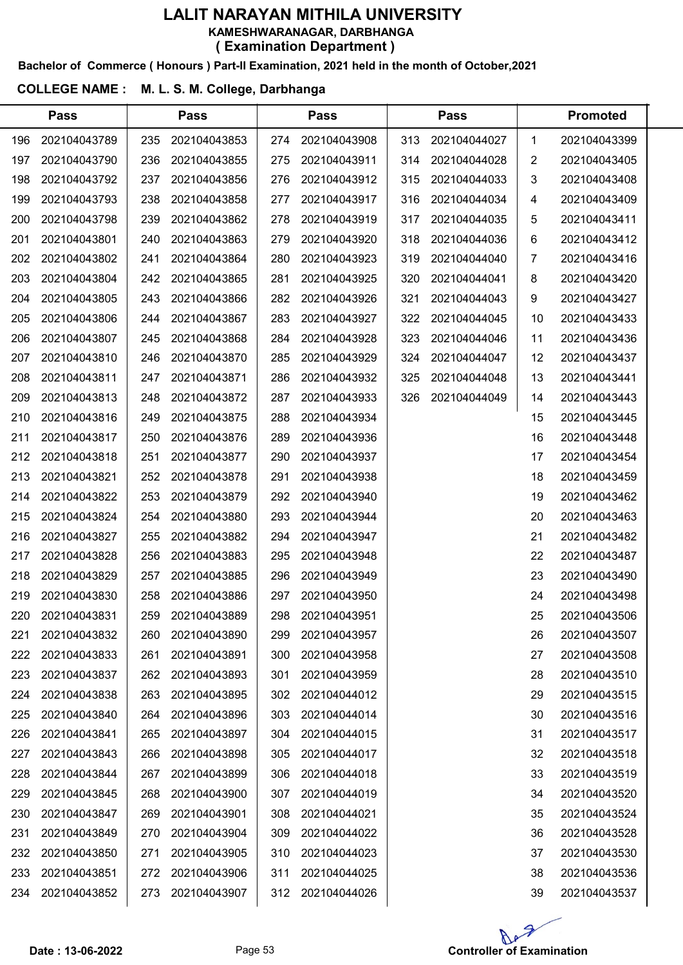#### Bachelor of Commerce ( Honours ) Part-II Examination, 2021 held in the month of October,2021

|     | <b>Pass</b>  |     | <b>Pass</b>  |     | <b>Pass</b>  |     | <b>Pass</b>  | <b>Promoted</b> |              |  |
|-----|--------------|-----|--------------|-----|--------------|-----|--------------|-----------------|--------------|--|
| 196 | 202104043789 | 235 | 202104043853 | 274 | 202104043908 | 313 | 202104044027 | $\mathbf 1$     | 202104043399 |  |
| 197 | 202104043790 | 236 | 202104043855 | 275 | 202104043911 | 314 | 202104044028 | 2               | 202104043405 |  |
| 198 | 202104043792 | 237 | 202104043856 | 276 | 202104043912 | 315 | 202104044033 | 3               | 202104043408 |  |
| 199 | 202104043793 | 238 | 202104043858 | 277 | 202104043917 | 316 | 202104044034 | 4               | 202104043409 |  |
| 200 | 202104043798 | 239 | 202104043862 | 278 | 202104043919 | 317 | 202104044035 | 5               | 202104043411 |  |
| 201 | 202104043801 | 240 | 202104043863 | 279 | 202104043920 | 318 | 202104044036 | 6               | 202104043412 |  |
| 202 | 202104043802 | 241 | 202104043864 | 280 | 202104043923 | 319 | 202104044040 | 7               | 202104043416 |  |
| 203 | 202104043804 | 242 | 202104043865 | 281 | 202104043925 | 320 | 202104044041 | 8               | 202104043420 |  |
| 204 | 202104043805 | 243 | 202104043866 | 282 | 202104043926 | 321 | 202104044043 | 9               | 202104043427 |  |
| 205 | 202104043806 | 244 | 202104043867 | 283 | 202104043927 | 322 | 202104044045 | 10              | 202104043433 |  |
| 206 | 202104043807 | 245 | 202104043868 | 284 | 202104043928 | 323 | 202104044046 | 11              | 202104043436 |  |
| 207 | 202104043810 | 246 | 202104043870 | 285 | 202104043929 | 324 | 202104044047 | 12              | 202104043437 |  |
| 208 | 202104043811 | 247 | 202104043871 | 286 | 202104043932 | 325 | 202104044048 | 13              | 202104043441 |  |
| 209 | 202104043813 | 248 | 202104043872 | 287 | 202104043933 | 326 | 202104044049 | 14              | 202104043443 |  |
| 210 | 202104043816 | 249 | 202104043875 | 288 | 202104043934 |     |              | 15              | 202104043445 |  |
| 211 | 202104043817 | 250 | 202104043876 | 289 | 202104043936 |     |              | 16              | 202104043448 |  |
| 212 | 202104043818 | 251 | 202104043877 | 290 | 202104043937 |     |              | 17              | 202104043454 |  |
| 213 | 202104043821 | 252 | 202104043878 | 291 | 202104043938 |     |              | 18              | 202104043459 |  |
| 214 | 202104043822 | 253 | 202104043879 | 292 | 202104043940 |     |              | 19              | 202104043462 |  |
| 215 | 202104043824 | 254 | 202104043880 | 293 | 202104043944 |     |              | 20              | 202104043463 |  |
| 216 | 202104043827 | 255 | 202104043882 | 294 | 202104043947 |     |              | 21              | 202104043482 |  |
| 217 | 202104043828 | 256 | 202104043883 | 295 | 202104043948 |     |              | 22              | 202104043487 |  |
| 218 | 202104043829 | 257 | 202104043885 | 296 | 202104043949 |     |              | 23              | 202104043490 |  |
| 219 | 202104043830 | 258 | 202104043886 | 297 | 202104043950 |     |              | 24              | 202104043498 |  |
| 220 | 202104043831 | 259 | 202104043889 | 298 | 202104043951 |     |              | 25              | 202104043506 |  |
| 221 | 202104043832 | 260 | 202104043890 | 299 | 202104043957 |     |              | 26              | 202104043507 |  |
| 222 | 202104043833 | 261 | 202104043891 | 300 | 202104043958 |     |              | 27              | 202104043508 |  |
| 223 | 202104043837 | 262 | 202104043893 | 301 | 202104043959 |     |              | 28              | 202104043510 |  |
| 224 | 202104043838 | 263 | 202104043895 | 302 | 202104044012 |     |              | 29              | 202104043515 |  |
| 225 | 202104043840 | 264 | 202104043896 | 303 | 202104044014 |     |              | 30              | 202104043516 |  |
| 226 | 202104043841 | 265 | 202104043897 | 304 | 202104044015 |     |              | 31              | 202104043517 |  |
| 227 | 202104043843 | 266 | 202104043898 | 305 | 202104044017 |     |              | 32              | 202104043518 |  |
| 228 | 202104043844 | 267 | 202104043899 | 306 | 202104044018 |     |              | 33              | 202104043519 |  |
| 229 | 202104043845 | 268 | 202104043900 | 307 | 202104044019 |     |              | 34              | 202104043520 |  |
| 230 | 202104043847 | 269 | 202104043901 | 308 | 202104044021 |     |              | 35              | 202104043524 |  |
| 231 | 202104043849 | 270 | 202104043904 | 309 | 202104044022 |     |              | 36              | 202104043528 |  |
| 232 | 202104043850 | 271 | 202104043905 | 310 | 202104044023 |     |              | 37              | 202104043530 |  |
| 233 | 202104043851 | 272 | 202104043906 | 311 | 202104044025 |     |              | 38              | 202104043536 |  |
| 234 | 202104043852 | 273 | 202104043907 | 312 | 202104044026 |     |              | 39              | 202104043537 |  |

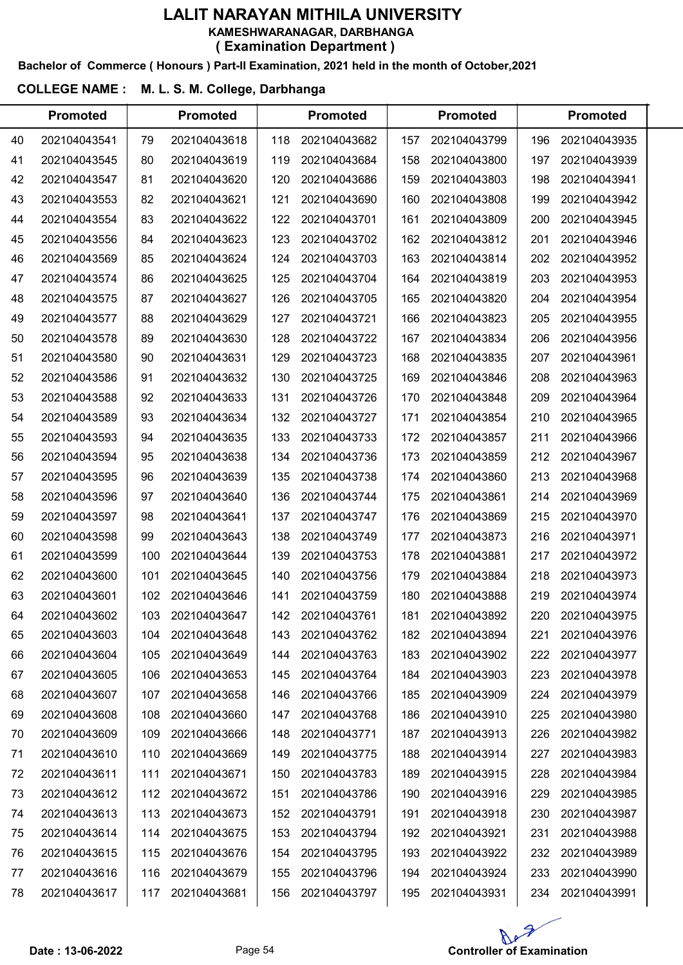Bachelor of Commerce ( Honours ) Part-II Examination, 2021 held in the month of October,2021

|    | <b>Promoted</b> |     | <b>Promoted</b> |     | <b>Promoted</b> |     | <b>Promoted</b> |     | <b>Promoted</b> |  |
|----|-----------------|-----|-----------------|-----|-----------------|-----|-----------------|-----|-----------------|--|
| 40 | 202104043541    | 79  | 202104043618    | 118 | 202104043682    | 157 | 202104043799    | 196 | 202104043935    |  |
| 41 | 202104043545    | 80  | 202104043619    | 119 | 202104043684    | 158 | 202104043800    | 197 | 202104043939    |  |
| 42 | 202104043547    | 81  | 202104043620    | 120 | 202104043686    | 159 | 202104043803    | 198 | 202104043941    |  |
| 43 | 202104043553    | 82  | 202104043621    | 121 | 202104043690    | 160 | 202104043808    | 199 | 202104043942    |  |
| 44 | 202104043554    | 83  | 202104043622    | 122 | 202104043701    | 161 | 202104043809    | 200 | 202104043945    |  |
| 45 | 202104043556    | 84  | 202104043623    | 123 | 202104043702    | 162 | 202104043812    | 201 | 202104043946    |  |
| 46 | 202104043569    | 85  | 202104043624    | 124 | 202104043703    | 163 | 202104043814    | 202 | 202104043952    |  |
| 47 | 202104043574    | 86  | 202104043625    | 125 | 202104043704    | 164 | 202104043819    | 203 | 202104043953    |  |
| 48 | 202104043575    | 87  | 202104043627    | 126 | 202104043705    | 165 | 202104043820    | 204 | 202104043954    |  |
| 49 | 202104043577    | 88  | 202104043629    | 127 | 202104043721    | 166 | 202104043823    | 205 | 202104043955    |  |
| 50 | 202104043578    | 89  | 202104043630    | 128 | 202104043722    | 167 | 202104043834    | 206 | 202104043956    |  |
| 51 | 202104043580    | 90  | 202104043631    | 129 | 202104043723    | 168 | 202104043835    | 207 | 202104043961    |  |
| 52 | 202104043586    | 91  | 202104043632    | 130 | 202104043725    | 169 | 202104043846    | 208 | 202104043963    |  |
| 53 | 202104043588    | 92  | 202104043633    | 131 | 202104043726    | 170 | 202104043848    | 209 | 202104043964    |  |
| 54 | 202104043589    | 93  | 202104043634    | 132 | 202104043727    | 171 | 202104043854    | 210 | 202104043965    |  |
| 55 | 202104043593    | 94  | 202104043635    | 133 | 202104043733    | 172 | 202104043857    | 211 | 202104043966    |  |
| 56 | 202104043594    | 95  | 202104043638    | 134 | 202104043736    | 173 | 202104043859    | 212 | 202104043967    |  |
| 57 | 202104043595    | 96  | 202104043639    | 135 | 202104043738    | 174 | 202104043860    | 213 | 202104043968    |  |
| 58 | 202104043596    | 97  | 202104043640    | 136 | 202104043744    | 175 | 202104043861    | 214 | 202104043969    |  |
| 59 | 202104043597    | 98  | 202104043641    | 137 | 202104043747    | 176 | 202104043869    | 215 | 202104043970    |  |
| 60 | 202104043598    | 99  | 202104043643    | 138 | 202104043749    | 177 | 202104043873    | 216 | 202104043971    |  |
| 61 | 202104043599    | 100 | 202104043644    | 139 | 202104043753    | 178 | 202104043881    | 217 | 202104043972    |  |
| 62 | 202104043600    | 101 | 202104043645    | 140 | 202104043756    | 179 | 202104043884    | 218 | 202104043973    |  |
| 63 | 202104043601    | 102 | 202104043646    | 141 | 202104043759    | 180 | 202104043888    | 219 | 202104043974    |  |
| 64 | 202104043602    | 103 | 202104043647    | 142 | 202104043761    | 181 | 202104043892    | 220 | 202104043975    |  |
| 65 | 202104043603    | 104 | 202104043648    | 143 | 202104043762    | 182 | 202104043894    | 221 | 202104043976    |  |
| 66 | 202104043604    | 105 | 202104043649    | 144 | 202104043763    | 183 | 202104043902    | 222 | 202104043977    |  |
| 67 | 202104043605    | 106 | 202104043653    | 145 | 202104043764    | 184 | 202104043903    | 223 | 202104043978    |  |
| 68 | 202104043607    | 107 | 202104043658    | 146 | 202104043766    | 185 | 202104043909    | 224 | 202104043979    |  |
| 69 | 202104043608    | 108 | 202104043660    | 147 | 202104043768    | 186 | 202104043910    | 225 | 202104043980    |  |
| 70 | 202104043609    | 109 | 202104043666    | 148 | 202104043771    | 187 | 202104043913    | 226 | 202104043982    |  |
| 71 | 202104043610    | 110 | 202104043669    | 149 | 202104043775    | 188 | 202104043914    | 227 | 202104043983    |  |
| 72 | 202104043611    | 111 | 202104043671    | 150 | 202104043783    | 189 | 202104043915    | 228 | 202104043984    |  |
| 73 | 202104043612    | 112 | 202104043672    | 151 | 202104043786    | 190 | 202104043916    | 229 | 202104043985    |  |
| 74 | 202104043613    | 113 | 202104043673    | 152 | 202104043791    | 191 | 202104043918    | 230 | 202104043987    |  |
| 75 | 202104043614    | 114 | 202104043675    | 153 | 202104043794    | 192 | 202104043921    | 231 | 202104043988    |  |
| 76 | 202104043615    | 115 | 202104043676    | 154 | 202104043795    | 193 | 202104043922    | 232 | 202104043989    |  |
| 77 | 202104043616    | 116 | 202104043679    | 155 | 202104043796    | 194 | 202104043924    | 233 | 202104043990    |  |
| 78 | 202104043617    | 117 | 202104043681    | 156 | 202104043797    | 195 | 202104043931    | 234 | 202104043991    |  |

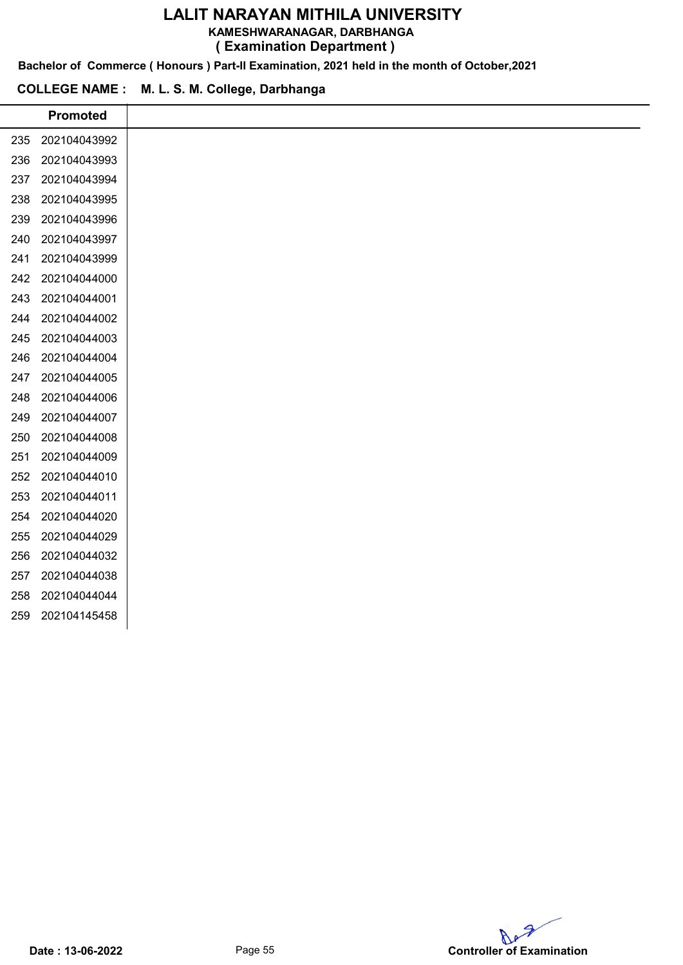KAMESHWARANAGAR, DARBHANGA

( Examination Department )

Bachelor of Commerce ( Honours ) Part-II Examination, 2021 held in the month of October,2021

|     | <b>Promoted</b> |
|-----|-----------------|
| 235 | 202104043992    |
| 236 | 202104043993    |
| 237 | 202104043994    |
| 238 | 202104043995    |
| 239 | 202104043996    |
| 240 | 202104043997    |
| 241 | 202104043999    |
| 242 | 202104044000    |
| 243 | 202104044001    |
| 244 | 202104044002    |
| 245 | 202104044003    |
| 246 | 202104044004    |
| 247 | 202104044005    |
| 248 | 202104044006    |
| 249 | 202104044007    |
| 250 | 202104044008    |
| 251 | 202104044009    |
| 252 | 202104044010    |
| 253 | 202104044011    |
| 254 | 202104044020    |
| 255 | 202104044029    |
| 256 | 202104044032    |
| 257 | 202104044038    |
| 258 | 202104044044    |
| 259 | 202104145458    |
|     |                 |

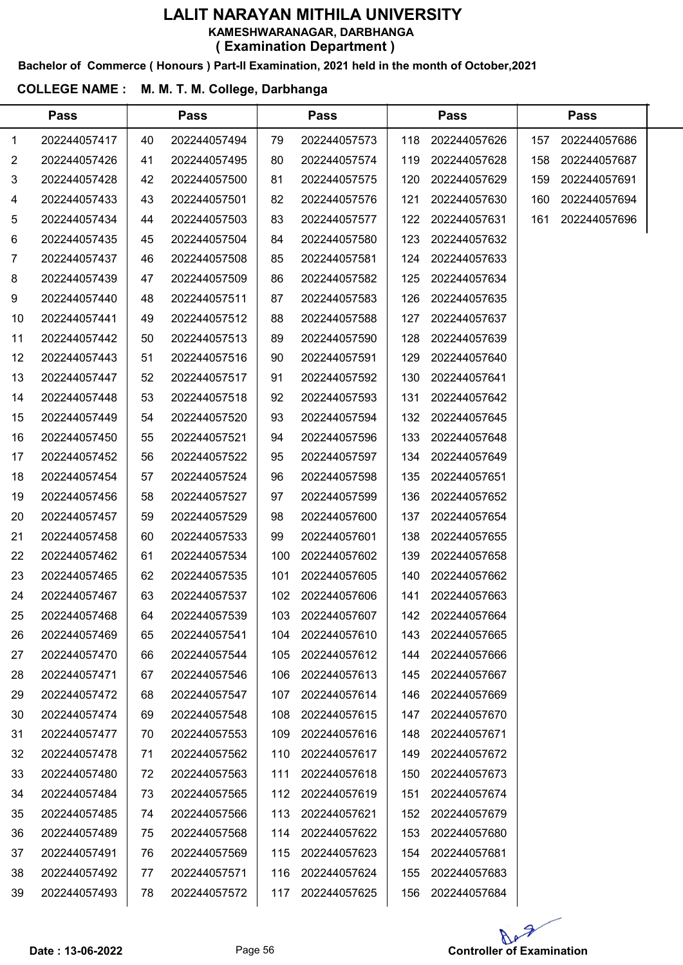Bachelor of Commerce ( Honours ) Part-II Examination, 2021 held in the month of October,2021

#### COLLEGE NAME : M. M. T. M. College, Darbhanga

 $\overline{a}$ 

|             | <b>Pass</b>  |    | <b>Pass</b>  |     | <b>Pass</b>  |     | <b>Pass</b>  |     | <b>Pass</b>  |  |
|-------------|--------------|----|--------------|-----|--------------|-----|--------------|-----|--------------|--|
| $\mathbf 1$ | 202244057417 | 40 | 202244057494 | 79  | 202244057573 | 118 | 202244057626 | 157 | 202244057686 |  |
| 2           | 202244057426 | 41 | 202244057495 | 80  | 202244057574 | 119 | 202244057628 | 158 | 202244057687 |  |
| 3           | 202244057428 | 42 | 202244057500 | 81  | 202244057575 | 120 | 202244057629 | 159 | 202244057691 |  |
| 4           | 202244057433 | 43 | 202244057501 | 82  | 202244057576 | 121 | 202244057630 | 160 | 202244057694 |  |
| 5           | 202244057434 | 44 | 202244057503 | 83  | 202244057577 | 122 | 202244057631 | 161 | 202244057696 |  |
| 6           | 202244057435 | 45 | 202244057504 | 84  | 202244057580 | 123 | 202244057632 |     |              |  |
| 7           | 202244057437 | 46 | 202244057508 | 85  | 202244057581 | 124 | 202244057633 |     |              |  |
| 8           | 202244057439 | 47 | 202244057509 | 86  | 202244057582 | 125 | 202244057634 |     |              |  |
| 9           | 202244057440 | 48 | 202244057511 | 87  | 202244057583 | 126 | 202244057635 |     |              |  |
| 10          | 202244057441 | 49 | 202244057512 | 88  | 202244057588 | 127 | 202244057637 |     |              |  |
| 11          | 202244057442 | 50 | 202244057513 | 89  | 202244057590 | 128 | 202244057639 |     |              |  |
| 12          | 202244057443 | 51 | 202244057516 | 90  | 202244057591 | 129 | 202244057640 |     |              |  |
| 13          | 202244057447 | 52 | 202244057517 | 91  | 202244057592 | 130 | 202244057641 |     |              |  |
| 14          | 202244057448 | 53 | 202244057518 | 92  | 202244057593 | 131 | 202244057642 |     |              |  |
| 15          | 202244057449 | 54 | 202244057520 | 93  | 202244057594 | 132 | 202244057645 |     |              |  |
| 16          | 202244057450 | 55 | 202244057521 | 94  | 202244057596 | 133 | 202244057648 |     |              |  |
| 17          | 202244057452 | 56 | 202244057522 | 95  | 202244057597 | 134 | 202244057649 |     |              |  |
| 18          | 202244057454 | 57 | 202244057524 | 96  | 202244057598 | 135 | 202244057651 |     |              |  |
| 19          | 202244057456 | 58 | 202244057527 | 97  | 202244057599 | 136 | 202244057652 |     |              |  |
| 20          | 202244057457 | 59 | 202244057529 | 98  | 202244057600 | 137 | 202244057654 |     |              |  |
| 21          | 202244057458 | 60 | 202244057533 | 99  | 202244057601 | 138 | 202244057655 |     |              |  |
| 22          | 202244057462 | 61 | 202244057534 | 100 | 202244057602 | 139 | 202244057658 |     |              |  |
| 23          | 202244057465 | 62 | 202244057535 | 101 | 202244057605 | 140 | 202244057662 |     |              |  |
| 24          | 202244057467 | 63 | 202244057537 | 102 | 202244057606 | 141 | 202244057663 |     |              |  |
| 25          | 202244057468 | 64 | 202244057539 | 103 | 202244057607 | 142 | 202244057664 |     |              |  |
| 26          | 202244057469 | 65 | 202244057541 | 104 | 202244057610 | 143 | 202244057665 |     |              |  |
| 27          | 202244057470 | 66 | 202244057544 | 105 | 202244057612 | 144 | 202244057666 |     |              |  |
| 28          | 202244057471 | 67 | 202244057546 | 106 | 202244057613 | 145 | 202244057667 |     |              |  |
| 29          | 202244057472 | 68 | 202244057547 | 107 | 202244057614 | 146 | 202244057669 |     |              |  |
| 30          | 202244057474 | 69 | 202244057548 | 108 | 202244057615 | 147 | 202244057670 |     |              |  |
| 31          | 202244057477 | 70 | 202244057553 | 109 | 202244057616 | 148 | 202244057671 |     |              |  |
| 32          | 202244057478 | 71 | 202244057562 | 110 | 202244057617 | 149 | 202244057672 |     |              |  |
| 33          | 202244057480 | 72 | 202244057563 | 111 | 202244057618 | 150 | 202244057673 |     |              |  |
| 34          | 202244057484 | 73 | 202244057565 | 112 | 202244057619 | 151 | 202244057674 |     |              |  |
| 35          | 202244057485 | 74 | 202244057566 | 113 | 202244057621 | 152 | 202244057679 |     |              |  |
| 36          | 202244057489 | 75 | 202244057568 | 114 | 202244057622 | 153 | 202244057680 |     |              |  |
| 37          | 202244057491 | 76 | 202244057569 | 115 | 202244057623 | 154 | 202244057681 |     |              |  |
| 38          | 202244057492 | 77 | 202244057571 | 116 | 202244057624 | 155 | 202244057683 |     |              |  |
| 39          | 202244057493 | 78 | 202244057572 | 117 | 202244057625 | 156 | 202244057684 |     |              |  |
|             |              |    |              |     |              |     |              |     |              |  |

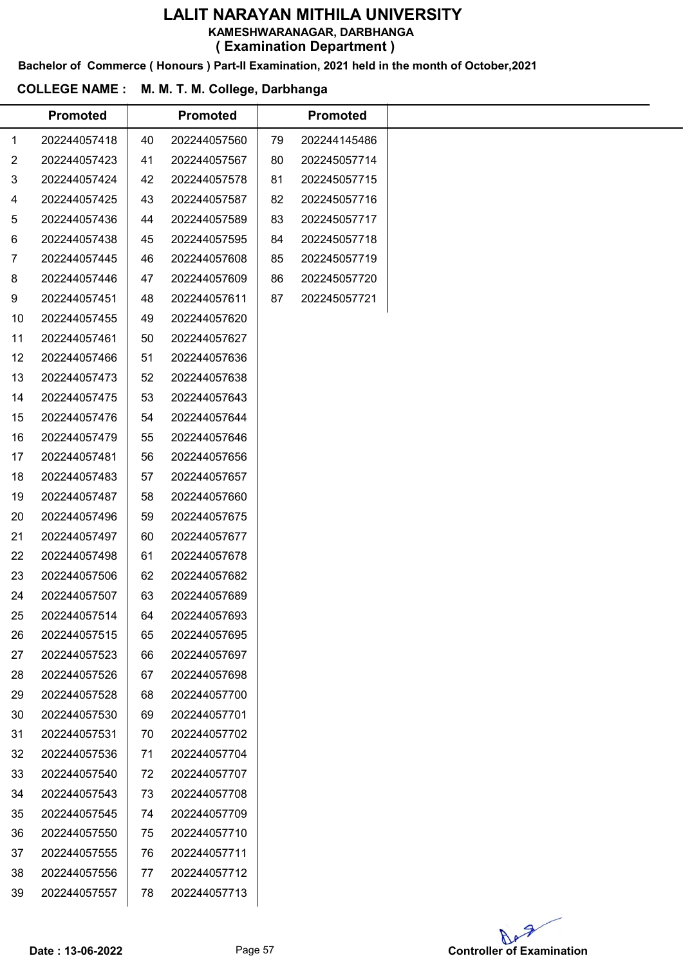KAMESHWARANAGAR, DARBHANGA

( Examination Department )

Bachelor of Commerce ( Honours ) Part-II Examination, 2021 held in the month of October,2021

|                | <b>Promoted</b> |    | <b>Promoted</b> |    | <b>Promoted</b> |  |
|----------------|-----------------|----|-----------------|----|-----------------|--|
| 1              | 202244057418    | 40 | 202244057560    | 79 | 202244145486    |  |
| $\overline{2}$ | 202244057423    | 41 | 202244057567    | 80 | 202245057714    |  |
| 3              | 202244057424    | 42 | 202244057578    | 81 | 202245057715    |  |
| 4              | 202244057425    | 43 | 202244057587    | 82 | 202245057716    |  |
| 5              | 202244057436    | 44 | 202244057589    | 83 | 202245057717    |  |
| 6              | 202244057438    | 45 | 202244057595    | 84 | 202245057718    |  |
| 7              | 202244057445    | 46 | 202244057608    | 85 | 202245057719    |  |
| 8              | 202244057446    | 47 | 202244057609    | 86 | 202245057720    |  |
| 9              | 202244057451    | 48 | 202244057611    | 87 | 202245057721    |  |
| 10             | 202244057455    | 49 | 202244057620    |    |                 |  |
| 11             | 202244057461    | 50 | 202244057627    |    |                 |  |
| 12             | 202244057466    | 51 | 202244057636    |    |                 |  |
| 13             | 202244057473    | 52 | 202244057638    |    |                 |  |
| 14             | 202244057475    | 53 | 202244057643    |    |                 |  |
| 15             | 202244057476    | 54 | 202244057644    |    |                 |  |
| 16             | 202244057479    | 55 | 202244057646    |    |                 |  |
| 17             | 202244057481    | 56 | 202244057656    |    |                 |  |
| 18             | 202244057483    | 57 | 202244057657    |    |                 |  |
| 19             | 202244057487    | 58 | 202244057660    |    |                 |  |
| 20             | 202244057496    | 59 | 202244057675    |    |                 |  |
| 21             | 202244057497    | 60 | 202244057677    |    |                 |  |
| 22             | 202244057498    | 61 | 202244057678    |    |                 |  |
| 23             | 202244057506    | 62 | 202244057682    |    |                 |  |
| 24             | 202244057507    | 63 | 202244057689    |    |                 |  |
| 25             | 202244057514    | 64 | 202244057693    |    |                 |  |
| 26             | 202244057515    | 65 | 202244057695    |    |                 |  |
| 27             | 202244057523    | 66 | 202244057697    |    |                 |  |
| 28             | 202244057526    | 67 | 202244057698    |    |                 |  |
| 29             | 202244057528    | 68 | 202244057700    |    |                 |  |
| 30             | 202244057530    | 69 | 202244057701    |    |                 |  |
| 31             | 202244057531    | 70 | 202244057702    |    |                 |  |
| 32             | 202244057536    | 71 | 202244057704    |    |                 |  |
| 33             | 202244057540    | 72 | 202244057707    |    |                 |  |
| 34             | 202244057543    | 73 | 202244057708    |    |                 |  |
| 35             | 202244057545    | 74 | 202244057709    |    |                 |  |
| 36             | 202244057550    | 75 | 202244057710    |    |                 |  |
| 37             | 202244057555    | 76 | 202244057711    |    |                 |  |
| 38             | 202244057556    | 77 | 202244057712    |    |                 |  |
| 39             | 202244057557    | 78 | 202244057713    |    |                 |  |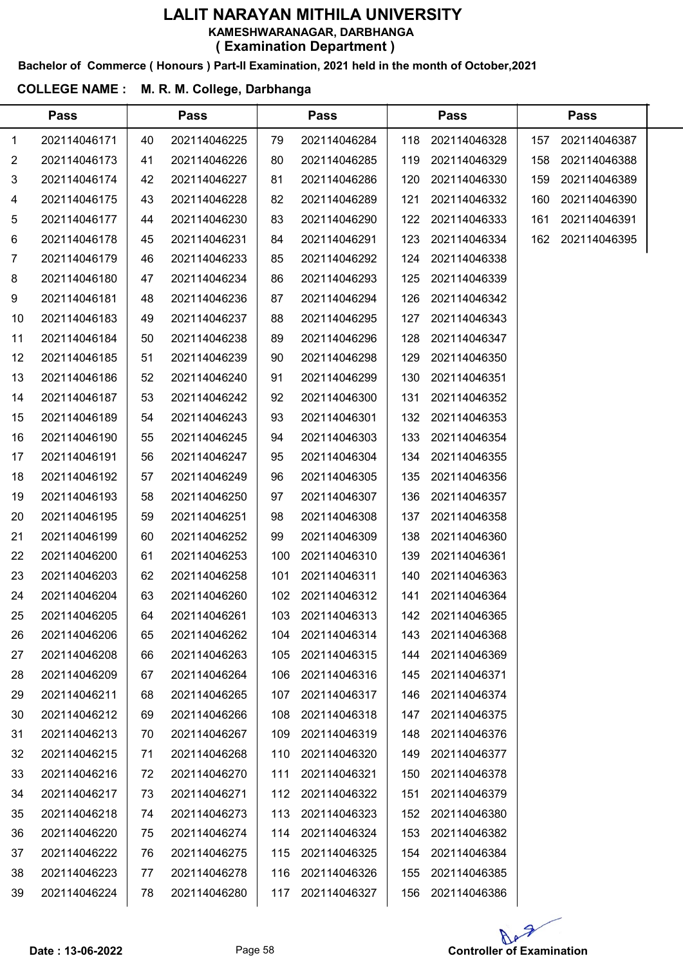#### Bachelor of Commerce ( Honours ) Part-II Examination, 2021 held in the month of October,2021

#### COLLEGE NAME : M. R. M. College, Darbhanga

 $\overline{a}$ 

| 202114046171<br>40<br>202114046225<br>202114046284<br>202114046328<br>1<br>79<br>118<br>157<br>202114046173<br>202114046226<br>202114046285<br>202114046329<br>158<br>2<br>41<br>80<br>119<br>202114046174<br>202114046227<br>202114046330<br>3<br>42<br>81<br>202114046286<br>120<br>159<br>202114046175<br>43<br>202114046228<br>82<br>202114046289<br>202114046332<br>121<br>160<br>4 | 202114046387<br>202114046388<br>202114046389<br>202114046390<br>202114046391<br>162 202114046395 |
|------------------------------------------------------------------------------------------------------------------------------------------------------------------------------------------------------------------------------------------------------------------------------------------------------------------------------------------------------------------------------------------|--------------------------------------------------------------------------------------------------|
|                                                                                                                                                                                                                                                                                                                                                                                          |                                                                                                  |
|                                                                                                                                                                                                                                                                                                                                                                                          |                                                                                                  |
|                                                                                                                                                                                                                                                                                                                                                                                          |                                                                                                  |
|                                                                                                                                                                                                                                                                                                                                                                                          |                                                                                                  |
| 202114046177<br>202114046230<br>83<br>202114046333<br>44<br>202114046290<br>122<br>161<br>5                                                                                                                                                                                                                                                                                              |                                                                                                  |
| 84<br>6<br>202114046178<br>45<br>202114046231<br>202114046291<br>123<br>202114046334                                                                                                                                                                                                                                                                                                     |                                                                                                  |
| 202114046179<br>202114046233<br>202114046338<br>7<br>46<br>85<br>202114046292<br>124                                                                                                                                                                                                                                                                                                     |                                                                                                  |
| 8<br>202114046180<br>47<br>202114046234<br>86<br>202114046293<br>125<br>202114046339                                                                                                                                                                                                                                                                                                     |                                                                                                  |
| 202114046181<br>202114046236<br>202114046294<br>202114046342<br>9<br>48<br>87<br>126                                                                                                                                                                                                                                                                                                     |                                                                                                  |
| 202114046183<br>202114046237<br>88<br>202114046295<br>202114046343<br>10<br>49<br>127                                                                                                                                                                                                                                                                                                    |                                                                                                  |
| 202114046184<br>202114046238<br>202114046347<br>11<br>50<br>89<br>202114046296<br>128                                                                                                                                                                                                                                                                                                    |                                                                                                  |
| 12<br>202114046185<br>202114046239<br>202114046298<br>202114046350<br>51<br>90<br>129                                                                                                                                                                                                                                                                                                    |                                                                                                  |
| 13<br>202114046186<br>202114046240<br>202114046351<br>52<br>91<br>202114046299<br>130                                                                                                                                                                                                                                                                                                    |                                                                                                  |
| 202114046187<br>53<br>202114046242<br>202114046300<br>202114046352<br>14<br>92<br>131                                                                                                                                                                                                                                                                                                    |                                                                                                  |
| 15<br>202114046189<br>54<br>202114046243<br>93<br>202114046301<br>132<br>202114046353                                                                                                                                                                                                                                                                                                    |                                                                                                  |
| 202114046190<br>202114046245<br>202114046303<br>202114046354<br>16<br>55<br>94<br>133                                                                                                                                                                                                                                                                                                    |                                                                                                  |
| 17<br>202114046191<br>56<br>202114046247<br>95<br>202114046304<br>134<br>202114046355                                                                                                                                                                                                                                                                                                    |                                                                                                  |
| 18<br>202114046356<br>202114046192<br>57<br>202114046249<br>96<br>202114046305<br>135                                                                                                                                                                                                                                                                                                    |                                                                                                  |
| 19<br>202114046193<br>202114046250<br>202114046307<br>202114046357<br>58<br>97<br>136                                                                                                                                                                                                                                                                                                    |                                                                                                  |
| 202114046195<br>202114046251<br>202114046358<br>20<br>59<br>98<br>202114046308<br>137                                                                                                                                                                                                                                                                                                    |                                                                                                  |
| 202114046199<br>202114046252<br>202114046309<br>202114046360<br>21<br>60<br>99<br>138                                                                                                                                                                                                                                                                                                    |                                                                                                  |
| 22<br>202114046200<br>61<br>202114046253<br>100<br>202114046310<br>139<br>202114046361                                                                                                                                                                                                                                                                                                   |                                                                                                  |
| 202114046203<br>202114046258<br>202114046363<br>23<br>62<br>101<br>202114046311<br>140                                                                                                                                                                                                                                                                                                   |                                                                                                  |
| 24<br>63<br>102<br>202114046204<br>202114046260<br>202114046312<br>141<br>202114046364                                                                                                                                                                                                                                                                                                   |                                                                                                  |
| 25<br>202114046205<br>64<br>202114046261<br>103<br>202114046313<br>202114046365<br>142                                                                                                                                                                                                                                                                                                   |                                                                                                  |
| 202114046368<br>202114046206<br>65<br>202114046262<br>202114046314<br>26<br>104<br>143                                                                                                                                                                                                                                                                                                   |                                                                                                  |
| 202114046208<br>202114046263<br>202114046315<br>202114046369<br>27<br>105<br>66<br>144                                                                                                                                                                                                                                                                                                   |                                                                                                  |
| 28<br>202114046209<br>202114046264<br>106<br>202114046316<br>202114046371<br>67<br>145                                                                                                                                                                                                                                                                                                   |                                                                                                  |
| 202114046211<br>202114046265<br>202114046317<br>202114046374<br>29<br>68<br>107<br>146                                                                                                                                                                                                                                                                                                   |                                                                                                  |
| 202114046212<br>202114046375<br>30<br>69<br>202114046266<br>108<br>202114046318<br>147                                                                                                                                                                                                                                                                                                   |                                                                                                  |
| 202114046213<br>202114046267<br>202114046319<br>202114046376<br>31<br>109<br>148<br>70                                                                                                                                                                                                                                                                                                   |                                                                                                  |
| 202114046215<br>32<br>202114046268<br>110<br>202114046320<br>149<br>202114046377<br>71                                                                                                                                                                                                                                                                                                   |                                                                                                  |
| 33<br>202114046216<br>202114046270<br>202114046321<br>202114046378<br>72<br>111<br>150                                                                                                                                                                                                                                                                                                   |                                                                                                  |
| 202114046217<br>202114046271<br>202114046322<br>202114046379<br>34<br>73<br>112<br>151                                                                                                                                                                                                                                                                                                   |                                                                                                  |
| 202114046218<br>202114046323<br>202114046380<br>35<br>202114046273<br>113<br>74<br>152                                                                                                                                                                                                                                                                                                   |                                                                                                  |
| 202114046220<br>202114046274<br>202114046324<br>202114046382<br>36<br>153<br>75<br>114                                                                                                                                                                                                                                                                                                   |                                                                                                  |
| 202114046222<br>202114046384<br>202114046275<br>202114046325<br>37<br>76<br>115<br>154                                                                                                                                                                                                                                                                                                   |                                                                                                  |
| 202114046223<br>38<br>202114046278<br>116<br>202114046326<br>202114046385<br>77<br>155                                                                                                                                                                                                                                                                                                   |                                                                                                  |
| 202114046386<br>202114046224<br>78<br>202114046280<br>202114046327<br>39<br>117<br>156                                                                                                                                                                                                                                                                                                   |                                                                                                  |

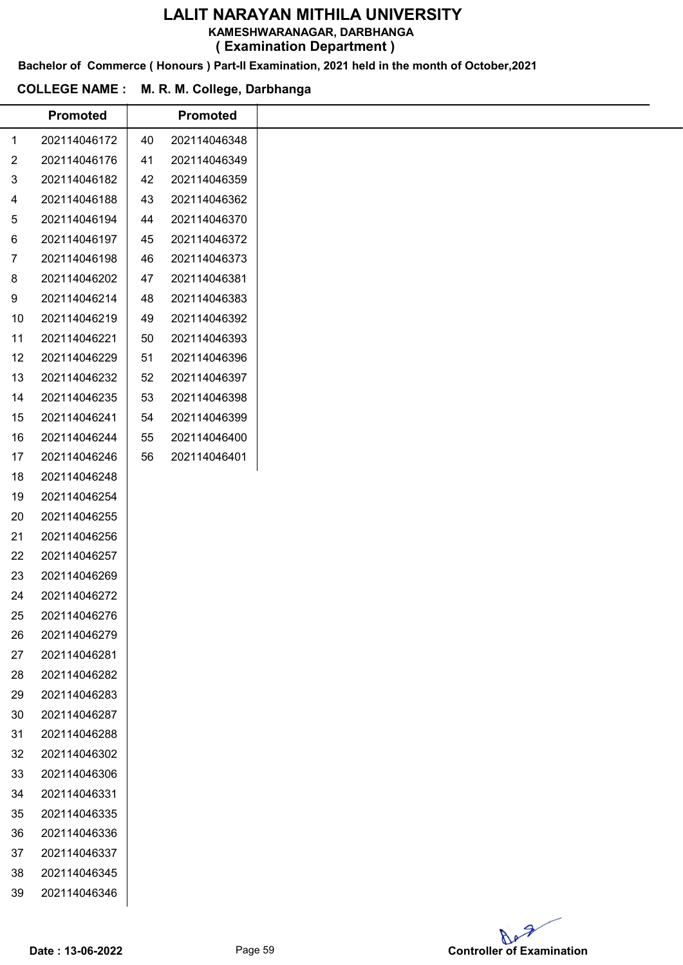KAMESHWARANAGAR, DARBHANGA

( Examination Department )

Bachelor of Commerce ( Honours ) Part-II Examination, 2021 held in the month of October,2021

|                | <b>Promoted</b> |    | <b>Promoted</b> |
|----------------|-----------------|----|-----------------|
| 1              | 202114046172    | 40 | 202114046348    |
| $\overline{2}$ | 202114046176    | 41 | 202114046349    |
| 3              | 202114046182    | 42 | 202114046359    |
| 4              | 202114046188    | 43 | 202114046362    |
| 5              | 202114046194    | 44 | 202114046370    |
| 6              | 202114046197    | 45 | 202114046372    |
| 7              | 202114046198    | 46 | 202114046373    |
| 8              | 202114046202    | 47 | 202114046381    |
| 9              | 202114046214    | 48 | 202114046383    |
| 10             | 202114046219    | 49 | 202114046392    |
| 11             | 202114046221    | 50 | 202114046393    |
| 12             | 202114046229    | 51 | 202114046396    |
| 13             | 202114046232    | 52 | 202114046397    |
| 14             | 202114046235    | 53 | 202114046398    |
| 15             | 202114046241    | 54 | 202114046399    |
| 16             | 202114046244    | 55 | 202114046400    |
| 17             | 202114046246    | 56 | 202114046401    |
| 18             | 202114046248    |    |                 |
| 19             | 202114046254    |    |                 |
| 20             | 202114046255    |    |                 |
| 21             | 202114046256    |    |                 |
| 22             | 202114046257    |    |                 |
| 23             | 202114046269    |    |                 |
| 24             | 202114046272    |    |                 |
| 25             | 202114046276    |    |                 |
| 26             | 202114046279    |    |                 |
| 27             | 202114046281    |    |                 |
| 28             | 202114046282    |    |                 |
| 29             | 202114046283    |    |                 |
| 30             | 202114046287    |    |                 |
| 31             | 202114046288    |    |                 |
| 32             | 202114046302    |    |                 |
| 33             | 202114046306    |    |                 |
| 34             | 202114046331    |    |                 |
| 35             | 202114046335    |    |                 |
| 36             | 202114046336    |    |                 |
| 37             | 202114046337    |    |                 |
| 38             | 202114046345    |    |                 |
| 39             | 202114046346    |    |                 |

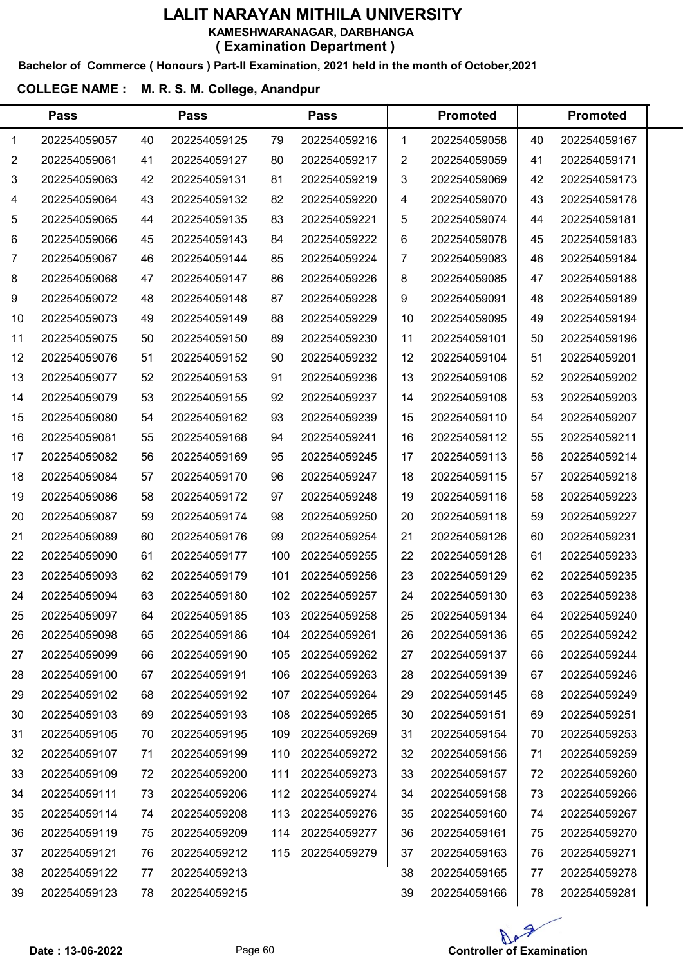#### Bachelor of Commerce ( Honours ) Part-II Examination, 2021 held in the month of October,2021

# COLLEGE NAME : M. R. S. M. College, Anandpur

| <b>Pass</b>    |              |    | <b>Pass</b><br><b>Pass</b> |     |              |    | <b>Promoted</b> |    |              |  |
|----------------|--------------|----|----------------------------|-----|--------------|----|-----------------|----|--------------|--|
| 1              | 202254059057 | 40 | 202254059125               | 79  | 202254059216 | 1  | 202254059058    | 40 | 202254059167 |  |
| $\overline{2}$ | 202254059061 | 41 | 202254059127               | 80  | 202254059217 | 2  | 202254059059    | 41 | 202254059171 |  |
| 3              | 202254059063 | 42 | 202254059131               | 81  | 202254059219 | 3  | 202254059069    | 42 | 202254059173 |  |
| 4              | 202254059064 | 43 | 202254059132               | 82  | 202254059220 | 4  | 202254059070    | 43 | 202254059178 |  |
| 5              | 202254059065 | 44 | 202254059135               | 83  | 202254059221 | 5  | 202254059074    | 44 | 202254059181 |  |
| 6              | 202254059066 | 45 | 202254059143               | 84  | 202254059222 | 6  | 202254059078    | 45 | 202254059183 |  |
| 7              | 202254059067 | 46 | 202254059144               | 85  | 202254059224 | 7  | 202254059083    | 46 | 202254059184 |  |
| 8              | 202254059068 | 47 | 202254059147               | 86  | 202254059226 | 8  | 202254059085    | 47 | 202254059188 |  |
| 9              | 202254059072 | 48 | 202254059148               | 87  | 202254059228 | 9  | 202254059091    | 48 | 202254059189 |  |
| 10             | 202254059073 | 49 | 202254059149               | 88  | 202254059229 | 10 | 202254059095    | 49 | 202254059194 |  |
| 11             | 202254059075 | 50 | 202254059150               | 89  | 202254059230 | 11 | 202254059101    | 50 | 202254059196 |  |
| 12             | 202254059076 | 51 | 202254059152               | 90  | 202254059232 | 12 | 202254059104    | 51 | 202254059201 |  |
| 13             | 202254059077 | 52 | 202254059153               | 91  | 202254059236 | 13 | 202254059106    | 52 | 202254059202 |  |
| 14             | 202254059079 | 53 | 202254059155               | 92  | 202254059237 | 14 | 202254059108    | 53 | 202254059203 |  |
| 15             | 202254059080 | 54 | 202254059162               | 93  | 202254059239 | 15 | 202254059110    | 54 | 202254059207 |  |
| 16             | 202254059081 | 55 | 202254059168               | 94  | 202254059241 | 16 | 202254059112    | 55 | 202254059211 |  |
| 17             | 202254059082 | 56 | 202254059169               | 95  | 202254059245 | 17 | 202254059113    | 56 | 202254059214 |  |
| 18             | 202254059084 | 57 | 202254059170               | 96  | 202254059247 | 18 | 202254059115    | 57 | 202254059218 |  |
| 19             | 202254059086 | 58 | 202254059172               | 97  | 202254059248 | 19 | 202254059116    | 58 | 202254059223 |  |
| 20             | 202254059087 | 59 | 202254059174               | 98  | 202254059250 | 20 | 202254059118    | 59 | 202254059227 |  |
| 21             | 202254059089 | 60 | 202254059176               | 99  | 202254059254 | 21 | 202254059126    | 60 | 202254059231 |  |
| 22             | 202254059090 | 61 | 202254059177               | 100 | 202254059255 | 22 | 202254059128    | 61 | 202254059233 |  |
| 23             | 202254059093 | 62 | 202254059179               | 101 | 202254059256 | 23 | 202254059129    | 62 | 202254059235 |  |
| 24             | 202254059094 | 63 | 202254059180               | 102 | 202254059257 | 24 | 202254059130    | 63 | 202254059238 |  |
| 25             | 202254059097 | 64 | 202254059185               | 103 | 202254059258 | 25 | 202254059134    | 64 | 202254059240 |  |
| 26             | 202254059098 | 65 | 202254059186               | 104 | 202254059261 | 26 | 202254059136    | 65 | 202254059242 |  |
| 27             | 202254059099 | 66 | 202254059190               | 105 | 202254059262 | 27 | 202254059137    | 66 | 202254059244 |  |
| 28             | 202254059100 | 67 | 202254059191               | 106 | 202254059263 | 28 | 202254059139    | 67 | 202254059246 |  |
| 29             | 202254059102 | 68 | 202254059192               | 107 | 202254059264 | 29 | 202254059145    | 68 | 202254059249 |  |
| 30             | 202254059103 | 69 | 202254059193               | 108 | 202254059265 | 30 | 202254059151    | 69 | 202254059251 |  |
| 31             | 202254059105 | 70 | 202254059195               | 109 | 202254059269 | 31 | 202254059154    | 70 | 202254059253 |  |
| 32             | 202254059107 | 71 | 202254059199               | 110 | 202254059272 | 32 | 202254059156    | 71 | 202254059259 |  |
| 33             | 202254059109 | 72 | 202254059200               | 111 | 202254059273 | 33 | 202254059157    | 72 | 202254059260 |  |
| 34             | 202254059111 | 73 | 202254059206               | 112 | 202254059274 | 34 | 202254059158    | 73 | 202254059266 |  |
| 35             | 202254059114 | 74 | 202254059208               | 113 | 202254059276 | 35 | 202254059160    | 74 | 202254059267 |  |
| 36             | 202254059119 | 75 | 202254059209               | 114 | 202254059277 | 36 | 202254059161    | 75 | 202254059270 |  |
| 37             | 202254059121 | 76 | 202254059212               | 115 | 202254059279 | 37 | 202254059163    | 76 | 202254059271 |  |
| 38             | 202254059122 | 77 | 202254059213               |     |              | 38 | 202254059165    | 77 | 202254059278 |  |
| 39             | 202254059123 | 78 | 202254059215               |     |              | 39 | 202254059166    | 78 | 202254059281 |  |

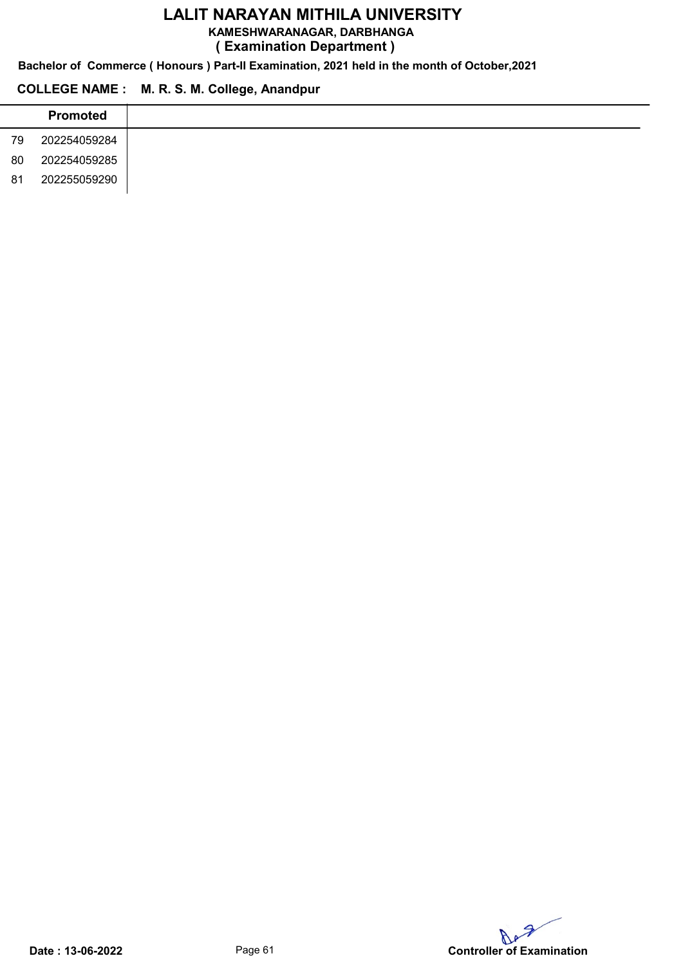KAMESHWARANAGAR, DARBHANGA

( Examination Department )

Bachelor of Commerce ( Honours ) Part-II Examination, 2021 held in the month of October,2021

# COLLEGE NAME : M. R. S. M. College, Anandpur

|    | <b>Promoted</b> |
|----|-----------------|
| 79 | 202254059284    |
| 80 | 202254059285    |
| 81 | 202255059290    |

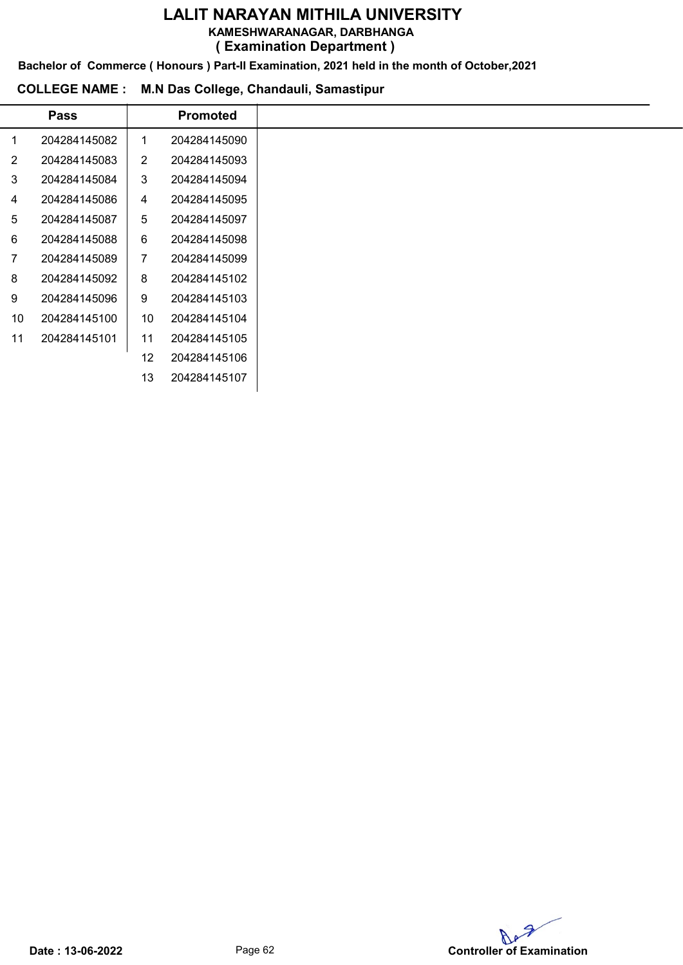KAMESHWARANAGAR, DARBHANGA

( Examination Department )

Bachelor of Commerce ( Honours ) Part-II Examination, 2021 held in the month of October,2021

#### COLLEGE NAME : M.N Das College, Chandauli, Samastipur

|                | <b>Pass</b>  |                | <b>Promoted</b> |
|----------------|--------------|----------------|-----------------|
| 1              | 204284145082 | 1              | 204284145090    |
| $\overline{2}$ | 204284145083 | $\overline{2}$ | 204284145093    |
| 3              | 204284145084 | 3              | 204284145094    |
| 4              | 204284145086 | 4              | 204284145095    |
| 5              | 204284145087 | 5              | 204284145097    |
| 6              | 204284145088 | 6              | 204284145098    |
| 7              | 204284145089 | 7              | 204284145099    |
| 8              | 204284145092 | 8              | 204284145102    |
| 9              | 204284145096 | 9              | 204284145103    |
| 10             | 204284145100 | 10             | 204284145104    |
| 11             | 204284145101 | 11             | 204284145105    |
|                |              | 12             | 204284145106    |
|                |              | 13             | 204284145107    |

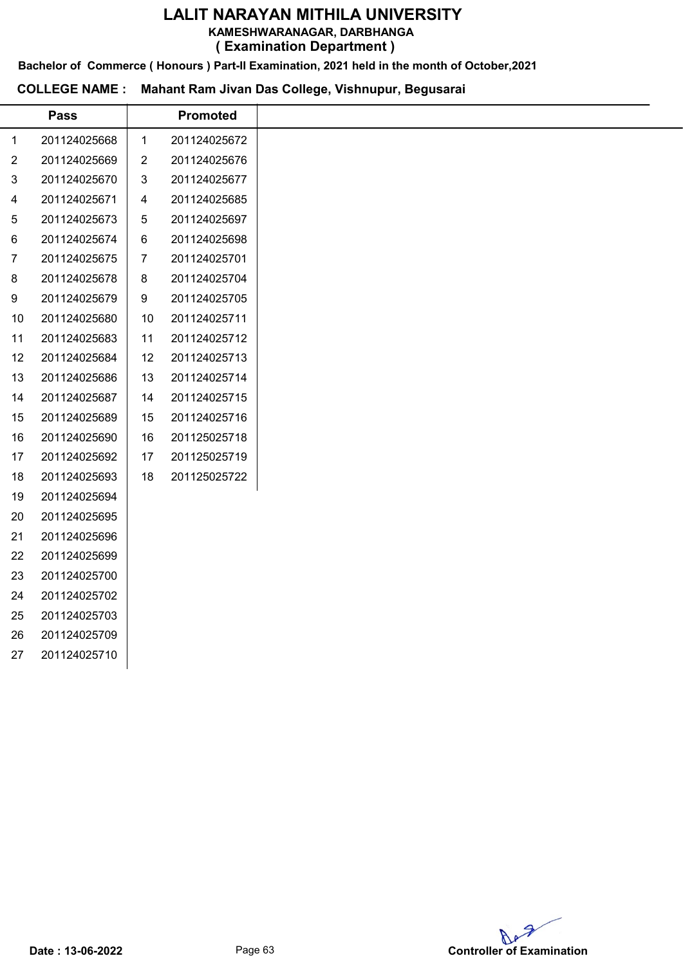KAMESHWARANAGAR, DARBHANGA

( Examination Department )

Bachelor of Commerce ( Honours ) Part-II Examination, 2021 held in the month of October,2021

# COLLEGE NAME : Mahant Ram Jivan Das College, Vishnupur, Begusarai

|                | <b>Pass</b>  |                | <b>Promoted</b> |
|----------------|--------------|----------------|-----------------|
| 1              | 201124025668 | $\mathbf{1}$   | 201124025672    |
| $\overline{2}$ | 201124025669 | $\overline{2}$ | 201124025676    |
| 3              | 201124025670 | $\mathfrak{S}$ | 201124025677    |
| $\overline{4}$ | 201124025671 | 4              | 201124025685    |
| 5              | 201124025673 | 5              | 201124025697    |
| 6              | 201124025674 | 6              | 201124025698    |
| $\overline{7}$ | 201124025675 | 7              | 201124025701    |
| 8              | 201124025678 | 8              | 201124025704    |
| 9              | 201124025679 | 9              | 201124025705    |
| 10             | 201124025680 | 10             | 201124025711    |
| 11             | 201124025683 | 11             | 201124025712    |
| 12             | 201124025684 | 12             | 201124025713    |
| 13             | 201124025686 | 13             | 201124025714    |
| 14             | 201124025687 | 14             | 201124025715    |
| 15             | 201124025689 | 15             | 201124025716    |
| 16             | 201124025690 | 16             | 201125025718    |
| 17             | 201124025692 | 17             | 201125025719    |
| 18             | 201124025693 | 18             | 201125025722    |
| 19             | 201124025694 |                |                 |
| 20             | 201124025695 |                |                 |
| 21             | 201124025696 |                |                 |
| 22             | 201124025699 |                |                 |
| 23             | 201124025700 |                |                 |
| 24             | 201124025702 |                |                 |
| 25             | 201124025703 |                |                 |
| 26             | 201124025709 |                |                 |
| 27             | 201124025710 |                |                 |
|                |              |                |                 |

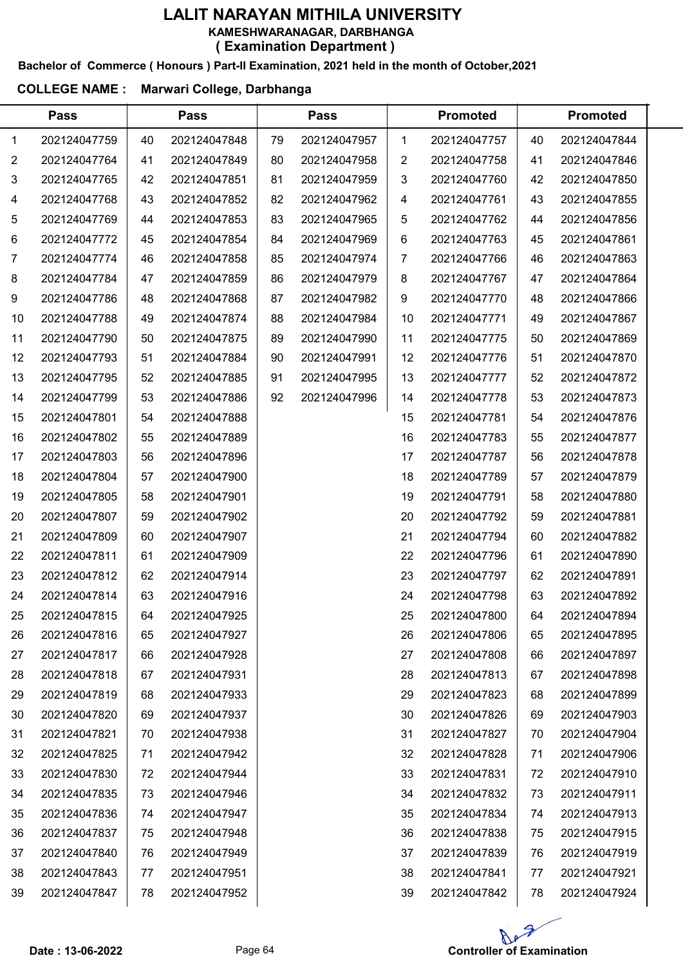#### Bachelor of Commerce ( Honours ) Part-II Examination, 2021 held in the month of October,2021

## COLLEGE NAME : Marwari College, Darbhanga

|    | <b>Pass</b>  |    | <b>Pass</b>  |    | <b>Pass</b>  |    | <b>Promoted</b> |    | <b>Promoted</b> |  |
|----|--------------|----|--------------|----|--------------|----|-----------------|----|-----------------|--|
| 1  | 202124047759 | 40 | 202124047848 | 79 | 202124047957 | 1  | 202124047757    | 40 | 202124047844    |  |
| 2  | 202124047764 | 41 | 202124047849 | 80 | 202124047958 | 2  | 202124047758    | 41 | 202124047846    |  |
| 3  | 202124047765 | 42 | 202124047851 | 81 | 202124047959 | 3  | 202124047760    | 42 | 202124047850    |  |
| 4  | 202124047768 | 43 | 202124047852 | 82 | 202124047962 | 4  | 202124047761    | 43 | 202124047855    |  |
| 5  | 202124047769 | 44 | 202124047853 | 83 | 202124047965 | 5  | 202124047762    | 44 | 202124047856    |  |
| 6  | 202124047772 | 45 | 202124047854 | 84 | 202124047969 | 6  | 202124047763    | 45 | 202124047861    |  |
| 7  | 202124047774 | 46 | 202124047858 | 85 | 202124047974 | 7  | 202124047766    | 46 | 202124047863    |  |
| 8  | 202124047784 | 47 | 202124047859 | 86 | 202124047979 | 8  | 202124047767    | 47 | 202124047864    |  |
| 9  | 202124047786 | 48 | 202124047868 | 87 | 202124047982 | 9  | 202124047770    | 48 | 202124047866    |  |
| 10 | 202124047788 | 49 | 202124047874 | 88 | 202124047984 | 10 | 202124047771    | 49 | 202124047867    |  |
| 11 | 202124047790 | 50 | 202124047875 | 89 | 202124047990 | 11 | 202124047775    | 50 | 202124047869    |  |
| 12 | 202124047793 | 51 | 202124047884 | 90 | 202124047991 | 12 | 202124047776    | 51 | 202124047870    |  |
| 13 | 202124047795 | 52 | 202124047885 | 91 | 202124047995 | 13 | 202124047777    | 52 | 202124047872    |  |
| 14 | 202124047799 | 53 | 202124047886 | 92 | 202124047996 | 14 | 202124047778    | 53 | 202124047873    |  |
| 15 | 202124047801 | 54 | 202124047888 |    |              | 15 | 202124047781    | 54 | 202124047876    |  |
| 16 | 202124047802 | 55 | 202124047889 |    |              | 16 | 202124047783    | 55 | 202124047877    |  |
| 17 | 202124047803 | 56 | 202124047896 |    |              | 17 | 202124047787    | 56 | 202124047878    |  |
| 18 | 202124047804 | 57 | 202124047900 |    |              | 18 | 202124047789    | 57 | 202124047879    |  |
| 19 | 202124047805 | 58 | 202124047901 |    |              | 19 | 202124047791    | 58 | 202124047880    |  |
| 20 | 202124047807 | 59 | 202124047902 |    |              | 20 | 202124047792    | 59 | 202124047881    |  |
| 21 | 202124047809 | 60 | 202124047907 |    |              | 21 | 202124047794    | 60 | 202124047882    |  |
| 22 | 202124047811 | 61 | 202124047909 |    |              | 22 | 202124047796    | 61 | 202124047890    |  |
| 23 | 202124047812 | 62 | 202124047914 |    |              | 23 | 202124047797    | 62 | 202124047891    |  |
| 24 | 202124047814 | 63 | 202124047916 |    |              | 24 | 202124047798    | 63 | 202124047892    |  |
| 25 | 202124047815 | 64 | 202124047925 |    |              | 25 | 202124047800    | 64 | 202124047894    |  |
| 26 | 202124047816 | 65 | 202124047927 |    |              | 26 | 202124047806    | 65 | 202124047895    |  |
| 27 | 202124047817 | 66 | 202124047928 |    |              | 27 | 202124047808    | 66 | 202124047897    |  |
| 28 | 202124047818 | 67 | 202124047931 |    |              | 28 | 202124047813    | 67 | 202124047898    |  |
| 29 | 202124047819 | 68 | 202124047933 |    |              | 29 | 202124047823    | 68 | 202124047899    |  |
| 30 | 202124047820 | 69 | 202124047937 |    |              | 30 | 202124047826    | 69 | 202124047903    |  |
| 31 | 202124047821 | 70 | 202124047938 |    |              | 31 | 202124047827    | 70 | 202124047904    |  |
| 32 | 202124047825 | 71 | 202124047942 |    |              | 32 | 202124047828    | 71 | 202124047906    |  |
| 33 | 202124047830 | 72 | 202124047944 |    |              | 33 | 202124047831    | 72 | 202124047910    |  |
| 34 | 202124047835 | 73 | 202124047946 |    |              | 34 | 202124047832    | 73 | 202124047911    |  |
| 35 | 202124047836 | 74 | 202124047947 |    |              | 35 | 202124047834    | 74 | 202124047913    |  |
| 36 | 202124047837 | 75 | 202124047948 |    |              | 36 | 202124047838    | 75 | 202124047915    |  |
| 37 | 202124047840 | 76 | 202124047949 |    |              | 37 | 202124047839    | 76 | 202124047919    |  |
| 38 | 202124047843 | 77 | 202124047951 |    |              | 38 | 202124047841    | 77 | 202124047921    |  |
| 39 | 202124047847 | 78 | 202124047952 |    |              | 39 | 202124047842    | 78 | 202124047924    |  |

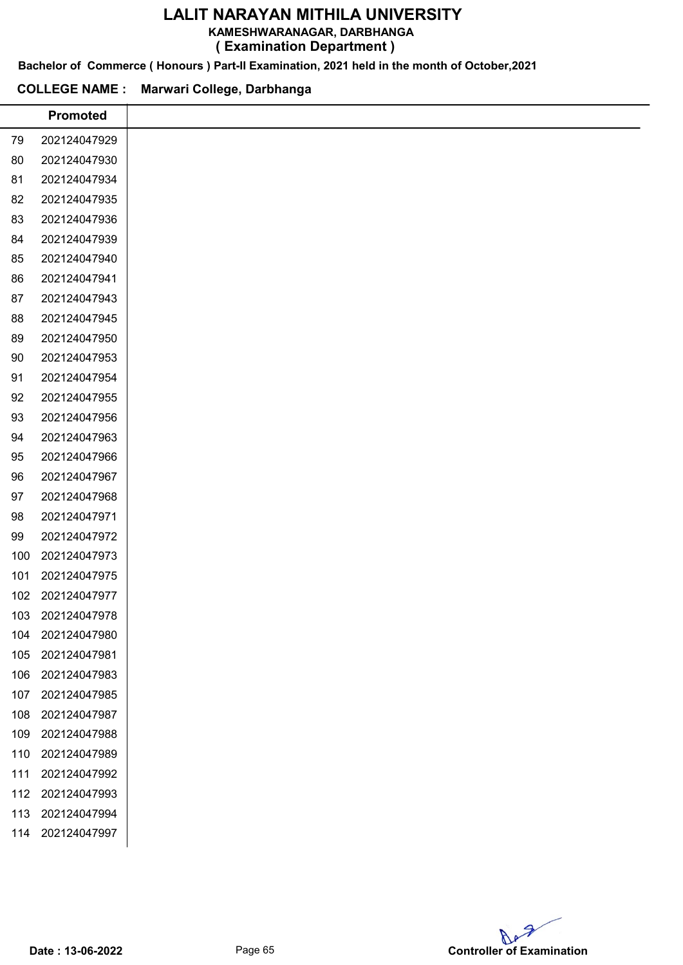KAMESHWARANAGAR, DARBHANGA

( Examination Department )

Bachelor of Commerce ( Honours ) Part-II Examination, 2021 held in the month of October,2021

# COLLEGE NAME : Marwari College, Darbhanga

L,

|     | <b>Promoted</b> |
|-----|-----------------|
| 79  | 202124047929    |
| 80  | 202124047930    |
| 81  | 202124047934    |
| 82  | 202124047935    |
| 83  | 202124047936    |
| 84  | 202124047939    |
| 85  | 202124047940    |
| 86  | 202124047941    |
| 87  | 202124047943    |
| 88  | 202124047945    |
| 89  | 202124047950    |
| 90  | 202124047953    |
| 91  | 202124047954    |
| 92  | 202124047955    |
| 93  | 202124047956    |
| 94  | 202124047963    |
| 95  | 202124047966    |
| 96  | 202124047967    |
| 97  | 202124047968    |
| 98  | 202124047971    |
| 99  | 202124047972    |
| 100 | 202124047973    |
| 101 | 202124047975    |
| 102 | 202124047977    |
| 103 | 202124047978    |
| 104 | 202124047980    |
| 105 | 202124047981    |
| 106 | 202124047983    |
| 107 | 202124047985    |
| 108 | 202124047987    |
| 109 | 202124047988    |
| 110 | 202124047989    |
| 111 | 202124047992    |
| 112 | 202124047993    |
| 113 | 202124047994    |
| 114 | 202124047997    |
|     |                 |

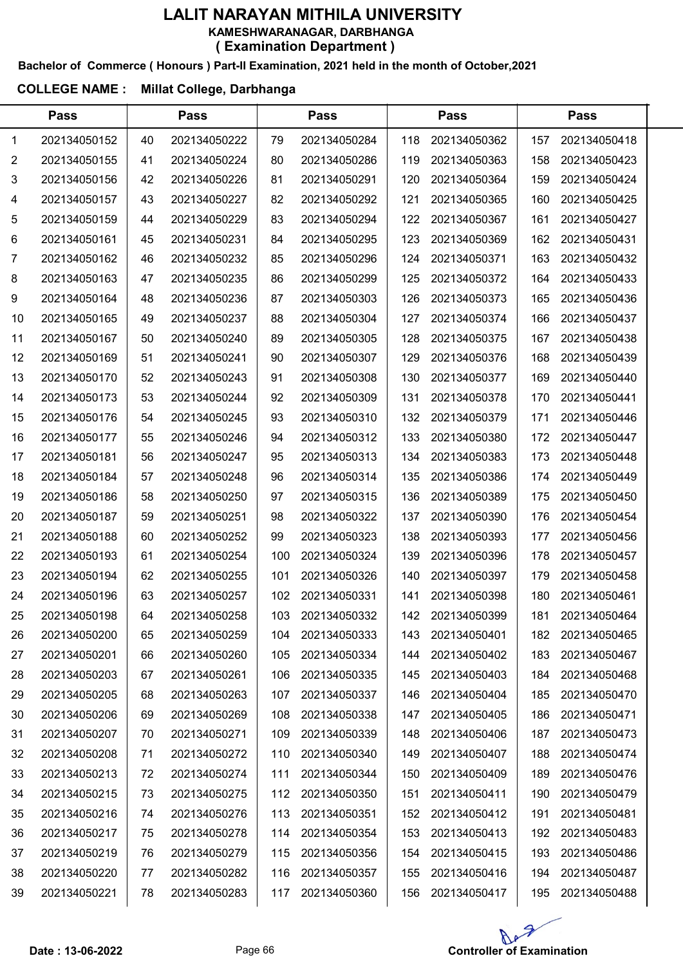#### Bachelor of Commerce ( Honours ) Part-II Examination, 2021 held in the month of October,2021

# COLLEGE NAME : Millat College, Darbhanga

|    | <b>Pass</b>  |    | <b>Pass</b>  |     | <b>Pass</b>  |     | <b>Pass</b>  |     | <b>Pass</b>  |  |
|----|--------------|----|--------------|-----|--------------|-----|--------------|-----|--------------|--|
| 1  | 202134050152 | 40 | 202134050222 | 79  | 202134050284 | 118 | 202134050362 | 157 | 202134050418 |  |
| 2  | 202134050155 | 41 | 202134050224 | 80  | 202134050286 | 119 | 202134050363 | 158 | 202134050423 |  |
| 3  | 202134050156 | 42 | 202134050226 | 81  | 202134050291 | 120 | 202134050364 | 159 | 202134050424 |  |
| 4  | 202134050157 | 43 | 202134050227 | 82  | 202134050292 | 121 | 202134050365 | 160 | 202134050425 |  |
| 5  | 202134050159 | 44 | 202134050229 | 83  | 202134050294 | 122 | 202134050367 | 161 | 202134050427 |  |
| 6  | 202134050161 | 45 | 202134050231 | 84  | 202134050295 | 123 | 202134050369 | 162 | 202134050431 |  |
| 7  | 202134050162 | 46 | 202134050232 | 85  | 202134050296 | 124 | 202134050371 | 163 | 202134050432 |  |
| 8  | 202134050163 | 47 | 202134050235 | 86  | 202134050299 | 125 | 202134050372 | 164 | 202134050433 |  |
| 9  | 202134050164 | 48 | 202134050236 | 87  | 202134050303 | 126 | 202134050373 | 165 | 202134050436 |  |
| 10 | 202134050165 | 49 | 202134050237 | 88  | 202134050304 | 127 | 202134050374 | 166 | 202134050437 |  |
| 11 | 202134050167 | 50 | 202134050240 | 89  | 202134050305 | 128 | 202134050375 | 167 | 202134050438 |  |
| 12 | 202134050169 | 51 | 202134050241 | 90  | 202134050307 | 129 | 202134050376 | 168 | 202134050439 |  |
| 13 | 202134050170 | 52 | 202134050243 | 91  | 202134050308 | 130 | 202134050377 | 169 | 202134050440 |  |
| 14 | 202134050173 | 53 | 202134050244 | 92  | 202134050309 | 131 | 202134050378 | 170 | 202134050441 |  |
| 15 | 202134050176 | 54 | 202134050245 | 93  | 202134050310 | 132 | 202134050379 | 171 | 202134050446 |  |
| 16 | 202134050177 | 55 | 202134050246 | 94  | 202134050312 | 133 | 202134050380 | 172 | 202134050447 |  |
| 17 | 202134050181 | 56 | 202134050247 | 95  | 202134050313 | 134 | 202134050383 | 173 | 202134050448 |  |
| 18 | 202134050184 | 57 | 202134050248 | 96  | 202134050314 | 135 | 202134050386 | 174 | 202134050449 |  |
| 19 | 202134050186 | 58 | 202134050250 | 97  | 202134050315 | 136 | 202134050389 | 175 | 202134050450 |  |
| 20 | 202134050187 | 59 | 202134050251 | 98  | 202134050322 | 137 | 202134050390 | 176 | 202134050454 |  |
| 21 | 202134050188 | 60 | 202134050252 | 99  | 202134050323 | 138 | 202134050393 | 177 | 202134050456 |  |
| 22 | 202134050193 | 61 | 202134050254 | 100 | 202134050324 | 139 | 202134050396 | 178 | 202134050457 |  |
| 23 | 202134050194 | 62 | 202134050255 | 101 | 202134050326 | 140 | 202134050397 | 179 | 202134050458 |  |
| 24 | 202134050196 | 63 | 202134050257 | 102 | 202134050331 | 141 | 202134050398 | 180 | 202134050461 |  |
| 25 | 202134050198 | 64 | 202134050258 | 103 | 202134050332 | 142 | 202134050399 | 181 | 202134050464 |  |
| 26 | 202134050200 | 65 | 202134050259 | 104 | 202134050333 | 143 | 202134050401 | 182 | 202134050465 |  |
| 27 | 202134050201 | 66 | 202134050260 | 105 | 202134050334 | 144 | 202134050402 | 183 | 202134050467 |  |
| 28 | 202134050203 | 67 | 202134050261 | 106 | 202134050335 | 145 | 202134050403 | 184 | 202134050468 |  |
| 29 | 202134050205 | 68 | 202134050263 | 107 | 202134050337 | 146 | 202134050404 | 185 | 202134050470 |  |
| 30 | 202134050206 | 69 | 202134050269 | 108 | 202134050338 | 147 | 202134050405 | 186 | 202134050471 |  |
| 31 | 202134050207 | 70 | 202134050271 | 109 | 202134050339 | 148 | 202134050406 | 187 | 202134050473 |  |
| 32 | 202134050208 | 71 | 202134050272 | 110 | 202134050340 | 149 | 202134050407 | 188 | 202134050474 |  |
| 33 | 202134050213 | 72 | 202134050274 | 111 | 202134050344 | 150 | 202134050409 | 189 | 202134050476 |  |
| 34 | 202134050215 | 73 | 202134050275 | 112 | 202134050350 | 151 | 202134050411 | 190 | 202134050479 |  |
| 35 | 202134050216 | 74 | 202134050276 | 113 | 202134050351 | 152 | 202134050412 | 191 | 202134050481 |  |
| 36 | 202134050217 | 75 | 202134050278 | 114 | 202134050354 | 153 | 202134050413 | 192 | 202134050483 |  |
| 37 | 202134050219 | 76 | 202134050279 | 115 | 202134050356 | 154 | 202134050415 | 193 | 202134050486 |  |
| 38 | 202134050220 | 77 | 202134050282 | 116 | 202134050357 | 155 | 202134050416 | 194 | 202134050487 |  |
| 39 | 202134050221 | 78 | 202134050283 | 117 | 202134050360 | 156 | 202134050417 | 195 | 202134050488 |  |

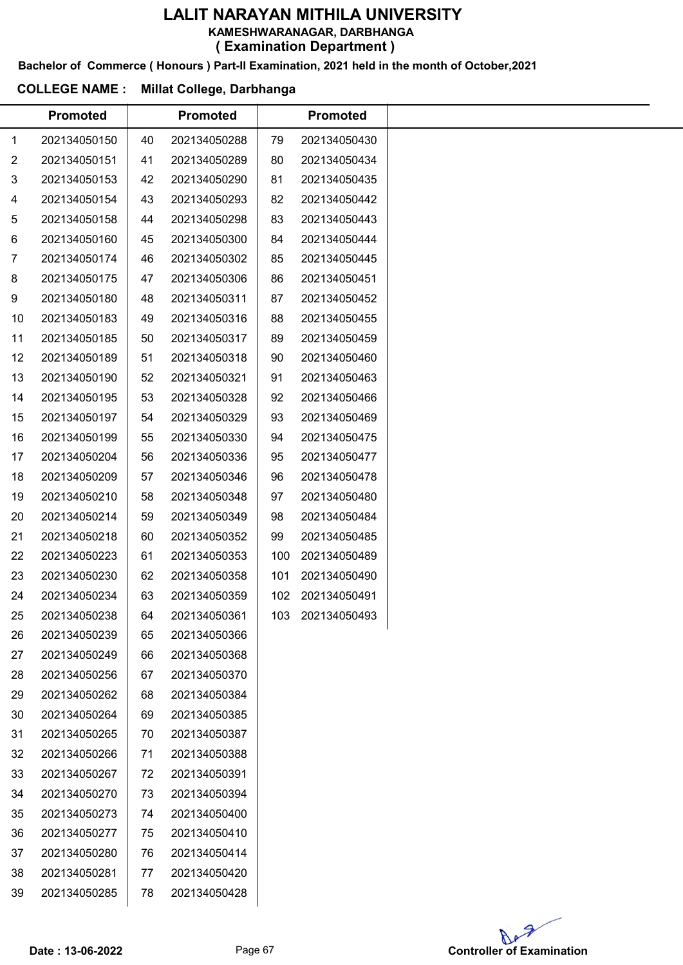#### LALIT NARAYAN MITHILA UNIVERSITY KAMESHWARANAGAR, DARBHANGA

( Examination Department )

Bachelor of Commerce ( Honours ) Part-II Examination, 2021 held in the month of October,2021

#### COLLEGE NAME : Millat College, Darbhanga

| 202134050150<br>202134050151<br>202134050153<br>202134050154<br>202134050158<br>202134050160<br>202134050174<br>202134050175<br>202134050180<br>202134050183<br>202134050185<br>202134050189<br>202134050190<br>202134050195<br>202134050197<br>202134050199<br>202134050204 | 40<br>41<br>42<br>43<br>44<br>45<br>46<br>47<br>48<br>49<br>50<br>51<br>52<br>53<br>54<br>55 | 202134050288<br>202134050289<br>202134050290<br>202134050293<br>202134050298<br>202134050300<br>202134050302<br>202134050306<br>202134050311<br>202134050316<br>202134050317<br>202134050318<br>202134050321<br>202134050328 | 79<br>80<br>81<br>82<br>83<br>84<br>85<br>86<br>87<br>88<br>89<br>90<br>91 | 202134050430<br>202134050434<br>202134050435<br>202134050442<br>202134050443<br>202134050444<br>202134050445<br>202134050451<br>202134050452<br>202134050455<br>202134050459<br>202134050460 |
|------------------------------------------------------------------------------------------------------------------------------------------------------------------------------------------------------------------------------------------------------------------------------|----------------------------------------------------------------------------------------------|------------------------------------------------------------------------------------------------------------------------------------------------------------------------------------------------------------------------------|----------------------------------------------------------------------------|----------------------------------------------------------------------------------------------------------------------------------------------------------------------------------------------|
|                                                                                                                                                                                                                                                                              |                                                                                              |                                                                                                                                                                                                                              |                                                                            |                                                                                                                                                                                              |
|                                                                                                                                                                                                                                                                              |                                                                                              |                                                                                                                                                                                                                              |                                                                            |                                                                                                                                                                                              |
|                                                                                                                                                                                                                                                                              |                                                                                              |                                                                                                                                                                                                                              |                                                                            |                                                                                                                                                                                              |
|                                                                                                                                                                                                                                                                              |                                                                                              |                                                                                                                                                                                                                              |                                                                            |                                                                                                                                                                                              |
|                                                                                                                                                                                                                                                                              |                                                                                              |                                                                                                                                                                                                                              |                                                                            |                                                                                                                                                                                              |
|                                                                                                                                                                                                                                                                              |                                                                                              |                                                                                                                                                                                                                              |                                                                            |                                                                                                                                                                                              |
|                                                                                                                                                                                                                                                                              |                                                                                              |                                                                                                                                                                                                                              |                                                                            |                                                                                                                                                                                              |
|                                                                                                                                                                                                                                                                              |                                                                                              |                                                                                                                                                                                                                              |                                                                            |                                                                                                                                                                                              |
|                                                                                                                                                                                                                                                                              |                                                                                              |                                                                                                                                                                                                                              |                                                                            |                                                                                                                                                                                              |
|                                                                                                                                                                                                                                                                              |                                                                                              |                                                                                                                                                                                                                              |                                                                            |                                                                                                                                                                                              |
|                                                                                                                                                                                                                                                                              |                                                                                              |                                                                                                                                                                                                                              |                                                                            |                                                                                                                                                                                              |
|                                                                                                                                                                                                                                                                              |                                                                                              |                                                                                                                                                                                                                              |                                                                            |                                                                                                                                                                                              |
|                                                                                                                                                                                                                                                                              |                                                                                              |                                                                                                                                                                                                                              |                                                                            | 202134050463                                                                                                                                                                                 |
|                                                                                                                                                                                                                                                                              |                                                                                              |                                                                                                                                                                                                                              | 92                                                                         | 202134050466                                                                                                                                                                                 |
|                                                                                                                                                                                                                                                                              |                                                                                              | 202134050329                                                                                                                                                                                                                 | 93                                                                         | 202134050469                                                                                                                                                                                 |
|                                                                                                                                                                                                                                                                              |                                                                                              | 202134050330                                                                                                                                                                                                                 | 94                                                                         | 202134050475                                                                                                                                                                                 |
|                                                                                                                                                                                                                                                                              | 56                                                                                           | 202134050336                                                                                                                                                                                                                 | 95                                                                         | 202134050477                                                                                                                                                                                 |
| 202134050209                                                                                                                                                                                                                                                                 | 57                                                                                           | 202134050346                                                                                                                                                                                                                 | 96                                                                         | 202134050478                                                                                                                                                                                 |
| 202134050210                                                                                                                                                                                                                                                                 | 58                                                                                           | 202134050348                                                                                                                                                                                                                 | 97                                                                         | 202134050480                                                                                                                                                                                 |
| 202134050214                                                                                                                                                                                                                                                                 | 59                                                                                           | 202134050349                                                                                                                                                                                                                 | 98                                                                         | 202134050484                                                                                                                                                                                 |
| 202134050218                                                                                                                                                                                                                                                                 | 60                                                                                           | 202134050352                                                                                                                                                                                                                 | 99                                                                         | 202134050485                                                                                                                                                                                 |
| 202134050223                                                                                                                                                                                                                                                                 | 61                                                                                           | 202134050353                                                                                                                                                                                                                 | 100                                                                        | 202134050489                                                                                                                                                                                 |
| 202134050230                                                                                                                                                                                                                                                                 | 62                                                                                           | 202134050358                                                                                                                                                                                                                 | 101                                                                        | 202134050490                                                                                                                                                                                 |
| 202134050234                                                                                                                                                                                                                                                                 | 63                                                                                           | 202134050359                                                                                                                                                                                                                 | 102                                                                        | 202134050491                                                                                                                                                                                 |
| 202134050238                                                                                                                                                                                                                                                                 | 64                                                                                           | 202134050361                                                                                                                                                                                                                 |                                                                            | 103 202134050493                                                                                                                                                                             |
| 202134050239                                                                                                                                                                                                                                                                 | 65                                                                                           | 202134050366                                                                                                                                                                                                                 |                                                                            |                                                                                                                                                                                              |
| 202134050249                                                                                                                                                                                                                                                                 | 66                                                                                           | 202134050368                                                                                                                                                                                                                 |                                                                            |                                                                                                                                                                                              |
| 202134050256                                                                                                                                                                                                                                                                 | 67                                                                                           | 202134050370                                                                                                                                                                                                                 |                                                                            |                                                                                                                                                                                              |
| 202134050262                                                                                                                                                                                                                                                                 | 68                                                                                           | 202134050384                                                                                                                                                                                                                 |                                                                            |                                                                                                                                                                                              |
| 202134050264                                                                                                                                                                                                                                                                 | 69                                                                                           | 202134050385                                                                                                                                                                                                                 |                                                                            |                                                                                                                                                                                              |
| 202134050265                                                                                                                                                                                                                                                                 | 70                                                                                           | 202134050387                                                                                                                                                                                                                 |                                                                            |                                                                                                                                                                                              |
| 202134050266                                                                                                                                                                                                                                                                 | 71                                                                                           | 202134050388                                                                                                                                                                                                                 |                                                                            |                                                                                                                                                                                              |
| 202134050267                                                                                                                                                                                                                                                                 | 72                                                                                           | 202134050391                                                                                                                                                                                                                 |                                                                            |                                                                                                                                                                                              |
| 202134050270                                                                                                                                                                                                                                                                 | 73                                                                                           | 202134050394                                                                                                                                                                                                                 |                                                                            |                                                                                                                                                                                              |
| 202134050273                                                                                                                                                                                                                                                                 | 74                                                                                           | 202134050400                                                                                                                                                                                                                 |                                                                            |                                                                                                                                                                                              |
| 202134050277                                                                                                                                                                                                                                                                 | 75                                                                                           | 202134050410                                                                                                                                                                                                                 |                                                                            |                                                                                                                                                                                              |
|                                                                                                                                                                                                                                                                              | 76                                                                                           | 202134050414                                                                                                                                                                                                                 |                                                                            |                                                                                                                                                                                              |
| 202134050280                                                                                                                                                                                                                                                                 | 77                                                                                           | 202134050420                                                                                                                                                                                                                 |                                                                            |                                                                                                                                                                                              |
| 202134050281                                                                                                                                                                                                                                                                 |                                                                                              | 202134050428                                                                                                                                                                                                                 |                                                                            |                                                                                                                                                                                              |
|                                                                                                                                                                                                                                                                              |                                                                                              | 202134050285<br>78                                                                                                                                                                                                           |                                                                            |                                                                                                                                                                                              |

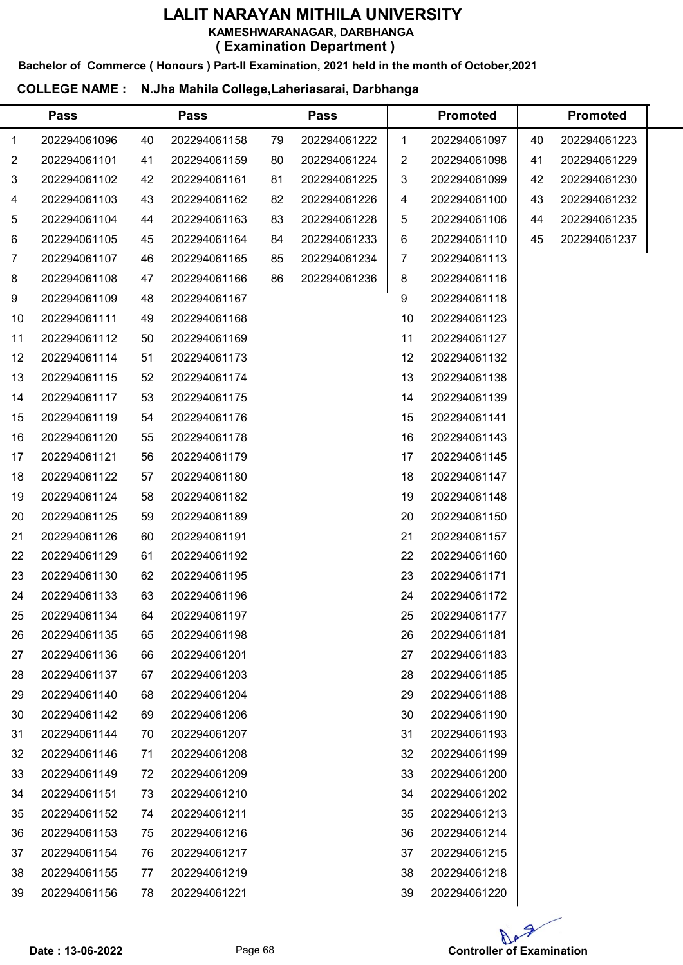#### LALIT NARAYAN MITHILA UNIVERSITY KAMESHWARANAGAR, DARBHANGA

( Examination Department )

## Bachelor of Commerce ( Honours ) Part-II Examination, 2021 held in the month of October,2021

# COLLEGE NAME : N.Jha Mahila College,Laheriasarai, Darbhanga

 $\overline{a}$ 

|    | <b>Pass</b>  |    | <b>Pass</b>  |    | <b>Pass</b>  |    | <b>Promoted</b> |    | <b>Promoted</b> |  |
|----|--------------|----|--------------|----|--------------|----|-----------------|----|-----------------|--|
| 1  | 202294061096 | 40 | 202294061158 | 79 | 202294061222 | 1  | 202294061097    | 40 | 202294061223    |  |
| 2  | 202294061101 | 41 | 202294061159 | 80 | 202294061224 | 2  | 202294061098    | 41 | 202294061229    |  |
| 3  | 202294061102 | 42 | 202294061161 | 81 | 202294061225 | 3  | 202294061099    | 42 | 202294061230    |  |
| 4  | 202294061103 | 43 | 202294061162 | 82 | 202294061226 | 4  | 202294061100    | 43 | 202294061232    |  |
| 5  | 202294061104 | 44 | 202294061163 | 83 | 202294061228 | 5  | 202294061106    | 44 | 202294061235    |  |
| 6  | 202294061105 | 45 | 202294061164 | 84 | 202294061233 | 6  | 202294061110    | 45 | 202294061237    |  |
| 7  | 202294061107 | 46 | 202294061165 | 85 | 202294061234 | 7  | 202294061113    |    |                 |  |
| 8  | 202294061108 | 47 | 202294061166 | 86 | 202294061236 | 8  | 202294061116    |    |                 |  |
| 9  | 202294061109 | 48 | 202294061167 |    |              | 9  | 202294061118    |    |                 |  |
| 10 | 202294061111 | 49 | 202294061168 |    |              | 10 | 202294061123    |    |                 |  |
| 11 | 202294061112 | 50 | 202294061169 |    |              | 11 | 202294061127    |    |                 |  |
| 12 | 202294061114 | 51 | 202294061173 |    |              | 12 | 202294061132    |    |                 |  |
| 13 | 202294061115 | 52 | 202294061174 |    |              | 13 | 202294061138    |    |                 |  |
| 14 | 202294061117 | 53 | 202294061175 |    |              | 14 | 202294061139    |    |                 |  |
| 15 | 202294061119 | 54 | 202294061176 |    |              | 15 | 202294061141    |    |                 |  |
| 16 | 202294061120 | 55 | 202294061178 |    |              | 16 | 202294061143    |    |                 |  |
| 17 | 202294061121 | 56 | 202294061179 |    |              | 17 | 202294061145    |    |                 |  |
| 18 | 202294061122 | 57 | 202294061180 |    |              | 18 | 202294061147    |    |                 |  |
| 19 | 202294061124 | 58 | 202294061182 |    |              | 19 | 202294061148    |    |                 |  |
| 20 | 202294061125 | 59 | 202294061189 |    |              | 20 | 202294061150    |    |                 |  |
| 21 | 202294061126 | 60 | 202294061191 |    |              | 21 | 202294061157    |    |                 |  |
| 22 | 202294061129 | 61 | 202294061192 |    |              | 22 | 202294061160    |    |                 |  |
| 23 | 202294061130 | 62 | 202294061195 |    |              | 23 | 202294061171    |    |                 |  |
| 24 | 202294061133 | 63 | 202294061196 |    |              | 24 | 202294061172    |    |                 |  |
| 25 | 202294061134 | 64 | 202294061197 |    |              | 25 | 202294061177    |    |                 |  |
| 26 | 202294061135 | 65 | 202294061198 |    |              | 26 | 202294061181    |    |                 |  |
| 27 | 202294061136 | 66 | 202294061201 |    |              | 27 | 202294061183    |    |                 |  |
| 28 | 202294061137 | 67 | 202294061203 |    |              | 28 | 202294061185    |    |                 |  |
| 29 | 202294061140 | 68 | 202294061204 |    |              | 29 | 202294061188    |    |                 |  |
| 30 | 202294061142 | 69 | 202294061206 |    |              | 30 | 202294061190    |    |                 |  |
| 31 | 202294061144 | 70 | 202294061207 |    |              | 31 | 202294061193    |    |                 |  |
| 32 | 202294061146 | 71 | 202294061208 |    |              | 32 | 202294061199    |    |                 |  |
| 33 | 202294061149 | 72 | 202294061209 |    |              | 33 | 202294061200    |    |                 |  |
| 34 | 202294061151 | 73 | 202294061210 |    |              | 34 | 202294061202    |    |                 |  |
| 35 | 202294061152 | 74 | 202294061211 |    |              | 35 | 202294061213    |    |                 |  |
| 36 | 202294061153 | 75 | 202294061216 |    |              | 36 | 202294061214    |    |                 |  |
| 37 | 202294061154 | 76 | 202294061217 |    |              | 37 | 202294061215    |    |                 |  |
| 38 | 202294061155 | 77 | 202294061219 |    |              | 38 | 202294061218    |    |                 |  |
| 39 | 202294061156 | 78 | 202294061221 |    |              | 39 | 202294061220    |    |                 |  |

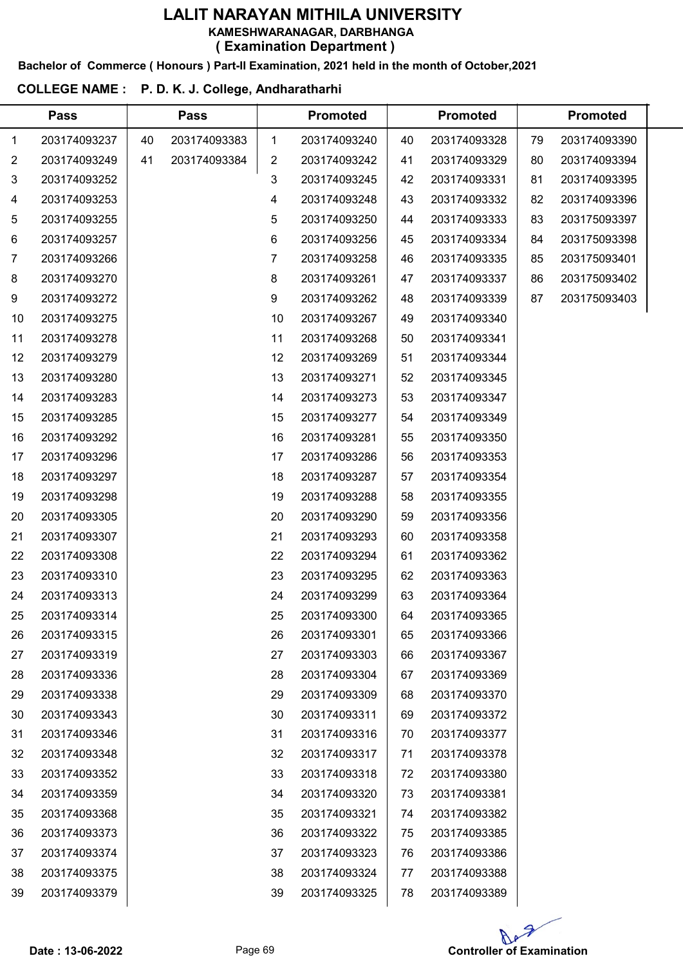Bachelor of Commerce ( Honours ) Part-II Examination, 2021 held in the month of October,2021

## COLLEGE NAME : P. D. K. J. College, Andharatharhi

|    | <b>Pass</b>  |    | <b>Pass</b>  |    | <b>Promoted</b> |    | <b>Promoted</b> |    | <b>Promoted</b> |  |
|----|--------------|----|--------------|----|-----------------|----|-----------------|----|-----------------|--|
| 1  | 203174093237 | 40 | 203174093383 | 1  | 203174093240    | 40 | 203174093328    | 79 | 203174093390    |  |
| 2  | 203174093249 | 41 | 203174093384 | 2  | 203174093242    | 41 | 203174093329    | 80 | 203174093394    |  |
| 3  | 203174093252 |    |              | 3  | 203174093245    | 42 | 203174093331    | 81 | 203174093395    |  |
| 4  | 203174093253 |    |              | 4  | 203174093248    | 43 | 203174093332    | 82 | 203174093396    |  |
| 5  | 203174093255 |    |              | 5  | 203174093250    | 44 | 203174093333    | 83 | 203175093397    |  |
| 6  | 203174093257 |    |              | 6  | 203174093256    | 45 | 203174093334    | 84 | 203175093398    |  |
| 7  | 203174093266 |    |              | 7  | 203174093258    | 46 | 203174093335    | 85 | 203175093401    |  |
| 8  | 203174093270 |    |              | 8  | 203174093261    | 47 | 203174093337    | 86 | 203175093402    |  |
| 9  | 203174093272 |    |              | 9  | 203174093262    | 48 | 203174093339    | 87 | 203175093403    |  |
| 10 | 203174093275 |    |              | 10 | 203174093267    | 49 | 203174093340    |    |                 |  |
| 11 | 203174093278 |    |              | 11 | 203174093268    | 50 | 203174093341    |    |                 |  |
| 12 | 203174093279 |    |              | 12 | 203174093269    | 51 | 203174093344    |    |                 |  |
| 13 | 203174093280 |    |              | 13 | 203174093271    | 52 | 203174093345    |    |                 |  |
| 14 | 203174093283 |    |              | 14 | 203174093273    | 53 | 203174093347    |    |                 |  |
| 15 | 203174093285 |    |              | 15 | 203174093277    | 54 | 203174093349    |    |                 |  |
| 16 | 203174093292 |    |              | 16 | 203174093281    | 55 | 203174093350    |    |                 |  |
| 17 | 203174093296 |    |              | 17 | 203174093286    | 56 | 203174093353    |    |                 |  |
| 18 | 203174093297 |    |              | 18 | 203174093287    | 57 | 203174093354    |    |                 |  |
| 19 | 203174093298 |    |              | 19 | 203174093288    | 58 | 203174093355    |    |                 |  |
| 20 | 203174093305 |    |              | 20 | 203174093290    | 59 | 203174093356    |    |                 |  |
| 21 | 203174093307 |    |              | 21 | 203174093293    | 60 | 203174093358    |    |                 |  |
| 22 | 203174093308 |    |              | 22 | 203174093294    | 61 | 203174093362    |    |                 |  |
| 23 | 203174093310 |    |              | 23 | 203174093295    | 62 | 203174093363    |    |                 |  |
| 24 | 203174093313 |    |              | 24 | 203174093299    | 63 | 203174093364    |    |                 |  |
| 25 | 203174093314 |    |              | 25 | 203174093300    | 64 | 203174093365    |    |                 |  |
| 26 | 203174093315 |    |              | 26 | 203174093301    | 65 | 203174093366    |    |                 |  |
| 27 | 203174093319 |    |              | 27 | 203174093303    | 66 | 203174093367    |    |                 |  |
| 28 | 203174093336 |    |              | 28 | 203174093304    | 67 | 203174093369    |    |                 |  |
| 29 | 203174093338 |    |              | 29 | 203174093309    | 68 | 203174093370    |    |                 |  |
| 30 | 203174093343 |    |              | 30 | 203174093311    | 69 | 203174093372    |    |                 |  |
| 31 | 203174093346 |    |              | 31 | 203174093316    | 70 | 203174093377    |    |                 |  |
| 32 | 203174093348 |    |              | 32 | 203174093317    | 71 | 203174093378    |    |                 |  |
| 33 | 203174093352 |    |              | 33 | 203174093318    | 72 | 203174093380    |    |                 |  |
| 34 | 203174093359 |    |              | 34 | 203174093320    | 73 | 203174093381    |    |                 |  |
| 35 | 203174093368 |    |              | 35 | 203174093321    | 74 | 203174093382    |    |                 |  |
| 36 | 203174093373 |    |              | 36 | 203174093322    | 75 | 203174093385    |    |                 |  |
| 37 | 203174093374 |    |              | 37 | 203174093323    | 76 | 203174093386    |    |                 |  |
| 38 | 203174093375 |    |              | 38 | 203174093324    | 77 | 203174093388    |    |                 |  |
| 39 | 203174093379 |    |              | 39 | 203174093325    | 78 | 203174093389    |    |                 |  |

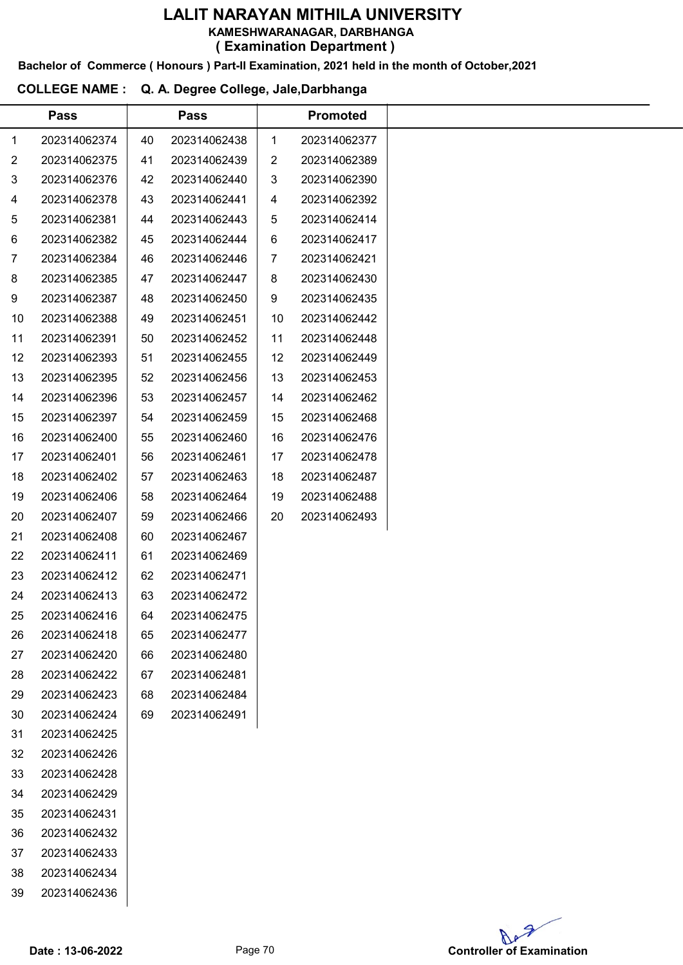KAMESHWARANAGAR, DARBHANGA

( Examination Department )

Bachelor of Commerce ( Honours ) Part-II Examination, 2021 held in the month of October,2021

# COLLEGE NAME : Q. A. Degree College, Jale,Darbhanga

|                | <b>Pass</b>  |    | <b>Pass</b>  |                | <b>Promoted</b> |
|----------------|--------------|----|--------------|----------------|-----------------|
| 1              | 202314062374 | 40 | 202314062438 | $\mathbf{1}$   | 202314062377    |
| $\overline{c}$ | 202314062375 | 41 | 202314062439 | $\overline{2}$ | 202314062389    |
| 3              | 202314062376 | 42 | 202314062440 | 3              | 202314062390    |
| 4              | 202314062378 | 43 | 202314062441 | 4              | 202314062392    |
| 5              | 202314062381 | 44 | 202314062443 | 5              | 202314062414    |
| 6              | 202314062382 | 45 | 202314062444 | 6              | 202314062417    |
| $\overline{7}$ | 202314062384 | 46 | 202314062446 | 7              | 202314062421    |
| 8              | 202314062385 | 47 | 202314062447 | 8              | 202314062430    |
| 9              | 202314062387 | 48 | 202314062450 | 9              | 202314062435    |
| 10             | 202314062388 | 49 | 202314062451 | 10             | 202314062442    |
| 11             | 202314062391 | 50 | 202314062452 | 11             | 202314062448    |
| 12             | 202314062393 | 51 | 202314062455 | 12             | 202314062449    |
| 13             | 202314062395 | 52 | 202314062456 | 13             | 202314062453    |
| 14             | 202314062396 | 53 | 202314062457 | 14             | 202314062462    |
| 15             | 202314062397 | 54 | 202314062459 | 15             | 202314062468    |
| 16             | 202314062400 | 55 | 202314062460 | 16             | 202314062476    |
| 17             | 202314062401 | 56 | 202314062461 | 17             | 202314062478    |
| 18             | 202314062402 | 57 | 202314062463 | 18             | 202314062487    |
| 19             | 202314062406 | 58 | 202314062464 | 19             | 202314062488    |
| 20             | 202314062407 | 59 | 202314062466 | 20             | 202314062493    |
| 21             | 202314062408 | 60 | 202314062467 |                |                 |
| 22             | 202314062411 | 61 | 202314062469 |                |                 |
| 23             | 202314062412 | 62 | 202314062471 |                |                 |
| 24             | 202314062413 | 63 | 202314062472 |                |                 |
| 25             | 202314062416 | 64 | 202314062475 |                |                 |
| 26             | 202314062418 | 65 | 202314062477 |                |                 |
| 27             | 202314062420 | 66 | 202314062480 |                |                 |
| 28             | 202314062422 | 67 | 202314062481 |                |                 |
| 29             | 202314062423 | 68 | 202314062484 |                |                 |
| 30             | 202314062424 | 69 | 202314062491 |                |                 |
| 31             | 202314062425 |    |              |                |                 |
| 32             | 202314062426 |    |              |                |                 |
| 33             | 202314062428 |    |              |                |                 |
| 34             | 202314062429 |    |              |                |                 |
| 35             | 202314062431 |    |              |                |                 |
| 36             | 202314062432 |    |              |                |                 |
| 37             | 202314062433 |    |              |                |                 |
| 38             | 202314062434 |    |              |                |                 |
| 39             | 202314062436 |    |              |                |                 |
|                |              |    |              |                |                 |

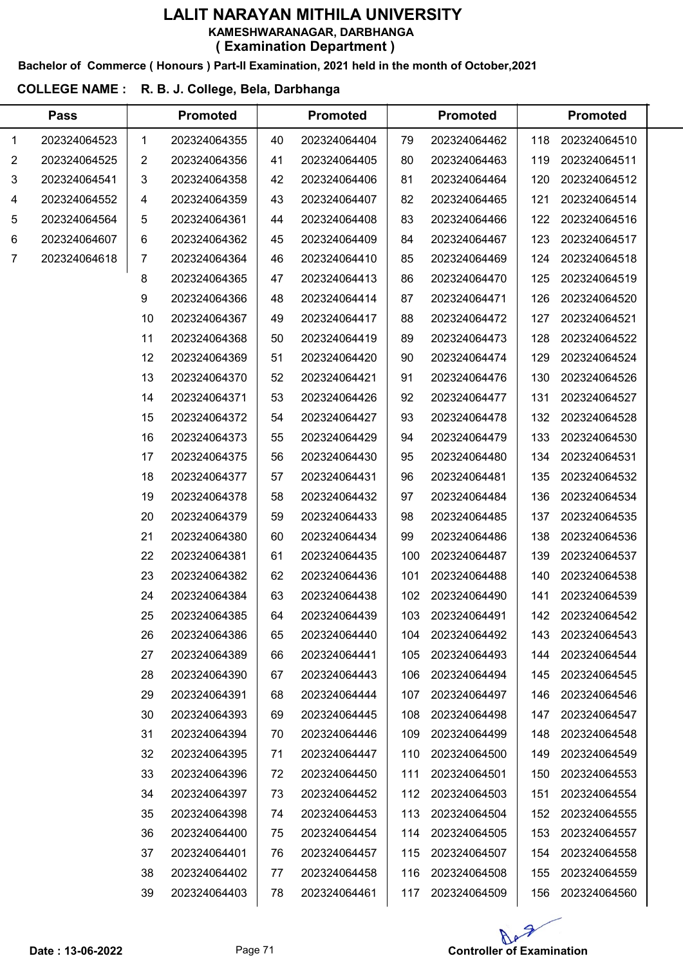# LALIT NARAYAN MITHILA UNIVERSITY KAMESHWARANAGAR, DARBHANGA

( Examination Department )

Bachelor of Commerce ( Honours ) Part-II Examination, 2021 held in the month of October,2021

# COLLEGE NAME : R. B. J. College, Bela, Darbhanga

 $\overline{a}$ 

|              | <b>Pass</b>  |    | <b>Promoted</b> |    | <b>Promoted</b> |     | <b>Promoted</b> |     | <b>Promoted</b> |  |
|--------------|--------------|----|-----------------|----|-----------------|-----|-----------------|-----|-----------------|--|
| $\mathbf{1}$ | 202324064523 | 1  | 202324064355    | 40 | 202324064404    | 79  | 202324064462    | 118 | 202324064510    |  |
| 2            | 202324064525 | 2  | 202324064356    | 41 | 202324064405    | 80  | 202324064463    | 119 | 202324064511    |  |
| 3            | 202324064541 | 3  | 202324064358    | 42 | 202324064406    | 81  | 202324064464    | 120 | 202324064512    |  |
| 4            | 202324064552 | 4  | 202324064359    | 43 | 202324064407    | 82  | 202324064465    | 121 | 202324064514    |  |
| 5            | 202324064564 | 5  | 202324064361    | 44 | 202324064408    | 83  | 202324064466    | 122 | 202324064516    |  |
| 6            | 202324064607 | 6  | 202324064362    | 45 | 202324064409    | 84  | 202324064467    | 123 | 202324064517    |  |
| 7            | 202324064618 | 7  | 202324064364    | 46 | 202324064410    | 85  | 202324064469    | 124 | 202324064518    |  |
|              |              | 8  | 202324064365    | 47 | 202324064413    | 86  | 202324064470    | 125 | 202324064519    |  |
|              |              | 9  | 202324064366    | 48 | 202324064414    | 87  | 202324064471    | 126 | 202324064520    |  |
|              |              | 10 | 202324064367    | 49 | 202324064417    | 88  | 202324064472    | 127 | 202324064521    |  |
|              |              | 11 | 202324064368    | 50 | 202324064419    | 89  | 202324064473    | 128 | 202324064522    |  |
|              |              | 12 | 202324064369    | 51 | 202324064420    | 90  | 202324064474    | 129 | 202324064524    |  |
|              |              | 13 | 202324064370    | 52 | 202324064421    | 91  | 202324064476    | 130 | 202324064526    |  |
|              |              | 14 | 202324064371    | 53 | 202324064426    | 92  | 202324064477    | 131 | 202324064527    |  |
|              |              | 15 | 202324064372    | 54 | 202324064427    | 93  | 202324064478    | 132 | 202324064528    |  |
|              |              | 16 | 202324064373    | 55 | 202324064429    | 94  | 202324064479    | 133 | 202324064530    |  |
|              |              | 17 | 202324064375    | 56 | 202324064430    | 95  | 202324064480    | 134 | 202324064531    |  |
|              |              | 18 | 202324064377    | 57 | 202324064431    | 96  | 202324064481    | 135 | 202324064532    |  |
|              |              | 19 | 202324064378    | 58 | 202324064432    | 97  | 202324064484    | 136 | 202324064534    |  |
|              |              | 20 | 202324064379    | 59 | 202324064433    | 98  | 202324064485    | 137 | 202324064535    |  |
|              |              | 21 | 202324064380    | 60 | 202324064434    | 99  | 202324064486    | 138 | 202324064536    |  |
|              |              | 22 | 202324064381    | 61 | 202324064435    | 100 | 202324064487    | 139 | 202324064537    |  |
|              |              | 23 | 202324064382    | 62 | 202324064436    | 101 | 202324064488    | 140 | 202324064538    |  |
|              |              | 24 | 202324064384    | 63 | 202324064438    | 102 | 202324064490    | 141 | 202324064539    |  |
|              |              | 25 | 202324064385    | 64 | 202324064439    | 103 | 202324064491    | 142 | 202324064542    |  |
|              |              | 26 | 202324064386    | 65 | 202324064440    | 104 | 202324064492    | 143 | 202324064543    |  |
|              |              | 27 | 202324064389    | 66 | 202324064441    | 105 | 202324064493    | 144 | 202324064544    |  |
|              |              | 28 | 202324064390    | 67 | 202324064443    | 106 | 202324064494    | 145 | 202324064545    |  |
|              |              | 29 | 202324064391    | 68 | 202324064444    | 107 | 202324064497    | 146 | 202324064546    |  |
|              |              | 30 | 202324064393    | 69 | 202324064445    | 108 | 202324064498    | 147 | 202324064547    |  |
|              |              | 31 | 202324064394    | 70 | 202324064446    | 109 | 202324064499    | 148 | 202324064548    |  |
|              |              | 32 | 202324064395    | 71 | 202324064447    | 110 | 202324064500    | 149 | 202324064549    |  |
|              |              | 33 | 202324064396    | 72 | 202324064450    | 111 | 202324064501    | 150 | 202324064553    |  |
|              |              | 34 | 202324064397    | 73 | 202324064452    | 112 | 202324064503    | 151 | 202324064554    |  |
|              |              | 35 | 202324064398    | 74 | 202324064453    | 113 | 202324064504    | 152 | 202324064555    |  |
|              |              | 36 | 202324064400    | 75 | 202324064454    | 114 | 202324064505    | 153 | 202324064557    |  |
|              |              | 37 | 202324064401    | 76 | 202324064457    | 115 | 202324064507    | 154 | 202324064558    |  |
|              |              | 38 | 202324064402    | 77 | 202324064458    | 116 | 202324064508    | 155 | 202324064559    |  |
|              |              | 39 | 202324064403    | 78 | 202324064461    | 117 | 202324064509    | 156 | 202324064560    |  |

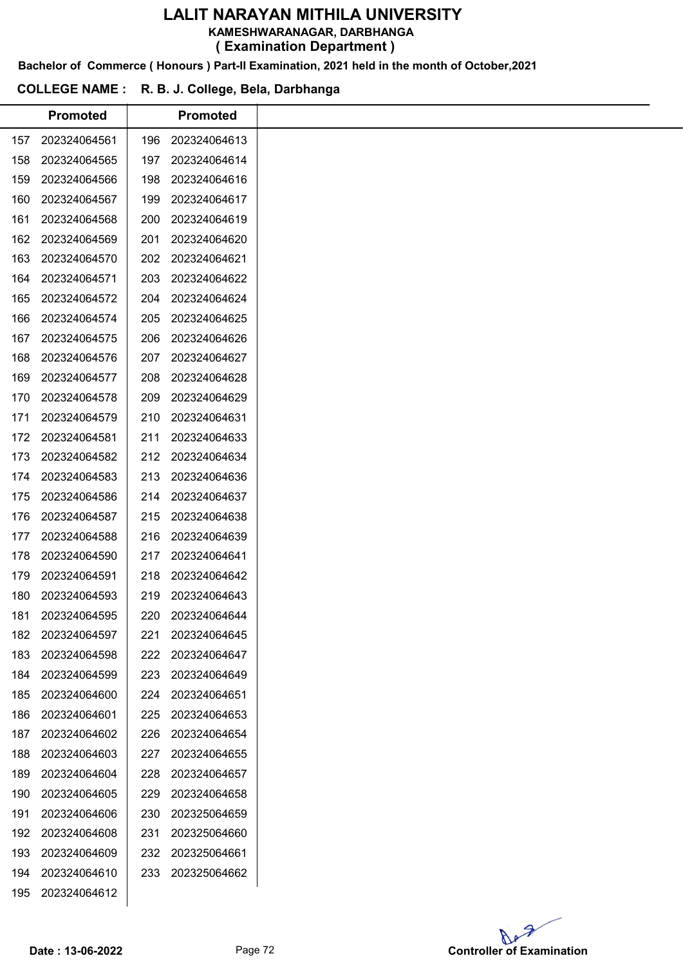KAMESHWARANAGAR, DARBHANGA

( Examination Department )

Bachelor of Commerce ( Honours ) Part-II Examination, 2021 held in the month of October,2021

# COLLEGE NAME : R. B. J. College, Bela, Darbhanga

|     | <b>Promoted</b> |     | <b>Promoted</b>  |
|-----|-----------------|-----|------------------|
| 157 | 202324064561    | 196 | 202324064613     |
| 158 | 202324064565    | 197 | 202324064614     |
| 159 | 202324064566    | 198 | 202324064616     |
| 160 | 202324064567    | 199 | 202324064617     |
| 161 | 202324064568    | 200 | 202324064619     |
| 162 | 202324064569    | 201 | 202324064620     |
| 163 | 202324064570    | 202 | 202324064621     |
| 164 | 202324064571    | 203 | 202324064622     |
| 165 | 202324064572    | 204 | 202324064624     |
| 166 | 202324064574    | 205 | 202324064625     |
| 167 | 202324064575    | 206 | 202324064626     |
| 168 | 202324064576    | 207 | 202324064627     |
| 169 | 202324064577    | 208 | 202324064628     |
| 170 | 202324064578    | 209 | 202324064629     |
| 171 | 202324064579    | 210 | 202324064631     |
| 172 | 202324064581    | 211 | 202324064633     |
| 173 | 202324064582    | 212 | 202324064634     |
| 174 | 202324064583    | 213 | 202324064636     |
| 175 | 202324064586    | 214 | 202324064637     |
| 176 | 202324064587    | 215 | 202324064638     |
| 177 | 202324064588    | 216 | 202324064639     |
| 178 | 202324064590    | 217 | 202324064641     |
| 179 | 202324064591    | 218 | 202324064642     |
| 180 | 202324064593    | 219 | 202324064643     |
| 181 | 202324064595    |     | 220 202324064644 |
| 182 | 202324064597    | 221 | 202324064645     |
| 183 | 202324064598    | 222 | 202324064647     |
| 184 | 202324064599    | 223 | 202324064649     |
| 185 | 202324064600    | 224 | 202324064651     |
| 186 | 202324064601    | 225 | 202324064653     |
| 187 | 202324064602    | 226 | 202324064654     |
| 188 | 202324064603    | 227 | 202324064655     |
| 189 | 202324064604    | 228 | 202324064657     |
| 190 | 202324064605    | 229 | 202324064658     |
| 191 | 202324064606    | 230 | 202325064659     |
| 192 | 202324064608    | 231 | 202325064660     |
| 193 | 202324064609    | 232 | 202325064661     |
| 194 | 202324064610    | 233 | 202325064662     |
| 195 | 202324064612    |     |                  |
|     |                 |     |                  |

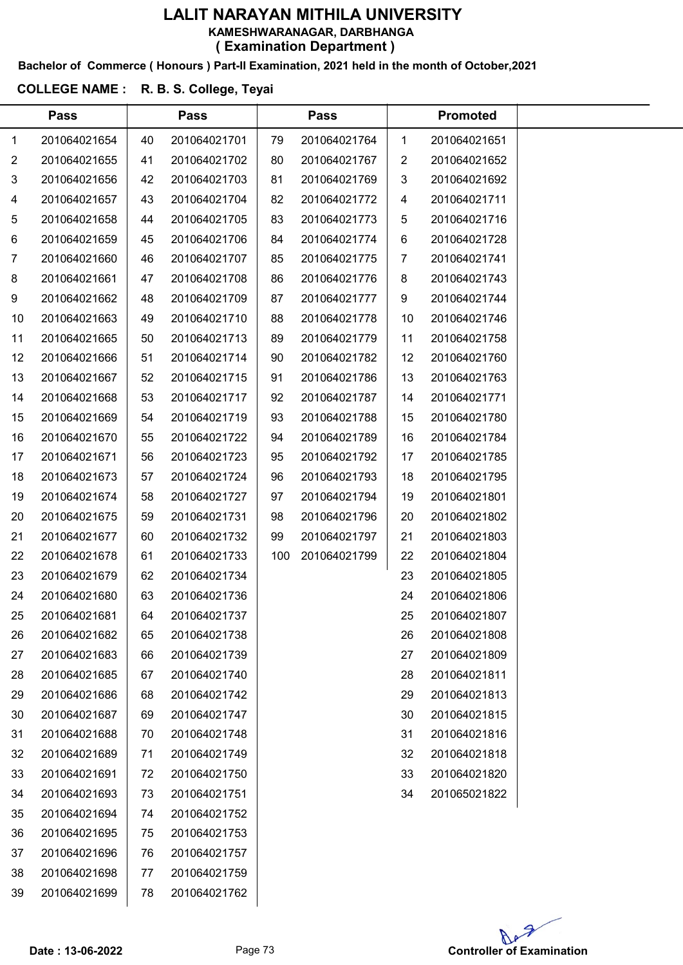Bachelor of Commerce ( Honours ) Part-II Examination, 2021 held in the month of October,2021

## COLLEGE NAME : R. B. S. College, Teyai

|    | <b>Pass</b>  |    | <b>Pass</b>  |     | <b>Pass</b>  |    | <b>Promoted</b> |  |
|----|--------------|----|--------------|-----|--------------|----|-----------------|--|
| 1  | 201064021654 | 40 | 201064021701 | 79  | 201064021764 | 1  | 201064021651    |  |
| 2  | 201064021655 | 41 | 201064021702 | 80  | 201064021767 | 2  | 201064021652    |  |
| 3  | 201064021656 | 42 | 201064021703 | 81  | 201064021769 | 3  | 201064021692    |  |
| 4  | 201064021657 | 43 | 201064021704 | 82  | 201064021772 | 4  | 201064021711    |  |
| 5  | 201064021658 | 44 | 201064021705 | 83  | 201064021773 | 5  | 201064021716    |  |
| 6  | 201064021659 | 45 | 201064021706 | 84  | 201064021774 | 6  | 201064021728    |  |
| 7  | 201064021660 | 46 | 201064021707 | 85  | 201064021775 | 7  | 201064021741    |  |
| 8  | 201064021661 | 47 | 201064021708 | 86  | 201064021776 | 8  | 201064021743    |  |
| 9  | 201064021662 | 48 | 201064021709 | 87  | 201064021777 | 9  | 201064021744    |  |
| 10 | 201064021663 | 49 | 201064021710 | 88  | 201064021778 | 10 | 201064021746    |  |
| 11 | 201064021665 | 50 | 201064021713 | 89  | 201064021779 | 11 | 201064021758    |  |
| 12 | 201064021666 | 51 | 201064021714 | 90  | 201064021782 | 12 | 201064021760    |  |
| 13 | 201064021667 | 52 | 201064021715 | 91  | 201064021786 | 13 | 201064021763    |  |
| 14 | 201064021668 | 53 | 201064021717 | 92  | 201064021787 | 14 | 201064021771    |  |
| 15 | 201064021669 | 54 | 201064021719 | 93  | 201064021788 | 15 | 201064021780    |  |
| 16 | 201064021670 | 55 | 201064021722 | 94  | 201064021789 | 16 | 201064021784    |  |
| 17 | 201064021671 | 56 | 201064021723 | 95  | 201064021792 | 17 | 201064021785    |  |
| 18 | 201064021673 | 57 | 201064021724 | 96  | 201064021793 | 18 | 201064021795    |  |
| 19 | 201064021674 | 58 | 201064021727 | 97  | 201064021794 | 19 | 201064021801    |  |
| 20 | 201064021675 | 59 | 201064021731 | 98  | 201064021796 | 20 | 201064021802    |  |
| 21 | 201064021677 | 60 | 201064021732 | 99  | 201064021797 | 21 | 201064021803    |  |
| 22 | 201064021678 | 61 | 201064021733 | 100 | 201064021799 | 22 | 201064021804    |  |
| 23 | 201064021679 | 62 | 201064021734 |     |              | 23 | 201064021805    |  |
| 24 | 201064021680 | 63 | 201064021736 |     |              | 24 | 201064021806    |  |
| 25 | 201064021681 | 64 | 201064021737 |     |              | 25 | 201064021807    |  |
| 26 | 201064021682 | 65 | 201064021738 |     |              | 26 | 201064021808    |  |
| 27 | 201064021683 | 66 | 201064021739 |     |              | 27 | 201064021809    |  |
| 28 | 201064021685 | 67 | 201064021740 |     |              | 28 | 201064021811    |  |
| 29 | 201064021686 | 68 | 201064021742 |     |              | 29 | 201064021813    |  |
| 30 | 201064021687 | 69 | 201064021747 |     |              | 30 | 201064021815    |  |
| 31 | 201064021688 | 70 | 201064021748 |     |              | 31 | 201064021816    |  |
| 32 | 201064021689 | 71 | 201064021749 |     |              | 32 | 201064021818    |  |
| 33 | 201064021691 | 72 | 201064021750 |     |              | 33 | 201064021820    |  |
| 34 | 201064021693 | 73 | 201064021751 |     |              | 34 | 201065021822    |  |
| 35 | 201064021694 | 74 | 201064021752 |     |              |    |                 |  |
| 36 | 201064021695 | 75 | 201064021753 |     |              |    |                 |  |
| 37 | 201064021696 | 76 | 201064021757 |     |              |    |                 |  |
| 38 | 201064021698 | 77 | 201064021759 |     |              |    |                 |  |
| 39 | 201064021699 | 78 | 201064021762 |     |              |    |                 |  |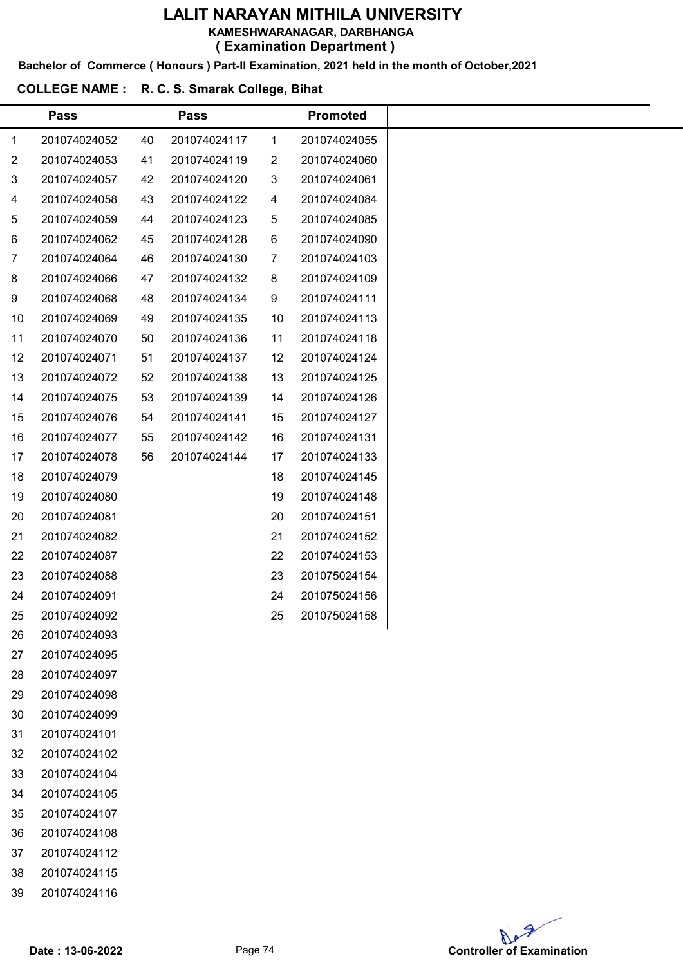KAMESHWARANAGAR, DARBHANGA

( Examination Department )

Bachelor of Commerce ( Honours ) Part-II Examination, 2021 held in the month of October,2021

#### COLLEGE NAME : R. C. S. Smarak College, Bihat

|                | <b>Pass</b>  |    | <b>Pass</b>  |    | <b>Promoted</b> |
|----------------|--------------|----|--------------|----|-----------------|
| 1              | 201074024052 | 40 | 201074024117 | 1  | 201074024055    |
| $\overline{c}$ | 201074024053 | 41 | 201074024119 | 2  | 201074024060    |
| 3              | 201074024057 | 42 | 201074024120 | 3  | 201074024061    |
| $\overline{4}$ | 201074024058 | 43 | 201074024122 | 4  | 201074024084    |
| 5              | 201074024059 | 44 | 201074024123 | 5  | 201074024085    |
| 6              | 201074024062 | 45 | 201074024128 | 6  | 201074024090    |
| $\overline{7}$ | 201074024064 | 46 | 201074024130 | 7  | 201074024103    |
| 8              | 201074024066 | 47 | 201074024132 | 8  | 201074024109    |
| 9              | 201074024068 | 48 | 201074024134 | 9  | 201074024111    |
| 10             | 201074024069 | 49 | 201074024135 | 10 | 201074024113    |
| 11             | 201074024070 | 50 | 201074024136 | 11 | 201074024118    |
| 12             | 201074024071 | 51 | 201074024137 | 12 | 201074024124    |
| 13             | 201074024072 | 52 | 201074024138 | 13 | 201074024125    |
| 14             | 201074024075 | 53 | 201074024139 | 14 | 201074024126    |
| 15             | 201074024076 | 54 | 201074024141 | 15 | 201074024127    |
| 16             | 201074024077 | 55 | 201074024142 | 16 | 201074024131    |
| 17             | 201074024078 | 56 | 201074024144 | 17 | 201074024133    |
| 18             | 201074024079 |    |              | 18 | 201074024145    |
| 19             | 201074024080 |    |              | 19 | 201074024148    |
| 20             | 201074024081 |    |              | 20 | 201074024151    |
| 21             | 201074024082 |    |              | 21 | 201074024152    |
| 22             | 201074024087 |    |              | 22 | 201074024153    |
| 23             | 201074024088 |    |              | 23 | 201075024154    |
| 24             | 201074024091 |    |              | 24 | 201075024156    |
| 25             | 201074024092 |    |              | 25 | 201075024158    |
| 26             | 201074024093 |    |              |    |                 |
| 27             | 201074024095 |    |              |    |                 |
| 28             | 201074024097 |    |              |    |                 |
| 29             | 201074024098 |    |              |    |                 |
| 30             | 201074024099 |    |              |    |                 |
| 31             | 201074024101 |    |              |    |                 |
| 32             | 201074024102 |    |              |    |                 |
| 33             | 201074024104 |    |              |    |                 |
| 34             | 201074024105 |    |              |    |                 |
| 35             | 201074024107 |    |              |    |                 |
| 36             | 201074024108 |    |              |    |                 |
| 37             | 201074024112 |    |              |    |                 |
| 38             | 201074024115 |    |              |    |                 |
| 39             | 201074024116 |    |              |    |                 |
|                |              |    |              |    |                 |

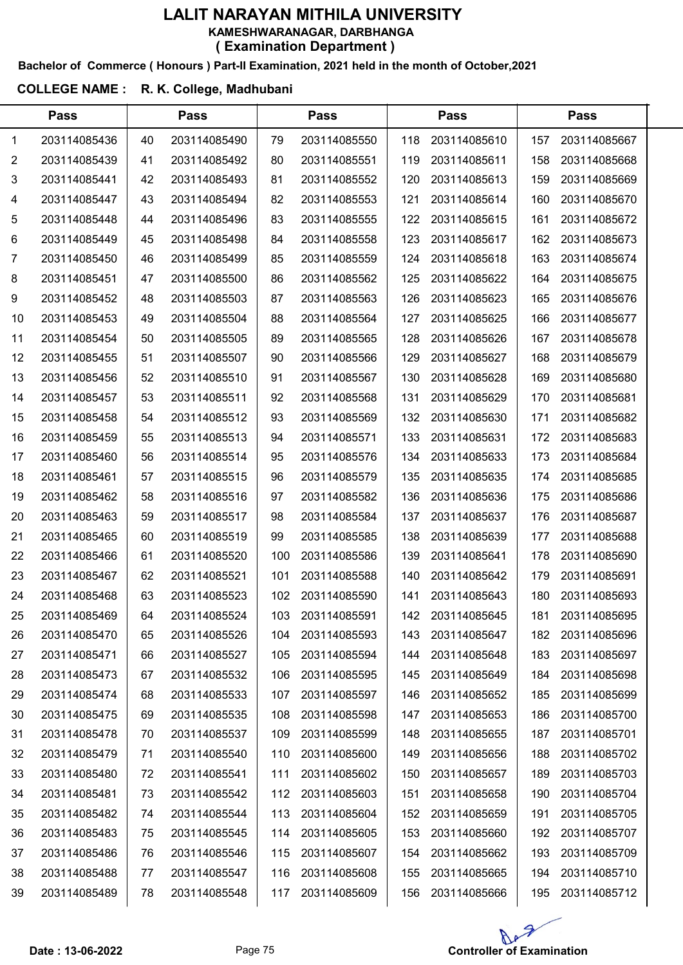#### Bachelor of Commerce ( Honours ) Part-II Examination, 2021 held in the month of October,2021

#### COLLEGE NAME : R. K. College, Madhubani

|    | <b>Pass</b>  |    | <b>Pass</b>  |     | <b>Pass</b>  |     | <b>Pass</b>  |     |              |  |
|----|--------------|----|--------------|-----|--------------|-----|--------------|-----|--------------|--|
| 1  | 203114085436 | 40 | 203114085490 | 79  | 203114085550 | 118 | 203114085610 | 157 | 203114085667 |  |
| 2  | 203114085439 | 41 | 203114085492 | 80  | 203114085551 | 119 | 203114085611 | 158 | 203114085668 |  |
| 3  | 203114085441 | 42 | 203114085493 | 81  | 203114085552 | 120 | 203114085613 | 159 | 203114085669 |  |
| 4  | 203114085447 | 43 | 203114085494 | 82  | 203114085553 | 121 | 203114085614 | 160 | 203114085670 |  |
| 5  | 203114085448 | 44 | 203114085496 | 83  | 203114085555 | 122 | 203114085615 | 161 | 203114085672 |  |
| 6  | 203114085449 | 45 | 203114085498 | 84  | 203114085558 | 123 | 203114085617 | 162 | 203114085673 |  |
| 7  | 203114085450 | 46 | 203114085499 | 85  | 203114085559 | 124 | 203114085618 | 163 | 203114085674 |  |
| 8  | 203114085451 | 47 | 203114085500 | 86  | 203114085562 | 125 | 203114085622 | 164 | 203114085675 |  |
| 9  | 203114085452 | 48 | 203114085503 | 87  | 203114085563 | 126 | 203114085623 | 165 | 203114085676 |  |
| 10 | 203114085453 | 49 | 203114085504 | 88  | 203114085564 | 127 | 203114085625 | 166 | 203114085677 |  |
| 11 | 203114085454 | 50 | 203114085505 | 89  | 203114085565 | 128 | 203114085626 | 167 | 203114085678 |  |
| 12 | 203114085455 | 51 | 203114085507 | 90  | 203114085566 | 129 | 203114085627 | 168 | 203114085679 |  |
| 13 | 203114085456 | 52 | 203114085510 | 91  | 203114085567 | 130 | 203114085628 | 169 | 203114085680 |  |
| 14 | 203114085457 | 53 | 203114085511 | 92  | 203114085568 | 131 | 203114085629 | 170 | 203114085681 |  |
| 15 | 203114085458 | 54 | 203114085512 | 93  | 203114085569 | 132 | 203114085630 | 171 | 203114085682 |  |
| 16 | 203114085459 | 55 | 203114085513 | 94  | 203114085571 | 133 | 203114085631 | 172 | 203114085683 |  |
| 17 | 203114085460 | 56 | 203114085514 | 95  | 203114085576 | 134 | 203114085633 | 173 | 203114085684 |  |
| 18 | 203114085461 | 57 | 203114085515 | 96  | 203114085579 | 135 | 203114085635 | 174 | 203114085685 |  |
| 19 | 203114085462 | 58 | 203114085516 | 97  | 203114085582 | 136 | 203114085636 | 175 | 203114085686 |  |
| 20 | 203114085463 | 59 | 203114085517 | 98  | 203114085584 | 137 | 203114085637 | 176 | 203114085687 |  |
| 21 | 203114085465 | 60 | 203114085519 | 99  | 203114085585 | 138 | 203114085639 | 177 | 203114085688 |  |
| 22 | 203114085466 | 61 | 203114085520 | 100 | 203114085586 | 139 | 203114085641 | 178 | 203114085690 |  |
| 23 | 203114085467 | 62 | 203114085521 | 101 | 203114085588 | 140 | 203114085642 | 179 | 203114085691 |  |
| 24 | 203114085468 | 63 | 203114085523 | 102 | 203114085590 | 141 | 203114085643 | 180 | 203114085693 |  |
| 25 | 203114085469 | 64 | 203114085524 | 103 | 203114085591 | 142 | 203114085645 | 181 | 203114085695 |  |
| 26 | 203114085470 | 65 | 203114085526 | 104 | 203114085593 | 143 | 203114085647 | 182 | 203114085696 |  |
| 27 | 203114085471 | 66 | 203114085527 | 105 | 203114085594 | 144 | 203114085648 | 183 | 203114085697 |  |
| 28 | 203114085473 | 67 | 203114085532 | 106 | 203114085595 | 145 | 203114085649 | 184 | 203114085698 |  |
| 29 | 203114085474 | 68 | 203114085533 | 107 | 203114085597 | 146 | 203114085652 | 185 | 203114085699 |  |
| 30 | 203114085475 | 69 | 203114085535 | 108 | 203114085598 | 147 | 203114085653 | 186 | 203114085700 |  |
| 31 | 203114085478 | 70 | 203114085537 | 109 | 203114085599 | 148 | 203114085655 | 187 | 203114085701 |  |
| 32 | 203114085479 | 71 | 203114085540 | 110 | 203114085600 | 149 | 203114085656 | 188 | 203114085702 |  |
| 33 | 203114085480 | 72 | 203114085541 | 111 | 203114085602 | 150 | 203114085657 | 189 | 203114085703 |  |
| 34 | 203114085481 | 73 | 203114085542 | 112 | 203114085603 | 151 | 203114085658 | 190 | 203114085704 |  |
| 35 | 203114085482 | 74 | 203114085544 | 113 | 203114085604 | 152 | 203114085659 | 191 | 203114085705 |  |
| 36 | 203114085483 | 75 | 203114085545 | 114 | 203114085605 | 153 | 203114085660 | 192 | 203114085707 |  |
| 37 | 203114085486 | 76 | 203114085546 | 115 | 203114085607 | 154 | 203114085662 | 193 | 203114085709 |  |
| 38 | 203114085488 | 77 | 203114085547 | 116 | 203114085608 | 155 | 203114085665 | 194 | 203114085710 |  |
| 39 | 203114085489 | 78 | 203114085548 | 117 | 203114085609 | 156 | 203114085666 | 195 | 203114085712 |  |

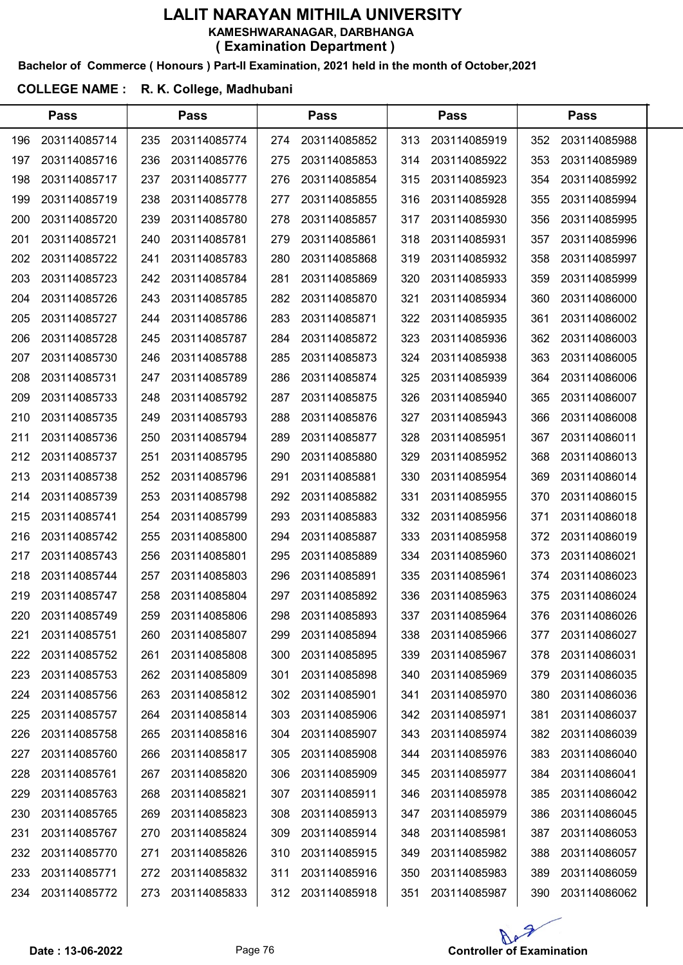#### Bachelor of Commerce ( Honours ) Part-II Examination, 2021 held in the month of October,2021

### COLLEGE NAME : R. K. College, Madhubani

|     | <b>Pass</b>  |     | <b>Pass</b>  |     | <b>Pass</b>  |     | <b>Pass</b>  |     | <b>Pass</b>  |  |
|-----|--------------|-----|--------------|-----|--------------|-----|--------------|-----|--------------|--|
| 196 | 203114085714 | 235 | 203114085774 | 274 | 203114085852 | 313 | 203114085919 | 352 | 203114085988 |  |
| 197 | 203114085716 | 236 | 203114085776 | 275 | 203114085853 | 314 | 203114085922 | 353 | 203114085989 |  |
| 198 | 203114085717 | 237 | 203114085777 | 276 | 203114085854 | 315 | 203114085923 | 354 | 203114085992 |  |
| 199 | 203114085719 | 238 | 203114085778 | 277 | 203114085855 | 316 | 203114085928 | 355 | 203114085994 |  |
| 200 | 203114085720 | 239 | 203114085780 | 278 | 203114085857 | 317 | 203114085930 | 356 | 203114085995 |  |
| 201 | 203114085721 | 240 | 203114085781 | 279 | 203114085861 | 318 | 203114085931 | 357 | 203114085996 |  |
| 202 | 203114085722 | 241 | 203114085783 | 280 | 203114085868 | 319 | 203114085932 | 358 | 203114085997 |  |
| 203 | 203114085723 | 242 | 203114085784 | 281 | 203114085869 | 320 | 203114085933 | 359 | 203114085999 |  |
| 204 | 203114085726 | 243 | 203114085785 | 282 | 203114085870 | 321 | 203114085934 | 360 | 203114086000 |  |
| 205 | 203114085727 | 244 | 203114085786 | 283 | 203114085871 | 322 | 203114085935 | 361 | 203114086002 |  |
| 206 | 203114085728 | 245 | 203114085787 | 284 | 203114085872 | 323 | 203114085936 | 362 | 203114086003 |  |
| 207 | 203114085730 | 246 | 203114085788 | 285 | 203114085873 | 324 | 203114085938 | 363 | 203114086005 |  |
| 208 | 203114085731 | 247 | 203114085789 | 286 | 203114085874 | 325 | 203114085939 | 364 | 203114086006 |  |
| 209 | 203114085733 | 248 | 203114085792 | 287 | 203114085875 | 326 | 203114085940 | 365 | 203114086007 |  |
| 210 | 203114085735 | 249 | 203114085793 | 288 | 203114085876 | 327 | 203114085943 | 366 | 203114086008 |  |
| 211 | 203114085736 | 250 | 203114085794 | 289 | 203114085877 | 328 | 203114085951 | 367 | 203114086011 |  |
| 212 | 203114085737 | 251 | 203114085795 | 290 | 203114085880 | 329 | 203114085952 | 368 | 203114086013 |  |
| 213 | 203114085738 | 252 | 203114085796 | 291 | 203114085881 | 330 | 203114085954 | 369 | 203114086014 |  |
| 214 | 203114085739 | 253 | 203114085798 | 292 | 203114085882 | 331 | 203114085955 | 370 | 203114086015 |  |
| 215 | 203114085741 | 254 | 203114085799 | 293 | 203114085883 | 332 | 203114085956 | 371 | 203114086018 |  |
| 216 | 203114085742 | 255 | 203114085800 | 294 | 203114085887 | 333 | 203114085958 | 372 | 203114086019 |  |
| 217 | 203114085743 | 256 | 203114085801 | 295 | 203114085889 | 334 | 203114085960 | 373 | 203114086021 |  |
| 218 | 203114085744 | 257 | 203114085803 | 296 | 203114085891 | 335 | 203114085961 | 374 | 203114086023 |  |
| 219 | 203114085747 | 258 | 203114085804 | 297 | 203114085892 | 336 | 203114085963 | 375 | 203114086024 |  |
| 220 | 203114085749 | 259 | 203114085806 | 298 | 203114085893 | 337 | 203114085964 | 376 | 203114086026 |  |
| 221 | 203114085751 | 260 | 203114085807 | 299 | 203114085894 | 338 | 203114085966 | 377 | 203114086027 |  |
| 222 | 203114085752 | 261 | 203114085808 | 300 | 203114085895 | 339 | 203114085967 | 378 | 203114086031 |  |
| 223 | 203114085753 | 262 | 203114085809 | 301 | 203114085898 | 340 | 203114085969 | 379 | 203114086035 |  |
| 224 | 203114085756 | 263 | 203114085812 | 302 | 203114085901 | 341 | 203114085970 | 380 | 203114086036 |  |
| 225 | 203114085757 | 264 | 203114085814 | 303 | 203114085906 | 342 | 203114085971 | 381 | 203114086037 |  |
| 226 | 203114085758 | 265 | 203114085816 | 304 | 203114085907 | 343 | 203114085974 | 382 | 203114086039 |  |
| 227 | 203114085760 | 266 | 203114085817 | 305 | 203114085908 | 344 | 203114085976 | 383 | 203114086040 |  |
| 228 | 203114085761 | 267 | 203114085820 | 306 | 203114085909 | 345 | 203114085977 | 384 | 203114086041 |  |
| 229 | 203114085763 | 268 | 203114085821 | 307 | 203114085911 | 346 | 203114085978 | 385 | 203114086042 |  |
| 230 | 203114085765 | 269 | 203114085823 | 308 | 203114085913 | 347 | 203114085979 | 386 | 203114086045 |  |
| 231 | 203114085767 | 270 | 203114085824 | 309 | 203114085914 | 348 | 203114085981 | 387 | 203114086053 |  |
| 232 | 203114085770 | 271 | 203114085826 | 310 | 203114085915 | 349 | 203114085982 | 388 | 203114086057 |  |
| 233 | 203114085771 | 272 | 203114085832 | 311 | 203114085916 | 350 | 203114085983 | 389 | 203114086059 |  |
| 234 | 203114085772 | 273 | 203114085833 | 312 | 203114085918 | 351 | 203114085987 | 390 | 203114086062 |  |

Ae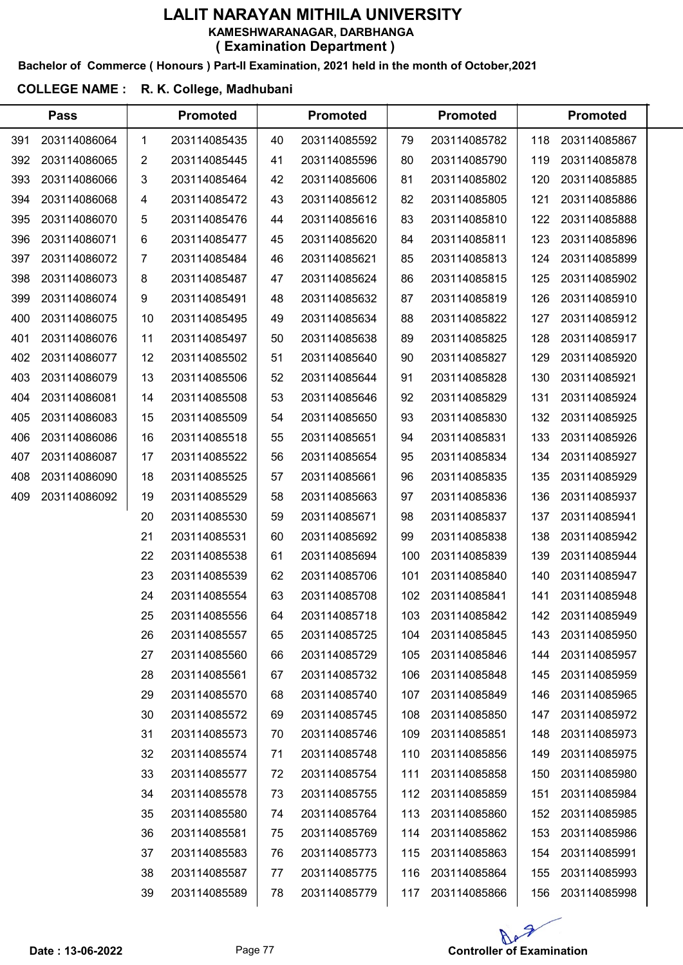#### Bachelor of Commerce ( Honours ) Part-II Examination, 2021 held in the month of October,2021

## COLLEGE NAME : R. K. College, Madhubani

|     | <b>Pass</b>  |              | <b>Promoted</b> |    | <b>Promoted</b> |     | <b>Promoted</b> |     | <b>Promoted</b> |  |
|-----|--------------|--------------|-----------------|----|-----------------|-----|-----------------|-----|-----------------|--|
| 391 | 203114086064 | $\mathbf{1}$ | 203114085435    | 40 | 203114085592    | 79  | 203114085782    | 118 | 203114085867    |  |
| 392 | 203114086065 | 2            | 203114085445    | 41 | 203114085596    | 80  | 203114085790    | 119 | 203114085878    |  |
| 393 | 203114086066 | 3            | 203114085464    | 42 | 203114085606    | 81  | 203114085802    | 120 | 203114085885    |  |
| 394 | 203114086068 | 4            | 203114085472    | 43 | 203114085612    | 82  | 203114085805    | 121 | 203114085886    |  |
| 395 | 203114086070 | 5            | 203114085476    | 44 | 203114085616    | 83  | 203114085810    | 122 | 203114085888    |  |
| 396 | 203114086071 | 6            | 203114085477    | 45 | 203114085620    | 84  | 203114085811    | 123 | 203114085896    |  |
| 397 | 203114086072 | 7            | 203114085484    | 46 | 203114085621    | 85  | 203114085813    | 124 | 203114085899    |  |
| 398 | 203114086073 | 8            | 203114085487    | 47 | 203114085624    | 86  | 203114085815    | 125 | 203114085902    |  |
| 399 | 203114086074 | 9            | 203114085491    | 48 | 203114085632    | 87  | 203114085819    | 126 | 203114085910    |  |
| 400 | 203114086075 | 10           | 203114085495    | 49 | 203114085634    | 88  | 203114085822    | 127 | 203114085912    |  |
| 401 | 203114086076 | 11           | 203114085497    | 50 | 203114085638    | 89  | 203114085825    | 128 | 203114085917    |  |
| 402 | 203114086077 | 12           | 203114085502    | 51 | 203114085640    | 90  | 203114085827    | 129 | 203114085920    |  |
| 403 | 203114086079 | 13           | 203114085506    | 52 | 203114085644    | 91  | 203114085828    | 130 | 203114085921    |  |
| 404 | 203114086081 | 14           | 203114085508    | 53 | 203114085646    | 92  | 203114085829    | 131 | 203114085924    |  |
| 405 | 203114086083 | 15           | 203114085509    | 54 | 203114085650    | 93  | 203114085830    | 132 | 203114085925    |  |
| 406 | 203114086086 | 16           | 203114085518    | 55 | 203114085651    | 94  | 203114085831    | 133 | 203114085926    |  |
| 407 | 203114086087 | 17           | 203114085522    | 56 | 203114085654    | 95  | 203114085834    | 134 | 203114085927    |  |
| 408 | 203114086090 | 18           | 203114085525    | 57 | 203114085661    | 96  | 203114085835    | 135 | 203114085929    |  |
| 409 | 203114086092 | 19           | 203114085529    | 58 | 203114085663    | 97  | 203114085836    | 136 | 203114085937    |  |
|     |              | 20           | 203114085530    | 59 | 203114085671    | 98  | 203114085837    | 137 | 203114085941    |  |
|     |              | 21           | 203114085531    | 60 | 203114085692    | 99  | 203114085838    | 138 | 203114085942    |  |
|     |              | 22           | 203114085538    | 61 | 203114085694    | 100 | 203114085839    | 139 | 203114085944    |  |
|     |              | 23           | 203114085539    | 62 | 203114085706    | 101 | 203114085840    | 140 | 203114085947    |  |
|     |              | 24           | 203114085554    | 63 | 203114085708    | 102 | 203114085841    | 141 | 203114085948    |  |
|     |              | 25           | 203114085556    | 64 | 203114085718    | 103 | 203114085842    | 142 | 203114085949    |  |
|     |              | 26           | 203114085557    | 65 | 203114085725    | 104 | 203114085845    | 143 | 203114085950    |  |
|     |              | 27           | 203114085560    | 66 | 203114085729    | 105 | 203114085846    | 144 | 203114085957    |  |
|     |              | 28           | 203114085561    | 67 | 203114085732    | 106 | 203114085848    | 145 | 203114085959    |  |
|     |              | 29           | 203114085570    | 68 | 203114085740    | 107 | 203114085849    | 146 | 203114085965    |  |
|     |              | 30           | 203114085572    | 69 | 203114085745    | 108 | 203114085850    | 147 | 203114085972    |  |
|     |              | 31           | 203114085573    | 70 | 203114085746    | 109 | 203114085851    | 148 | 203114085973    |  |
|     |              | 32           | 203114085574    | 71 | 203114085748    | 110 | 203114085856    | 149 | 203114085975    |  |
|     |              | 33           | 203114085577    | 72 | 203114085754    | 111 | 203114085858    | 150 | 203114085980    |  |
|     |              | 34           | 203114085578    | 73 | 203114085755    | 112 | 203114085859    | 151 | 203114085984    |  |
|     |              | 35           | 203114085580    | 74 | 203114085764    | 113 | 203114085860    | 152 | 203114085985    |  |
|     |              | 36           | 203114085581    | 75 | 203114085769    | 114 | 203114085862    | 153 | 203114085986    |  |
|     |              | 37           | 203114085583    | 76 | 203114085773    | 115 | 203114085863    | 154 | 203114085991    |  |
|     |              | 38           | 203114085587    | 77 | 203114085775    | 116 | 203114085864    | 155 | 203114085993    |  |
|     |              | 39           | 203114085589    | 78 | 203114085779    | 117 | 203114085866    | 156 | 203114085998    |  |

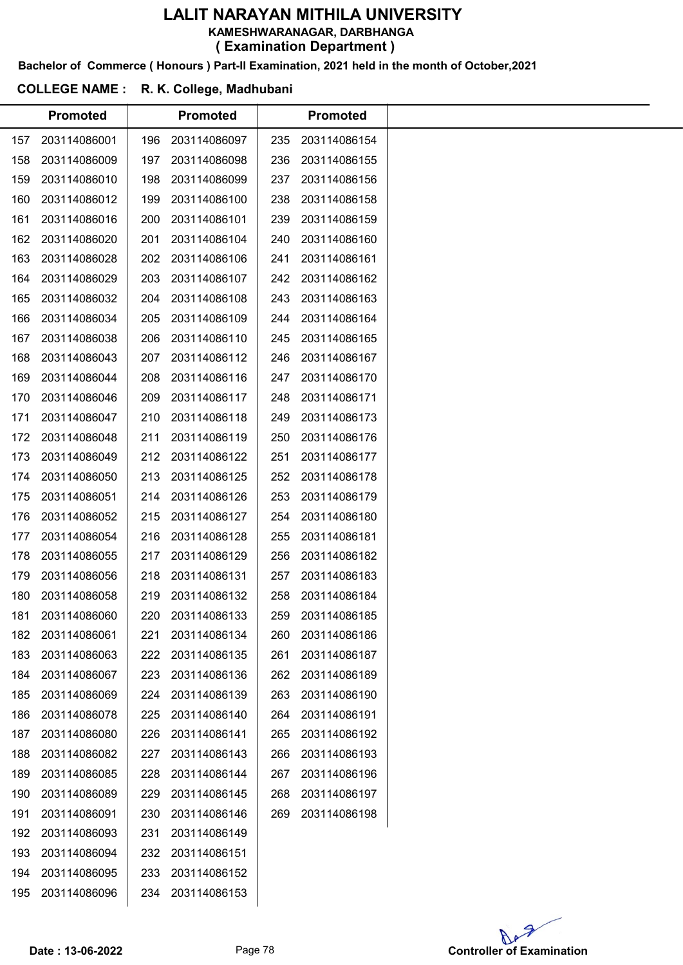Bachelor of Commerce ( Honours ) Part-II Examination, 2021 held in the month of October,2021

#### COLLEGE NAME : R. K. College, Madhubani

|     | <b>Promoted</b> |     | <b>Promoted</b> |     | <b>Promoted</b> |
|-----|-----------------|-----|-----------------|-----|-----------------|
| 157 | 203114086001    | 196 | 203114086097    | 235 | 203114086154    |
| 158 | 203114086009    | 197 | 203114086098    | 236 | 203114086155    |
| 159 | 203114086010    | 198 | 203114086099    | 237 | 203114086156    |
| 160 | 203114086012    | 199 | 203114086100    | 238 | 203114086158    |
| 161 | 203114086016    | 200 | 203114086101    | 239 | 203114086159    |
| 162 | 203114086020    | 201 | 203114086104    | 240 | 203114086160    |
| 163 | 203114086028    | 202 | 203114086106    | 241 | 203114086161    |
| 164 | 203114086029    | 203 | 203114086107    | 242 | 203114086162    |
| 165 | 203114086032    | 204 | 203114086108    | 243 | 203114086163    |
| 166 | 203114086034    | 205 | 203114086109    | 244 | 203114086164    |
| 167 | 203114086038    | 206 | 203114086110    | 245 | 203114086165    |
| 168 | 203114086043    | 207 | 203114086112    | 246 | 203114086167    |
| 169 | 203114086044    | 208 | 203114086116    | 247 | 203114086170    |
| 170 | 203114086046    | 209 | 203114086117    | 248 | 203114086171    |
| 171 | 203114086047    | 210 | 203114086118    | 249 | 203114086173    |
| 172 | 203114086048    | 211 | 203114086119    | 250 | 203114086176    |
| 173 | 203114086049    | 212 | 203114086122    | 251 | 203114086177    |
| 174 | 203114086050    | 213 | 203114086125    | 252 | 203114086178    |
| 175 | 203114086051    | 214 | 203114086126    | 253 | 203114086179    |
| 176 | 203114086052    | 215 | 203114086127    | 254 | 203114086180    |
| 177 | 203114086054    | 216 | 203114086128    | 255 | 203114086181    |
| 178 | 203114086055    | 217 | 203114086129    | 256 | 203114086182    |
| 179 | 203114086056    | 218 | 203114086131    | 257 | 203114086183    |
| 180 | 203114086058    | 219 | 203114086132    | 258 | 203114086184    |
| 181 | 203114086060    | 220 | 203114086133    | 259 | 203114086185    |
| 182 | 203114086061    | 221 | 203114086134    | 260 | 203114086186    |
| 183 | 203114086063    | 222 | 203114086135    | 261 | 203114086187    |
| 184 | 203114086067    | 223 | 203114086136    | 262 | 203114086189    |
| 185 | 203114086069    | 224 | 203114086139    | 263 | 203114086190    |
| 186 | 203114086078    | 225 | 203114086140    | 264 | 203114086191    |
| 187 | 203114086080    | 226 | 203114086141    | 265 | 203114086192    |
| 188 | 203114086082    | 227 | 203114086143    | 266 | 203114086193    |
| 189 | 203114086085    | 228 | 203114086144    | 267 | 203114086196    |
| 190 | 203114086089    | 229 | 203114086145    | 268 | 203114086197    |
| 191 | 203114086091    | 230 | 203114086146    | 269 | 203114086198    |
| 192 | 203114086093    | 231 | 203114086149    |     |                 |
| 193 | 203114086094    | 232 | 203114086151    |     |                 |
| 194 | 203114086095    | 233 | 203114086152    |     |                 |
| 195 | 203114086096    | 234 | 203114086153    |     |                 |
|     |                 |     |                 |     |                 |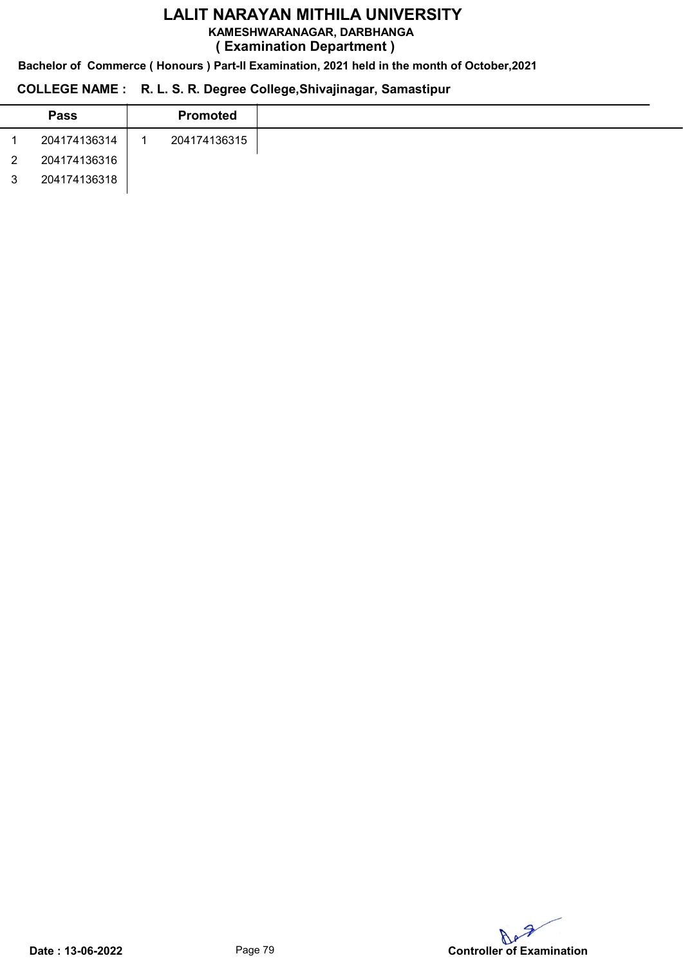KAMESHWARANAGAR, DARBHANGA

( Examination Department )

Bachelor of Commerce ( Honours ) Part-II Examination, 2021 held in the month of October,2021

## COLLEGE NAME : R. L. S. R. Degree College,Shivajinagar, Samastipur

| <b>Pass</b>  | <b>Promoted</b> |
|--------------|-----------------|
| 204174136314 | 204174136315    |
| 204174136316 |                 |
| 204174136318 |                 |

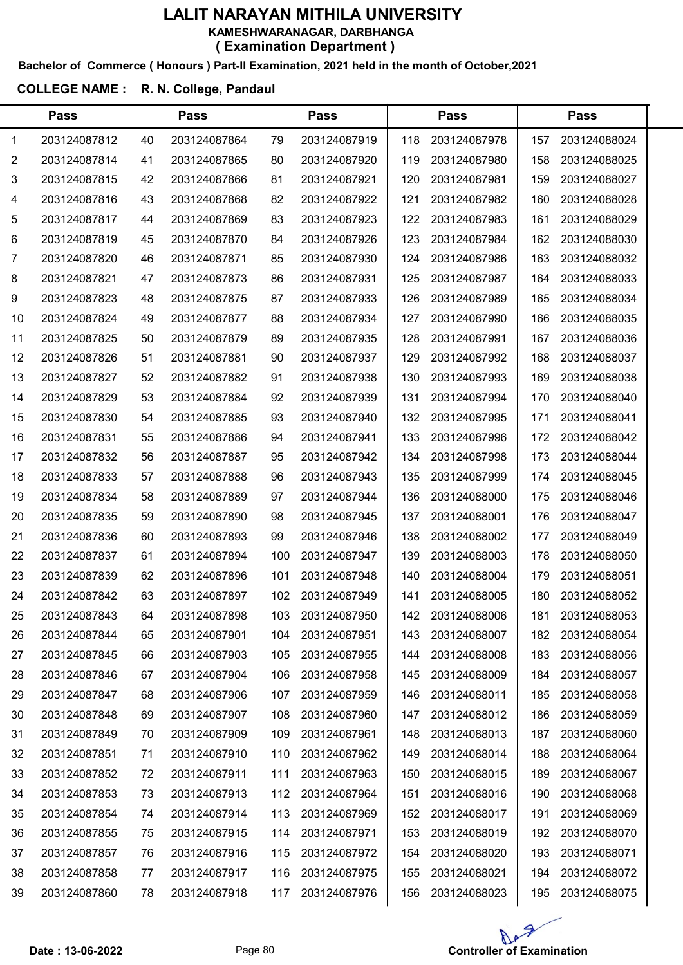#### Bachelor of Commerce ( Honours ) Part-II Examination, 2021 held in the month of October,2021

## COLLEGE NAME : R. N. College, Pandaul

|    | <b>Pass</b>  |    | <b>Pass</b>  |     | <b>Pass</b>  |     | <b>Pass</b>  |     | <b>Pass</b>  |  |  |
|----|--------------|----|--------------|-----|--------------|-----|--------------|-----|--------------|--|--|
| 1  | 203124087812 | 40 | 203124087864 | 79  | 203124087919 | 118 | 203124087978 | 157 | 203124088024 |  |  |
| 2  | 203124087814 | 41 | 203124087865 | 80  | 203124087920 | 119 | 203124087980 | 158 | 203124088025 |  |  |
| 3  | 203124087815 | 42 | 203124087866 | 81  | 203124087921 | 120 | 203124087981 | 159 | 203124088027 |  |  |
| 4  | 203124087816 | 43 | 203124087868 | 82  | 203124087922 | 121 | 203124087982 | 160 | 203124088028 |  |  |
| 5  | 203124087817 | 44 | 203124087869 | 83  | 203124087923 | 122 | 203124087983 | 161 | 203124088029 |  |  |
| 6  | 203124087819 | 45 | 203124087870 | 84  | 203124087926 | 123 | 203124087984 | 162 | 203124088030 |  |  |
| 7  | 203124087820 | 46 | 203124087871 | 85  | 203124087930 | 124 | 203124087986 | 163 | 203124088032 |  |  |
| 8  | 203124087821 | 47 | 203124087873 | 86  | 203124087931 | 125 | 203124087987 | 164 | 203124088033 |  |  |
| 9  | 203124087823 | 48 | 203124087875 | 87  | 203124087933 | 126 | 203124087989 | 165 | 203124088034 |  |  |
| 10 | 203124087824 | 49 | 203124087877 | 88  | 203124087934 | 127 | 203124087990 | 166 | 203124088035 |  |  |
| 11 | 203124087825 | 50 | 203124087879 | 89  | 203124087935 | 128 | 203124087991 | 167 | 203124088036 |  |  |
| 12 | 203124087826 | 51 | 203124087881 | 90  | 203124087937 | 129 | 203124087992 | 168 | 203124088037 |  |  |
| 13 | 203124087827 | 52 | 203124087882 | 91  | 203124087938 | 130 | 203124087993 | 169 | 203124088038 |  |  |
| 14 | 203124087829 | 53 | 203124087884 | 92  | 203124087939 | 131 | 203124087994 | 170 | 203124088040 |  |  |
| 15 | 203124087830 | 54 | 203124087885 | 93  | 203124087940 | 132 | 203124087995 | 171 | 203124088041 |  |  |
| 16 | 203124087831 | 55 | 203124087886 | 94  | 203124087941 | 133 | 203124087996 | 172 | 203124088042 |  |  |
| 17 | 203124087832 | 56 | 203124087887 | 95  | 203124087942 | 134 | 203124087998 | 173 | 203124088044 |  |  |
| 18 | 203124087833 | 57 | 203124087888 | 96  | 203124087943 | 135 | 203124087999 | 174 | 203124088045 |  |  |
| 19 | 203124087834 | 58 | 203124087889 | 97  | 203124087944 | 136 | 203124088000 | 175 | 203124088046 |  |  |
| 20 | 203124087835 | 59 | 203124087890 | 98  | 203124087945 | 137 | 203124088001 | 176 | 203124088047 |  |  |
| 21 | 203124087836 | 60 | 203124087893 | 99  | 203124087946 | 138 | 203124088002 | 177 | 203124088049 |  |  |
| 22 | 203124087837 | 61 | 203124087894 | 100 | 203124087947 | 139 | 203124088003 | 178 | 203124088050 |  |  |
| 23 | 203124087839 | 62 | 203124087896 | 101 | 203124087948 | 140 | 203124088004 | 179 | 203124088051 |  |  |
| 24 | 203124087842 | 63 | 203124087897 | 102 | 203124087949 | 141 | 203124088005 | 180 | 203124088052 |  |  |
| 25 | 203124087843 | 64 | 203124087898 | 103 | 203124087950 | 142 | 203124088006 | 181 | 203124088053 |  |  |
| 26 | 203124087844 | 65 | 203124087901 | 104 | 203124087951 | 143 | 203124088007 | 182 | 203124088054 |  |  |
| 27 | 203124087845 | 66 | 203124087903 | 105 | 203124087955 | 144 | 203124088008 | 183 | 203124088056 |  |  |
| 28 | 203124087846 | 67 | 203124087904 | 106 | 203124087958 | 145 | 203124088009 | 184 | 203124088057 |  |  |
| 29 | 203124087847 | 68 | 203124087906 | 107 | 203124087959 | 146 | 203124088011 | 185 | 203124088058 |  |  |
| 30 | 203124087848 | 69 | 203124087907 | 108 | 203124087960 | 147 | 203124088012 | 186 | 203124088059 |  |  |
| 31 | 203124087849 | 70 | 203124087909 | 109 | 203124087961 | 148 | 203124088013 | 187 | 203124088060 |  |  |
| 32 | 203124087851 | 71 | 203124087910 | 110 | 203124087962 | 149 | 203124088014 | 188 | 203124088064 |  |  |
| 33 | 203124087852 | 72 | 203124087911 | 111 | 203124087963 | 150 | 203124088015 | 189 | 203124088067 |  |  |
| 34 | 203124087853 | 73 | 203124087913 | 112 | 203124087964 | 151 | 203124088016 | 190 | 203124088068 |  |  |
| 35 | 203124087854 | 74 | 203124087914 | 113 | 203124087969 | 152 | 203124088017 | 191 | 203124088069 |  |  |
| 36 | 203124087855 | 75 | 203124087915 | 114 | 203124087971 | 153 | 203124088019 | 192 | 203124088070 |  |  |
| 37 | 203124087857 | 76 | 203124087916 | 115 | 203124087972 | 154 | 203124088020 | 193 | 203124088071 |  |  |
| 38 | 203124087858 | 77 | 203124087917 | 116 | 203124087975 | 155 | 203124088021 | 194 | 203124088072 |  |  |
| 39 | 203124087860 | 78 | 203124087918 | 117 | 203124087976 | 156 | 203124088023 | 195 | 203124088075 |  |  |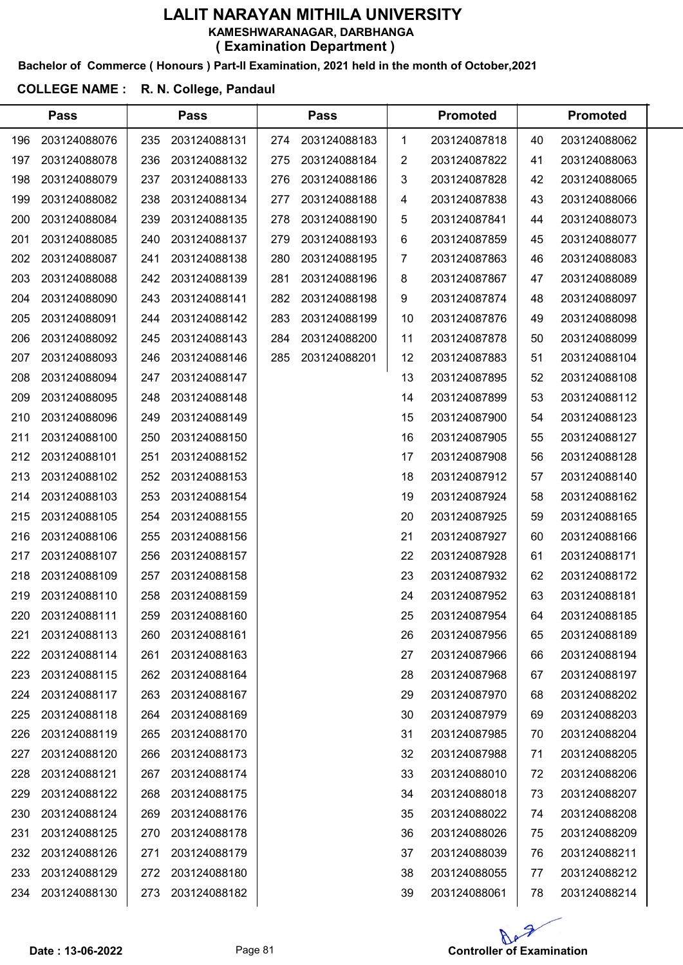#### Bachelor of Commerce ( Honours ) Part-II Examination, 2021 held in the month of October,2021

#### COLLEGE NAME : R. N. College, Pandaul

 $\overline{a}$ 

|     | <b>Pass</b>  |     | <b>Pass</b>  |     | <b>Pass</b>  |    | <b>Promoted</b> |    | <b>Promoted</b> |  |
|-----|--------------|-----|--------------|-----|--------------|----|-----------------|----|-----------------|--|
| 196 | 203124088076 | 235 | 203124088131 | 274 | 203124088183 | 1  | 203124087818    | 40 | 203124088062    |  |
| 197 | 203124088078 | 236 | 203124088132 | 275 | 203124088184 | 2  | 203124087822    | 41 | 203124088063    |  |
| 198 | 203124088079 | 237 | 203124088133 | 276 | 203124088186 | 3  | 203124087828    | 42 | 203124088065    |  |
| 199 | 203124088082 | 238 | 203124088134 | 277 | 203124088188 | 4  | 203124087838    | 43 | 203124088066    |  |
| 200 | 203124088084 | 239 | 203124088135 | 278 | 203124088190 | 5  | 203124087841    | 44 | 203124088073    |  |
| 201 | 203124088085 | 240 | 203124088137 | 279 | 203124088193 | 6  | 203124087859    | 45 | 203124088077    |  |
| 202 | 203124088087 | 241 | 203124088138 | 280 | 203124088195 | 7  | 203124087863    | 46 | 203124088083    |  |
| 203 | 203124088088 | 242 | 203124088139 | 281 | 203124088196 | 8  | 203124087867    | 47 | 203124088089    |  |
| 204 | 203124088090 | 243 | 203124088141 | 282 | 203124088198 | 9  | 203124087874    | 48 | 203124088097    |  |
| 205 | 203124088091 | 244 | 203124088142 | 283 | 203124088199 | 10 | 203124087876    | 49 | 203124088098    |  |
| 206 | 203124088092 | 245 | 203124088143 | 284 | 203124088200 | 11 | 203124087878    | 50 | 203124088099    |  |
| 207 | 203124088093 | 246 | 203124088146 | 285 | 203124088201 | 12 | 203124087883    | 51 | 203124088104    |  |
| 208 | 203124088094 | 247 | 203124088147 |     |              | 13 | 203124087895    | 52 | 203124088108    |  |
| 209 | 203124088095 | 248 | 203124088148 |     |              | 14 | 203124087899    | 53 | 203124088112    |  |
| 210 | 203124088096 | 249 | 203124088149 |     |              | 15 | 203124087900    | 54 | 203124088123    |  |
| 211 | 203124088100 | 250 | 203124088150 |     |              | 16 | 203124087905    | 55 | 203124088127    |  |
| 212 | 203124088101 | 251 | 203124088152 |     |              | 17 | 203124087908    | 56 | 203124088128    |  |
| 213 | 203124088102 | 252 | 203124088153 |     |              | 18 | 203124087912    | 57 | 203124088140    |  |
| 214 | 203124088103 | 253 | 203124088154 |     |              | 19 | 203124087924    | 58 | 203124088162    |  |
| 215 | 203124088105 | 254 | 203124088155 |     |              | 20 | 203124087925    | 59 | 203124088165    |  |
| 216 | 203124088106 | 255 | 203124088156 |     |              | 21 | 203124087927    | 60 | 203124088166    |  |
| 217 | 203124088107 | 256 | 203124088157 |     |              | 22 | 203124087928    | 61 | 203124088171    |  |
| 218 | 203124088109 | 257 | 203124088158 |     |              | 23 | 203124087932    | 62 | 203124088172    |  |
| 219 | 203124088110 | 258 | 203124088159 |     |              | 24 | 203124087952    | 63 | 203124088181    |  |
| 220 | 203124088111 | 259 | 203124088160 |     |              | 25 | 203124087954    | 64 | 203124088185    |  |
| 221 | 203124088113 | 260 | 203124088161 |     |              | 26 | 203124087956    | 65 | 203124088189    |  |
| 222 | 203124088114 | 261 | 203124088163 |     |              | 27 | 203124087966    | 66 | 203124088194    |  |
| 223 | 203124088115 | 262 | 203124088164 |     |              | 28 | 203124087968    | 67 | 203124088197    |  |
| 224 | 203124088117 | 263 | 203124088167 |     |              | 29 | 203124087970    | 68 | 203124088202    |  |
| 225 | 203124088118 | 264 | 203124088169 |     |              | 30 | 203124087979    | 69 | 203124088203    |  |
| 226 | 203124088119 | 265 | 203124088170 |     |              | 31 | 203124087985    | 70 | 203124088204    |  |
| 227 | 203124088120 | 266 | 203124088173 |     |              | 32 | 203124087988    | 71 | 203124088205    |  |
| 228 | 203124088121 | 267 | 203124088174 |     |              | 33 | 203124088010    | 72 | 203124088206    |  |
| 229 | 203124088122 | 268 | 203124088175 |     |              | 34 | 203124088018    | 73 | 203124088207    |  |
| 230 | 203124088124 | 269 | 203124088176 |     |              | 35 | 203124088022    | 74 | 203124088208    |  |
| 231 | 203124088125 | 270 | 203124088178 |     |              | 36 | 203124088026    | 75 | 203124088209    |  |
| 232 | 203124088126 | 271 | 203124088179 |     |              | 37 | 203124088039    | 76 | 203124088211    |  |
| 233 | 203124088129 | 272 | 203124088180 |     |              | 38 | 203124088055    | 77 | 203124088212    |  |
| 234 | 203124088130 | 273 | 203124088182 |     |              | 39 | 203124088061    | 78 | 203124088214    |  |
|     |              |     |              |     |              |    |                 |    |                 |  |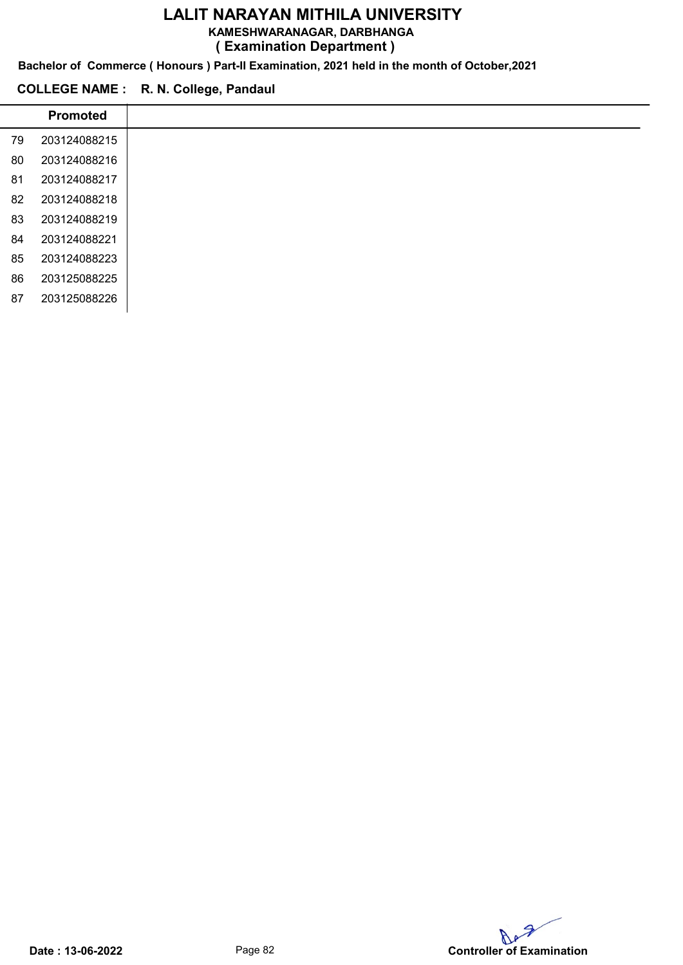#### KAMESHWARANAGAR, DARBHANGA

( Examination Department )

Bachelor of Commerce ( Honours ) Part-II Examination, 2021 held in the month of October,2021

#### COLLEGE NAME : R. N. College, Pandaul

 $\overline{a}$ 

|    | <b>Promoted</b> |
|----|-----------------|
| 79 | 203124088215    |
| 80 | 203124088216    |
| 81 | 203124088217    |
| 82 | 203124088218    |
| 83 | 203124088219    |
| 84 | 203124088221    |
| 85 | 203124088223    |
| 86 | 203125088225    |
| 87 | 203125088226    |

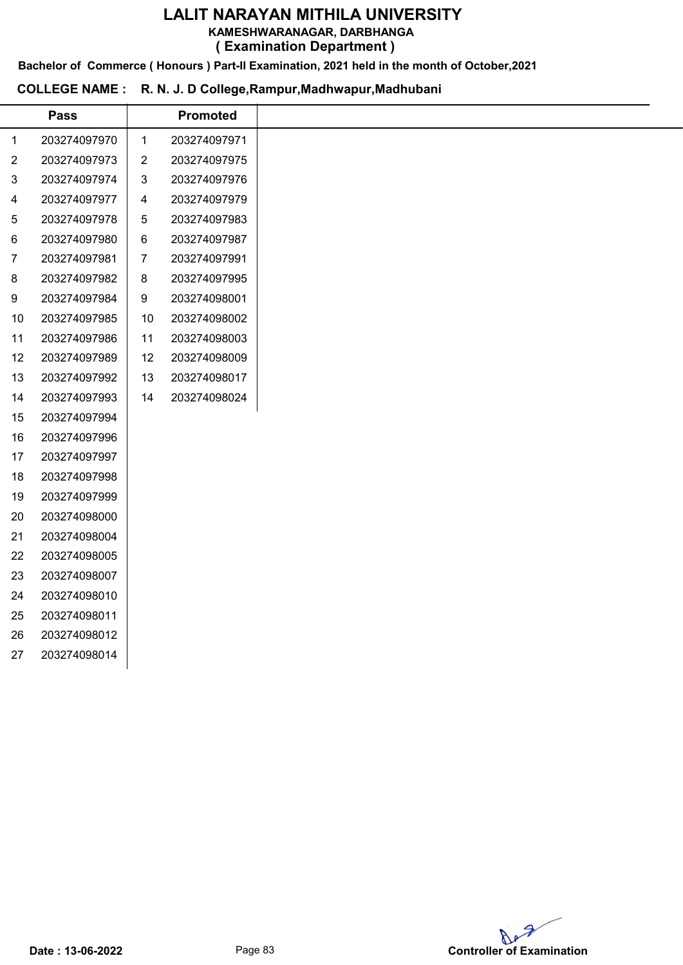KAMESHWARANAGAR, DARBHANGA

( Examination Department )

Bachelor of Commerce ( Honours ) Part-II Examination, 2021 held in the month of October,2021

#### COLLEGE NAME : R. N. J. D College,Rampur,Madhwapur,Madhubani

|                | <b>Pass</b>  |                | <b>Promoted</b> |
|----------------|--------------|----------------|-----------------|
| 1              | 203274097970 | $\mathbf{1}$   | 203274097971    |
| $\overline{c}$ | 203274097973 | $\overline{2}$ | 203274097975    |
| 3              | 203274097974 | 3              | 203274097976    |
| 4              | 203274097977 | $\overline{4}$ | 203274097979    |
| 5              | 203274097978 | 5              | 203274097983    |
| 6              | 203274097980 | 6              | 203274097987    |
| 7              | 203274097981 | 7              | 203274097991    |
| 8              | 203274097982 | 8              | 203274097995    |
| 9              | 203274097984 | 9              | 203274098001    |
| 10             | 203274097985 | 10             | 203274098002    |
| 11             | 203274097986 | 11             | 203274098003    |
| 12             | 203274097989 | 12             | 203274098009    |
| 13             | 203274097992 | 13             | 203274098017    |
| 14             | 203274097993 | 14             | 203274098024    |
| 15             | 203274097994 |                |                 |
| 16             | 203274097996 |                |                 |
| 17             | 203274097997 |                |                 |
| 18             | 203274097998 |                |                 |
| 19             | 203274097999 |                |                 |
| 20             | 203274098000 |                |                 |
| 21             | 203274098004 |                |                 |
| 22             | 203274098005 |                |                 |
| 23             | 203274098007 |                |                 |
| 24             | 203274098010 |                |                 |
| 25             | 203274098011 |                |                 |
| 26             | 203274098012 |                |                 |
| 27             | 203274098014 |                |                 |
|                |              |                |                 |

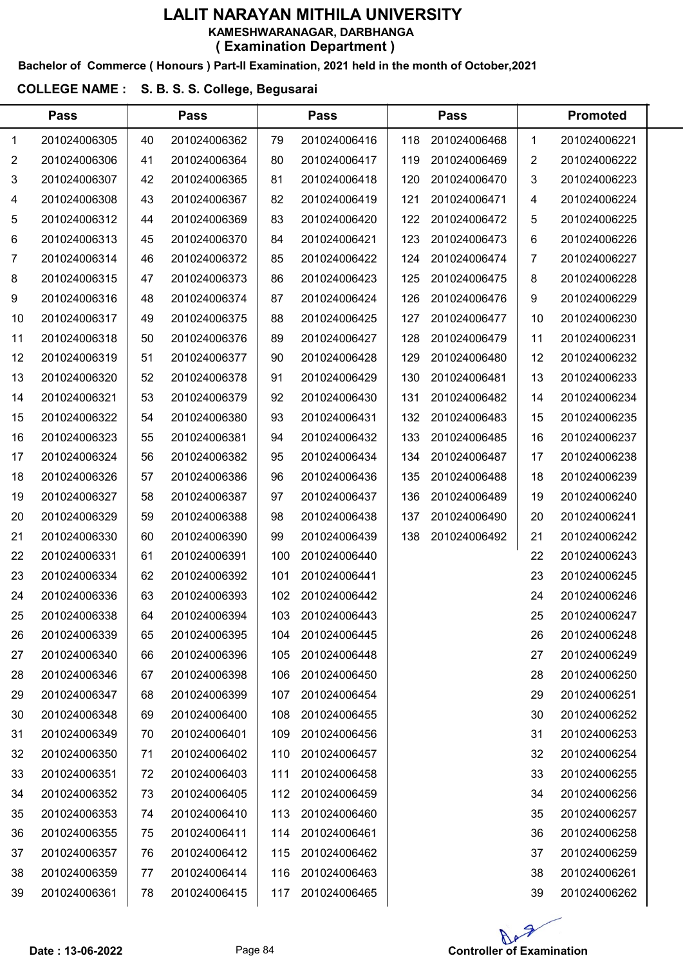#### Bachelor of Commerce ( Honours ) Part-II Examination, 2021 held in the month of October,2021

#### COLLEGE NAME : S. B. S. S. College, Begusarai

|                | <b>Pass</b>  |    | <b>Pass</b>  |     | <b>Pass</b>  |     | <b>Pass</b>  | <b>Promoted</b> |              |  |
|----------------|--------------|----|--------------|-----|--------------|-----|--------------|-----------------|--------------|--|
| 1              | 201024006305 | 40 | 201024006362 | 79  | 201024006416 | 118 | 201024006468 | 1               | 201024006221 |  |
| $\overline{2}$ | 201024006306 | 41 | 201024006364 | 80  | 201024006417 | 119 | 201024006469 | 2               | 201024006222 |  |
| 3              | 201024006307 | 42 | 201024006365 | 81  | 201024006418 | 120 | 201024006470 | 3               | 201024006223 |  |
| 4              | 201024006308 | 43 | 201024006367 | 82  | 201024006419 | 121 | 201024006471 | 4               | 201024006224 |  |
| 5              | 201024006312 | 44 | 201024006369 | 83  | 201024006420 | 122 | 201024006472 | 5               | 201024006225 |  |
| 6              | 201024006313 | 45 | 201024006370 | 84  | 201024006421 | 123 | 201024006473 | 6               | 201024006226 |  |
| 7              | 201024006314 | 46 | 201024006372 | 85  | 201024006422 | 124 | 201024006474 | 7               | 201024006227 |  |
| 8              | 201024006315 | 47 | 201024006373 | 86  | 201024006423 | 125 | 201024006475 | 8               | 201024006228 |  |
| 9              | 201024006316 | 48 | 201024006374 | 87  | 201024006424 | 126 | 201024006476 | 9               | 201024006229 |  |
| 10             | 201024006317 | 49 | 201024006375 | 88  | 201024006425 | 127 | 201024006477 | 10              | 201024006230 |  |
| 11             | 201024006318 | 50 | 201024006376 | 89  | 201024006427 | 128 | 201024006479 | 11              | 201024006231 |  |
| 12             | 201024006319 | 51 | 201024006377 | 90  | 201024006428 | 129 | 201024006480 | 12              | 201024006232 |  |
| 13             | 201024006320 | 52 | 201024006378 | 91  | 201024006429 | 130 | 201024006481 | 13              | 201024006233 |  |
| 14             | 201024006321 | 53 | 201024006379 | 92  | 201024006430 | 131 | 201024006482 | 14              | 201024006234 |  |
| 15             | 201024006322 | 54 | 201024006380 | 93  | 201024006431 | 132 | 201024006483 | 15              | 201024006235 |  |
| 16             | 201024006323 | 55 | 201024006381 | 94  | 201024006432 | 133 | 201024006485 | 16              | 201024006237 |  |
| 17             | 201024006324 | 56 | 201024006382 | 95  | 201024006434 | 134 | 201024006487 | 17              | 201024006238 |  |
| 18             | 201024006326 | 57 | 201024006386 | 96  | 201024006436 | 135 | 201024006488 | 18              | 201024006239 |  |
| 19             | 201024006327 | 58 | 201024006387 | 97  | 201024006437 | 136 | 201024006489 | 19              | 201024006240 |  |
| 20             | 201024006329 | 59 | 201024006388 | 98  | 201024006438 | 137 | 201024006490 | 20              | 201024006241 |  |
| 21             | 201024006330 | 60 | 201024006390 | 99  | 201024006439 | 138 | 201024006492 | 21              | 201024006242 |  |
| 22             | 201024006331 | 61 | 201024006391 | 100 | 201024006440 |     |              | 22              | 201024006243 |  |
| 23             | 201024006334 | 62 | 201024006392 | 101 | 201024006441 |     |              | 23              | 201024006245 |  |
| 24             | 201024006336 | 63 | 201024006393 | 102 | 201024006442 |     |              | 24              | 201024006246 |  |
| 25             | 201024006338 | 64 | 201024006394 | 103 | 201024006443 |     |              | 25              | 201024006247 |  |
| 26             | 201024006339 | 65 | 201024006395 | 104 | 201024006445 |     |              | 26              | 201024006248 |  |
| 27             | 201024006340 | 66 | 201024006396 | 105 | 201024006448 |     |              | 27              | 201024006249 |  |
| 28             | 201024006346 | 67 | 201024006398 | 106 | 201024006450 |     |              | 28              | 201024006250 |  |
| 29             | 201024006347 | 68 | 201024006399 | 107 | 201024006454 |     |              | 29              | 201024006251 |  |
| 30             | 201024006348 | 69 | 201024006400 | 108 | 201024006455 |     |              | 30              | 201024006252 |  |
| 31             | 201024006349 | 70 | 201024006401 | 109 | 201024006456 |     |              | 31              | 201024006253 |  |
| 32             | 201024006350 | 71 | 201024006402 | 110 | 201024006457 |     |              | 32              | 201024006254 |  |
| 33             | 201024006351 | 72 | 201024006403 | 111 | 201024006458 |     |              | 33              | 201024006255 |  |
| 34             | 201024006352 | 73 | 201024006405 | 112 | 201024006459 |     |              | 34              | 201024006256 |  |
| 35             | 201024006353 | 74 | 201024006410 | 113 | 201024006460 |     |              | 35              | 201024006257 |  |
| 36             | 201024006355 | 75 | 201024006411 | 114 | 201024006461 |     |              | 36              | 201024006258 |  |
| 37             | 201024006357 | 76 | 201024006412 | 115 | 201024006462 |     |              | 37              | 201024006259 |  |
| 38             | 201024006359 | 77 | 201024006414 | 116 | 201024006463 |     |              | 38              | 201024006261 |  |
| 39             | 201024006361 | 78 | 201024006415 | 117 | 201024006465 |     |              | 39              | 201024006262 |  |

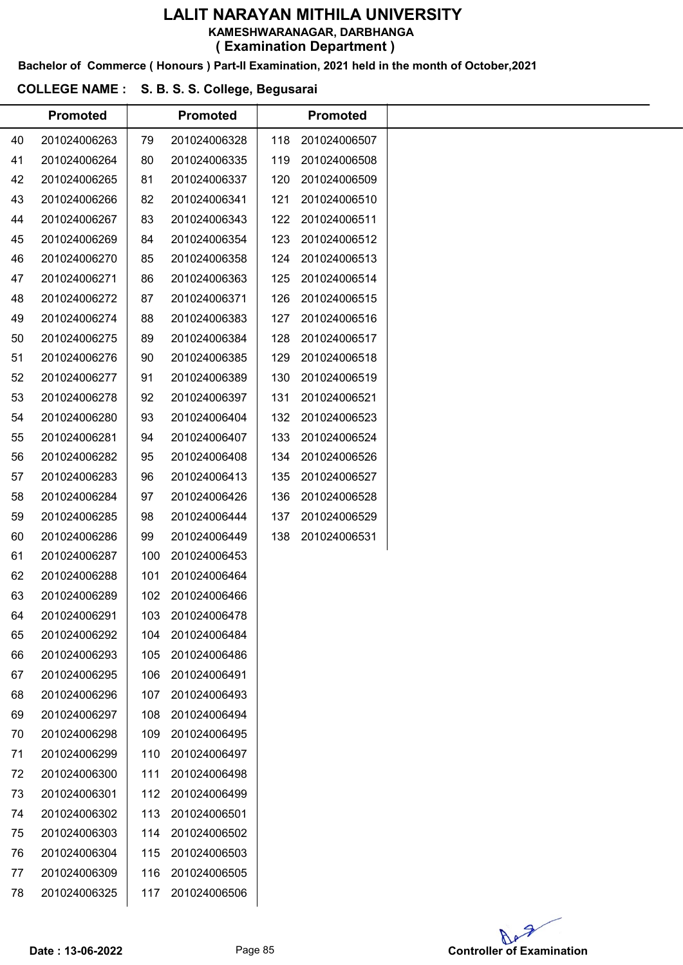#### LALIT NARAYAN MITHILA UNIVERSITY KAMESHWARANAGAR, DARBHANGA

( Examination Department )

Bachelor of Commerce ( Honours ) Part-II Examination, 2021 held in the month of October,2021

#### COLLEGE NAME : S. B. S. S. College, Begusarai

|    | <b>Promoted</b> |     | <b>Promoted</b>  |     | <b>Promoted</b> |
|----|-----------------|-----|------------------|-----|-----------------|
| 40 | 201024006263    | 79  | 201024006328     | 118 | 201024006507    |
| 41 | 201024006264    | 80  | 201024006335     | 119 | 201024006508    |
| 42 | 201024006265    | 81  | 201024006337     | 120 | 201024006509    |
| 43 | 201024006266    | 82  | 201024006341     | 121 | 201024006510    |
| 44 | 201024006267    | 83  | 201024006343     | 122 | 201024006511    |
| 45 | 201024006269    | 84  | 201024006354     | 123 | 201024006512    |
| 46 | 201024006270    | 85  | 201024006358     | 124 | 201024006513    |
| 47 | 201024006271    | 86  | 201024006363     | 125 | 201024006514    |
| 48 | 201024006272    | 87  | 201024006371     | 126 | 201024006515    |
| 49 | 201024006274    | 88  | 201024006383     | 127 | 201024006516    |
| 50 | 201024006275    | 89  | 201024006384     | 128 | 201024006517    |
| 51 | 201024006276    | 90  | 201024006385     | 129 | 201024006518    |
| 52 | 201024006277    | 91  | 201024006389     | 130 | 201024006519    |
| 53 | 201024006278    | 92  | 201024006397     | 131 | 201024006521    |
| 54 | 201024006280    | 93  | 201024006404     | 132 | 201024006523    |
| 55 | 201024006281    | 94  | 201024006407     | 133 | 201024006524    |
| 56 | 201024006282    | 95  | 201024006408     | 134 | 201024006526    |
| 57 | 201024006283    | 96  | 201024006413     | 135 | 201024006527    |
| 58 | 201024006284    | 97  | 201024006426     | 136 | 201024006528    |
| 59 | 201024006285    | 98  | 201024006444     | 137 | 201024006529    |
| 60 | 201024006286    | 99  | 201024006449     | 138 | 201024006531    |
| 61 | 201024006287    | 100 | 201024006453     |     |                 |
| 62 | 201024006288    | 101 | 201024006464     |     |                 |
| 63 | 201024006289    | 102 | 201024006466     |     |                 |
| 64 | 201024006291    |     | 103 201024006478 |     |                 |
| 65 | 201024006292    | 104 | 201024006484     |     |                 |
| 66 | 201024006293    | 105 | 201024006486     |     |                 |
| 67 | 201024006295    | 106 | 201024006491     |     |                 |
| 68 | 201024006296    | 107 | 201024006493     |     |                 |
| 69 | 201024006297    | 108 | 201024006494     |     |                 |
| 70 | 201024006298    | 109 | 201024006495     |     |                 |
| 71 | 201024006299    | 110 | 201024006497     |     |                 |
| 72 | 201024006300    | 111 | 201024006498     |     |                 |
| 73 | 201024006301    | 112 | 201024006499     |     |                 |
| 74 | 201024006302    | 113 | 201024006501     |     |                 |
| 75 | 201024006303    | 114 | 201024006502     |     |                 |
| 76 | 201024006304    | 115 | 201024006503     |     |                 |
| 77 | 201024006309    | 116 | 201024006505     |     |                 |
| 78 | 201024006325    | 117 | 201024006506     |     |                 |
|    |                 |     |                  |     |                 |

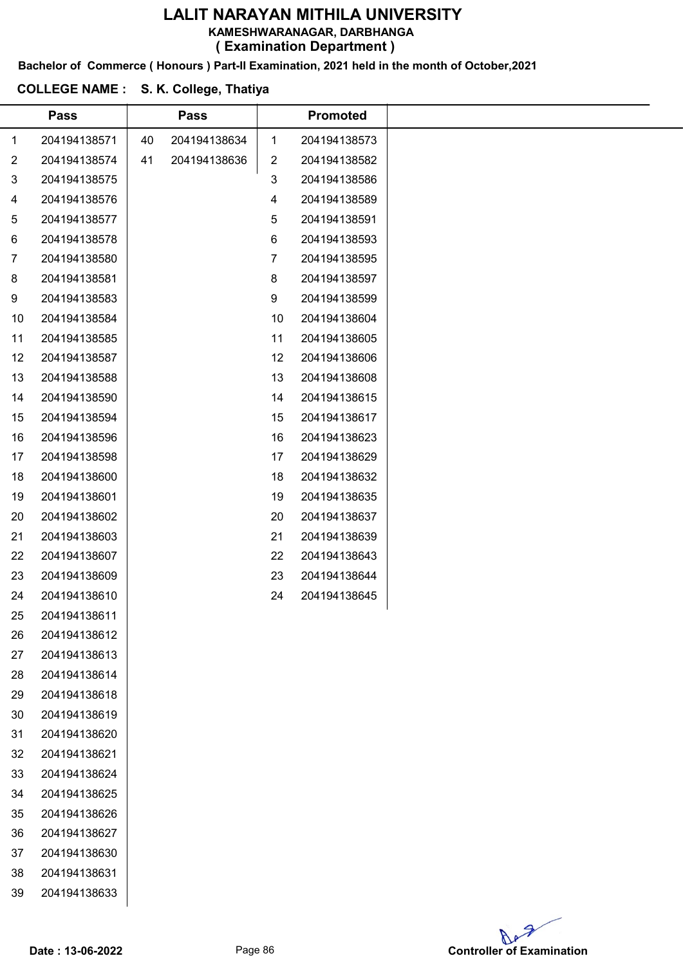KAMESHWARANAGAR, DARBHANGA

( Examination Department )

Bachelor of Commerce ( Honours ) Part-II Examination, 2021 held in the month of October,2021

## COLLEGE NAME : S. K. College, Thatiya

|                | <b>Pass</b>  |    | <b>Pass</b>  |    | <b>Promoted</b> |  |  |  |  |  |  |  |  |
|----------------|--------------|----|--------------|----|-----------------|--|--|--|--|--|--|--|--|
| 1              | 204194138571 | 40 | 204194138634 | 1  | 204194138573    |  |  |  |  |  |  |  |  |
| $\overline{c}$ | 204194138574 | 41 | 204194138636 | 2  | 204194138582    |  |  |  |  |  |  |  |  |
| 3              | 204194138575 |    |              | 3  | 204194138586    |  |  |  |  |  |  |  |  |
| 4              | 204194138576 |    |              | 4  | 204194138589    |  |  |  |  |  |  |  |  |
| 5              | 204194138577 |    |              | 5  | 204194138591    |  |  |  |  |  |  |  |  |
| 6              | 204194138578 |    |              | 6  | 204194138593    |  |  |  |  |  |  |  |  |
| 7              | 204194138580 |    |              | 7  | 204194138595    |  |  |  |  |  |  |  |  |
| 8              | 204194138581 |    |              | 8  | 204194138597    |  |  |  |  |  |  |  |  |
| 9              | 204194138583 |    |              | 9  | 204194138599    |  |  |  |  |  |  |  |  |
| 10             | 204194138584 |    |              | 10 | 204194138604    |  |  |  |  |  |  |  |  |
| 11             | 204194138585 |    |              | 11 | 204194138605    |  |  |  |  |  |  |  |  |
| 12             | 204194138587 |    |              | 12 | 204194138606    |  |  |  |  |  |  |  |  |
| 13             | 204194138588 |    |              | 13 | 204194138608    |  |  |  |  |  |  |  |  |
| 14             | 204194138590 |    |              | 14 | 204194138615    |  |  |  |  |  |  |  |  |
| 15             | 204194138594 |    |              | 15 | 204194138617    |  |  |  |  |  |  |  |  |
| 16             | 204194138596 |    |              | 16 | 204194138623    |  |  |  |  |  |  |  |  |
| 17             | 204194138598 |    |              | 17 | 204194138629    |  |  |  |  |  |  |  |  |
| 18             | 204194138600 |    |              | 18 | 204194138632    |  |  |  |  |  |  |  |  |
| 19             | 204194138601 |    |              | 19 | 204194138635    |  |  |  |  |  |  |  |  |
| 20             | 204194138602 |    |              | 20 | 204194138637    |  |  |  |  |  |  |  |  |
| 21             | 204194138603 |    |              | 21 | 204194138639    |  |  |  |  |  |  |  |  |
| 22             | 204194138607 |    |              | 22 | 204194138643    |  |  |  |  |  |  |  |  |
| 23             | 204194138609 |    |              | 23 | 204194138644    |  |  |  |  |  |  |  |  |
| 24             | 204194138610 |    |              | 24 | 204194138645    |  |  |  |  |  |  |  |  |
| 25             | 204194138611 |    |              |    |                 |  |  |  |  |  |  |  |  |
| 26             | 204194138612 |    |              |    |                 |  |  |  |  |  |  |  |  |
| 27             | 204194138613 |    |              |    |                 |  |  |  |  |  |  |  |  |
| 28             | 204194138614 |    |              |    |                 |  |  |  |  |  |  |  |  |
| 29             | 204194138618 |    |              |    |                 |  |  |  |  |  |  |  |  |
| 30             | 204194138619 |    |              |    |                 |  |  |  |  |  |  |  |  |
| 31             | 204194138620 |    |              |    |                 |  |  |  |  |  |  |  |  |
| 32             | 204194138621 |    |              |    |                 |  |  |  |  |  |  |  |  |
| 33             | 204194138624 |    |              |    |                 |  |  |  |  |  |  |  |  |
| 34             | 204194138625 |    |              |    |                 |  |  |  |  |  |  |  |  |
| 35             | 204194138626 |    |              |    |                 |  |  |  |  |  |  |  |  |
| 36             | 204194138627 |    |              |    |                 |  |  |  |  |  |  |  |  |
| 37             | 204194138630 |    |              |    |                 |  |  |  |  |  |  |  |  |
| 38             | 204194138631 |    |              |    |                 |  |  |  |  |  |  |  |  |
| 39             | 204194138633 |    |              |    |                 |  |  |  |  |  |  |  |  |

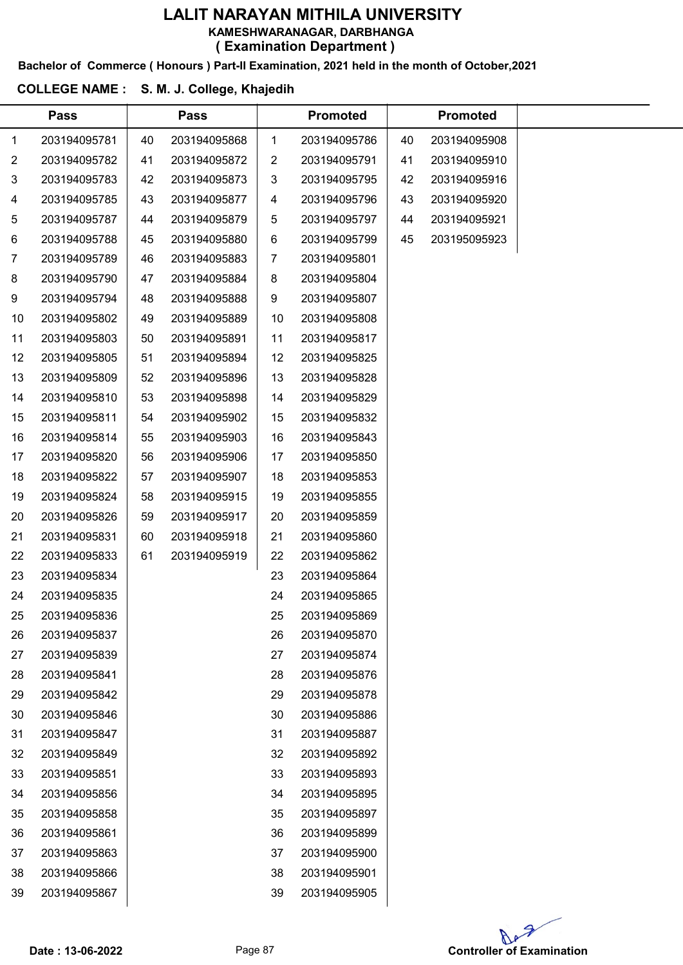Bachelor of Commerce ( Honours ) Part-II Examination, 2021 held in the month of October,2021

#### COLLEGE NAME : S. M. J. College, Khajedih

|                | <b>Pass</b>  |    | <b>Pass</b>  |    | <b>Promoted</b> |    | <b>Promoted</b> |  |
|----------------|--------------|----|--------------|----|-----------------|----|-----------------|--|
| 1              | 203194095781 | 40 | 203194095868 | 1  | 203194095786    | 40 | 203194095908    |  |
| $\overline{2}$ | 203194095782 | 41 | 203194095872 | 2  | 203194095791    | 41 | 203194095910    |  |
| 3              | 203194095783 | 42 | 203194095873 | 3  | 203194095795    | 42 | 203194095916    |  |
| 4              | 203194095785 | 43 | 203194095877 | 4  | 203194095796    | 43 | 203194095920    |  |
| 5              | 203194095787 | 44 | 203194095879 | 5  | 203194095797    | 44 | 203194095921    |  |
| 6              | 203194095788 | 45 | 203194095880 | 6  | 203194095799    | 45 | 203195095923    |  |
| 7              | 203194095789 | 46 | 203194095883 | 7  | 203194095801    |    |                 |  |
| 8              | 203194095790 | 47 | 203194095884 | 8  | 203194095804    |    |                 |  |
| 9              | 203194095794 | 48 | 203194095888 | 9  | 203194095807    |    |                 |  |
| 10             | 203194095802 | 49 | 203194095889 | 10 | 203194095808    |    |                 |  |
| 11             | 203194095803 | 50 | 203194095891 | 11 | 203194095817    |    |                 |  |
| 12             | 203194095805 | 51 | 203194095894 | 12 | 203194095825    |    |                 |  |
| 13             | 203194095809 | 52 | 203194095896 | 13 | 203194095828    |    |                 |  |
| 14             | 203194095810 | 53 | 203194095898 | 14 | 203194095829    |    |                 |  |
| 15             | 203194095811 | 54 | 203194095902 | 15 | 203194095832    |    |                 |  |
| 16             | 203194095814 | 55 | 203194095903 | 16 | 203194095843    |    |                 |  |
| 17             | 203194095820 | 56 | 203194095906 | 17 | 203194095850    |    |                 |  |
| 18             | 203194095822 | 57 | 203194095907 | 18 | 203194095853    |    |                 |  |
| 19             | 203194095824 | 58 | 203194095915 | 19 | 203194095855    |    |                 |  |
| 20             | 203194095826 | 59 | 203194095917 | 20 | 203194095859    |    |                 |  |
| 21             | 203194095831 | 60 | 203194095918 | 21 | 203194095860    |    |                 |  |
| 22             | 203194095833 | 61 | 203194095919 | 22 | 203194095862    |    |                 |  |
| 23             | 203194095834 |    |              | 23 | 203194095864    |    |                 |  |
| 24             | 203194095835 |    |              | 24 | 203194095865    |    |                 |  |
| 25             | 203194095836 |    |              | 25 | 203194095869    |    |                 |  |
| 26             | 203194095837 |    |              | 26 | 203194095870    |    |                 |  |
| 27             | 203194095839 |    |              | 27 | 203194095874    |    |                 |  |
| 28             | 203194095841 |    |              | 28 | 203194095876    |    |                 |  |
| 29             | 203194095842 |    |              | 29 | 203194095878    |    |                 |  |
| 30             | 203194095846 |    |              | 30 | 203194095886    |    |                 |  |
| 31             | 203194095847 |    |              | 31 | 203194095887    |    |                 |  |
| 32             | 203194095849 |    |              | 32 | 203194095892    |    |                 |  |
| 33             | 203194095851 |    |              | 33 | 203194095893    |    |                 |  |
| 34             | 203194095856 |    |              | 34 | 203194095895    |    |                 |  |
| 35             | 203194095858 |    |              | 35 | 203194095897    |    |                 |  |
| 36             | 203194095861 |    |              | 36 | 203194095899    |    |                 |  |
| 37             | 203194095863 |    |              | 37 | 203194095900    |    |                 |  |
| 38             | 203194095866 |    |              | 38 | 203194095901    |    |                 |  |
| 39             | 203194095867 |    |              | 39 | 203194095905    |    |                 |  |

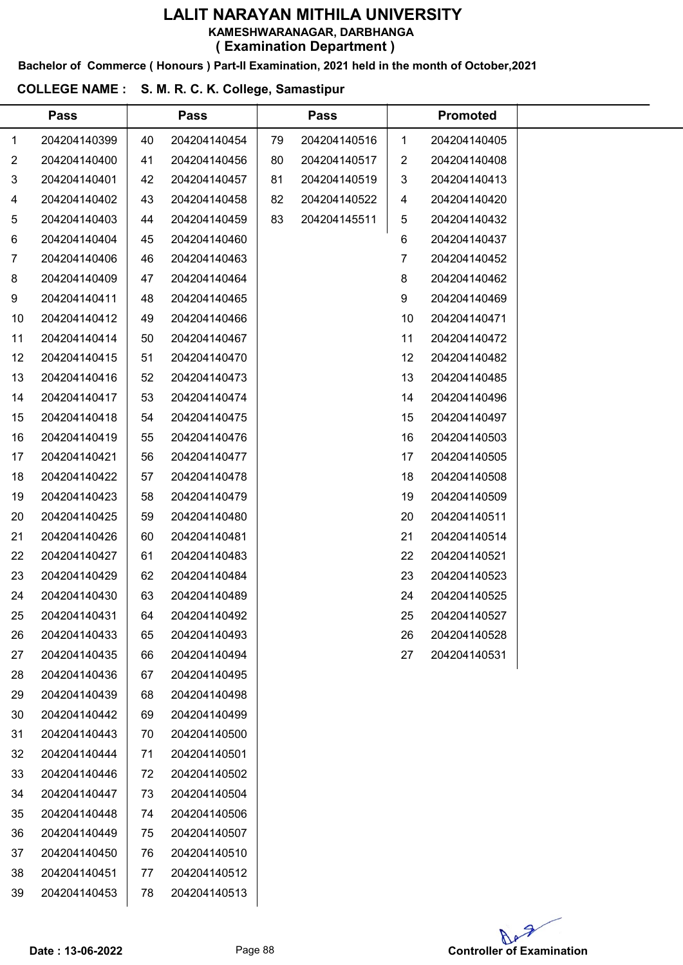Bachelor of Commerce ( Honours ) Part-II Examination, 2021 held in the month of October,2021

#### COLLEGE NAME : S. M. R. C. K. College, Samastipur

|                | <b>Pass</b>  |    | <b>Pass</b>  |    | <b>Pass</b>  |    | <b>Promoted</b> |  |
|----------------|--------------|----|--------------|----|--------------|----|-----------------|--|
| 1              | 204204140399 | 40 | 204204140454 | 79 | 204204140516 | 1  | 204204140405    |  |
| 2              | 204204140400 | 41 | 204204140456 | 80 | 204204140517 | 2  | 204204140408    |  |
| 3              | 204204140401 | 42 | 204204140457 | 81 | 204204140519 | 3  | 204204140413    |  |
| 4              | 204204140402 | 43 | 204204140458 | 82 | 204204140522 | 4  | 204204140420    |  |
| 5              | 204204140403 | 44 | 204204140459 | 83 | 204204145511 | 5  | 204204140432    |  |
| 6              | 204204140404 | 45 | 204204140460 |    |              | 6  | 204204140437    |  |
| $\overline{7}$ | 204204140406 | 46 | 204204140463 |    |              | 7. | 204204140452    |  |
| 8              | 204204140409 | 47 | 204204140464 |    |              | 8  | 204204140462    |  |
| 9              | 204204140411 | 48 | 204204140465 |    |              | 9  | 204204140469    |  |
| 10             | 204204140412 | 49 | 204204140466 |    |              | 10 | 204204140471    |  |
| 11             | 204204140414 | 50 | 204204140467 |    |              | 11 | 204204140472    |  |
| 12             | 204204140415 | 51 | 204204140470 |    |              | 12 | 204204140482    |  |
| 13             | 204204140416 | 52 | 204204140473 |    |              | 13 | 204204140485    |  |
| 14             | 204204140417 | 53 | 204204140474 |    |              | 14 | 204204140496    |  |
| 15             | 204204140418 | 54 | 204204140475 |    |              | 15 | 204204140497    |  |
| 16             | 204204140419 | 55 | 204204140476 |    |              | 16 | 204204140503    |  |
| 17             | 204204140421 | 56 | 204204140477 |    |              | 17 | 204204140505    |  |
| 18             | 204204140422 | 57 | 204204140478 |    |              | 18 | 204204140508    |  |
| 19             | 204204140423 | 58 | 204204140479 |    |              | 19 | 204204140509    |  |
| 20             | 204204140425 | 59 | 204204140480 |    |              | 20 | 204204140511    |  |
| 21             | 204204140426 | 60 | 204204140481 |    |              | 21 | 204204140514    |  |
| 22             | 204204140427 | 61 | 204204140483 |    |              | 22 | 204204140521    |  |
| 23             | 204204140429 | 62 | 204204140484 |    |              | 23 | 204204140523    |  |
| 24             | 204204140430 | 63 | 204204140489 |    |              | 24 | 204204140525    |  |
| 25             | 204204140431 | 64 | 204204140492 |    |              | 25 | 204204140527    |  |
| 26             | 204204140433 | 65 | 204204140493 |    |              | 26 | 204204140528    |  |
| 27             | 204204140435 | 66 | 204204140494 |    |              | 27 | 204204140531    |  |
| 28             | 204204140436 | 67 | 204204140495 |    |              |    |                 |  |
| 29             | 204204140439 | 68 | 204204140498 |    |              |    |                 |  |
| 30             | 204204140442 | 69 | 204204140499 |    |              |    |                 |  |
| 31             | 204204140443 | 70 | 204204140500 |    |              |    |                 |  |
| 32             | 204204140444 | 71 | 204204140501 |    |              |    |                 |  |
| 33             | 204204140446 | 72 | 204204140502 |    |              |    |                 |  |
| 34             | 204204140447 | 73 | 204204140504 |    |              |    |                 |  |
| 35             | 204204140448 | 74 | 204204140506 |    |              |    |                 |  |
| 36             | 204204140449 | 75 | 204204140507 |    |              |    |                 |  |
| 37             | 204204140450 | 76 | 204204140510 |    |              |    |                 |  |
| 38             | 204204140451 | 77 | 204204140512 |    |              |    |                 |  |
| 39             | 204204140453 | 78 | 204204140513 |    |              |    |                 |  |
|                |              |    |              |    |              |    |                 |  |

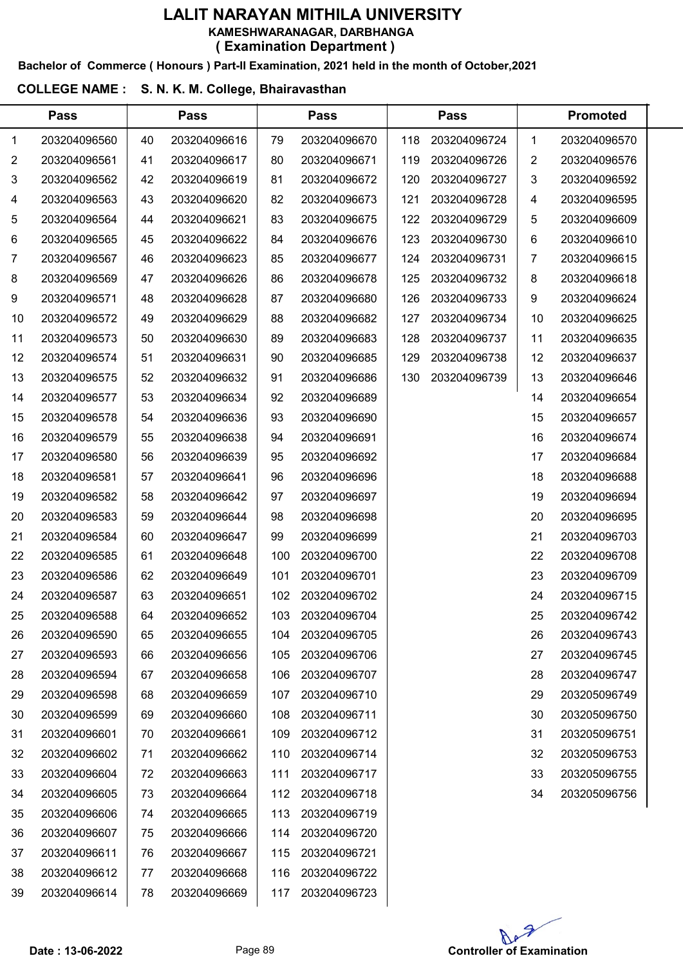#### Bachelor of Commerce ( Honours ) Part-II Examination, 2021 held in the month of October,2021

#### COLLEGE NAME : S. N. K. M. College, Bhairavasthan

|    | <b>Pass</b>  |    | <b>Pass</b>  |     | <b>Pass</b>  |     | <b>Pass</b>  | <b>Promoted</b> |              |  |
|----|--------------|----|--------------|-----|--------------|-----|--------------|-----------------|--------------|--|
| 1  | 203204096560 | 40 | 203204096616 | 79  | 203204096670 | 118 | 203204096724 | 1               | 203204096570 |  |
| 2  | 203204096561 | 41 | 203204096617 | 80  | 203204096671 | 119 | 203204096726 | 2               | 203204096576 |  |
| 3  | 203204096562 | 42 | 203204096619 | 81  | 203204096672 | 120 | 203204096727 | 3               | 203204096592 |  |
| 4  | 203204096563 | 43 | 203204096620 | 82  | 203204096673 | 121 | 203204096728 | 4               | 203204096595 |  |
| 5  | 203204096564 | 44 | 203204096621 | 83  | 203204096675 | 122 | 203204096729 | 5               | 203204096609 |  |
| 6  | 203204096565 | 45 | 203204096622 | 84  | 203204096676 | 123 | 203204096730 | 6               | 203204096610 |  |
| 7  | 203204096567 | 46 | 203204096623 | 85  | 203204096677 | 124 | 203204096731 | 7               | 203204096615 |  |
| 8  | 203204096569 | 47 | 203204096626 | 86  | 203204096678 | 125 | 203204096732 | 8               | 203204096618 |  |
| 9  | 203204096571 | 48 | 203204096628 | 87  | 203204096680 | 126 | 203204096733 | 9               | 203204096624 |  |
| 10 | 203204096572 | 49 | 203204096629 | 88  | 203204096682 | 127 | 203204096734 | 10              | 203204096625 |  |
| 11 | 203204096573 | 50 | 203204096630 | 89  | 203204096683 | 128 | 203204096737 | 11              | 203204096635 |  |
| 12 | 203204096574 | 51 | 203204096631 | 90  | 203204096685 | 129 | 203204096738 | 12              | 203204096637 |  |
| 13 | 203204096575 | 52 | 203204096632 | 91  | 203204096686 | 130 | 203204096739 | 13              | 203204096646 |  |
| 14 | 203204096577 | 53 | 203204096634 | 92  | 203204096689 |     |              | 14              | 203204096654 |  |
| 15 | 203204096578 | 54 | 203204096636 | 93  | 203204096690 |     |              | 15              | 203204096657 |  |
| 16 | 203204096579 | 55 | 203204096638 | 94  | 203204096691 |     |              | 16              | 203204096674 |  |
| 17 | 203204096580 | 56 | 203204096639 | 95  | 203204096692 |     |              | 17              | 203204096684 |  |
| 18 | 203204096581 | 57 | 203204096641 | 96  | 203204096696 |     |              | 18              | 203204096688 |  |
| 19 | 203204096582 | 58 | 203204096642 | 97  | 203204096697 |     |              | 19              | 203204096694 |  |
| 20 | 203204096583 | 59 | 203204096644 | 98  | 203204096698 |     |              | 20              | 203204096695 |  |
| 21 | 203204096584 | 60 | 203204096647 | 99  | 203204096699 |     |              | 21              | 203204096703 |  |
| 22 | 203204096585 | 61 | 203204096648 | 100 | 203204096700 |     |              | 22              | 203204096708 |  |
| 23 | 203204096586 | 62 | 203204096649 | 101 | 203204096701 |     |              | 23              | 203204096709 |  |
| 24 | 203204096587 | 63 | 203204096651 | 102 | 203204096702 |     |              | 24              | 203204096715 |  |
| 25 | 203204096588 | 64 | 203204096652 | 103 | 203204096704 |     |              | 25              | 203204096742 |  |
| 26 | 203204096590 | 65 | 203204096655 | 104 | 203204096705 |     |              | 26              | 203204096743 |  |
| 27 | 203204096593 | 66 | 203204096656 | 105 | 203204096706 |     |              | 27              | 203204096745 |  |
| 28 | 203204096594 | 67 | 203204096658 | 106 | 203204096707 |     |              | 28              | 203204096747 |  |
| 29 | 203204096598 | 68 | 203204096659 | 107 | 203204096710 |     |              | 29              | 203205096749 |  |
| 30 | 203204096599 | 69 | 203204096660 | 108 | 203204096711 |     |              | 30              | 203205096750 |  |
| 31 | 203204096601 | 70 | 203204096661 | 109 | 203204096712 |     |              | 31              | 203205096751 |  |
| 32 | 203204096602 | 71 | 203204096662 | 110 | 203204096714 |     |              | 32              | 203205096753 |  |
| 33 | 203204096604 | 72 | 203204096663 | 111 | 203204096717 |     |              | 33              | 203205096755 |  |
| 34 | 203204096605 | 73 | 203204096664 | 112 | 203204096718 |     |              | 34              | 203205096756 |  |
| 35 | 203204096606 | 74 | 203204096665 | 113 | 203204096719 |     |              |                 |              |  |
| 36 | 203204096607 | 75 | 203204096666 | 114 | 203204096720 |     |              |                 |              |  |
| 37 | 203204096611 | 76 | 203204096667 | 115 | 203204096721 |     |              |                 |              |  |
| 38 | 203204096612 | 77 | 203204096668 | 116 | 203204096722 |     |              |                 |              |  |



203204096614

203204096723

203204096669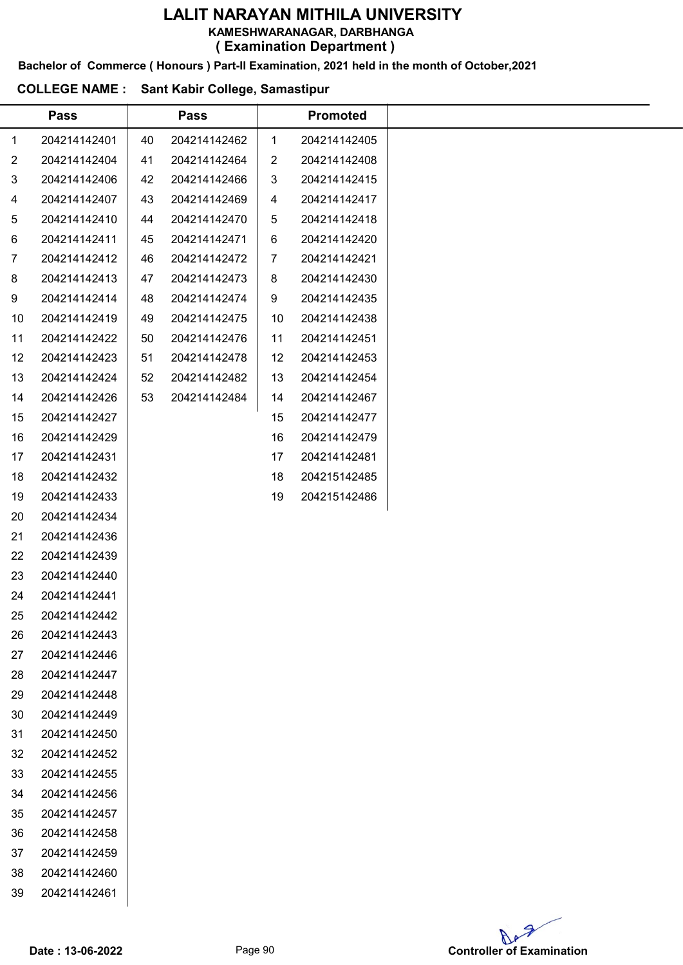KAMESHWARANAGAR, DARBHANGA

( Examination Department )

Bachelor of Commerce ( Honours ) Part-II Examination, 2021 held in the month of October,2021

#### COLLEGE NAME : Sant Kabir College, Samastipur

|                | <b>Pass</b>  |    | <b>Pass</b>  |                | <b>Promoted</b> |  |
|----------------|--------------|----|--------------|----------------|-----------------|--|
| $\mathbf{1}$   | 204214142401 | 40 | 204214142462 | $\mathbf{1}$   | 204214142405    |  |
| $\overline{2}$ | 204214142404 | 41 | 204214142464 | $\overline{2}$ | 204214142408    |  |
| 3              | 204214142406 | 42 | 204214142466 | 3              | 204214142415    |  |
| 4              | 204214142407 | 43 | 204214142469 | 4              | 204214142417    |  |
| 5              | 204214142410 | 44 | 204214142470 | 5              | 204214142418    |  |
| 6              | 204214142411 | 45 | 204214142471 | 6              | 204214142420    |  |
| $\overline{7}$ | 204214142412 | 46 | 204214142472 | 7              | 204214142421    |  |
| 8              | 204214142413 | 47 | 204214142473 | 8              | 204214142430    |  |
| 9              | 204214142414 | 48 | 204214142474 | 9              | 204214142435    |  |
| 10             | 204214142419 | 49 | 204214142475 | 10             | 204214142438    |  |
| 11             | 204214142422 | 50 | 204214142476 | 11             | 204214142451    |  |
| 12             | 204214142423 | 51 | 204214142478 | 12             | 204214142453    |  |
| 13             | 204214142424 | 52 | 204214142482 | 13             | 204214142454    |  |
| 14             | 204214142426 | 53 | 204214142484 | 14             | 204214142467    |  |
| 15             | 204214142427 |    |              | 15             | 204214142477    |  |
| 16             | 204214142429 |    |              | 16             | 204214142479    |  |
| 17             | 204214142431 |    |              | 17             | 204214142481    |  |
| 18             | 204214142432 |    |              | 18             | 204215142485    |  |
| 19             | 204214142433 |    |              | 19             | 204215142486    |  |
| 20             | 204214142434 |    |              |                |                 |  |
| 21             | 204214142436 |    |              |                |                 |  |
| 22             | 204214142439 |    |              |                |                 |  |
| 23             | 204214142440 |    |              |                |                 |  |
| 24             | 204214142441 |    |              |                |                 |  |
| 25             | 204214142442 |    |              |                |                 |  |
| 26             | 204214142443 |    |              |                |                 |  |
| 27             | 204214142446 |    |              |                |                 |  |
| 28             | 204214142447 |    |              |                |                 |  |
| 29             | 204214142448 |    |              |                |                 |  |
| 30             | 204214142449 |    |              |                |                 |  |
| 31             | 204214142450 |    |              |                |                 |  |
| 32             | 204214142452 |    |              |                |                 |  |
| 33             | 204214142455 |    |              |                |                 |  |
| 34             | 204214142456 |    |              |                |                 |  |
| 35             | 204214142457 |    |              |                |                 |  |
| 36             | 204214142458 |    |              |                |                 |  |
| 37             | 204214142459 |    |              |                |                 |  |
| 38             | 204214142460 |    |              |                |                 |  |
| 39             | 204214142461 |    |              |                |                 |  |

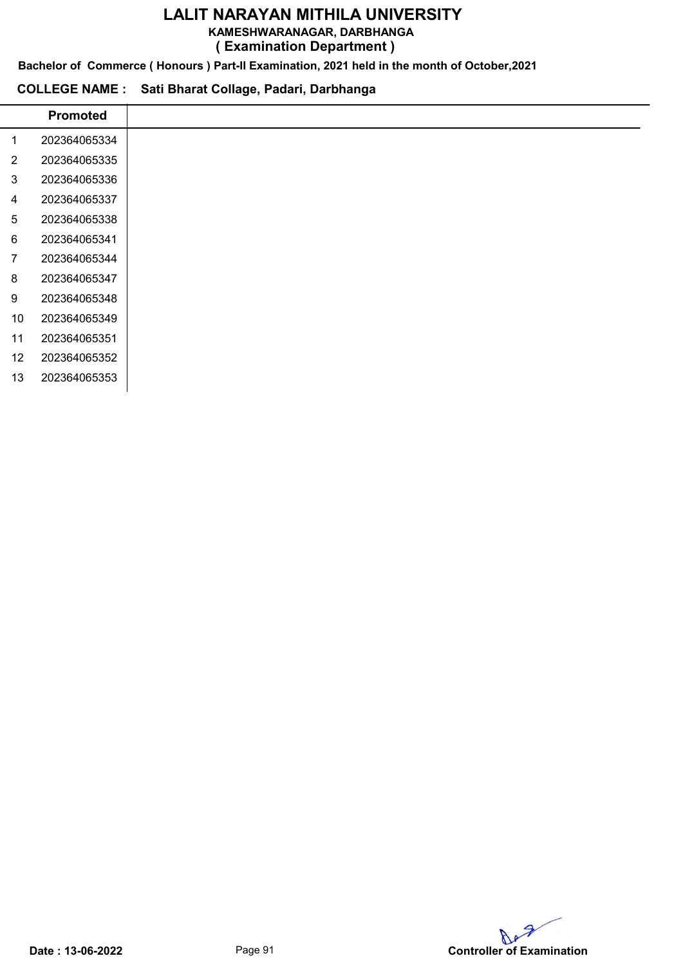KAMESHWARANAGAR, DARBHANGA

( Examination Department )

Bachelor of Commerce ( Honours ) Part-II Examination, 2021 held in the month of October,2021

## COLLEGE NAME : Sati Bharat Collage, Padari, Darbhanga

|                | <b>Promoted</b> |
|----------------|-----------------|
| 1              | 202364065334    |
| $\overline{2}$ | 202364065335    |
| 3              | 202364065336    |
| 4              | 202364065337    |
| 5              | 202364065338    |
| 6              | 202364065341    |
| 7              | 202364065344    |
| 8              | 202364065347    |
| 9              | 202364065348    |
| 10             | 202364065349    |
| 11             | 202364065351    |
| 12             | 202364065352    |
| 13             | 202364065353    |
|                |                 |

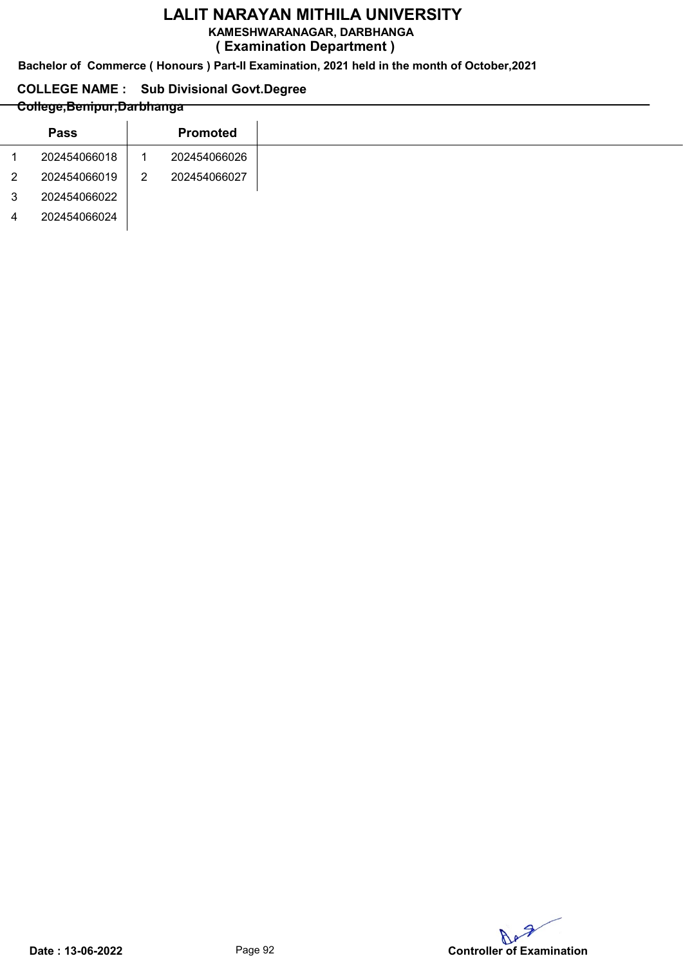KAMESHWARANAGAR, DARBHANGA

( Examination Department )

Bachelor of Commerce ( Honours ) Part-II Examination, 2021 held in the month of October,2021

## COLLEGE NAME : Sub Divisional Govt.Degree

## College,Benipur,Darbhanga

|                | <b>Pass</b>  |   | <b>Promoted</b> |
|----------------|--------------|---|-----------------|
|                | 202454066018 |   | 202454066026    |
| $\overline{2}$ | 202454066019 | 2 | 202454066027    |
| 3              | 202454066022 |   |                 |
| 4              | 202454066024 |   |                 |